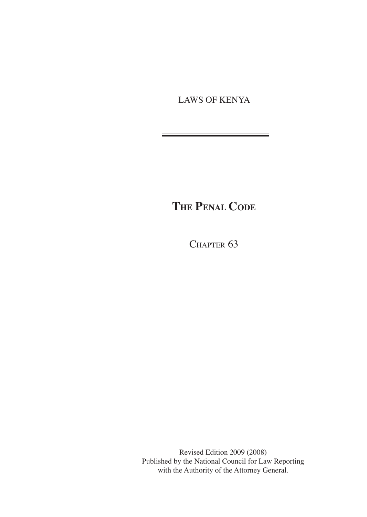LAWS OF KENYA

 $\overline{a}$ 

# **The Penal Code**

CHAPTER 63

Revised Edition 2009 (2008) Published by the National Council for Law Reporting with the Authority of the Attorney General.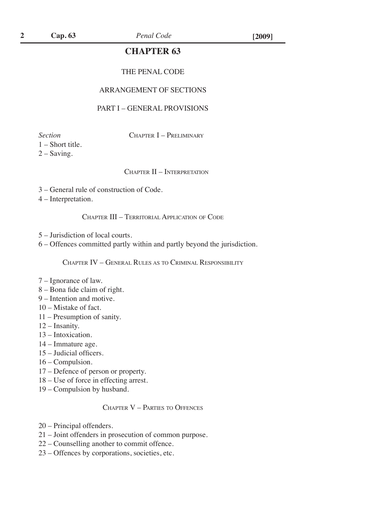# **CHAPTER 63**

# THE PENAL CODE

#### ARRANGEMENT OF SECTIONS

#### PART I – GENERAL PROVISIONS

1 – Short title.  $2 -$ Saving.

*Section* Chapter I – Preliminary

Chapter II – Interpretation

3 – General rule of construction of Code.

4 – Interpretation.

Chapter III – Territorial Application of Code

5 – Jurisdiction of local courts.

6 – Offences committed partly within and partly beyond the jurisdiction.

Chapter IV – General Rules as to Criminal Responsibility

- 7 Ignorance of law.
- 8 Bona fide claim of right.
- 9 Intention and motive.
- 10 Mistake of fact.
- 11 Presumption of sanity.
- 12 Insanity.
- 13 Intoxication.
- 14 Immature age.
- 15 Judicial officers.
- 16 Compulsion.
- 17 Defence of person or property.
- 18 Use of force in effecting arrest.
- 19 Compulsion by husband.

# Chapter V – Parties to Offences

- 20 Principal offenders.
- 21 Joint offenders in prosecution of common purpose.
- 22 Counselling another to commit offence.
- 23 Offences by corporations, societies, etc.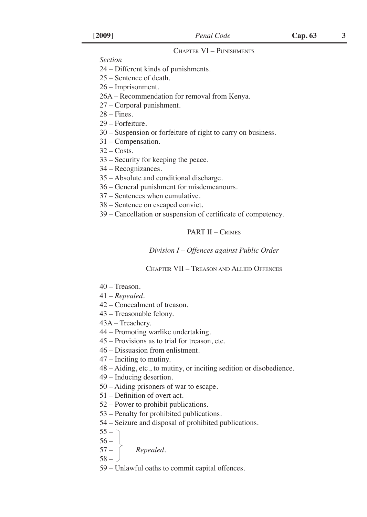#### Chapter VI – Punishments

*Section*

24 – Different kinds of punishments.

25 – Sentence of death.

26 – Imprisonment.

26A – Recommendation for removal from Kenya.

27 – Corporal punishment.

 $28 -$ Fines.

29 – Forfeiture.

30 – Suspension or forfeiture of right to carry on business.

31 – Compensation.

 $32$  – Costs.

33 – Security for keeping the peace.

34 – Recognizances.

35 – Absolute and conditional discharge.

36 – General punishment for misdemeanours.

37 – Sentences when cumulative.

38 – Sentence on escaped convict.

39 – Cancellation or suspension of certificate of competency.

#### PART II – Crimes

*Division I – Offences against Public Order*

#### Chapter VII – Treason and Allied Offences

- 40 Treason.
- 41 *Repealed*.
- 42 Concealment of treason.
- 43 Treasonable felony.

43A – Treachery.

44 – Promoting warlike undertaking.

45 – Provisions as to trial for treason, etc.

46 – Dissuasion from enlistment.

47 – Inciting to mutiny.

48 – Aiding, etc., to mutiny, or inciting sedition or disobedience.

49 – Inducing desertion.

50 – Aiding prisoners of war to escape.

51 – Definition of overt act.

52 – Power to prohibit publications.

53 – Penalty for prohibited publications.

54 – Seizure and disposal of prohibited publications.

- $55 -$
- $56 -$

57 – *Repealed*.

58 –

59 – Unlawful oaths to commit capital offences.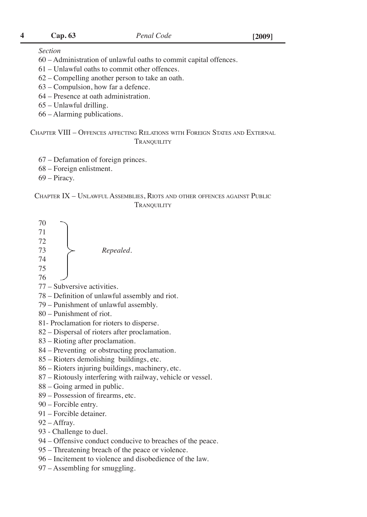60 – Administration of unlawful oaths to commit capital offences.

61 – Unlawful oaths to commit other offences.

62 – Compelling another person to take an oath.

63 – Compulsion, how far a defence.

64 – Presence at oath administration.

65 – Unlawful drilling.

66 – Alarming publications.

Chapter VIII – Offences affecting Relations with Foreign States and External TRANQUILITY

67 – Defamation of foreign princes.

68 – Foreign enlistment.

69 – Piracy.

Chapter IX – Unlawful Assemblies, Riots and other offences against Public **TRANQUILITY** 

71 72 73 *Repealed.*

74

70

- 75 76
- 77 Subversive activities.
- 78 Definition of unlawful assembly and riot.
- 79 Punishment of unlawful assembly.
- 80 Punishment of riot.
- 81- Proclamation for rioters to disperse.
- 82 Dispersal of rioters after proclamation.
- 83 Rioting after proclamation.
- 84 Preventing or obstructing proclamation.
- 85 Rioters demolishing buildings, etc.
- 86 Rioters injuring buildings, machinery, etc.
- 87 Riotously interfering with railway, vehicle or vessel.
- 88 Going armed in public.
- 89 Possession of firearms, etc.
- 90 Forcible entry.
- 91 Forcible detainer.
- 92 Affray.
- 93 Challenge to duel.
- 94 Offensive conduct conducive to breaches of the peace.
- 95 Threatening breach of the peace or violence.
- 96 Incitement to violence and disobedience of the law.
- 97 Assembling for smuggling.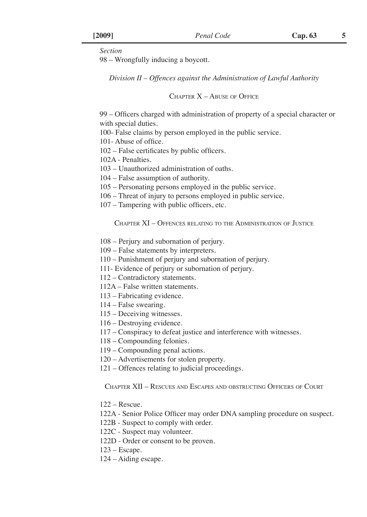98 – Wrongfully inducing a boycott.

*Division II – Offences against the Administration of Lawful Authority*

#### Chapter X – Abuse of Office

99 – Officers charged with administration of property of a special character or with special duties.

- 100- False claims by person employed in the public service.
- 101- Abuse of office.
- 102 False certificates by public officers.

102A - Penalties.

- 103 Unauthorized administration of oaths.
- 104 False assumption of authority.
- 105 Personating persons employed in the public service.
- 106 Threat of injury to persons employed in public service.
- 107 Tampering with public officers, etc.

Chapter XI – Offences relating to the Administration of Justice

- 108 Perjury and subornation of perjury.
- 109 False statements by interpreters.
- 110 Punishment of perjury and subornation of perjury.
- 111- Evidence of perjury or subornation of perjury.
- 112 Contradictory statements.
- 112A False written statements.
- 113 Fabricating evidence.
- 114 False swearing.
- 115 Deceiving witnesses.
- 116 Destroying evidence.
- 117 Conspiracy to defeat justice and interference with witnesses.
- 118 Compounding felonies.
- 119 Compounding penal actions.
- 120 Advertisements for stolen property.
- 121 Offences relating to judicial proceedings.

Chapter XII – Rescues and Escapes and obstructing Officers of Court

- 122 Rescue.
- 122A Senior Police Officer may order DNA sampling procedure on suspect.
- 122B Suspect to comply with order.
- 122C Suspect may volunteer.
- 122D Order or consent to be proven.
- 123 Escape.
- 124 Aiding escape.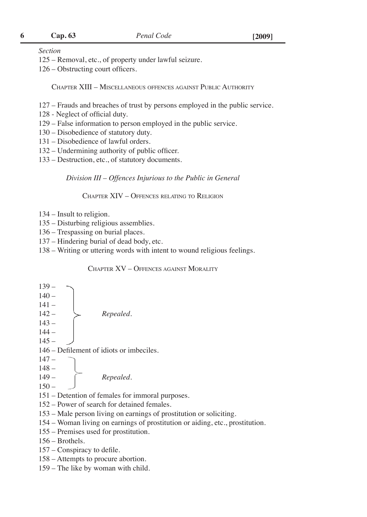- 125 Removal, etc., of property under lawful seizure.
- 126 Obstructing court officers.

Chapter XIII – Miscellaneous offences against Public Authority

127 – Frauds and breaches of trust by persons employed in the public service.

- 128 Neglect of official duty.
- 129 False information to person employed in the public service.
- 130 Disobedience of statutory duty.
- 131 Disobedience of lawful orders.
- 132 Undermining authority of public officer.
- 133 Destruction, etc., of statutory documents.

*Division III – Offences Injurious to the Public in General*

Chapter XIV – Offences relating to Religion

- 134 Insult to religion.
- 135 Disturbing religious assemblies.
- 136 Trespassing on burial places.
- 137 Hindering burial of dead body, etc.
- 138 Writing or uttering words with intent to wound religious feelings.

Chapter XV – Offences against Morality

| $139-$                                                                        |
|-------------------------------------------------------------------------------|
| $140 -$                                                                       |
| $141 -$                                                                       |
| $142 -$<br>Repealed.                                                          |
| $143 -$                                                                       |
| $144-$                                                                        |
| $145 -$                                                                       |
| 146 – Defilement of idiots or imbeciles.                                      |
| $147-$                                                                        |
| $148 -$                                                                       |
| $149-$<br>Repealed.                                                           |
| $150 -$                                                                       |
| 151 – Detention of females for immoral purposes.                              |
| 152 – Power of search for detained females.                                   |
| 153 – Male person living on earnings of prostitution or soliciting.           |
| 154 – Woman living on earnings of prostitution or aiding, etc., prostitution. |
| 155 – Premises used for prostitution.                                         |
| $156 - Brothers.$                                                             |

- 157 Conspiracy to defile.
- 158 Attempts to procure abortion.
- 159 The like by woman with child.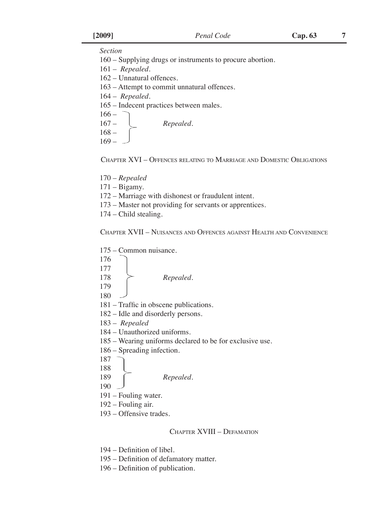| [2009]                    | Penal Code                                                           | Cap. 63 | 7 |
|---------------------------|----------------------------------------------------------------------|---------|---|
| <b>Section</b>            |                                                                      |         |   |
|                           | 160 – Supplying drugs or instruments to procure abortion.            |         |   |
| $161$ – Repealed.         |                                                                      |         |   |
| 162 – Unnatural offences. |                                                                      |         |   |
|                           | 163 – Attempt to commit unnatural offences.                          |         |   |
| $164$ – Repealed.         |                                                                      |         |   |
|                           | 165 – Indecent practices between males.                              |         |   |
| $166 -$                   |                                                                      |         |   |
| $167 -$                   | Repealed.                                                            |         |   |
| $168 -$                   |                                                                      |         |   |
| $169 -$                   |                                                                      |         |   |
|                           | CHAPTER XVI – OFFENCES RELATING TO MARRIAGE AND DOMESTIC OBLIGATIONS |         |   |
| $170 - Repealed$          |                                                                      |         |   |
| $171 -$ Bigamy.           |                                                                      |         |   |
|                           | 172 – Marriage with dishonest or fraudulent intent.                  |         |   |
|                           | 173 – Master not providing for servants or apprentices.              |         |   |
|                           |                                                                      |         |   |

174 – Child stealing.

Chapter XVII – Nuisances and Offences against Health and Convenience



#### Chapter XVIII – Defamation

- 194 Definition of libel.
- 195 Definition of defamatory matter.
- 196 Definition of publication.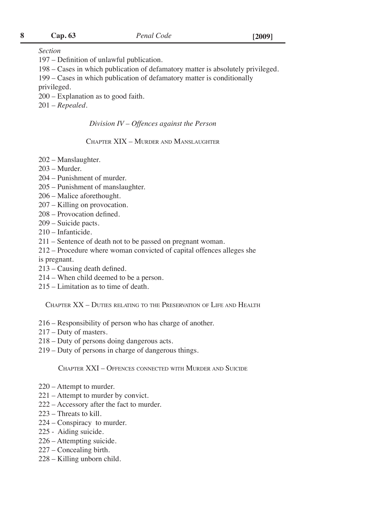197 – Definition of unlawful publication.

198 – Cases in which publication of defamatory matter is absolutely privileged.

199 – Cases in which publication of defamatory matter is conditionally

privileged.

200 – Explanation as to good faith.

201 – *Repealed*.

#### *Division IV – Offences against the Person*

#### Chapter XIX – Murder and Manslaughter

- 202 Manslaughter.
- 203 Murder.
- 204 Punishment of murder.
- 205 Punishment of manslaughter.
- 206 Malice aforethought.
- 207 Killing on provocation.
- 208 Provocation defined.
- 209 Suicide pacts.
- 210 Infanticide.
- 211 Sentence of death not to be passed on pregnant woman.
- 212 Procedure where woman convicted of capital offences alleges she
- is pregnant.
- 213 Causing death defined.
- 214 When child deemed to be a person.
- 215 Limitation as to time of death.

Chapter XX – Duties relating to the Preservation of Life and Health

- 216 Responsibility of person who has charge of another.
- 217 Duty of masters.
- 218 Duty of persons doing dangerous acts.
- 219 Duty of persons in charge of dangerous things.

Chapter XXI – Offences connected with Murder and Suicide

- 220 Attempt to murder.
- 221 Attempt to murder by convict.
- 222 Accessory after the fact to murder.
- 223 Threats to kill.
- 224 Conspiracy to murder.
- 225 Aiding suicide.
- 226 Attempting suicide.
- 227 Concealing birth.
- 228 Killing unborn child.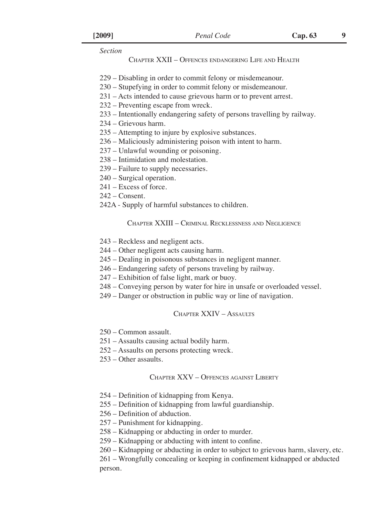Chapter XXII – Offences endangering Life and Health

- 229 Disabling in order to commit felony or misdemeanour.
- 230 Stupefying in order to commit felony or misdemeanour.
- 231 Acts intended to cause grievous harm or to prevent arrest.
- 232 Preventing escape from wreck.
- 233 Intentionally endangering safety of persons travelling by railway.
- 234 Grievous harm.
- 235 Attempting to injure by explosive substances.
- 236 Maliciously administering poison with intent to harm.
- 237 Unlawful wounding or poisoning.
- 238 Intimidation and molestation.
- 239 Failure to supply necessaries.
- 240 Surgical operation.
- 241 Excess of force.
- 242 Consent.
- 242A Supply of harmful substances to children.

#### Chapter XXIII – Criminal Recklessness and Negligence

- 243 Reckless and negligent acts.
- 244 Other negligent acts causing harm.
- 245 Dealing in poisonous substances in negligent manner.
- 246 Endangering safety of persons traveling by railway.
- 247 Exhibition of false light, mark or buoy.
- 248 Conveying person by water for hire in unsafe or overloaded vessel.
- 249 Danger or obstruction in public way or line of navigation.

#### CHAPTER XXIV – ASSAULTS

- 250 Common assault.
- 251 Assaults causing actual bodily harm.
- 252 Assaults on persons protecting wreck.
- 253 Other assaults.

#### Chapter XXV – Offences against Liberty

- 254 Definition of kidnapping from Kenya.
- 255 Definition of kidnapping from lawful guardianship.
- 256 Definition of abduction.
- 257 Punishment for kidnapping.
- 258 Kidnapping or abducting in order to murder.
- 259 Kidnapping or abducting with intent to confine.
- 260 Kidnapping or abducting in order to subject to grievous harm, slavery, etc.

261 – Wrongfully concealing or keeping in confinement kidnapped or abducted person.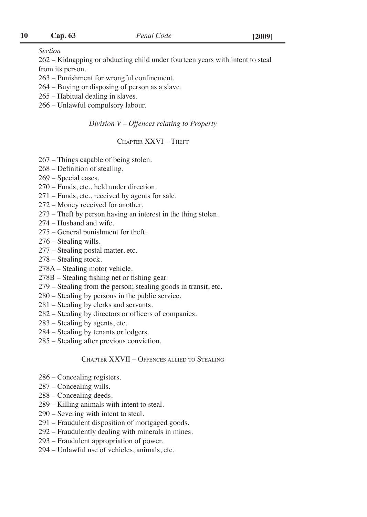262 – Kidnapping or abducting child under fourteen years with intent to steal from its person.

263 – Punishment for wrongful confinement.

264 – Buying or disposing of person as a slave.

265 – Habitual dealing in slaves.

266 – Unlawful compulsory labour.

#### *Division V – Offences relating to Property*

#### CHAPTER XXVI – THEFT

- 267 Things capable of being stolen.
- 268 Definition of stealing.
- 269 Special cases.
- 270 Funds, etc., held under direction.
- 271 Funds, etc., received by agents for sale.
- 272 Money received for another.
- 273 Theft by person having an interest in the thing stolen.
- 274 Husband and wife.
- 275 General punishment for theft.
- 276 Stealing wills.
- 277 Stealing postal matter, etc.
- 278 Stealing stock.
- 278A Stealing motor vehicle.
- 278B Stealing fishing net or fishing gear.
- 279 Stealing from the person; stealing goods in transit, etc.
- 280 Stealing by persons in the public service.
- 281 Stealing by clerks and servants.
- 282 Stealing by directors or officers of companies.
- 283 Stealing by agents, etc.
- 284 Stealing by tenants or lodgers.
- 285 Stealing after previous conviction.

# Chapter XXVII – Offences allied to Stealing

- 286 Concealing registers.
- 287 Concealing wills.
- 288 Concealing deeds.
- 289 Killing animals with intent to steal.
- 290 Severing with intent to steal.
- 291 Fraudulent disposition of mortgaged goods.
- 292 Fraudulently dealing with minerals in mines.
- 293 Fraudulent appropriation of power.
- 294 Unlawful use of vehicles, animals, etc.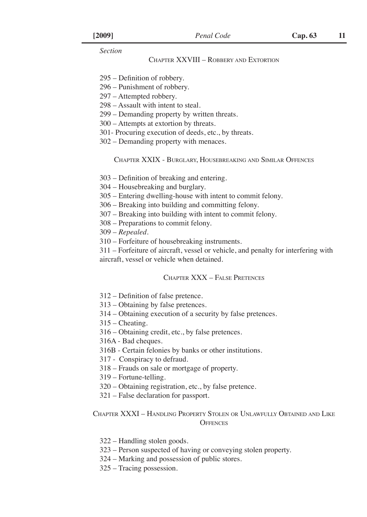#### Chapter XXVIII – Robbery and Extortion

- 295 Definition of robbery.
- 296 Punishment of robbery.

297 – Attempted robbery.

- 298 Assault with intent to steal.
- 299 Demanding property by written threats.
- 300 Attempts at extortion by threats.
- 301- Procuring execution of deeds, etc., by threats.
- 302 Demanding property with menaces.

Chapter XXIX - Burglary, Housebreaking and Similar Offences

- 303 Definition of breaking and entering.
- 304 Housebreaking and burglary.
- 305 Entering dwelling-house with intent to commit felony.
- 306 Breaking into building and committing felony.
- 307 Breaking into building with intent to commit felony.
- 308 Preparations to commit felony.
- 309 *Repealed*.
- 310 Forfeiture of housebreaking instruments.

311 – Forfeiture of aircraft, vessel or vehicle, and penalty for interfering with aircraft, vessel or vehicle when detained.

#### Chapter XXX – False Pretences

- 312 Definition of false pretence.
- 313 Obtaining by false pretences.
- 314 Obtaining execution of a security by false pretences.
- 315 Cheating.
- 316 Obtaining credit, etc., by false pretences.
- 316A Bad cheques.
- 316B Certain felonies by banks or other institutions.
- 317 Conspiracy to defraud.
- 318 Frauds on sale or mortgage of property.
- 319 Fortune-telling.
- 320 Obtaining registration, etc., by false pretence.
- 321 False declaration for passport.

Chapter XXXI – Handling Property Stolen or Unlawfully Obtained and Like **OFFENCES** 

- 322 Handling stolen goods.
- 323 Person suspected of having or conveying stolen property.
- 324 Marking and possession of public stores.
- 325 Tracing possession.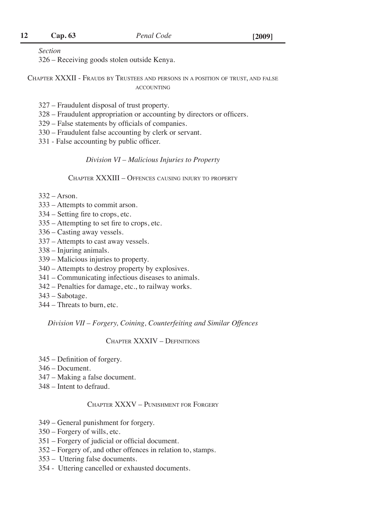326 – Receiving goods stolen outside Kenya.

Chapter XXXII - Frauds by Trustees and persons in <sup>a</sup> position of trust, and false **ACCOUNTING** 

- 327 Fraudulent disposal of trust property.
- 328 Fraudulent appropriation or accounting by directors or officers.
- 329 False statements by officials of companies.
- 330 Fraudulent false accounting by clerk or servant.
- 331 False accounting by public officer.

*Division VI – Malicious Injuries to Property*

#### Chapter XXXIII – Offences causing injury to property

- 332 Arson.
- 333 Attempts to commit arson.
- 334 Setting fire to crops, etc.
- 335 Attempting to set fire to crops, etc.
- 336 Casting away vessels.
- 337 Attempts to cast away vessels.
- 338 Injuring animals.
- 339 Malicious injuries to property.
- 340 Attempts to destroy property by explosives.
- 341 Communicating infectious diseases to animals.
- 342 Penalties for damage, etc., to railway works.
- 343 Sabotage.
- 344 Threats to burn, etc.

*Division VII – Forgery, Coining, Counterfeiting and Similar Offences*

Chapter XXXIV – Definitions

- 345 Definition of forgery.
- 346 Document.
- 347 Making a false document.
- 348 Intent to defraud.

#### Chapter XXXV – Punishment for Forgery

- 349 General punishment for forgery.
- 350 Forgery of wills, etc.
- 351 Forgery of judicial or official document.
- 352 Forgery of, and other offences in relation to, stamps.
- 353 Uttering false documents.
- 354 Uttering cancelled or exhausted documents.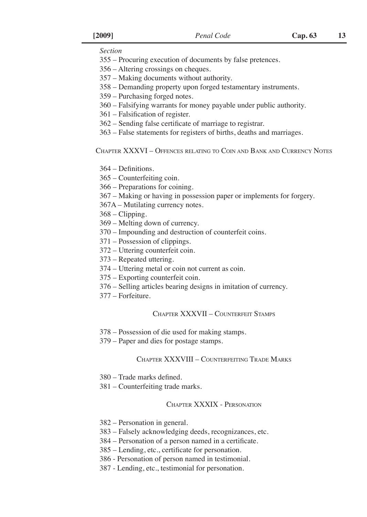355 – Procuring execution of documents by false pretences.

356 – Altering crossings on cheques.

357 – Making documents without authority.

358 – Demanding property upon forged testamentary instruments.

359 – Purchasing forged notes.

360 – Falsifying warrants for money payable under public authority.

361 – Falsification of register.

362 – Sending false certificate of marriage to registrar.

363 – False statements for registers of births, deaths and marriages.

Chapter XXXVI – Offences relating to Coin and Bank and Currency Notes

364 – Definitions.

365 – Counterfeiting coin.

366 – Preparations for coining.

367 – Making or having in possession paper or implements for forgery.

367A – Mutilating currency notes.

368 – Clipping.

369 – Melting down of currency.

370 – Impounding and destruction of counterfeit coins.

371 – Possession of clippings.

372 – Uttering counterfeit coin.

373 – Repeated uttering.

374 – Uttering metal or coin not current as coin.

375 – Exporting counterfeit coin.

376 – Selling articles bearing designs in imitation of currency.

377 – Forfeiture.

#### Chapter XXXVII – Counterfeit Stamps

378 – Possession of die used for making stamps.

379 – Paper and dies for postage stamps.

#### Chapter XXXVIII – Counterfeiting Trade Marks

380 – Trade marks defined.

381 – Counterfeiting trade marks.

#### Chapter XXXIX - Personation

- 382 Personation in general.
- 383 Falsely acknowledging deeds, recognizances, etc.
- 384 Personation of a person named in a certificate.
- 385 Lending, etc., certificate for personation.
- 386 Personation of person named in testimonial.
- 387 Lending, etc., testimonial for personation.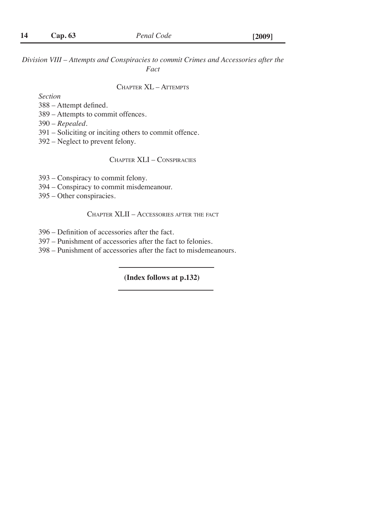*Division VIII – Attempts and Conspiracies to commit Crimes and Accessories after the Fact*

# Chapter XL – Attempts

*Section*

388 – Attempt defined.

389 – Attempts to commit offences.

390 – *Repealed*.

391 – Soliciting or inciting others to commit offence.

392 – Neglect to prevent felony.

Chapter XLI – Conspiracies

393 – Conspiracy to commit felony.

394 – Conspiracy to commit misdemeanour.

395 – Other conspiracies.

# Chapter XLII – Accessories after the fact

- 396 Definition of accessories after the fact.
- 397 Punishment of accessories after the fact to felonies.
- 398 Punishment of accessories after the fact to misdemeanours.

**(Index follows at p.132)**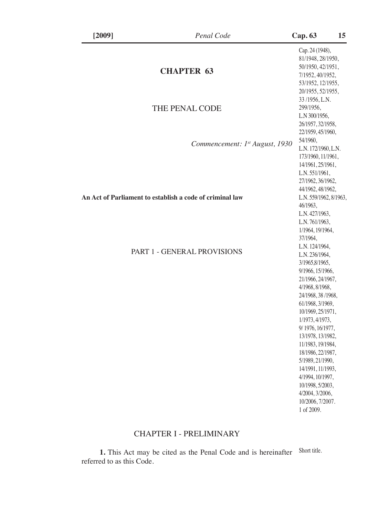| [2009] | Penal Code                                               | Cap. 63                                                                                                                                                                                                                                                                                                                                                                                                                   | 15 |
|--------|----------------------------------------------------------|---------------------------------------------------------------------------------------------------------------------------------------------------------------------------------------------------------------------------------------------------------------------------------------------------------------------------------------------------------------------------------------------------------------------------|----|
|        | <b>CHAPTER 63</b>                                        | Cap. 24 (1948),<br>81/1948, 28/1950,<br>50/1950, 42/1951,<br>7/1952, 40/1952,<br>53/1952, 12/1955,<br>20/1955, 52/1955,                                                                                                                                                                                                                                                                                                   |    |
|        | THE PENAL CODE                                           | 33/1956, L.N.<br>299/1956,<br>L.N 300/1956,<br>26/1957, 32/1958,<br>22/1959, 45/1960,                                                                                                                                                                                                                                                                                                                                     |    |
|        | Commencement: 1st August, 1930                           | 54/1960,<br>L.N. 172/1960, L.N.<br>173/1960, 11/1961,<br>14/1961, 25/1961,<br>L.N. 551/1961,<br>27/1962, 36/1962,<br>44/1962, 48/1962,                                                                                                                                                                                                                                                                                    |    |
|        | An Act of Parliament to establish a code of criminal law | L.N. 559/1962, 8/1963,<br>46/1963,<br>L.N. 427/1963,<br>L.N. 761/1963,<br>1/1964, 19/1964,<br>37/1964,                                                                                                                                                                                                                                                                                                                    |    |
|        | PART 1 - GENERAL PROVISIONS                              | L.N. 124/1964,<br>L.N. 236/1964,<br>3/1965, 8/1965,<br>9/1966, 15/1966,<br>21/1966, 24/1967,<br>4/1968, 8/1968,<br>24/1968, 38/1968,<br>61/1968, 3/1969,<br>10/1969, 25/1971,<br>1/1973, 4/1973,<br>9/1976, 16/1977,<br>13/1978, 13/1982,<br>11/1983, 19/1984,<br>18/1986, 22/1987,<br>5/1989, 21/1990,<br>14/1991, 11/1993,<br>4/1994, 10/1997,<br>10/1998, 5/2003,<br>4/2004, 3/2006,<br>10/2006, 7/2007.<br>1 of 2009. |    |

# Chapter I - Preliminary

**1.** This Act may be cited as the Penal Code and is hereinafter Short title. referred to as this Code.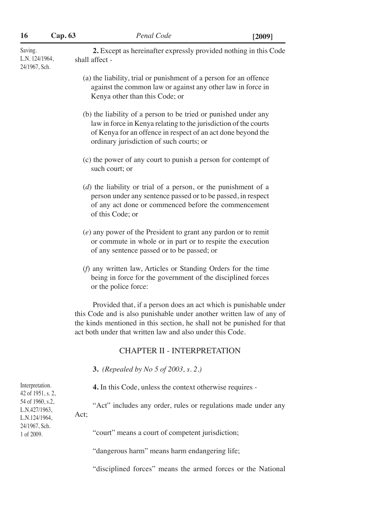| 16                                                 | Cap. 63 |      | Penal Code                                                                                                                                                                                                                                                                      | [2009] |
|----------------------------------------------------|---------|------|---------------------------------------------------------------------------------------------------------------------------------------------------------------------------------------------------------------------------------------------------------------------------------|--------|
| Saving.<br>L.N. 124/1964,<br>24/1967, Sch.         |         |      | 2. Except as hereinafter expressly provided nothing in this Code<br>shall affect -                                                                                                                                                                                              |        |
|                                                    |         |      | (a) the liability, trial or punishment of a person for an offence<br>against the common law or against any other law in force in<br>Kenya other than this Code; or                                                                                                              |        |
|                                                    |         |      | (b) the liability of a person to be tried or punished under any<br>law in force in Kenya relating to the jurisdiction of the courts<br>of Kenya for an offence in respect of an act done beyond the<br>ordinary jurisdiction of such courts; or                                 |        |
|                                                    |         |      | (c) the power of any court to punish a person for contempt of<br>such court; or                                                                                                                                                                                                 |        |
|                                                    |         |      | $(d)$ the liability or trial of a person, or the punishment of a<br>person under any sentence passed or to be passed, in respect<br>of any act done or commenced before the commencement<br>of this Code; or                                                                    |        |
|                                                    |         |      | $(e)$ any power of the President to grant any pardon or to remit<br>or commute in whole or in part or to respite the execution<br>of any sentence passed or to be passed; or                                                                                                    |        |
|                                                    |         |      | (f) any written law, Articles or Standing Orders for the time<br>being in force for the government of the disciplined forces<br>or the police force:                                                                                                                            |        |
|                                                    |         |      | Provided that, if a person does an act which is punishable under<br>this Code and is also punishable under another written law of any of<br>the kinds mentioned in this section, he shall not be punished for that<br>act both under that written law and also under this Code. |        |
|                                                    |         |      | <b>CHAPTER II - INTERPRETATION</b>                                                                                                                                                                                                                                              |        |
|                                                    |         |      | <b>3.</b> (Repealed by No 5 of 2003, s. 2.)                                                                                                                                                                                                                                     |        |
| Interpretation.<br>42 of 1951, s. 2,               |         |      | 4. In this Code, unless the context otherwise requires -                                                                                                                                                                                                                        |        |
| 54 of 1960, s.2,<br>L.N.427/1963,<br>L.N.124/1964, |         | Act; | "Act" includes any order, rules or regulations made under any                                                                                                                                                                                                                   |        |
| 24/1967, Sch.<br>1 of 2009.                        |         |      | "court" means a court of competent jurisdiction;                                                                                                                                                                                                                                |        |
|                                                    |         |      | "dangerous harm" means harm endangering life;                                                                                                                                                                                                                                   |        |
|                                                    |         |      | "disciplined forces" means the armed forces or the National                                                                                                                                                                                                                     |        |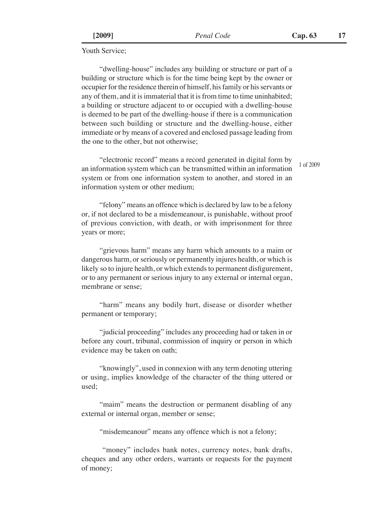Youth Service;

"dwelling-house" includes any building or structure or part of a building or structure which is for the time being kept by the owner or occupier for the residence therein of himself, his family or his servants or any of them, and it is immaterial that it is from time to time uninhabited; a building or structure adjacent to or occupied with a dwelling-house is deemed to be part of the dwelling-house if there is a communication between such building or structure and the dwelling-house, either immediate or by means of a covered and enclosed passage leading from the one to the other, but not otherwise;

"electronic record" means a record generated in digital form by an information system which can be transmitted within an information system or from one information system to another, and stored in an information system or other medium;

1 of 2009

"felony" means an offence which is declared by law to be a felony or, if not declared to be a misdemeanour, is punishable, without proof of previous conviction, with death, or with imprisonment for three years or more;

"grievous harm" means any harm which amounts to a maim or dangerous harm, or seriously or permanently injures health, or which is likely so to injure health, or which extends to permanent disfigurement, or to any permanent or serious injury to any external or internal organ, membrane or sense;

"harm" means any bodily hurt, disease or disorder whether permanent or temporary;

"judicial proceeding" includes any proceeding had or taken in or before any court, tribunal, commission of inquiry or person in which evidence may be taken on oath;

"knowingly", used in connexion with any term denoting uttering or using, implies knowledge of the character of the thing uttered or used;

"maim" means the destruction or permanent disabling of any external or internal organ, member or sense;

"misdemeanour" means any offence which is not a felony;

"money" includes bank notes, currency notes, bank drafts, cheques and any other orders, warrants or requests for the payment of money;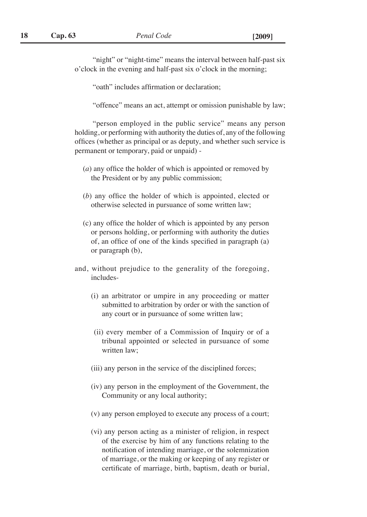"night" or "night-time" means the interval between half-past six o'clock in the evening and half-past six o'clock in the morning;

"oath" includes affirmation or declaration;

"offence" means an act, attempt or omission punishable by law;

"person employed in the public service" means any person holding, or performing with authority the duties of, any of the following offices (whether as principal or as deputy, and whether such service is permanent or temporary, paid or unpaid) -

- (*a*) any office the holder of which is appointed or removed by the President or by any public commission;
- (*b*) any office the holder of which is appointed, elected or otherwise selected in pursuance of some written law;
- (c) any office the holder of which is appointed by any person or persons holding, or performing with authority the duties of, an office of one of the kinds specified in paragraph (a) or paragraph (b),
- and, without prejudice to the generality of the foregoing, includes-
	- (i) an arbitrator or umpire in any proceeding or matter submitted to arbitration by order or with the sanction of any court or in pursuance of some written law;
	- (ii) every member of a Commission of Inquiry or of a tribunal appointed or selected in pursuance of some written law;
	- (iii) any person in the service of the disciplined forces;
	- (iv) any person in the employment of the Government, the Community or any local authority;
	- (v) any person employed to execute any process of a court;
	- (vi) any person acting as a minister of religion, in respect of the exercise by him of any functions relating to the notification of intending marriage, or the solemnization of marriage, or the making or keeping of any register or certificate of marriage, birth, baptism, death or burial,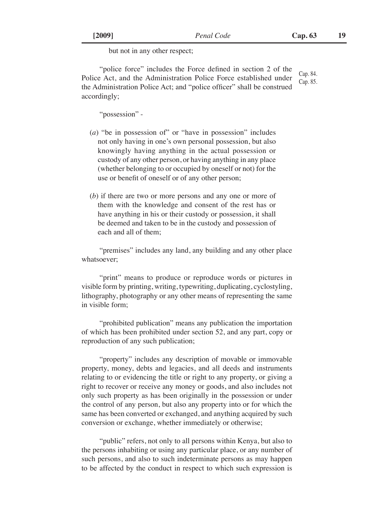but not in any other respect;

"police force" includes the Force defined in section 2 of the Police Act, and the Administration Police Force established under the Administration Police Act; and "police officer" shall be construed accordingly; Cap. 84. Cap. 85.

"possession" -

- (*a*) "be in possession of" or "have in possession" includes not only having in one's own personal possession, but also knowingly having anything in the actual possession or custody of any other person, or having anything in any place (whether belonging to or occupied by oneself or not) for the use or benefit of oneself or of any other person;
- (*b*) if there are two or more persons and any one or more of them with the knowledge and consent of the rest has or have anything in his or their custody or possession, it shall be deemed and taken to be in the custody and possession of each and all of them;

"premises" includes any land, any building and any other place whatsoever;

"print" means to produce or reproduce words or pictures in visible form by printing, writing, typewriting, duplicating, cyclostyling, lithography, photography or any other means of representing the same in visible form;

"prohibited publication" means any publication the importation of which has been prohibited under section 52, and any part, copy or reproduction of any such publication;

"property" includes any description of movable or immovable property, money, debts and legacies, and all deeds and instruments relating to or evidencing the title or right to any property, or giving a right to recover or receive any money or goods, and also includes not only such property as has been originally in the possession or under the control of any person, but also any property into or for which the same has been converted or exchanged, and anything acquired by such conversion or exchange, whether immediately or otherwise;

"public" refers, not only to all persons within Kenya, but also to the persons inhabiting or using any particular place, or any number of such persons, and also to such indeterminate persons as may happen to be affected by the conduct in respect to which such expression is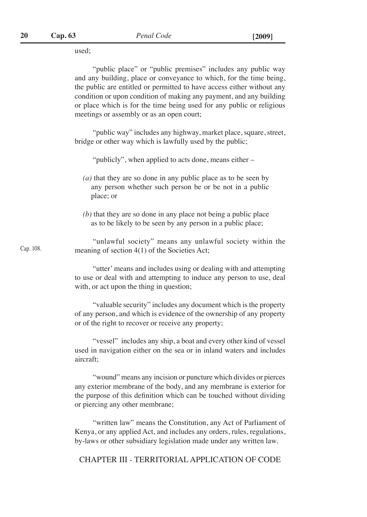used;

"public place" or "public premises" includes any public way and any building, place or conveyance to which, for the time being, the public are entitled or permitted to have access either without any condition or upon condition of making any payment, and any building or place which is for the time being used for any public or religious meetings or assembly or as an open court;

"public way" includes any highway, market place, square, street, bridge or other way which is lawfully used by the public;

"publicly", when applied to acts done, means either –

- *(a)* that they are so done in any public place as to be seen by any person whether such person be or be not in a public place; or
- *(b)* that they are so done in any place not being a public place as to be likely to be seen by any person in a public place;

"unlawful society" means any unlawful society within the meaning of section 4(1) of the Societies Act;

> "utter' means and includes using or dealing with and attempting to use or deal with and attempting to induce any person to use, deal with, or act upon the thing in question;

> "valuable security" includes any document which is the property of any person, and which is evidence of the ownership of any property or of the right to recover or receive any property;

> "vessel" includes any ship, a boat and every other kind of vessel used in navigation either on the sea or in inland waters and includes aircraft;

> "wound" means any incision or puncture which divides or pierces any exterior membrane of the body, and any membrane is exterior for the purpose of this definition which can be touched without dividing or piercing any other membrane;

> "written law" means the Constitution, any Act of Parliament of Kenya, or any applied Act, and includes any orders, rules, regulations, by-laws or other subsidiary legislation made under any written law.

Chapter III - Territorial Application of Code

Cap. 108.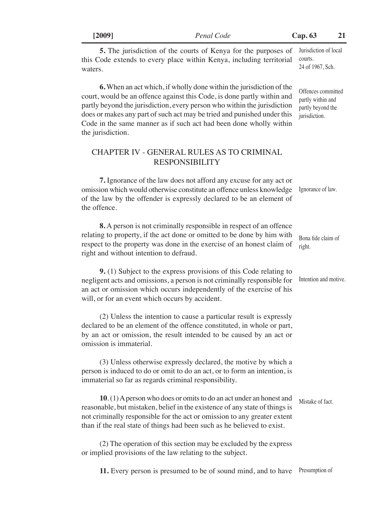**[2009]** *Penal Code* **Cap. 63 21**

**5.** The jurisdiction of the courts of Kenya for the purposes of this Code extends to every place within Kenya, including territorial waters.

**6.** When an act which, if wholly done within the jurisdiction of the court, would be an offence against this Code, is done partly within and partly beyond the jurisdiction, every person who within the jurisdiction does or makes any part of such act may be tried and punished under this Code in the same manner as if such act had been done wholly within the jurisdiction.

# Chapter IV - General Rules as to Criminal **RESPONSIBILITY**

**7.** Ignorance of the law does not afford any excuse for any act or omission which would otherwise constitute an offence unless knowledge of the law by the offender is expressly declared to be an element of the offence.

**8.** A person is not criminally responsible in respect of an offence relating to property, if the act done or omitted to be done by him with respect to the property was done in the exercise of an honest claim of right and without intention to defraud.

**9.** (1) Subject to the express provisions of this Code relating to negligent acts and omissions, a person is not criminally responsible for an act or omission which occurs independently of the exercise of his will, or for an event which occurs by accident.

(2) Unless the intention to cause a particular result is expressly declared to be an element of the offence constituted, in whole or part, by an act or omission, the result intended to be caused by an act or omission is immaterial.

(3) Unless otherwise expressly declared, the motive by which a person is induced to do or omit to do an act, or to form an intention, is immaterial so far as regards criminal responsibility.

**10**. (1) A person who does or omits to do an act under an honest and reasonable, but mistaken, belief in the existence of any state of things is not criminally responsible for the act or omission to any greater extent than if the real state of things had been such as he believed to exist. Mistake of fact.

(2) The operation of this section may be excluded by the express or implied provisions of the law relating to the subject.

**11.** Every person is presumed to be of sound mind, and to have Presumption of

Jurisdiction of local courts. 24 of 1967, Sch.

Offences committed partly within and partly beyond the jurisdiction.

Ignorance of law.

Bona fide claim of right.

Intention and motive.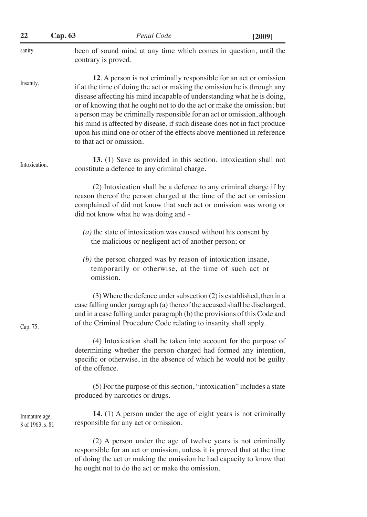| 22                                | Cap. 63 | Penal Code                                                                                                                                                                                                                                                                                                                                                                                                                                                                                                                                                        | [2009] |
|-----------------------------------|---------|-------------------------------------------------------------------------------------------------------------------------------------------------------------------------------------------------------------------------------------------------------------------------------------------------------------------------------------------------------------------------------------------------------------------------------------------------------------------------------------------------------------------------------------------------------------------|--------|
| sanity.                           |         | been of sound mind at any time which comes in question, until the<br>contrary is proved.                                                                                                                                                                                                                                                                                                                                                                                                                                                                          |        |
| Insanity.                         |         | 12. A person is not criminally responsible for an act or omission<br>if at the time of doing the act or making the omission he is through any<br>disease affecting his mind incapable of understanding what he is doing,<br>or of knowing that he ought not to do the act or make the omission; but<br>a person may be criminally responsible for an act or omission, although<br>his mind is affected by disease, if such disease does not in fact produce<br>upon his mind one or other of the effects above mentioned in reference<br>to that act or omission. |        |
| Intoxication.                     |         | 13. (1) Save as provided in this section, intoxication shall not<br>constitute a defence to any criminal charge.                                                                                                                                                                                                                                                                                                                                                                                                                                                  |        |
|                                   |         | (2) Intoxication shall be a defence to any criminal charge if by<br>reason thereof the person charged at the time of the act or omission<br>complained of did not know that such act or omission was wrong or<br>did not know what he was doing and -                                                                                                                                                                                                                                                                                                             |        |
|                                   |         | $(a)$ the state of intoxication was caused without his consent by<br>the malicious or negligent act of another person; or                                                                                                                                                                                                                                                                                                                                                                                                                                         |        |
|                                   |         | $(b)$ the person charged was by reason of intoxication insane,<br>temporarily or otherwise, at the time of such act or<br>omission.                                                                                                                                                                                                                                                                                                                                                                                                                               |        |
| Cap. 75.                          |         | $(3)$ Where the defence under subsection $(2)$ is established, then in a<br>case falling under paragraph (a) thereof the accused shall be discharged,<br>and in a case falling under paragraph (b) the provisions of this Code and<br>of the Criminal Procedure Code relating to insanity shall apply.                                                                                                                                                                                                                                                            |        |
|                                   |         | (4) Intoxication shall be taken into account for the purpose of<br>determining whether the person charged had formed any intention,<br>specific or otherwise, in the absence of which he would not be guilty<br>of the offence.                                                                                                                                                                                                                                                                                                                                   |        |
|                                   |         | (5) For the purpose of this section, "intoxication" includes a state<br>produced by narcotics or drugs.                                                                                                                                                                                                                                                                                                                                                                                                                                                           |        |
| Immature age.<br>8 of 1963, s. 81 |         | 14. (1) A person under the age of eight years is not criminally<br>responsible for any act or omission.                                                                                                                                                                                                                                                                                                                                                                                                                                                           |        |
|                                   |         | (2) A person under the age of twelve years is not criminally<br>responsible for an act or omission, unless it is proved that at the time<br>of doing the act or making the omission he had capacity to know that                                                                                                                                                                                                                                                                                                                                                  |        |

he ought not to do the act or make the omission.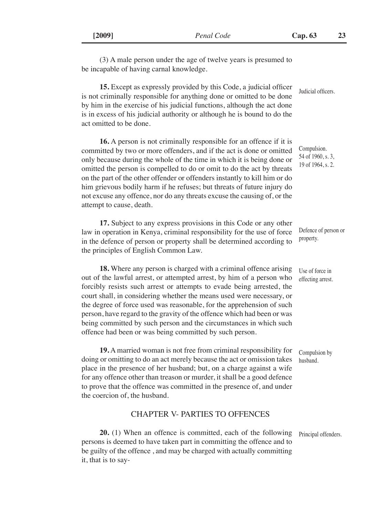Compulsion. 54 of 1960, s. 3, 19 of 1964, s. 2.

Use of force in effecting arrest.

(3) A male person under the age of twelve years is presumed to be incapable of having carnal knowledge.

**15.** Except as expressly provided by this Code, a judicial officer is not criminally responsible for anything done or omitted to be done by him in the exercise of his judicial functions, although the act done is in excess of his judicial authority or although he is bound to do the act omitted to be done. Judicial officers.

**16.** A person is not criminally responsible for an offence if it is committed by two or more offenders, and if the act is done or omitted only because during the whole of the time in which it is being done or omitted the person is compelled to do or omit to do the act by threats on the part of the other offender or offenders instantly to kill him or do him grievous bodily harm if he refuses; but threats of future injury do not excuse any offence, nor do any threats excuse the causing of, or the attempt to cause, death.

**17.** Subject to any express provisions in this Code or any other law in operation in Kenya, criminal responsibility for the use of force in the defence of person or property shall be determined according to the principles of English Common Law. Defence of person or property.

**18.** Where any person is charged with a criminal offence arising out of the lawful arrest, or attempted arrest, by him of a person who forcibly resists such arrest or attempts to evade being arrested, the court shall, in considering whether the means used were necessary, or the degree of force used was reasonable, for the apprehension of such person, have regard to the gravity of the offence which had been or was being committed by such person and the circumstances in which such offence had been or was being committed by such person.

**19.** A married woman is not free from criminal responsibility for doing or omitting to do an act merely because the act or omission takes place in the presence of her husband; but, on a charge against a wife for any offence other than treason or murder, it shall be a good defence to prove that the offence was committed in the presence of, and under the coercion of, the husband. Compulsion by husband.

# Chapter V- Parties to Offences

**20.** (1) When an offence is committed, each of the following persons is deemed to have taken part in committing the offence and to be guilty of the offence , and may be charged with actually committing it, that is to say-Principal offenders.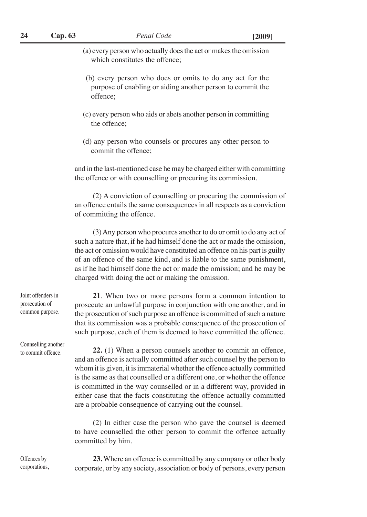(a) every person who actually does the act or makes the omission which constitutes the offence;

- (b) every person who does or omits to do any act for the purpose of enabling or aiding another person to commit the offence;
- (c) every person who aids or abets another person in committing the offence;
- (d) any person who counsels or procures any other person to commit the offence;

and in the last-mentioned case he may be charged either with committing the offence or with counselling or procuring its commission.

(2) A conviction of counselling or procuring the commission of an offence entails the same consequences in all respects as a conviction of committing the offence.

(3) Any person who procures another to do or omit to do any act of such a nature that, if he had himself done the act or made the omission, the act or omission would have constituted an offence on his part is guilty of an offence of the same kind, and is liable to the same punishment, as if he had himself done the act or made the omission; and he may be charged with doing the act or making the omission.

Joint offenders in prosecution of common purpose.

Counselling another to commit offence.

**21**. When two or more persons form a common intention to prosecute an unlawful purpose in conjunction with one another, and in the prosecution of such purpose an offence is committed of such a nature that its commission was a probable consequence of the prosecution of such purpose, each of them is deemed to have committed the offence.

**22.** (1) When a person counsels another to commit an offence, and an offence is actually committed after such counsel by the person to whom it is given, it is immaterial whether the offence actually committed is the same as that counselled or a different one, or whether the offence is committed in the way counselled or in a different way, provided in either case that the facts constituting the offence actually committed are a probable consequence of carrying out the counsel.

(2) In either case the person who gave the counsel is deemed to have counselled the other person to commit the offence actually committed by him.

**23.** Where an offence is committed by any company or other body corporate, or by any society, association or body of persons, every person

Offences by corporations,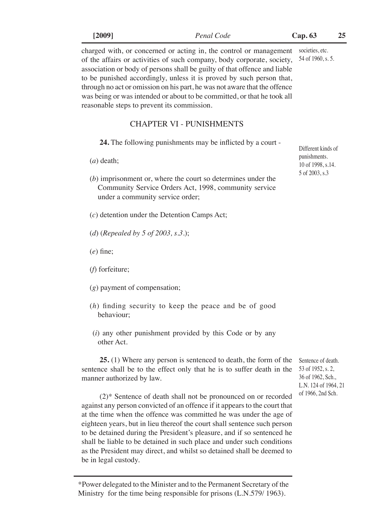| [2009]                                                                             | Penal Code                                                                                                                                                                                                                                                                                                                                                                                                                                                | Cap. 63                              | 25 |
|------------------------------------------------------------------------------------|-----------------------------------------------------------------------------------------------------------------------------------------------------------------------------------------------------------------------------------------------------------------------------------------------------------------------------------------------------------------------------------------------------------------------------------------------------------|--------------------------------------|----|
| reasonable steps to prevent its commission.                                        | charged with, or concerned or acting in, the control or management<br>of the affairs or activities of such company, body corporate, society,<br>association or body of persons shall be guilty of that offence and liable<br>to be punished accordingly, unless it is proved by such person that,<br>through no act or omission on his part, he was not aware that the offence<br>was being or was intended or about to be committed, or that he took all | societies, etc.<br>54 of 1960, s. 5. |    |
| <b>CHAPTER VI - PUNISHMENTS</b>                                                    |                                                                                                                                                                                                                                                                                                                                                                                                                                                           |                                      |    |
| <b>24.</b> The following punishments may be inflicted by a court -<br>$(a)$ death; |                                                                                                                                                                                                                                                                                                                                                                                                                                                           | Different kinds of                   |    |
|                                                                                    |                                                                                                                                                                                                                                                                                                                                                                                                                                                           | punishments.<br>10 of 1998, s.14.    |    |
|                                                                                    | $(b)$ imprisonment or, where the court so determines under the<br>Community Service Orders Act, 1998, community service<br>under a community service order;                                                                                                                                                                                                                                                                                               | 5 of 2003, s.3                       |    |

- (*c*) detention under the Detention Camps Act;
- (*d*) (*Repealed by 5 of 2003, s.3*.);
- (*e*) fine;
- (*f*) forfeiture;
- (*g*) payment of compensation;
- (*h*) finding security to keep the peace and be of good behaviour;
- (*i*) any other punishment provided by this Code or by any other Act.

**25.** (1) Where any person is sentenced to death, the form of the Sentence of death. sentence shall be to the effect only that he is to suffer death in the 53 of 1952, s. 2, manner authorized by law.

(2)\* Sentence of death shall not be pronounced on or recorded against any person convicted of an offence if it appears to the court that at the time when the offence was committed he was under the age of eighteen years, but in lieu thereof the court shall sentence such person to be detained during the President's pleasure, and if so sentenced he shall be liable to be detained in such place and under such conditions as the President may direct, and whilst so detained shall be deemed to be in legal custody.

36 of 1962, Sch., L.N. 124 of 1964, 21 of 1966, 2nd Sch.

<sup>\*</sup>Power delegated to the Minister and to the Permanent Secretary of the Ministry for the time being responsible for prisons (L.N.579/ 1963).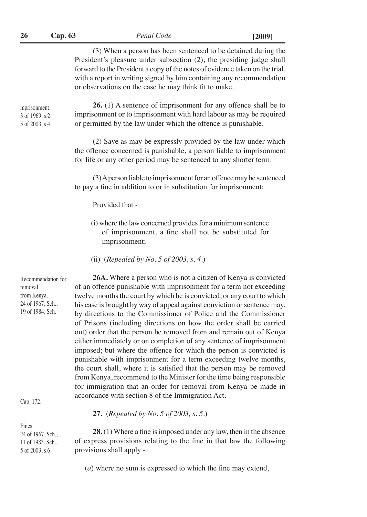(3) When a person has been sentenced to be detained during the President's pleasure under subsection (2), the presiding judge shall forward to the President a copy of the notes of evidence taken on the trial, with a report in writing signed by him containing any recommendation or observations on the case he may think fit to make. **26.** (1) A sentence of imprisonment for any offence shall be to imprisonment or to imprisonment with hard labour as may be required or permitted by the law under which the offence is punishable. (2) Save as may be expressly provided by the law under which the offence concerned is punishable, a person liable to imprisonment for life or any other period may be sentenced to any shorter term. (3) A person liable to imprisonment for an offence may be sentenced to pay a fine in addition to or in substitution for imprisonment: Provided that - (i) where the law concerned provides for a minimum sentence of imprisonment, a fine shall not be substituted for imprisonment; (ii) (*Repealed by No. 5 of 2003, s. 4.*) **26A.** Where a person who is not a citizen of Kenya is convicted of an offence punishable with imprisonment for a term not exceeding twelve months the court by which he is convicted, or any court to which his case is brought by way of appeal against conviction or sentence may, by directions to the Commissioner of Police and the Commissioner of Prisons (including directions on how the order shall be carried out) order that the person be removed from and remain out of Kenya either immediately or on completion of any sentence of imprisonment imposed; but where the offence for which the person is convicted is punishable with imprisonment for a term exceeding twelve months, the court shall, where it is satisfied that the person may be removed from Kenya, recommend to the Minister for the time being responsible for immigration that an order for removal from Kenya be made in accordance with section 8 of the Immigration Act. **27**. (*Repealed by No. 5 of 2003, s. 5*.) **28.** (1) Where a fine is imposed under any law, then in the absence of express provisions relating to the fine in that law the following mprisonment. 3 of 1969, s.2. 5 of 2003, s.4 Recommendation for removal from Kenya. 24 of 1967, Sch., 19 of 1984, Sch. Cap. 172. Fines. 24 of 1967, Sch., 11 of 1983, Sch.,

(*a*) where no sum is expressed to which the fine may extend,

provisions shall apply -

5 of 2003, s.6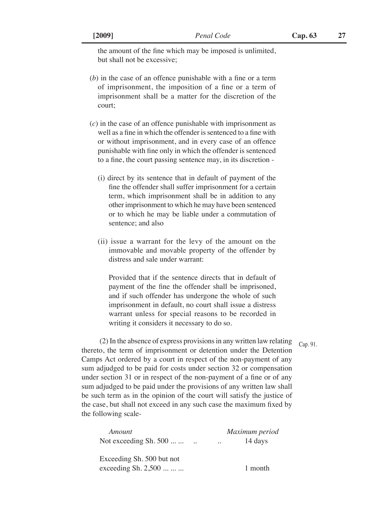the amount of the fine which may be imposed is unlimited, but shall not be excessive;

- (*b*) in the case of an offence punishable with a fine or a term of imprisonment, the imposition of a fine or a term of imprisonment shall be a matter for the discretion of the court;
- (*c*) in the case of an offence punishable with imprisonment as well as a fine in which the offender is sentenced to a fine with or without imprisonment, and in every case of an offence punishable with fine only in which the offender is sentenced to a fine, the court passing sentence may, in its discretion -
	- (i) direct by its sentence that in default of payment of the fine the offender shall suffer imprisonment for a certain term, which imprisonment shall be in addition to any other imprisonment to which he may have been sentenced or to which he may be liable under a commutation of sentence; and also
	- (ii) issue a warrant for the levy of the amount on the immovable and movable property of the offender by distress and sale under warrant:

Provided that if the sentence directs that in default of payment of the fine the offender shall be imprisoned, and if such offender has undergone the whole of such imprisonment in default, no court shall issue a distress warrant unless for special reasons to be recorded in writing it considers it necessary to do so.

(2) In the absence of express provisions in any written law relating thereto, the term of imprisonment or detention under the Detention Camps Act ordered by a court in respect of the non-payment of any sum adjudged to be paid for costs under section 32 or compensation under section 31 or in respect of the non-payment of a fine or of any sum adjudged to be paid under the provisions of any written law shall be such term as in the opinion of the court will satisfy the justice of the case, but shall not exceed in any such case the maximum fixed by the following scale-Cap. 91.

| Amount                    |                      |           | Maximum period |
|---------------------------|----------------------|-----------|----------------|
| Not exceeding Sh. $500$   | $\ddot{\phantom{a}}$ | $\ddotsc$ | 14 days        |
| Exceeding Sh. 500 but not |                      |           |                |
| exceeding Sh. $2,500$     |                      |           | 1 month        |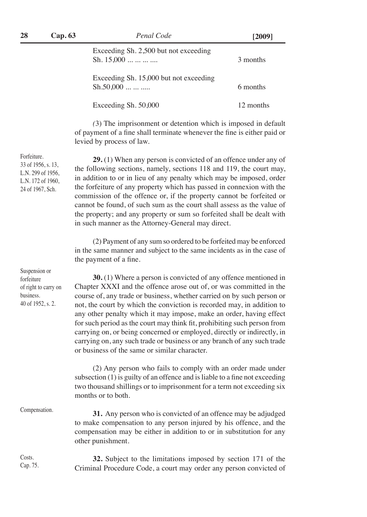| 28 | Cap. 6. |  |
|----|---------|--|
|----|---------|--|

| 28 | Cap. 63 | Penal Code                                            | [2009]    |
|----|---------|-------------------------------------------------------|-----------|
|    |         | Exceeding Sh. 2,500 but not exceeding<br>Sh. $15,000$ | 3 months  |
|    |         | Exceeding Sh. 15,000 but not exceeding<br>$Sh.50,000$ | 6 months  |
|    |         | Exceeding Sh. 50,000                                  | 12 months |

*(*3) The imprisonment or detention which is imposed in default of payment of a fine shall terminate whenever the fine is either paid or levied by process of law.

**29.** (1) When any person is convicted of an offence under any of the following sections, namely, sections 118 and 119, the court may, in addition to or in lieu of any penalty which may be imposed, order the forfeiture of any property which has passed in connexion with the commission of the offence or, if the property cannot be forfeited or cannot be found, of such sum as the court shall assess as the value of the property; and any property or sum so forfeited shall be dealt with in such manner as the Attorney-General may direct.

(2) Payment of any sum so ordered to be forfeited may be enforced in the same manner and subject to the same incidents as in the case of the payment of a fine.

**30.** (1) Where a person is convicted of any offence mentioned in Chapter XXXI and the offence arose out of, or was committed in the course of, any trade or business, whether carried on by such person or not, the court by which the conviction is recorded may, in addition to any other penalty which it may impose, make an order, having effect for such period as the court may think fit, prohibiting such person from carrying on, or being concerned or employed, directly or indirectly, in carrying on, any such trade or business or any branch of any such trade or business of the same or similar character.

(2) Any person who fails to comply with an order made under subsection (1) is guilty of an offence and is liable to a fine not exceeding two thousand shillings or to imprisonment for a term not exceeding six months or to both.

**31.** Any person who is convicted of an offence may be adjudged to make compensation to any person injured by his offence, and the compensation may be either in addition to or in substitution for any other punishment.

**32.** Subject to the limitations imposed by section 171 of the Criminal Procedure Code, a court may order any person convicted of

Suspension or forfeiture

Forfeiture. 33 of 1956, s. 13, L.N. 299 of 1956, L.N. 172 of 1960, 24 of 1967, Sch.

of right to carry on business. 40 of 1952, s. 2.

Compensation.

Costs. Cap. 75.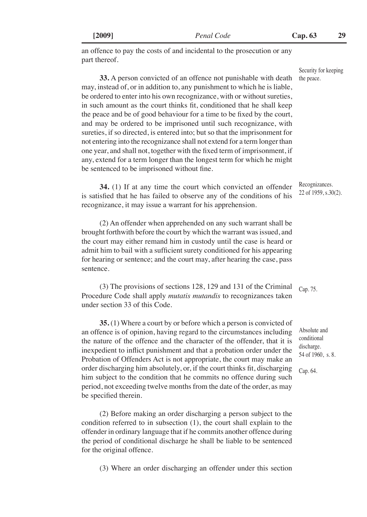**[2009]** *Penal Code* **Cap. 63 29**

an offence to pay the costs of and incidental to the prosecution or any part thereof.

**33.** A person convicted of an offence not punishable with death may, instead of, or in addition to, any punishment to which he is liable, be ordered to enter into his own recognizance, with or without sureties, in such amount as the court thinks fit, conditioned that he shall keep the peace and be of good behaviour for a time to be fixed by the court, and may be ordered to be imprisoned until such recognizance, with sureties, if so directed, is entered into; but so that the imprisonment for not entering into the recognizance shall not extend for a term longer than one year, and shall not, together with the fixed term of imprisonment, if any, extend for a term longer than the longest term for which he might be sentenced to be imprisoned without fine.

**34.** (1) If at any time the court which convicted an offender is satisfied that he has failed to observe any of the conditions of his recognizance, it may issue a warrant for his apprehension.

(2) An offender when apprehended on any such warrant shall be brought forthwith before the court by which the warrant was issued, and the court may either remand him in custody until the case is heard or admit him to bail with a sufficient surety conditioned for his appearing for hearing or sentence; and the court may, after hearing the case, pass sentence.

(3) The provisions of sections 128, 129 and 131 of the Criminal Procedure Code shall apply *mutatis mutandis* to recognizances taken under section 33 of this Code. Cap. 75.

**35.** (1) Where a court by or before which a person is convicted of an offence is of opinion, having regard to the circumstances including the nature of the offence and the character of the offender, that it is inexpedient to inflict punishment and that a probation order under the Probation of Offenders Act is not appropriate, the court may make an order discharging him absolutely, or, if the court thinks fit, discharging him subject to the condition that he commits no offence during such period, not exceeding twelve months from the date of the order, as may be specified therein.

(2) Before making an order discharging a person subject to the condition referred to in subsection (1), the court shall explain to the offender in ordinary language that if he commits another offence during the period of conditional discharge he shall be liable to be sentenced for the original offence.

(3) Where an order discharging an offender under this section

Security for keeping the peace.

Recognizances. 22 of 1959, s.30(2).

Absolute and conditional discharge. 54 of 1960, s. 8.

Cap. 64.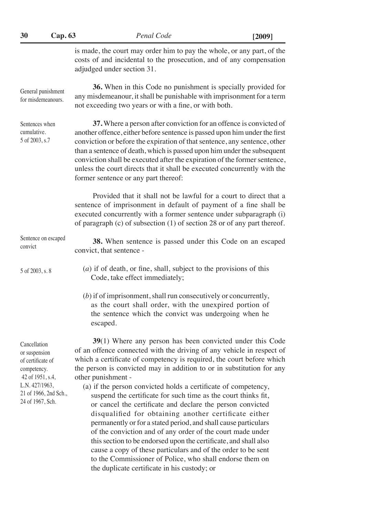| Cap. 63<br>30                                                                                                                                        | Penal Code                                                                                                                                                                                                                                                                                                                                                                                                                                                                                                                                                                                                                                                                                                                                                                                                                                                                                                                                              | [2009] |
|------------------------------------------------------------------------------------------------------------------------------------------------------|---------------------------------------------------------------------------------------------------------------------------------------------------------------------------------------------------------------------------------------------------------------------------------------------------------------------------------------------------------------------------------------------------------------------------------------------------------------------------------------------------------------------------------------------------------------------------------------------------------------------------------------------------------------------------------------------------------------------------------------------------------------------------------------------------------------------------------------------------------------------------------------------------------------------------------------------------------|--------|
|                                                                                                                                                      | is made, the court may order him to pay the whole, or any part, of the<br>costs of and incidental to the prosecution, and of any compensation<br>adjudged under section 31.                                                                                                                                                                                                                                                                                                                                                                                                                                                                                                                                                                                                                                                                                                                                                                             |        |
| General punishment<br>for misdemeanours.                                                                                                             | 36. When in this Code no punishment is specially provided for<br>any misdemeanour, it shall be punishable with imprisonment for a term<br>not exceeding two years or with a fine, or with both.                                                                                                                                                                                                                                                                                                                                                                                                                                                                                                                                                                                                                                                                                                                                                         |        |
| Sentences when<br>cumulative.<br>5 of 2003, s.7                                                                                                      | 37. Where a person after conviction for an offence is convicted of<br>another offence, either before sentence is passed upon him under the first<br>conviction or before the expiration of that sentence, any sentence, other<br>than a sentence of death, which is passed upon him under the subsequent<br>conviction shall be executed after the expiration of the former sentence,<br>unless the court directs that it shall be executed concurrently with the<br>former sentence or any part thereof:                                                                                                                                                                                                                                                                                                                                                                                                                                               |        |
|                                                                                                                                                      | Provided that it shall not be lawful for a court to direct that a<br>sentence of imprisonment in default of payment of a fine shall be<br>executed concurrently with a former sentence under subparagraph (i)<br>of paragraph (c) of subsection (1) of section 28 or of any part thereof.                                                                                                                                                                                                                                                                                                                                                                                                                                                                                                                                                                                                                                                               |        |
| Sentence on escaped<br>convict                                                                                                                       | 38. When sentence is passed under this Code on an escaped<br>convict, that sentence -                                                                                                                                                                                                                                                                                                                                                                                                                                                                                                                                                                                                                                                                                                                                                                                                                                                                   |        |
| 5 of 2003, s. 8                                                                                                                                      | $(a)$ if of death, or fine, shall, subject to the provisions of this<br>Code, take effect immediately;                                                                                                                                                                                                                                                                                                                                                                                                                                                                                                                                                                                                                                                                                                                                                                                                                                                  |        |
|                                                                                                                                                      | $(b)$ if of imprisonment, shall run consecutively or concurrently,<br>as the court shall order, with the unexpired portion of<br>the sentence which the convict was undergoing when he<br>escaped.                                                                                                                                                                                                                                                                                                                                                                                                                                                                                                                                                                                                                                                                                                                                                      |        |
| Cancellation<br>or suspension<br>of certificate of<br>competency.<br>42 of 1951, s.4,<br>L.N. 427/1963,<br>21 of 1966, 2nd Sch.,<br>24 of 1967, Sch. | 39(1) Where any person has been convicted under this Code<br>of an offence connected with the driving of any vehicle in respect of<br>which a certificate of competency is required, the court before which<br>the person is convicted may in addition to or in substitution for any<br>other punishment -<br>(a) if the person convicted holds a certificate of competency,<br>suspend the certificate for such time as the court thinks fit,<br>or cancel the certificate and declare the person convicted<br>disqualified for obtaining another certificate either<br>permanently or for a stated period, and shall cause particulars<br>of the conviction and of any order of the court made under<br>this section to be endorsed upon the certificate, and shall also<br>cause a copy of these particulars and of the order to be sent<br>to the Commissioner of Police, who shall endorse them on<br>the duplicate certificate in his custody; or |        |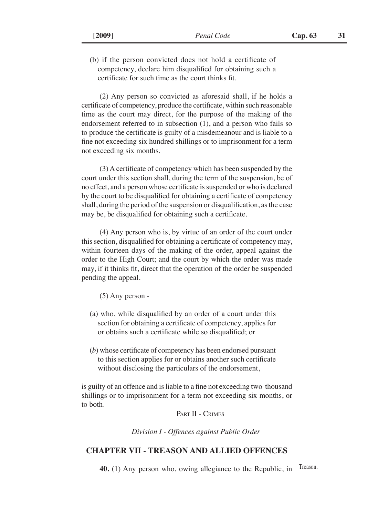(b) if the person convicted does not hold a certificate of competency, declare him disqualified for obtaining such a certificate for such time as the court thinks fit.

(2) Any person so convicted as aforesaid shall, if he holds a certificate of competency, produce the certificate, within such reasonable time as the court may direct, for the purpose of the making of the endorsement referred to in subsection (1), and a person who fails so to produce the certificate is guilty of a misdemeanour and is liable to a fine not exceeding six hundred shillings or to imprisonment for a term not exceeding six months.

(3) A certificate of competency which has been suspended by the court under this section shall, during the term of the suspension, be of no effect, and a person whose certificate is suspended or who is declared by the court to be disqualified for obtaining a certificate of competency shall, during the period of the suspension or disqualification, as the case may be, be disqualified for obtaining such a certificate.

(4) Any person who is, by virtue of an order of the court under this section, disqualified for obtaining a certificate of competency may, within fourteen days of the making of the order, appeal against the order to the High Court; and the court by which the order was made may, if it thinks fit, direct that the operation of the order be suspended pending the appeal.

(5) Any person -

- (a) who, while disqualified by an order of a court under this section for obtaining a certificate of competency, applies for or obtains such a certificate while so disqualified; or
- (*b*) whose certificate of competency has been endorsed pursuant to this section applies for or obtains another such certificate without disclosing the particulars of the endorsement,

is guilty of an offence and is liable to a fine not exceeding two thousand shillings or to imprisonment for a term not exceeding six months, or to both.

PART II - CRIMES

*Division I - Offences against Public Order*

# **Chapter VII - Treason and Allied Offences**

**40.** (1) Any person who, owing allegiance to the Republic, in Treason.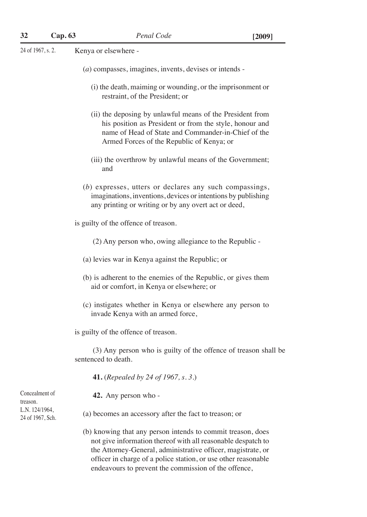| 32                                 | Cap. 63 | Penal Code                                                                                                                                                                                                                                                    | $[2009]$ |
|------------------------------------|---------|---------------------------------------------------------------------------------------------------------------------------------------------------------------------------------------------------------------------------------------------------------------|----------|
| 24 of 1967, s. 2.                  |         | Kenya or elsewhere -                                                                                                                                                                                                                                          |          |
|                                    |         | $(a)$ compasses, imagines, invents, devises or intends -                                                                                                                                                                                                      |          |
|                                    |         | (i) the death, maiming or wounding, or the imprisonment or<br>restraint, of the President; or                                                                                                                                                                 |          |
|                                    |         | (ii) the deposing by unlawful means of the President from<br>his position as President or from the style, honour and<br>name of Head of State and Commander-in-Chief of the<br>Armed Forces of the Republic of Kenya; or                                      |          |
|                                    |         | (iii) the overthrow by unlawful means of the Government;<br>and                                                                                                                                                                                               |          |
|                                    |         | $(b)$ expresses, utters or declares any such compassings,<br>imaginations, inventions, devices or intentions by publishing<br>any printing or writing or by any overt act or deed,                                                                            |          |
|                                    |         | is guilty of the offence of treason.                                                                                                                                                                                                                          |          |
|                                    |         | (2) Any person who, owing allegiance to the Republic -                                                                                                                                                                                                        |          |
|                                    |         | (a) levies war in Kenya against the Republic; or                                                                                                                                                                                                              |          |
|                                    |         | (b) is adherent to the enemies of the Republic, or gives them<br>aid or comfort, in Kenya or elsewhere; or                                                                                                                                                    |          |
|                                    |         | (c) instigates whether in Kenya or elsewhere any person to<br>invade Kenya with an armed force,                                                                                                                                                               |          |
|                                    |         | is guilty of the offence of treason.                                                                                                                                                                                                                          |          |
|                                    |         | (3) Any person who is guilty of the offence of treason shall be<br>sentenced to death.                                                                                                                                                                        |          |
|                                    |         | <b>41.</b> (Repealed by 24 of 1967, s. 3.)                                                                                                                                                                                                                    |          |
| Concealment of<br>treason.         |         | 42. Any person who -                                                                                                                                                                                                                                          |          |
| L.N. 124/1964,<br>24 of 1967, Sch. |         | (a) becomes an accessory after the fact to treason; or                                                                                                                                                                                                        |          |
|                                    |         | (b) knowing that any person intends to commit treason, does<br>not give information thereof with all reasonable despatch to<br>the Attorney-General, administrative officer, magistrate, or<br>officer in charge of a police station, or use other reasonable |          |

endeavours to prevent the commission of the offence,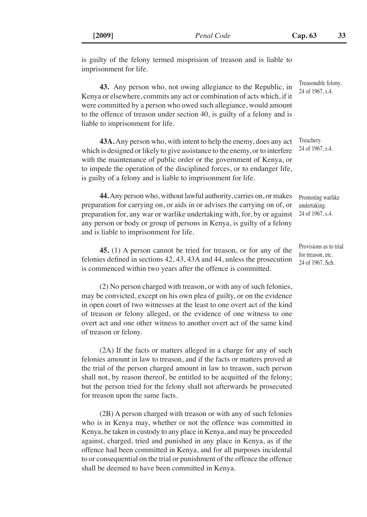is guilty of the felony termed misprision of treason and is liable to imprisonment for life.

**43.** Any person who, not owing allegiance to the Republic, in Kenya or elsewhere, commits any act or combination of acts which, if it were committed by a person who owed such allegiance, would amount to the offence of treason under section 40, is guilty of a felony and is liable to imprisonment for life.

**43A.** Any person who, with intent to help the enemy, does any act which is designed or likely to give assistance to the enemy, or to interfere with the maintenance of public order or the government of Kenya, or to impede the operation of the disciplined forces, or to endanger life, is guilty of a felony and is liable to imprisonment for life.

**44.** Any person who, without lawful authority, carries on, or makes preparation for carrying on, or aids in or advises the carrying on of, or preparation for, any war or warlike undertaking with, for, by or against any person or body or group of persons in Kenya, is guilty of a felony and is liable to imprisonment for life.

**45.** (1) A person cannot be tried for treason, or for any of the felonies defined in sections 42, 43, 43A and 44, unless the prosecution is commenced within two years after the offence is committed.

(2) No person charged with treason, or with any of such felonies, may be convicted, except on his own plea of guilty, or on the evidence in open court of two witnesses at the least to one overt act of the kind of treason or felony alleged, or the evidence of one witness to one overt act and one other witness to another overt act of the same kind of treason or felony.

(2A) If the facts or matters alleged in a charge for any of such felonies amount in law to treason, and if the facts or matters proved at the trial of the person charged amount in law to treason, such person shall not, by reason thereof, be entitled to be acquitted of the felony; but the person tried for the felony shall not afterwards be prosecuted for treason upon the same facts.

(2B) A person charged with treason or with any of such felonies who is in Kenya may, whether or not the offence was committed in Kenya, be taken in custody to any place in Kenya, and may be proceeded against, charged, tried and punished in any place in Kenya, as if the offence had been committed in Kenya, and for all purposes incidental to or consequential on the trial or punishment of the offence the offence shall be deemed to have been committed in Kenya.

Treasonable felony. 24 of 1967, s.4.

Treachery. 24 of 1967, s.4.

Promoting warlike undertaking. 24 of 1967, s.4.

Provisions as to trial for treason, etc. 24 of 1967, Sch.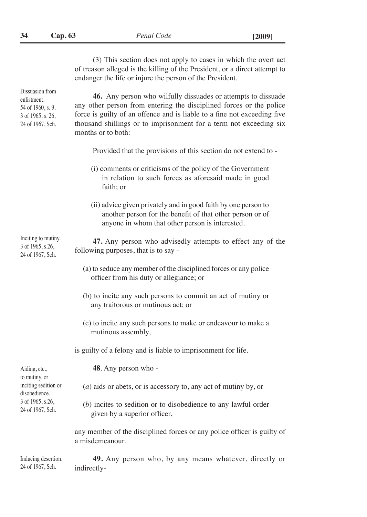|                                                                                                                 | (3) This section does not apply to cases in which the overt act<br>of treason alleged is the killing of the President, or a direct attempt to<br>endanger the life or injure the person of the President.                                                                                                    |
|-----------------------------------------------------------------------------------------------------------------|--------------------------------------------------------------------------------------------------------------------------------------------------------------------------------------------------------------------------------------------------------------------------------------------------------------|
| Dissuasion from<br>enlistment.<br>54 of 1960, s. 9,<br>3 of 1965, s. 26,<br>24 of 1967, Sch.                    | 46. Any person who wilfully dissuades or attempts to dissuade<br>any other person from entering the disciplined forces or the police<br>force is guilty of an offence and is liable to a fine not exceeding five<br>thousand shillings or to imprisonment for a term not exceeding six<br>months or to both: |
|                                                                                                                 | Provided that the provisions of this section do not extend to -                                                                                                                                                                                                                                              |
|                                                                                                                 | (i) comments or criticisms of the policy of the Government<br>in relation to such forces as aforesaid made in good<br>faith; or                                                                                                                                                                              |
|                                                                                                                 | (ii) advice given privately and in good faith by one person to<br>another person for the benefit of that other person or of<br>anyone in whom that other person is interested.                                                                                                                               |
| Inciting to mutiny.<br>3 of 1965, s.26,<br>24 of 1967, Sch.                                                     | 47. Any person who advisedly attempts to effect any of the<br>following purposes, that is to say -                                                                                                                                                                                                           |
|                                                                                                                 | (a) to seduce any member of the disciplined forces or any police<br>officer from his duty or allegiance; or                                                                                                                                                                                                  |
|                                                                                                                 | (b) to incite any such persons to commit an act of mutiny or<br>any traitorous or mutinous act; or                                                                                                                                                                                                           |
|                                                                                                                 | (c) to incite any such persons to make or endeavour to make a<br>mutinous assembly,                                                                                                                                                                                                                          |
|                                                                                                                 | is guilty of a felony and is liable to imprisonment for life.                                                                                                                                                                                                                                                |
| Aiding, etc.,<br>to mutiny, or<br>inciting sedition or<br>disobedience.<br>3 of 1965, s.26,<br>24 of 1967, Sch. | 48. Any person who -                                                                                                                                                                                                                                                                                         |
|                                                                                                                 | $(a)$ aids or abets, or is accessory to, any act of mutiny by, or                                                                                                                                                                                                                                            |
|                                                                                                                 | $(b)$ incites to sedition or to disobedience to any lawful order<br>given by a superior officer,                                                                                                                                                                                                             |
|                                                                                                                 | any member of the disciplined forces or any police officer is guilty of<br>a misdemeanour.                                                                                                                                                                                                                   |
| Inducing desertion.<br>24 of 1967, Sch.                                                                         | 49. Any person who, by any means whatever, directly or<br>indirectly-                                                                                                                                                                                                                                        |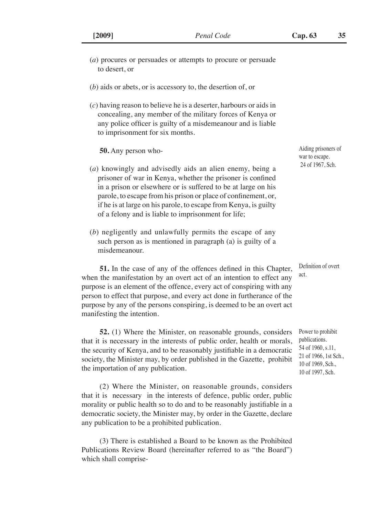- (*a*) procures or persuades or attempts to procure or persuade to desert, or
- (*b*) aids or abets, or is accessory to, the desertion of, or
- (*c*) having reason to believe he is a deserter, harbours or aids in concealing, any member of the military forces of Kenya or any police officer is guilty of a misdemeanour and is liable to imprisonment for six months.

**50.** Any person who-

- (*a*) knowingly and advisedly aids an alien enemy, being a prisoner of war in Kenya, whether the prisoner is confined in a prison or elsewhere or is suffered to be at large on his parole, to escape from his prison or place of confinement, or, if he is at large on his parole, to escape from Kenya, is guilty of a felony and is liable to imprisonment for life;
- (*b*) negligently and unlawfully permits the escape of any such person as is mentioned in paragraph (a) is guilty of a misdemeanour.

**51.** In the case of any of the offences defined in this Chapter, when the manifestation by an overt act of an intention to effect any purpose is an element of the offence, every act of conspiring with any person to effect that purpose, and every act done in furtherance of the purpose by any of the persons conspiring, is deemed to be an overt act manifesting the intention.

**52.** (1) Where the Minister, on reasonable grounds, considers that it is necessary in the interests of public order, health or morals, the security of Kenya, and to be reasonably justifiable in a democratic society, the Minister may, by order published in the Gazette, prohibit the importation of any publication.

(2) Where the Minister, on reasonable grounds, considers that it is necessary in the interests of defence, public order, public morality or public health so to do and to be reasonably justifiable in a democratic society, the Minister may, by order in the Gazette, declare any publication to be a prohibited publication.

(3) There is established a Board to be known as the Prohibited Publications Review Board (hereinafter referred to as "the Board") which shall compriseAiding prisoners of war to escape. 24 of 1967, Sch.

Definition of overt act.

Power to prohibit publications. 54 of 1960, s.11, 21 of 1966, 1st Sch., 10 of 1969, Sch., 10 of 1997, Sch.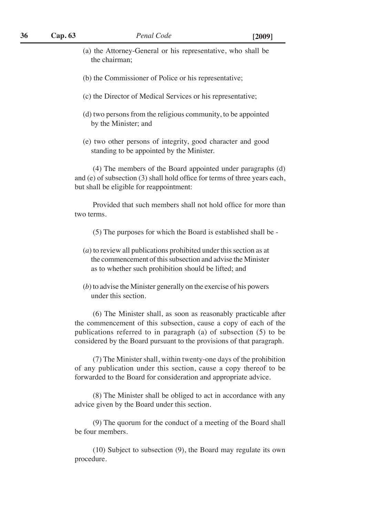- (a) the Attorney-General or his representative, who shall be the chairman;
- (b) the Commissioner of Police or his representative;
- (c) the Director of Medical Services or his representative;
- (d) two persons from the religious community, to be appointed by the Minister; and
- (e) two other persons of integrity, good character and good standing to be appointed by the Minister.

(4) The members of the Board appointed under paragraphs (d) and (e) of subsection (3) shall hold office for terms of three years each, but shall be eligible for reappointment:

Provided that such members shall not hold office for more than two terms.

(5) The purposes for which the Board is established shall be -

- (*a*) to review all publications prohibited under this section as at the commencement of this subsection and advise the Minister as to whether such prohibition should be lifted; and
- (*b*) to advise the Minister generally on the exercise of his powers under this section.

(6) The Minister shall, as soon as reasonably practicable after the commencement of this subsection, cause a copy of each of the publications referred to in paragraph (a) of subsection (5) to be considered by the Board pursuant to the provisions of that paragraph.

(7) The Minister shall, within twenty-one days of the prohibition of any publication under this section, cause a copy thereof to be forwarded to the Board for consideration and appropriate advice.

(8) The Minister shall be obliged to act in accordance with any advice given by the Board under this section.

(9) The quorum for the conduct of a meeting of the Board shall be four members.

(10) Subject to subsection (9), the Board may regulate its own procedure.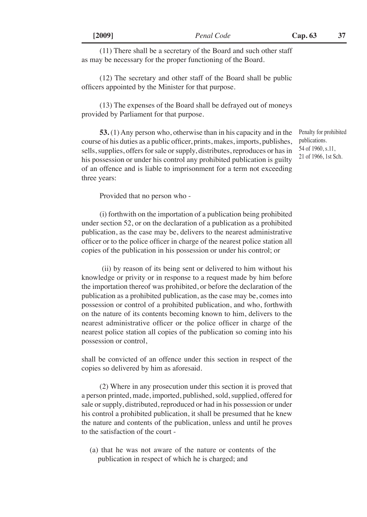(11) There shall be a secretary of the Board and such other staff as may be necessary for the proper functioning of the Board.

(12) The secretary and other staff of the Board shall be public officers appointed by the Minister for that purpose.

(13) The expenses of the Board shall be defrayed out of moneys provided by Parliament for that purpose.

**53.** (1) Any person who, otherwise than in his capacity and in the course of his duties as a public officer, prints, makes, imports, publishes, sells, supplies, offers for sale or supply, distributes, reproduces or has in his possession or under his control any prohibited publication is guilty of an offence and is liable to imprisonment for a term not exceeding three years:

Penalty for prohibited publications. 54 of 1960, s.11, 21 of 1966, 1st Sch.

Provided that no person who -

(i) forthwith on the importation of a publication being prohibited under section 52, or on the declaration of a publication as a prohibited publication, as the case may be, delivers to the nearest administrative officer or to the police officer in charge of the nearest police station all copies of the publication in his possession or under his control; or

 (ii) by reason of its being sent or delivered to him without his knowledge or privity or in response to a request made by him before the importation thereof was prohibited, or before the declaration of the publication as a prohibited publication, as the case may be, comes into possession or control of a prohibited publication, and who, forthwith on the nature of its contents becoming known to him, delivers to the nearest administrative officer or the police officer in charge of the nearest police station all copies of the publication so coming into his possession or control,

shall be convicted of an offence under this section in respect of the copies so delivered by him as aforesaid.

(2) Where in any prosecution under this section it is proved that a person printed, made, imported, published, sold, supplied, offered for sale or supply, distributed, reproduced or had in his possession or under his control a prohibited publication, it shall be presumed that he knew the nature and contents of the publication, unless and until he proves to the satisfaction of the court -

(a) that he was not aware of the nature or contents of the publication in respect of which he is charged; and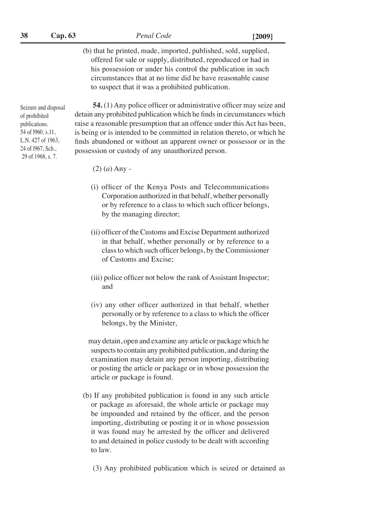(b) that he printed, made, imported, published, sold, supplied, offered for sale or supply, distributed, reproduced or had in his possession or under his control the publication in such circumstances that at no time did he have reasonable cause to suspect that it was a prohibited publication.

Seizure and disposal of prohibited publications. 54 of l960, s.11, L.N. 427 of 1963, 24 of l967, Sch., 29 of 1968, s. 7.

**54.** (1) Any police officer or administrative officer may seize and detain any prohibited publication which he finds in circumstances which raise a reasonable presumption that an offence under this Act has been, is being or is intended to be committed in relation thereto, or which he finds abandoned or without an apparent owner or possessor or in the possession or custody of any unauthorized person.

- (2) (*a*) Any -
- (i) officer of the Kenya Posts and Telecommunications Corporation authorized in that behalf, whether personally or by reference to a class to which such officer belongs, by the managing director;
- (ii) officer of the Customs and Excise Department authorized in that behalf, whether personally or by reference to a class to which such officer belongs, by the Commissioner of Customs and Excise;
- (iii) police officer not below the rank of Assistant Inspector; and
- (iv) any other officer authorized in that behalf, whether personally or by reference to a class to which the officer belongs, by the Minister,

 may detain, open and examine any article or package which he suspects to contain any prohibited publication, and during the examination may detain any person importing, distributing or posting the article or package or in whose possession the article or package is found.

- (b) If any prohibited publication is found in any such article or package as aforesaid, the whole article or package may be impounded and retained by the officer, and the person importing, distributing or posting it or in whose possession it was found may be arrested by the officer and delivered to and detained in police custody to be dealt with according to law.
	- (3) Any prohibited publication which is seized or detained as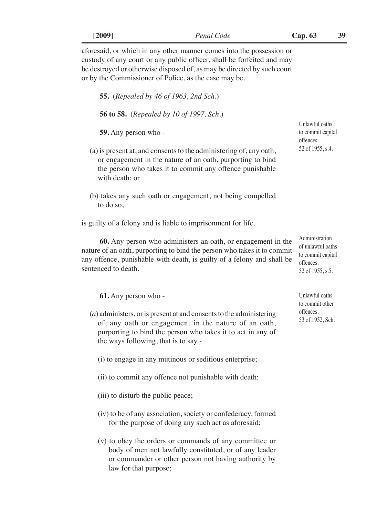| [2009]                               | Penal Code                                                                                                                                                                                                                                                                         | Cap. 63                                                                                   | 39        |
|--------------------------------------|------------------------------------------------------------------------------------------------------------------------------------------------------------------------------------------------------------------------------------------------------------------------------------|-------------------------------------------------------------------------------------------|-----------|
|                                      | aforesaid, or which in any other manner comes into the possession or<br>custody of any court or any public officer, shall be forfeited and may<br>be destroyed or otherwise disposed of, as may be directed by such court<br>or by the Commissioner of Police, as the case may be. |                                                                                           |           |
|                                      | <b>55.</b> (Repealed by 46 of 1963, 2nd Sch.)                                                                                                                                                                                                                                      |                                                                                           |           |
|                                      | 56 to 58. (Repealed by 10 of 1997, Sch.)                                                                                                                                                                                                                                           |                                                                                           |           |
| 59. Any person who -                 |                                                                                                                                                                                                                                                                                    | Unlawful oaths<br>to commit capital                                                       |           |
| with death; or                       | (a) is present at, and consents to the administering of, any oath,<br>or engagement in the nature of an oath, purporting to bind<br>the person who takes it to commit any offence punishable                                                                                       | 52 of 1955, s.4.                                                                          | offences. |
| to do so,                            | (b) takes any such oath or engagement, not being compelled                                                                                                                                                                                                                         |                                                                                           |           |
|                                      | is guilty of a felony and is liable to imprisonment for life.                                                                                                                                                                                                                      |                                                                                           |           |
| sentenced to death.                  | 60. Any person who administers an oath, or engagement in the<br>nature of an oath, purporting to bind the person who takes it to commit<br>any offence, punishable with death, is guilty of a felony and shall be                                                                  | Administration<br>of unlawful oaths<br>to commit capital<br>offences.<br>52 of 1955, s.5. |           |
| 61. Any person who -                 |                                                                                                                                                                                                                                                                                    | Unlawful oaths<br>to commit other                                                         |           |
| the ways following, that is to say - | $(a)$ administers, or is present at and consents to the administering<br>of, any oath or engagement in the nature of an oath,<br>purporting to bind the person who takes it to act in any of                                                                                       | offences.<br>53 of 1952, Sch.                                                             |           |
|                                      | (i) to engage in any mutinous or seditious enterprise;                                                                                                                                                                                                                             |                                                                                           |           |
|                                      | (ii) to commit any offence not punishable with death;                                                                                                                                                                                                                              |                                                                                           |           |
| (iii) to disturb the public peace;   |                                                                                                                                                                                                                                                                                    |                                                                                           |           |
|                                      | (iv) to be of any association, society or confederacy, formed<br>for the purpose of doing any such act as aforesaid;                                                                                                                                                               |                                                                                           |           |
| law for that purpose;                | (v) to obey the orders or commands of any committee or<br>body of men not lawfully constituted, or of any leader<br>or commander or other person not having authority by                                                                                                           |                                                                                           |           |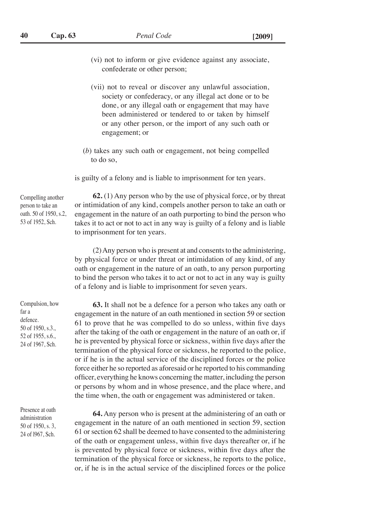- (vi) not to inform or give evidence against any associate, confederate or other person;
- (vii) not to reveal or discover any unlawful association, society or confederacy, or any illegal act done or to be done, or any illegal oath or engagement that may have been administered or tendered to or taken by himself or any other person, or the import of any such oath or engagement; or
- (*b*) takes any such oath or engagement, not being compelled to do so,

is guilty of a felony and is liable to imprisonment for ten years.

Compelling another person to take an oath. 50 of 1950, s.2, 53 of 1952, Sch.

Compulsion, how far a defence. 50 of 1950, s.3., 52 of 1955, s.6., 24 of 1967, Sch.

Presence at oath administration 50 of 1950, s. 3, 24 of l967, Sch.

**62.** (1) Any person who by the use of physical force, or by threat or intimidation of any kind, compels another person to take an oath or engagement in the nature of an oath purporting to bind the person who takes it to act or not to act in any way is guilty of a felony and is liable to imprisonment for ten years.

(2) Any person who is present at and consents to the administering, by physical force or under threat or intimidation of any kind, of any oath or engagement in the nature of an oath, to any person purporting to bind the person who takes it to act or not to act in any way is guilty of a felony and is liable to imprisonment for seven years.

**63.** It shall not be a defence for a person who takes any oath or engagement in the nature of an oath mentioned in section 59 or section 61 to prove that he was compelled to do so unless, within five days after the taking of the oath or engagement in the nature of an oath or, if he is prevented by physical force or sickness, within five days after the termination of the physical force or sickness, he reported to the police, or if he is in the actual service of the disciplined forces or the police force either he so reported as aforesaid or he reported to his commanding officer, everything he knows concerning the matter, including the person or persons by whom and in whose presence, and the place where, and the time when, the oath or engagement was administered or taken.

**64.** Any person who is present at the administering of an oath or engagement in the nature of an oath mentioned in section 59, section 61 or section 62 shall be deemed to have consented to the administering of the oath or engagement unless, within five days thereafter or, if he is prevented by physical force or sickness, within five days after the termination of the physical force or sickness, he reports to the police, or, if he is in the actual service of the disciplined forces or the police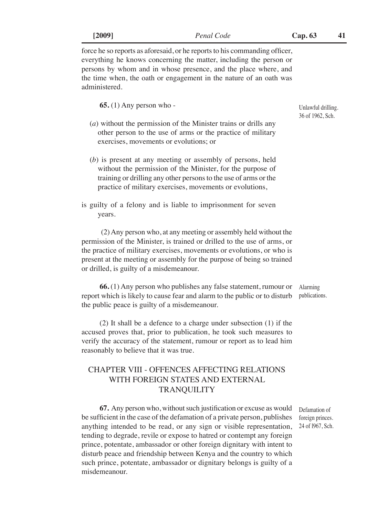force he so reports as aforesaid, or he reports to his commanding officer, everything he knows concerning the matter, including the person or persons by whom and in whose presence, and the place where, and the time when, the oath or engagement in the nature of an oath was administered.

**65.** (1) Any person who -

- (*a*) without the permission of the Minister trains or drills any other person to the use of arms or the practice of military exercises, movements or evolutions; or
- (*b*) is present at any meeting or assembly of persons, held without the permission of the Minister, for the purpose of training or drilling any other persons to the use of arms or the practice of military exercises, movements or evolutions,
- is guilty of a felony and is liable to imprisonment for seven years.

 (2) Any person who, at any meeting or assembly held without the permission of the Minister, is trained or drilled to the use of arms, or the practice of military exercises, movements or evolutions, or who is present at the meeting or assembly for the purpose of being so trained or drilled, is guilty of a misdemeanour.

**66.** (1) Any person who publishes any false statement, rumour or report which is likely to cause fear and alarm to the public or to disturb the public peace is guilty of a misdemeanour. Alarming publications.

(2) It shall be a defence to a charge under subsection (1) if the accused proves that, prior to publication, he took such measures to verify the accuracy of the statement, rumour or report as to lead him reasonably to believe that it was true.

# Chapter VIII - Offences Affecting Relations with Foreign States and External **TRANQUILITY**

**67.** Any person who, without such justification or excuse as would be sufficient in the case of the defamation of a private person, publishes anything intended to be read, or any sign or visible representation, tending to degrade, revile or expose to hatred or contempt any foreign prince, potentate, ambassador or other foreign dignitary with intent to disturb peace and friendship between Kenya and the country to which such prince, potentate, ambassador or dignitary belongs is guilty of a misdemeanour.

Defamation of foreign princes. 24 of l967, Sch.

Unlawful drilling. 36 of 1962, Sch.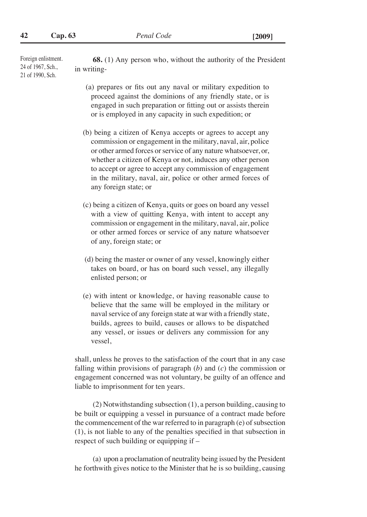Foreign enlistment. 24 of 1967, Sch., 21 of 1990, Sch.

**68.** (1) Any person who, without the authority of the President in writing-

- (a) prepares or fits out any naval or military expedition to proceed against the dominions of any friendly state, or is engaged in such preparation or fitting out or assists therein or is employed in any capacity in such expedition; or
- (b) being a citizen of Kenya accepts or agrees to accept any commission or engagement in the military, naval, air, police or other armed forces or service of any nature whatsoever, or, whether a citizen of Kenya or not, induces any other person to accept or agree to accept any commission of engagement in the military, naval, air, police or other armed forces of any foreign state; or
- (c) being a citizen of Kenya, quits or goes on board any vessel with a view of quitting Kenya, with intent to accept any commission or engagement in the military, naval, air, police or other armed forces or service of any nature whatsoever of any, foreign state; or
- (d) being the master or owner of any vessel, knowingly either takes on board, or has on board such vessel, any illegally enlisted person; or
- (e) with intent or knowledge, or having reasonable cause to believe that the same will be employed in the military or naval service of any foreign state at war with a friendly state, builds, agrees to build, causes or allows to be dispatched any vessel, or issues or delivers any commission for any vessel,

shall, unless he proves to the satisfaction of the court that in any case falling within provisions of paragraph (*b*) and (*c*) the commission or engagement concerned was not voluntary, be guilty of an offence and liable to imprisonment for ten years.

(2) Notwithstanding subsection (1), a person building, causing to be built or equipping a vessel in pursuance of a contract made before the commencement of the war referred to in paragraph (e) of subsection (1), is not liable to any of the penalties specified in that subsection in respect of such building or equipping if –

(a) upon a proclamation of neutrality being issued by the President he forthwith gives notice to the Minister that he is so building, causing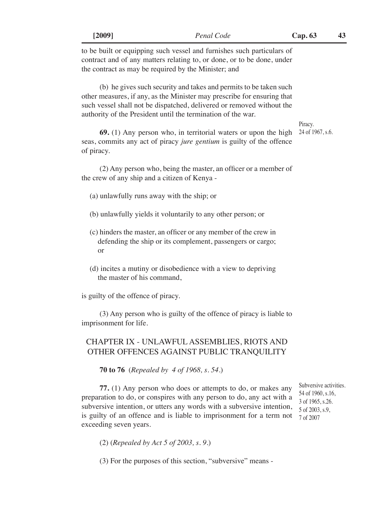**[2009]** *Penal Code* **Cap. 63 43**

to be built or equipping such vessel and furnishes such particulars of contract and of any matters relating to, or done, or to be done, under the contract as may be required by the Minister; and

(b) he gives such security and takes and permits to be taken such other measures, if any, as the Minister may prescribe for ensuring that such vessel shall not be dispatched, delivered or removed without the authority of the President until the termination of the war.

> Piracy. 24 of 1967, s.6.

**69.** (1) Any person who, in territorial waters or upon the high seas, commits any act of piracy *jure gentium* is guilty of the offence of piracy.

(2) Any person who, being the master, an officer or a member of the crew of any ship and a citizen of Kenya -

(a) unlawfully runs away with the ship; or

- (b) unlawfully yields it voluntarily to any other person; or
- (c) hinders the master, an officer or any member of the crew in defending the ship or its complement, passengers or cargo; or
- (d) incites a mutiny or disobedience with a view to depriving the master of his command,

is guilty of the offence of piracy.

(3) Any person who is guilty of the offence of piracy is liable to imprisonment for life.

## Chapter IX - Unlawful Assemblies, Riots and Other Offences Against Public Tranquility

**70 to 76** (*Repealed by 4 of 1968, s. 54*.)

**77.** (1) Any person who does or attempts to do, or makes any preparation to do, or conspires with any person to do, any act with a subversive intention, or utters any words with a subversive intention, is guilty of an offence and is liable to imprisonment for a term not exceeding seven years.

Subversive activities. 54 of 1960, s.16, 3 of 1965, s.26. 5 of 2003, s.9, 7 of 2007

(2) (*Repealed by Act 5 of 2003, s. 9*.)

(3) For the purposes of this section, "subversive" means -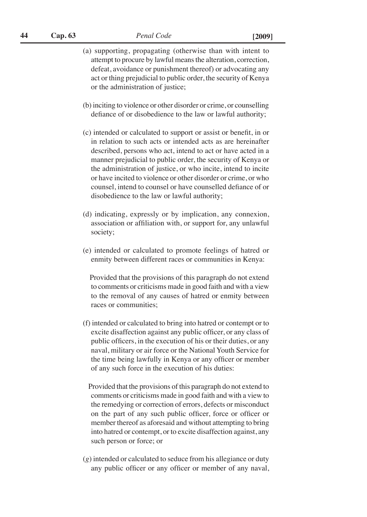- (a) supporting, propagating (otherwise than with intent to attempt to procure by lawful means the alteration, correction, defeat, avoidance or punishment thereof) or advocating any act or thing prejudicial to public order, the security of Kenya or the administration of justice;
- (b) inciting to violence or other disorder or crime, or counselling defiance of or disobedience to the law or lawful authority;
- (c) intended or calculated to support or assist or benefit, in or in relation to such acts or intended acts as are hereinafter described, persons who act, intend to act or have acted in a manner prejudicial to public order, the security of Kenya or the administration of justice, or who incite, intend to incite or have incited to violence or other disorder or crime, or who counsel, intend to counsel or have counselled defiance of or disobedience to the law or lawful authority;
- (d) indicating, expressly or by implication, any connexion, association or affiliation with, or support for, any unlawful society;
- (e) intended or calculated to promote feelings of hatred or enmity between different races or communities in Kenya:

 Provided that the provisions of this paragraph do not extend to comments or criticisms made in good faith and with a view to the removal of any causes of hatred or enmity between races or communities;

- (f) intended or calculated to bring into hatred or contempt or to excite disaffection against any public officer, or any class of public officers, in the execution of his or their duties, or any naval, military or air force or the National Youth Service for the time being lawfully in Kenya or any officer or member of any such force in the execution of his duties:
	- Provided that the provisions of this paragraph do not extend to comments or criticisms made in good faith and with a view to the remedying or correction of errors, defects or misconduct on the part of any such public officer, force or officer or member thereof as aforesaid and without attempting to bring into hatred or contempt, or to excite disaffection against, any such person or force; or
- (*g*) intended or calculated to seduce from his allegiance or duty any public officer or any officer or member of any naval,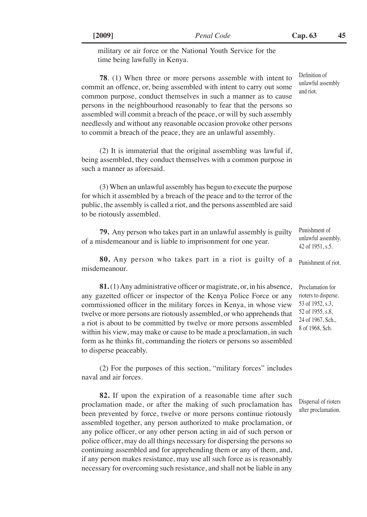military or air force or the National Youth Service for the time being lawfully in Kenya.

**78**. (1) When three or more persons assemble with intent to commit an offence, or, being assembled with intent to carry out some common purpose, conduct themselves in such a manner as to cause persons in the neighbourhood reasonably to fear that the persons so assembled will commit a breach of the peace, or will by such assembly needlessly and without any reasonable occasion provoke other persons to commit a breach of the peace, they are an unlawful assembly.

(2) It is immaterial that the original assembling was lawful if, being assembled, they conduct themselves with a common purpose in such a manner as aforesaid.

(3) When an unlawful assembly has begun to execute the purpose for which it assembled by a breach of the peace and to the terror of the public, the assembly is called a riot, and the persons assembled are said to be riotously assembled.

| <b>79.</b> Any person who takes part in an unlawful assembly is guilty<br>of a misdemeanour and is liable to imprisonment for one year.                                                                                                                                                      | Punishment of<br>unlawful assembly.<br>42 of 1951, s.5.                          |
|----------------------------------------------------------------------------------------------------------------------------------------------------------------------------------------------------------------------------------------------------------------------------------------------|----------------------------------------------------------------------------------|
| 80. Any person who takes part in a riot is guilty of a<br>misdemeanour.                                                                                                                                                                                                                      | Punishment of riot.                                                              |
| 81. (1) Any administrative officer or magistrate, or, in his absence,<br>any gazetted officer or inspector of the Kenya Police Force or any<br>commissioned officer in the military forces in Kenya, in whose view<br>tuolus or more persons ere riotously essembled, or upo enprehends that | Proclamation for<br>rioters to disperse.<br>53 of 1952, s.3,<br>52 of 1955, s.8. |

twelve or more persons are riotously assembled, or who apprehends that a riot is about to be committed by twelve or more persons assembled within his view, may make or cause to be made a proclamation, in such form as he thinks fit, commanding the rioters or persons so assembled to disperse peaceably.

(2) For the purposes of this section, "military forces" includes naval and air forces.

**82.** If upon the expiration of a reasonable time after such proclamation made, or after the making of such proclamation has been prevented by force, twelve or more persons continue riotously assembled together, any person authorized to make proclamation, or any police officer, or any other person acting in aid of such person or police officer, may do all things necessary for dispersing the persons so continuing assembled and for apprehending them or any of them, and, if any person makes resistance, may use all such force as is reasonably necessary for overcoming such resistance, and shall not be liable in any

Dispersal of rioters after proclamation.

24 of 1967, Sch., 8 of 1968, Sch.

| Definition of     |
|-------------------|
| unlawful assembly |
| and riot.         |

Punishment of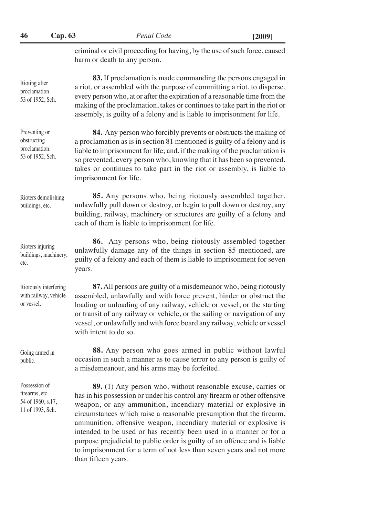| Cap. 63<br>46                                                            | Penal Code                                                                                                                                                                                                                                                                                                                                                                                                                                                                                                   | [2009] |
|--------------------------------------------------------------------------|--------------------------------------------------------------------------------------------------------------------------------------------------------------------------------------------------------------------------------------------------------------------------------------------------------------------------------------------------------------------------------------------------------------------------------------------------------------------------------------------------------------|--------|
|                                                                          | criminal or civil proceeding for having, by the use of such force, caused<br>harm or death to any person.                                                                                                                                                                                                                                                                                                                                                                                                    |        |
| Rioting after<br>proclamation.<br>53 of 1952, Sch.                       | 83. If proclamation is made commanding the persons engaged in<br>a riot, or assembled with the purpose of committing a riot, to disperse,<br>every person who, at or after the expiration of a reasonable time from the<br>making of the proclamation, takes or continues to take part in the riot or<br>assembly, is guilty of a felony and is liable to imprisonment for life.                                                                                                                             |        |
| Preventing or<br>obstructing<br>proclamation.<br>53 of 1952, Sch.        | 84. Any person who forcibly prevents or obstructs the making of<br>a proclamation as is in section 81 mentioned is guilty of a felony and is<br>liable to imprisonment for life; and, if the making of the proclamation is<br>so prevented, every person who, knowing that it has been so prevented,<br>takes or continues to take part in the riot or assembly, is liable to<br>imprisonment for life.                                                                                                      |        |
| Rioters demolishing<br>buildings, etc.                                   | 85. Any persons who, being riotously assembled together,<br>unlawfully pull down or destroy, or begin to pull down or destroy, any<br>building, railway, machinery or structures are guilty of a felony and<br>each of them is liable to imprisonment for life.                                                                                                                                                                                                                                              |        |
| Rioters injuring<br>buildings, machinery,<br>etc.                        | 86. Any persons who, being riotously assembled together<br>unlawfully damage any of the things in section 85 mentioned, are<br>guilty of a felony and each of them is liable to imprisonment for seven<br>years.                                                                                                                                                                                                                                                                                             |        |
| Riotously interfering<br>with railway, vehicle<br>or vessel.             | 87. All persons are guilty of a misdemeanor who, being riotously<br>assembled, unlawfully and with force prevent, hinder or obstruct the<br>loading or unloading of any railway, vehicle or vessel, or the starting<br>or transit of any railway or vehicle, or the sailing or navigation of any<br>vessel, or unlawfully and with force board any railway, vehicle or vessel<br>with intent to do so.                                                                                                       |        |
| Going armed in<br>public.                                                | 88. Any person who goes armed in public without lawful<br>occasion in such a manner as to cause terror to any person is guilty of<br>a misdemeanour, and his arms may be forfeited.                                                                                                                                                                                                                                                                                                                          |        |
| Possession of<br>firearms, etc.<br>54 of 1960, s.17,<br>11 of 1993, Sch. | 89. (1) Any person who, without reasonable excuse, carries or<br>has in his possession or under his control any firearm or other offensive<br>weapon, or any ammunition, incendiary material or explosive in<br>circumstances which raise a reasonable presumption that the firearm,<br>ammunition, offensive weapon, incendiary material or explosive is<br>intended to be used or has recently been used in a manner or for a<br>purpose prejudicial to public order is guilty of an offence and is liable |        |

to imprisonment for a term of not less than seven years and not more

than fifteen years.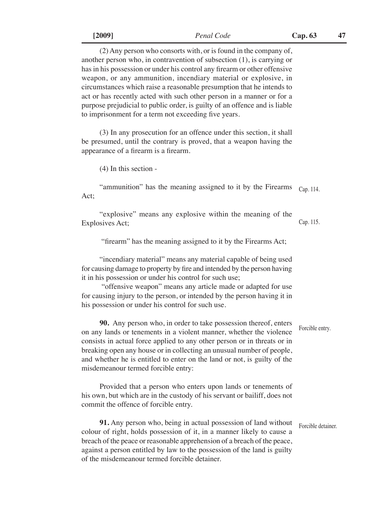(2) Any person who consorts with, or is found in the company of, another person who, in contravention of subsection (1), is carrying or has in his possession or under his control any firearm or other offensive weapon, or any ammunition, incendiary material or explosive, in circumstances which raise a reasonable presumption that he intends to act or has recently acted with such other person in a manner or for a purpose prejudicial to public order, is guilty of an offence and is liable to imprisonment for a term not exceeding five years.

(3) In any prosecution for an offence under this section, it shall be presumed, until the contrary is proved, that a weapon having the appearance of a firearm is a firearm.

(4) In this section -

"ammunition" has the meaning assigned to it by the Firearms  $_{Cap. 114.}$ Act;

"explosive" means any explosive within the meaning of the Explosives Act;

Cap. 115.

"firearm" has the meaning assigned to it by the Firearms Act;

"incendiary material" means any material capable of being used for causing damage to property by fire and intended by the person having it in his possession or under his control for such use;

 "offensive weapon" means any article made or adapted for use for causing injury to the person, or intended by the person having it in his possession or under his control for such use.

**90.** Any person who, in order to take possession thereof, enters on any lands or tenements in a violent manner, whether the violence consists in actual force applied to any other person or in threats or in breaking open any house or in collecting an unusual number of people, and whether he is entitled to enter on the land or not, is guilty of the misdemeanour termed forcible entry: Forcible entry.

Provided that a person who enters upon lands or tenements of his own, but which are in the custody of his servant or bailiff, does not commit the offence of forcible entry.

**91.** Any person who, being in actual possession of land without colour of right, holds possession of it, in a manner likely to cause a breach of the peace or reasonable apprehension of a breach of the peace, against a person entitled by law to the possession of the land is guilty of the misdemeanour termed forcible detainer. Forcible detainer.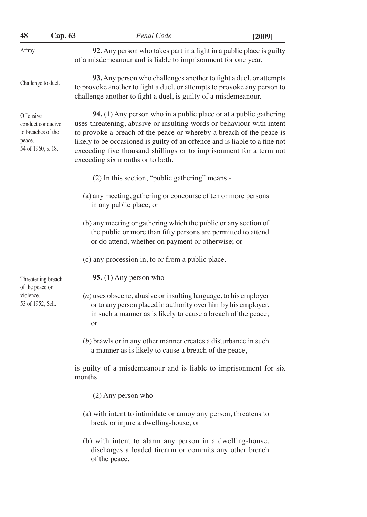| Cap. 63<br>48                                                                        | Penal Code                                                                                                                                                                                                                                                                                                                                                                                                          | [2009] |
|--------------------------------------------------------------------------------------|---------------------------------------------------------------------------------------------------------------------------------------------------------------------------------------------------------------------------------------------------------------------------------------------------------------------------------------------------------------------------------------------------------------------|--------|
| Affray.                                                                              | 92. Any person who takes part in a fight in a public place is guilty<br>of a misdemeanour and is liable to imprisonment for one year.                                                                                                                                                                                                                                                                               |        |
| Challenge to duel.                                                                   | 93. Any person who challenges another to fight a duel, or attempts<br>to provoke another to fight a duel, or attempts to provoke any person to<br>challenge another to fight a duel, is guilty of a misdemeanour.                                                                                                                                                                                                   |        |
| Offensive<br>conduct conducive<br>to breaches of the<br>peace.<br>54 of 1960, s. 18. | <b>94.</b> (1) Any person who in a public place or at a public gathering<br>uses threatening, abusive or insulting words or behaviour with intent<br>to provoke a breach of the peace or whereby a breach of the peace is<br>likely to be occasioned is guilty of an offence and is liable to a fine not<br>exceeding five thousand shillings or to imprisonment for a term not<br>exceeding six months or to both. |        |
|                                                                                      | (2) In this section, "public gathering" means -                                                                                                                                                                                                                                                                                                                                                                     |        |
|                                                                                      | (a) any meeting, gathering or concourse of ten or more persons<br>in any public place; or                                                                                                                                                                                                                                                                                                                           |        |
|                                                                                      | (b) any meeting or gathering which the public or any section of<br>the public or more than fifty persons are permitted to attend<br>or do attend, whether on payment or otherwise; or                                                                                                                                                                                                                               |        |
|                                                                                      | (c) any procession in, to or from a public place.                                                                                                                                                                                                                                                                                                                                                                   |        |
| Threatening breach                                                                   | 95. $(1)$ Any person who -                                                                                                                                                                                                                                                                                                                                                                                          |        |
| of the peace or<br>violence.<br>53 of 1952, Sch.                                     | $(a)$ uses obscene, abusive or insulting language, to his employer<br>or to any person placed in authority over him by his employer,<br>in such a manner as is likely to cause a breach of the peace;<br>or                                                                                                                                                                                                         |        |
|                                                                                      | $(b)$ brawls or in any other manner creates a disturbance in such<br>a manner as is likely to cause a breach of the peace,                                                                                                                                                                                                                                                                                          |        |
|                                                                                      | is guilty of a misdemeanour and is liable to imprisonment for six<br>months.                                                                                                                                                                                                                                                                                                                                        |        |
|                                                                                      | (2) Any person who -                                                                                                                                                                                                                                                                                                                                                                                                |        |
|                                                                                      | (a) with intent to intimidate or annoy any person, threatens to<br>break or injure a dwelling-house; or                                                                                                                                                                                                                                                                                                             |        |
|                                                                                      | (b) with intent to alarm any person in a dwelling-house,<br>discharges a loaded firearm or commits any other breach<br>of the peace,                                                                                                                                                                                                                                                                                |        |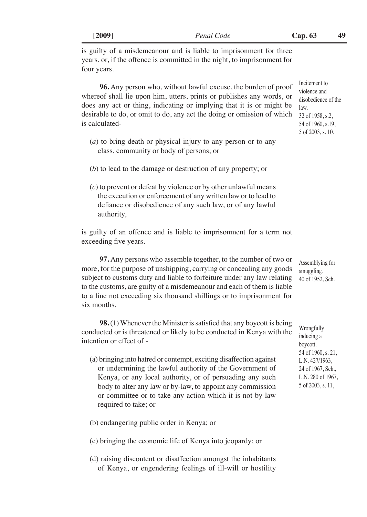**[2009]** *Penal Code* **Cap. 63 49**

is guilty of a misdemeanour and is liable to imprisonment for three years, or, if the offence is committed in the night, to imprisonment for four years.

**96.** Any person who, without lawful excuse, the burden of proof whereof shall lie upon him, utters, prints or publishes any words, or does any act or thing, indicating or implying that it is or might be desirable to do, or omit to do, any act the doing or omission of which is calculated-

- (*a*) to bring death or physical injury to any person or to any class, community or body of persons; or
- (*b*) to lead to the damage or destruction of any property; or
- (*c*) to prevent or defeat by violence or by other unlawful means the execution or enforcement of any written law or to lead to defiance or disobedience of any such law, or of any lawful authority,

is guilty of an offence and is liable to imprisonment for a term not exceeding five years.

**97.** Any persons who assemble together, to the number of two or more, for the purpose of unshipping, carrying or concealing any goods subject to customs duty and liable to forfeiture under any law relating to the customs, are guilty of a misdemeanour and each of them is liable to a fine not exceeding six thousand shillings or to imprisonment for six months.

**98.** (1) Whenever the Minister is satisfied that any boycott is being conducted or is threatened or likely to be conducted in Kenya with the intention or effect of -

(a) bringing into hatred or contempt, exciting disaffection against or undermining the lawful authority of the Government of Kenya, or any local authority, or of persuading any such body to alter any law or by-law, to appoint any commission or committee or to take any action which it is not by law required to take; or

(b) endangering public order in Kenya; or

- (c) bringing the economic life of Kenya into jeopardy; or
- (d) raising discontent or disaffection amongst the inhabitants of Kenya, or engendering feelings of ill-will or hostility

Incitement to violence and disobedience of the law. 32 of 1958, s.2, 54 of 1960, s.19, 5 of 2003, s. 10.

Assemblying for smuggling. 40 of 1952, Sch.

Wrongfully inducing a boycott. 54 of 1960, s. 21, L.N. 427/1963, 24 of 1967, Sch., L.N. 280 of 1967, 5 of 2003, s. 11,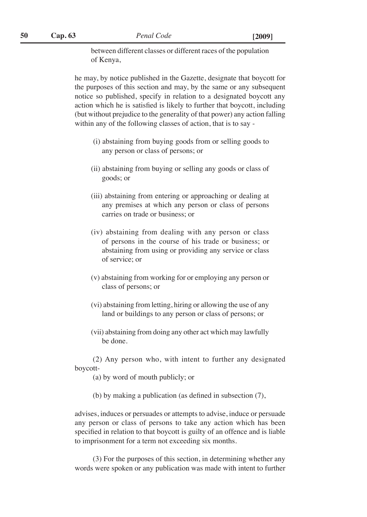between different classes or different races of the population of Kenya,

he may, by notice published in the Gazette, designate that boycott for the purposes of this section and may, by the same or any subsequent notice so published, specify in relation to a designated boycott any action which he is satisfied is likely to further that boycott, including (but without prejudice to the generality of that power) any action falling within any of the following classes of action, that is to say -

- (i) abstaining from buying goods from or selling goods to any person or class of persons; or
- (ii) abstaining from buying or selling any goods or class of goods; or
- (iii) abstaining from entering or approaching or dealing at any premises at which any person or class of persons carries on trade or business; or
- (iv) abstaining from dealing with any person or class of persons in the course of his trade or business; or abstaining from using or providing any service or class of service; or
- (v) abstaining from working for or employing any person or class of persons; or
- (vi) abstaining from letting, hiring or allowing the use of any land or buildings to any person or class of persons; or
- (vii) abstaining from doing any other act which may lawfully be done.

(2) Any person who, with intent to further any designated boycott-

(a) by word of mouth publicly; or

(b) by making a publication (as defined in subsection (7),

advises, induces or persuades or attempts to advise, induce or persuade any person or class of persons to take any action which has been specified in relation to that boycott is guilty of an offence and is liable to imprisonment for a term not exceeding six months.

(3) For the purposes of this section, in determining whether any words were spoken or any publication was made with intent to further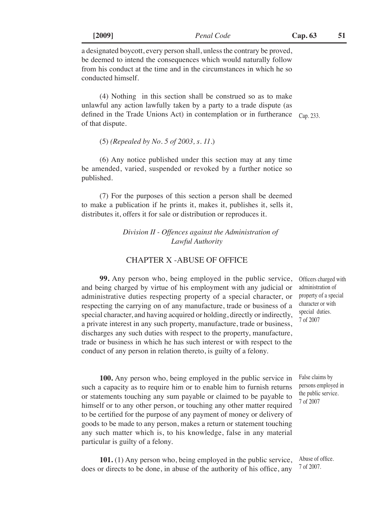a designated boycott, every person shall, unless the contrary be proved, be deemed to intend the consequences which would naturally follow from his conduct at the time and in the circumstances in which he so conducted himself.

(4) Nothing in this section shall be construed so as to make unlawful any action lawfully taken by a party to a trade dispute (as defined in the Trade Unions Act) in contemplation or in furtherance of that dispute.

(5) *(Repealed by No. 5 of 2003, s. 11.*)

(6) Any notice published under this section may at any time be amended, varied, suspended or revoked by a further notice so published.

(7) For the purposes of this section a person shall be deemed to make a publication if he prints it, makes it, publishes it, sells it, distributes it, offers it for sale or distribution or reproduces it.

> *Division II - Offences against the Administration of Lawful Authority*

## Chapter X -abuse of Office

**99.** Any person who, being employed in the public service, and being charged by virtue of his employment with any judicial or administrative duties respecting property of a special character, or respecting the carrying on of any manufacture, trade or business of a special character, and having acquired or holding, directly or indirectly, a private interest in any such property, manufacture, trade or business, discharges any such duties with respect to the property, manufacture, trade or business in which he has such interest or with respect to the conduct of any person in relation thereto, is guilty of a felony.

Officers charged with administration of property of a special character or with special duties. 7 of 2007

**100.** Any person who, being employed in the public service in such a capacity as to require him or to enable him to furnish returns or statements touching any sum payable or claimed to be payable to himself or to any other person, or touching any other matter required to be certified for the purpose of any payment of money or delivery of goods to be made to any person, makes a return or statement touching any such matter which is, to his knowledge, false in any material particular is guilty of a felony.

**101.** (1) Any person who, being employed in the public service, does or directs to be done, in abuse of the authority of his office, any Abuse of office. 7 of 2007.

False claims by persons employed in the public service. 7 of 2007

Cap. 233.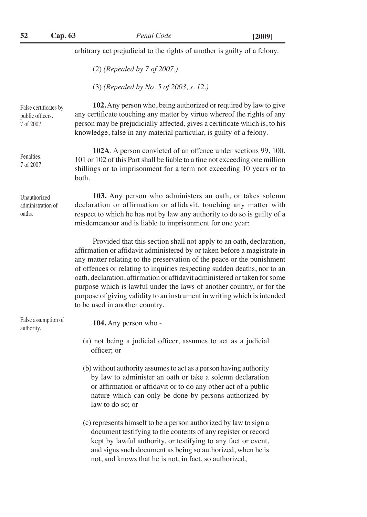arbitrary act prejudicial to the rights of another is guilty of a felony.

(2) *(Repealed by 7 of 2007.)* 

(3) *(Repealed by No. 5 of 2003, s. 12.)*

**102.** Any person who, being authorized or required by law to give any certificate touching any matter by virtue whereof the rights of any person may be prejudicially affected, gives a certificate which is, to his knowledge, false in any material particular, is guilty of a felony. False certificates by public officers. 7 of 2007.

> **102A**. A person convicted of an offence under sections 99, 100, 101 or 102 of this Part shall be liable to a fine not exceeding one million shillings or to imprisonment for a term not exceeding 10 years or to both.

Unauthorized administration of oaths.

Penalties. 7 of 2007.

> **103.** Any person who administers an oath, or takes solemn declaration or affirmation or affidavit, touching any matter with respect to which he has not by law any authority to do so is guilty of a misdemeanour and is liable to imprisonment for one year:

> Provided that this section shall not apply to an oath, declaration, affirmation or affidavit administered by or taken before a magistrate in any matter relating to the preservation of the peace or the punishment of offences or relating to inquiries respecting sudden deaths, nor to an oath, declaration, affirmation or affidavit administered or taken for some purpose which is lawful under the laws of another country, or for the purpose of giving validity to an instrument in writing which is intended to be used in another country.

False assumption of authority.

**104.** Any person who -

- (a) not being a judicial officer, assumes to act as a judicial officer; or
- (b) without authority assumes to act as a person having authority by law to administer an oath or take a solemn declaration or affirmation or affidavit or to do any other act of a public nature which can only be done by persons authorized by law to do so; or
- (c) represents himself to be a person authorized by law to sign a document testifying to the contents of any register or record kept by lawful authority, or testifying to any fact or event, and signs such document as being so authorized, when he is not, and knows that he is not, in fact, so authorized,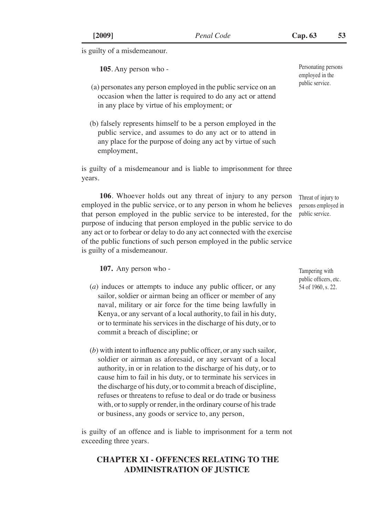is guilty of a misdemeanour.

**105**. Any person who -

- (a) personates any person employed in the public service on an occasion when the latter is required to do any act or attend in any place by virtue of his employment; or
- (b) falsely represents himself to be a person employed in the public service, and assumes to do any act or to attend in any place for the purpose of doing any act by virtue of such employment,

is guilty of a misdemeanour and is liable to imprisonment for three years.

**106**. Whoever holds out any threat of injury to any person employed in the public service, or to any person in whom he believes that person employed in the public service to be interested, for the purpose of inducing that person employed in the public service to do any act or to forbear or delay to do any act connected with the exercise of the public functions of such person employed in the public service is guilty of a misdemeanour.

**107.** Any person who -

- (*a*) induces or attempts to induce any public officer, or any sailor, soldier or airman being an officer or member of any naval, military or air force for the time being lawfully in Kenya, or any servant of a local authority, to fail in his duty, or to terminate his services in the discharge of his duty, or to commit a breach of discipline; or
- (*b*) with intent to influence any public officer, or any such sailor, soldier or airman as aforesaid, or any servant of a local authority, in or in relation to the discharge of his duty, or to cause him to fail in his duty, or to terminate his services in the discharge of his duty, or to commit a breach of discipline, refuses or threatens to refuse to deal or do trade or business with, or to supply or render, in the ordinary course of his trade or business, any goods or service to, any person,

is guilty of an offence and is liable to imprisonment for a term not exceeding three years.

# **Chapter XI - Offences Relating to the Administration of Justice**

Personating persons employed in the public service.

Threat of injury to persons employed in public service.

Tampering with public officers, etc. 54 of 1960, s. 22.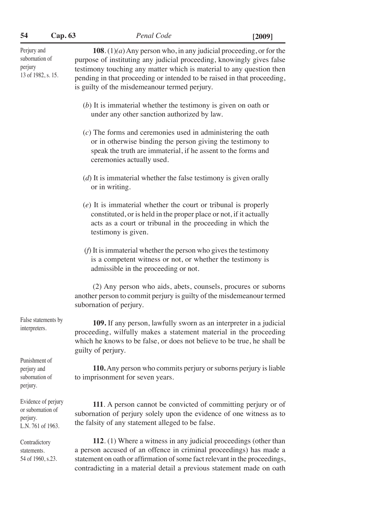| Cap. 63<br>54                                                             | Penal Code                                                                                                                                                                                                                                                                                                                                        | [2009] |
|---------------------------------------------------------------------------|---------------------------------------------------------------------------------------------------------------------------------------------------------------------------------------------------------------------------------------------------------------------------------------------------------------------------------------------------|--------|
| Perjury and<br>subornation of<br>perjury<br>13 of 1982, s. 15.            | 108. $(1)(a)$ Any person who, in any judicial proceeding, or for the<br>purpose of instituting any judicial proceeding, knowingly gives false<br>testimony touching any matter which is material to any question then<br>pending in that proceeding or intended to be raised in that proceeding,<br>is guilty of the misdemeanour termed perjury. |        |
|                                                                           | $(b)$ It is immaterial whether the testimony is given on oath or<br>under any other sanction authorized by law.                                                                                                                                                                                                                                   |        |
|                                                                           | $(c)$ The forms and ceremonies used in administering the oath<br>or in otherwise binding the person giving the testimony to<br>speak the truth are immaterial, if he assent to the forms and<br>ceremonies actually used.                                                                                                                         |        |
|                                                                           | $(d)$ It is immaterial whether the false testimony is given orally<br>or in writing.                                                                                                                                                                                                                                                              |        |
|                                                                           | (e) It is immaterial whether the court or tribunal is properly<br>constituted, or is held in the proper place or not, if it actually<br>acts as a court or tribunal in the proceeding in which the<br>testimony is given.                                                                                                                         |        |
|                                                                           | $(f)$ It is immaterial whether the person who gives the testimony<br>is a competent witness or not, or whether the testimony is<br>admissible in the proceeding or not.                                                                                                                                                                           |        |
|                                                                           | (2) Any person who aids, abets, counsels, procures or suborns<br>another person to commit perjury is guilty of the misdemeanour termed<br>subornation of perjury.                                                                                                                                                                                 |        |
| False statements by<br>interpreters.                                      | 109. If any person, lawfully sworn as an interpreter in a judicial<br>proceeding, wilfully makes a statement material in the proceeding<br>which he knows to be false, or does not believe to be true, he shall be<br>guilty of perjury.                                                                                                          |        |
| Punishment of<br>perjury and<br>subornation of<br>perjury.                | 110. Any person who commits perjury or suborns perjury is liable<br>to imprisonment for seven years.                                                                                                                                                                                                                                              |        |
| Evidence of perjury<br>or subornation of<br>perjury.<br>L.N. 761 of 1963. | 111. A person cannot be convicted of committing perjury or of<br>subornation of perjury solely upon the evidence of one witness as to<br>the falsity of any statement alleged to be false.                                                                                                                                                        |        |
| Contradictory<br>statements.<br>54 of 1960, s.23.                         | 112. (1) Where a witness in any judicial proceedings (other than<br>a person accused of an offence in criminal proceedings) has made a<br>statement on oath or affirmation of some fact relevant in the proceedings,<br>contradicting in a material detail a previous statement made on oath                                                      |        |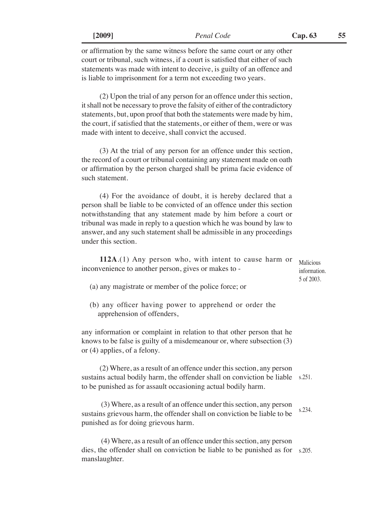or affirmation by the same witness before the same court or any other court or tribunal, such witness, if a court is satisfied that either of such statements was made with intent to deceive, is guilty of an offence and is liable to imprisonment for a term not exceeding two years.

(2) Upon the trial of any person for an offence under this section, it shall not be necessary to prove the falsity of either of the contradictory statements, but, upon proof that both the statements were made by him, the court, if satisfied that the statements, or either of them, were or was made with intent to deceive, shall convict the accused.

(3) At the trial of any person for an offence under this section, the record of a court or tribunal containing any statement made on oath or affirmation by the person charged shall be prima facie evidence of such statement.

(4) For the avoidance of doubt, it is hereby declared that a person shall be liable to be convicted of an offence under this section notwithstanding that any statement made by him before a court or tribunal was made in reply to a question which he was bound by law to answer, and any such statement shall be admissible in any proceedings under this section.

**112A**.(1) Any person who, with intent to cause harm or inconvenience to another person, gives or makes to -

Malicious information. 5 of 2003.

- (a) any magistrate or member of the police force; or
- (b) any officer having power to apprehend or order the apprehension of offenders,

any information or complaint in relation to that other person that he knows to be false is guilty of a misdemeanour or, where subsection (3) or (4) applies, of a felony.

(2) Where, as a result of an offence under this section, any person sustains actual bodily harm, the offender shall on conviction be liable s.251. to be punished as for assault occasioning actual bodily harm.

 (3) Where, as a result of an offence under this section, any person sustains grievous harm, the offender shall on conviction be liable to be punished as for doing grievous harm. s.234.

 (4) Where, as a result of an offence under this section, any person dies, the offender shall on conviction be liable to be punished as for s.205.manslaughter.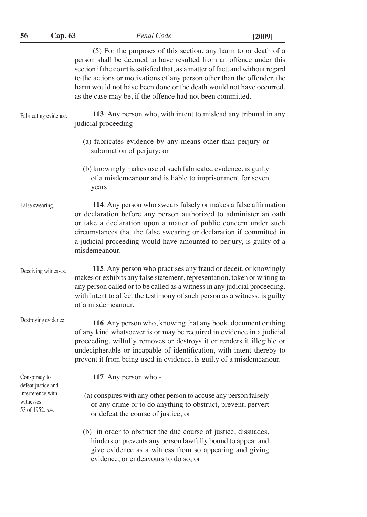(5) For the purposes of this section, any harm to or death of a person shall be deemed to have resulted from an offence under this section if the court is satisfied that, as a matter of fact, and without regard to the actions or motivations of any person other than the offender, the harm would not have been done or the death would not have occurred, as the case may be, if the offence had not been committed. **113**. Any person who, with intent to mislead any tribunal in any judicial proceeding - (a) fabricates evidence by any means other than perjury or subornation of perjury; or (b) knowingly makes use of such fabricated evidence, is guilty of a misdemeanour and is liable to imprisonment for seven years. **114**. Any person who swears falsely or makes a false affirmation or declaration before any person authorized to administer an oath or take a declaration upon a matter of public concern under such circumstances that the false swearing or declaration if committed in a judicial proceeding would have amounted to perjury, is guilty of a misdemeanour. **115**. Any person who practises any fraud or deceit, or knowingly makes or exhibits any false statement, representation, token or writing to any person called or to be called as a witness in any judicial proceeding, with intent to affect the testimony of such person as a witness, is guilty of a misdemeanour. **116**. Any person who, knowing that any book, document or thing of any kind whatsoever is or may be required in evidence in a judicial proceeding, wilfully removes or destroys it or renders it illegible or undecipherable or incapable of identification, with intent thereby to prevent it from being used in evidence, is guilty of a misdemeanour. **117**. Any person who - (a) conspires with any other person to accuse any person falsely of any crime or to do anything to obstruct, prevent, pervert or defeat the course of justice; or (b) in order to obstruct the due course of justice, dissuades, hinders or prevents any person lawfully bound to appear and give evidence as a witness from so appearing and giving evidence, or endeavours to do so; or Fabricating evidence. False swearing. Deceiving witnesses. Destroying evidence. Conspiracy to defeat justice and interference with witnesses. 53 of 1952, s.4.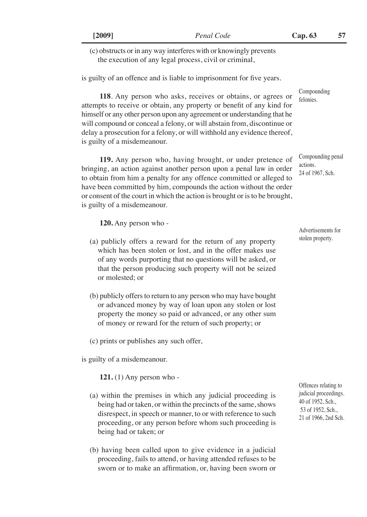(c) obstructs or in any way interferes with or knowingly prevents the execution of any legal process, civil or criminal,

is guilty of an offence and is liable to imprisonment for five years.

**118**. Any person who asks, receives or obtains, or agrees or attempts to receive or obtain, any property or benefit of any kind for himself or any other person upon any agreement or understanding that he will compound or conceal a felony, or will abstain from, discontinue or delay a prosecution for a felony, or will withhold any evidence thereof, is guilty of a misdemeanour.

**119.** Any person who, having brought, or under pretence of bringing, an action against another person upon a penal law in order to obtain from him a penalty for any offence committed or alleged to have been committed by him, compounds the action without the order or consent of the court in which the action is brought or is to be brought, is guilty of a misdemeanour.

**120.** Any person who -

- (a) publicly offers a reward for the return of any property which has been stolen or lost, and in the offer makes use of any words purporting that no questions will be asked, or that the person producing such property will not be seized or molested; or
- (b) publicly offers to return to any person who may have bought or advanced money by way of loan upon any stolen or lost property the money so paid or advanced, or any other sum of money or reward for the return of such property; or

(c) prints or publishes any such offer,

is guilty of a misdemeanour.

**121.** (1) Any person who -

- (a) within the premises in which any judicial proceeding is being had or taken, or within the precincts of the same, shows disrespect, in speech or manner, to or with reference to such proceeding, or any person before whom such proceeding is being had or taken; or
- (b) having been called upon to give evidence in a judicial proceeding, fails to attend, or having attended refuses to be sworn or to make an affirmation, or, having been sworn or

Offences relating to judicial proceedings. 40 of 1952, Sch., 53 of 1952, Sch., 21 of 1966, 2nd Sch.

Compounding penal actions. 24 of 1967, Sch.

Compounding felonies.

Advertisements for stolen property.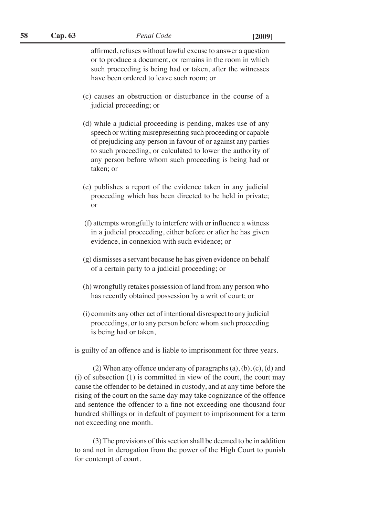affirmed, refuses without lawful excuse to answer a question or to produce a document, or remains in the room in which such proceeding is being had or taken, after the witnesses have been ordered to leave such room; or

- (c) causes an obstruction or disturbance in the course of a judicial proceeding; or
- (d) while a judicial proceeding is pending, makes use of any speech or writing misrepresenting such proceeding or capable of prejudicing any person in favour of or against any parties to such proceeding, or calculated to lower the authority of any person before whom such proceeding is being had or taken; or
- (e) publishes a report of the evidence taken in any judicial proceeding which has been directed to be held in private; or
- (f) attempts wrongfully to interfere with or influence a witness in a judicial proceeding, either before or after he has given evidence, in connexion with such evidence; or
- (g) dismisses a servant because he has given evidence on behalf of a certain party to a judicial proceeding; or
- (h) wrongfully retakes possession of land from any person who has recently obtained possession by a writ of court; or
- (i) commits any other act of intentional disrespect to any judicial proceedings, or to any person before whom such proceeding is being had or taken,

is guilty of an offence and is liable to imprisonment for three years.

(2) When any offence under any of paragraphs  $(a)$ ,  $(b)$ ,  $(c)$ ,  $(d)$  and (i) of subsection (1) is committed in view of the court, the court may cause the offender to be detained in custody, and at any time before the rising of the court on the same day may take cognizance of the offence and sentence the offender to a fine not exceeding one thousand four hundred shillings or in default of payment to imprisonment for a term not exceeding one month.

(3) The provisions of this section shall be deemed to be in addition to and not in derogation from the power of the High Court to punish for contempt of court.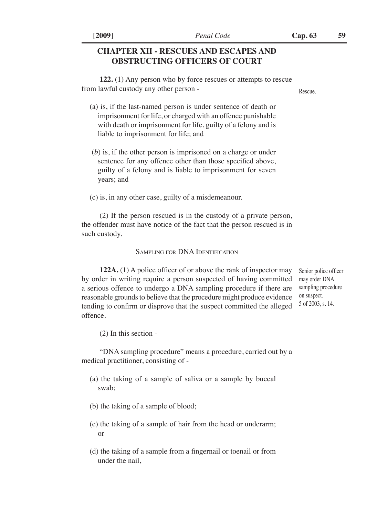# **Chapter XII - Rescues and Escapes and Obstructing Officers of Court**

**122.** (1) Any person who by force rescues or attempts to rescue from lawful custody any other person -

- (a) is, if the last-named person is under sentence of death or imprisonment for life, or charged with an offence punishable with death or imprisonment for life, guilty of a felony and is liable to imprisonment for life; and
- (*b*) is, if the other person is imprisoned on a charge or under sentence for any offence other than those specified above, guilty of a felony and is liable to imprisonment for seven years; and
- (c) is, in any other case, guilty of a misdemeanour.

(2) If the person rescued is in the custody of a private person, the offender must have notice of the fact that the person rescued is in such custody.

#### SAMPLING FOR DNA IDENTIFICATION

**122A.** (1) A police officer of or above the rank of inspector may by order in writing require a person suspected of having committed a serious offence to undergo a DNA sampling procedure if there are reasonable grounds to believe that the procedure might produce evidence tending to confirm or disprove that the suspect committed the alleged offence.

Senior police officer may order DNA sampling procedure on suspect. 5 of 2003, s. 14.

(2) In this section -

"DNA sampling procedure" means a procedure, carried out by a medical practitioner, consisting of -

- (a) the taking of a sample of saliva or a sample by buccal swab;
- (b) the taking of a sample of blood;
- (c) the taking of a sample of hair from the head or underarm; or
- (d) the taking of a sample from a fingernail or toenail or from under the nail,

Rescue.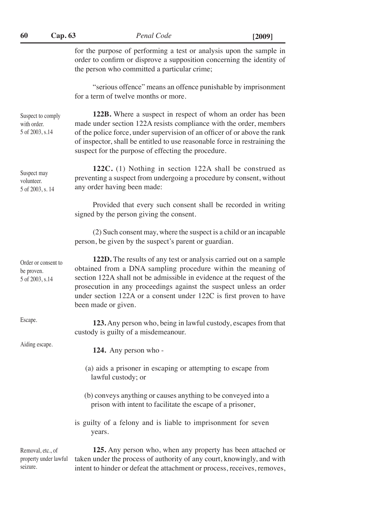| 60 | Cap. 63 |  |
|----|---------|--|
|----|---------|--|

**60 Cap. 63** *Penal Code* **[2009]**

|                                                        | for the purpose of performing a test or analysis upon the sample in<br>order to confirm or disprove a supposition concerning the identity of<br>the person who committed a particular crime;                                                                                                                                                                                   |
|--------------------------------------------------------|--------------------------------------------------------------------------------------------------------------------------------------------------------------------------------------------------------------------------------------------------------------------------------------------------------------------------------------------------------------------------------|
|                                                        | "serious offence" means an offence punishable by imprisonment<br>for a term of twelve months or more.                                                                                                                                                                                                                                                                          |
| Suspect to comply<br>with order.<br>5 of 2003, s.14    | 122B. Where a suspect in respect of whom an order has been<br>made under section 122A resists compliance with the order, members<br>of the police force, under supervision of an officer of or above the rank<br>of inspector, shall be entitled to use reasonable force in restraining the<br>suspect for the purpose of effecting the procedure.                             |
| Suspect may<br>volunteer.<br>5 of 2003, s. 14          | 122C. (1) Nothing in section 122A shall be construed as<br>preventing a suspect from undergoing a procedure by consent, without<br>any order having been made:                                                                                                                                                                                                                 |
|                                                        | Provided that every such consent shall be recorded in writing<br>signed by the person giving the consent.                                                                                                                                                                                                                                                                      |
|                                                        | (2) Such consent may, where the suspect is a child or an incapable<br>person, be given by the suspect's parent or guardian.                                                                                                                                                                                                                                                    |
| Order or consent to<br>be proven.<br>5 of 2003, s.14   | 122D. The results of any test or analysis carried out on a sample<br>obtained from a DNA sampling procedure within the meaning of<br>section 122A shall not be admissible in evidence at the request of the<br>prosecution in any proceedings against the suspect unless an order<br>under section 122A or a consent under 122C is first proven to have<br>been made or given. |
| Escape.                                                | 123. Any person who, being in lawful custody, escapes from that<br>custody is guilty of a misdemeanour.                                                                                                                                                                                                                                                                        |
| Aiding escape.                                         | 124. Any person who -                                                                                                                                                                                                                                                                                                                                                          |
|                                                        | (a) aids a prisoner in escaping or attempting to escape from<br>lawful custody; or                                                                                                                                                                                                                                                                                             |
|                                                        | (b) conveys anything or causes anything to be conveyed into a<br>prison with intent to facilitate the escape of a prisoner,                                                                                                                                                                                                                                                    |
|                                                        | is guilty of a felony and is liable to imprisonment for seven<br>years.                                                                                                                                                                                                                                                                                                        |
| Removal, etc., of<br>property under lawful<br>seizure. | 125. Any person who, when any property has been attached or<br>taken under the process of authority of any court, knowingly, and with<br>intent to hinder or defeat the attachment or process, receives, removes,                                                                                                                                                              |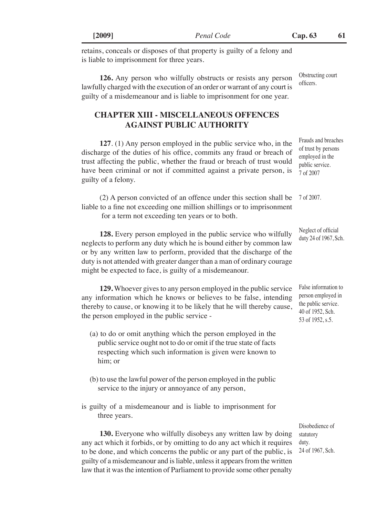retains, conceals or disposes of that property is guilty of a felony and is liable to imprisonment for three years.

**126.** Any person who wilfully obstructs or resists any person lawfully charged with the execution of an order or warrant of any court is guilty of a misdemeanour and is liable to imprisonment for one year.

## **Chapter XIII - Miscellaneous Offences against Public Authority**

**127**. (1) Any person employed in the public service who, in the discharge of the duties of his office, commits any fraud or breach of trust affecting the public, whether the fraud or breach of trust would have been criminal or not if committed against a private person, is guilty of a felony.

(2) A person convicted of an offence under this section shall be liable to a fine not exceeding one million shillings or to imprisonment for a term not exceeding ten years or to both.

**128.** Every person employed in the public service who wilfully neglects to perform any duty which he is bound either by common law or by any written law to perform, provided that the discharge of the duty is not attended with greater danger than a man of ordinary courage might be expected to face, is guilty of a misdemeanour.

**129.** Whoever gives to any person employed in the public service any information which he knows or believes to be false, intending thereby to cause, or knowing it to be likely that he will thereby cause, the person employed in the public service -

- (a) to do or omit anything which the person employed in the public service ought not to do or omit if the true state of facts respecting which such information is given were known to him; or
- (b) to use the lawful power of the person employed in the public service to the injury or annoyance of any person,
- is guilty of a misdemeanour and is liable to imprisonment for three years.

**130.** Everyone who wilfully disobeys any written law by doing any act which it forbids, or by omitting to do any act which it requires to be done, and which concerns the public or any part of the public, is guilty of a misdemeanour and is liable, unless it appears from the written law that it was the intention of Parliament to provide some other penalty

Obstructing court officers.

Frauds and breaches of trust by persons employed in the public service. 7 of 2007

7 of 2007.

Neglect of official duty 24 of 1967, Sch.

False information to person employed in the public service. 40 of 1952, Sch. 53 of 1952, s.5.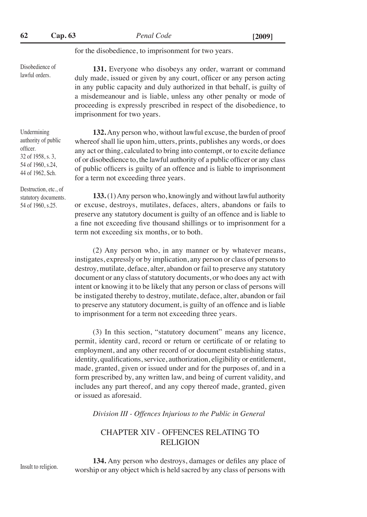for the disobedience, to imprisonment for two years.

Disobedience of lawful orders.

**131.** Everyone who disobeys any order, warrant or command duly made, issued or given by any court, officer or any person acting in any public capacity and duly authorized in that behalf, is guilty of a misdemeanour and is liable, unless any other penalty or mode of proceeding is expressly prescribed in respect of the disobedience, to imprisonment for two years.

**132.** Any person who, without lawful excuse, the burden of proof whereof shall lie upon him, utters, prints, publishes any words, or does any act or thing, calculated to bring into contempt, or to excite defiance of or disobedience to, the lawful authority of a public officer or any class of public officers is guilty of an offence and is liable to imprisonment for a term not exceeding three years.

**133.** (1) Any person who, knowingly and without lawful authority or excuse, destroys, mutilates, defaces, alters, abandons or fails to preserve any statutory document is guilty of an offence and is liable to a fine not exceeding five thousand shillings or to imprisonment for a term not exceeding six months, or to both.

(2) Any person who, in any manner or by whatever means, instigates, expressly or by implication, any person or class of persons to destroy, mutilate, deface, alter, abandon or fail to preserve any statutory document or any class of statutory documents, or who does any act with intent or knowing it to be likely that any person or class of persons will be instigated thereby to destroy, mutilate, deface, alter, abandon or fail to preserve any statutory document, is guilty of an offence and is liable to imprisonment for a term not exceeding three years.

(3) In this section, "statutory document" means any licence, permit, identity card, record or return or certificate of or relating to employment, and any other record of or document establishing status, identity, qualifications, service, authorization, eligibility or entitlement, made, granted, given or issued under and for the purposes of, and in a form prescribed by, any written law, and being of current validity, and includes any part thereof, and any copy thereof made, granted, given or issued as aforesaid.

*Division III - Offences Injurious to the Public in General* 

## Chapter XIV - Offences Relating to **RELIGION**

**134.** Any person who destroys, damages or defiles any place of worship or any object which is held sacred by any class of persons with

Undermining authority of public officer. 32 of 1958, s. 3, 54 of 1960, s.24, 44 of 1962, Sch.

Destruction, etc., of statutory documents. 54 of 1960, s.25.

Insult to religion.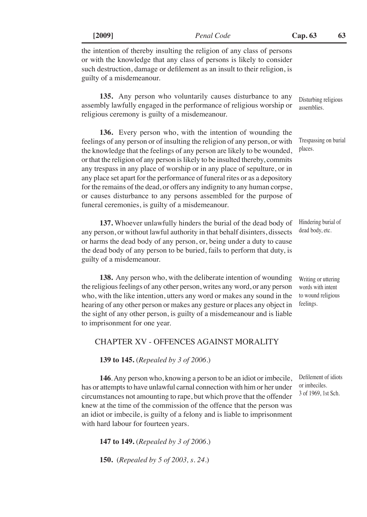**[2009]** *Penal Code* **Cap. 63 63**

the intention of thereby insulting the religion of any class of persons or with the knowledge that any class of persons is likely to consider such destruction, damage or defilement as an insult to their religion, is guilty of a misdemeanour.

**135.** Any person who voluntarily causes disturbance to any assembly lawfully engaged in the performance of religious worship or religious ceremony is guilty of a misdemeanour. Disturbing religious assemblies.

**136.** Every person who, with the intention of wounding the feelings of any person or of insulting the religion of any person, or with the knowledge that the feelings of any person are likely to be wounded, or that the religion of any person is likely to be insulted thereby, commits any trespass in any place of worship or in any place of sepulture, or in any place set apart for the performance of funeral rites or as a depository for the remains of the dead, or offers any indignity to any human corpse, or causes disturbance to any persons assembled for the purpose of funeral ceremonies, is guilty of a misdemeanour. Trespassing on burial places.

**137.** Whoever unlawfully hinders the burial of the dead body of any person, or without lawful authority in that behalf disinters, dissects or harms the dead body of any person, or, being under a duty to cause the dead body of any person to be buried, fails to perform that duty, is guilty of a misdemeanour. Hindering burial of dead body, etc.

**138.** Any person who, with the deliberate intention of wounding the religious feelings of any other person, writes any word, or any person who, with the like intention, utters any word or makes any sound in the hearing of any other person or makes any gesture or places any object in the sight of any other person, is guilty of a misdemeanour and is liable to imprisonment for one year.

Writing or uttering words with intent to wound religious feelings.

### Chapter XV - Offences against Morality

**139 to 145.** (*Repealed by 3 of 2006*.)

**146**. Any person who, knowing a person to be an idiot or imbecile, has or attempts to have unlawful carnal connection with him or her under circumstances not amounting to rape, but which prove that the offender knew at the time of the commission of the offence that the person was an idiot or imbecile, is guilty of a felony and is liable to imprisonment with hard labour for fourteen years. Defilement of idiots or imbeciles. 3 of 1969, 1st Sch.

**147 to 149.** (*Repealed by 3 of 2006*.)

**150.** (*Repealed by 5 of 2003, s. 24*.)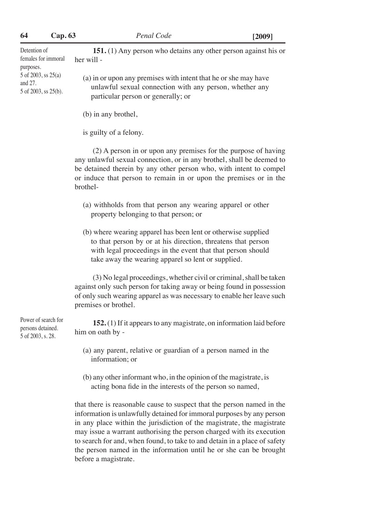purposes. 5 of 2003, ss 25(a) and 27.

5 of 2003, ss 25(b).

(a) in or upon any premises with intent that he or she may have unlawful sexual connection with any person, whether any particular person or generally; or

(b) in any brothel,

is guilty of a felony.

(2) A person in or upon any premises for the purpose of having any unlawful sexual connection, or in any brothel, shall be deemed to be detained therein by any other person who, with intent to compel or induce that person to remain in or upon the premises or in the brothel-

- (a) withholds from that person any wearing apparel or other property belonging to that person; or
- (b) where wearing apparel has been lent or otherwise supplied to that person by or at his direction, threatens that person with legal proceedings in the event that that person should take away the wearing apparel so lent or supplied.

(3) No legal proceedings, whether civil or criminal, shall be taken against only such person for taking away or being found in possession of only such wearing apparel as was necessary to enable her leave such premises or brothel.

**152.** (1) If it appears to any magistrate, on information laid before him on oath by -

- (a) any parent, relative or guardian of a person named in the information; or
- (b) any other informant who, in the opinion of the magistrate, is acting bona fide in the interests of the person so named,

that there is reasonable cause to suspect that the person named in the information is unlawfully detained for immoral purposes by any person in any place within the jurisdiction of the magistrate, the magistrate may issue a warrant authorising the person charged with its execution to search for and, when found, to take to and detain in a place of safety the person named in the information until he or she can be brought before a magistrate.

Power of search for persons detained. 5 of 2003, s. 28.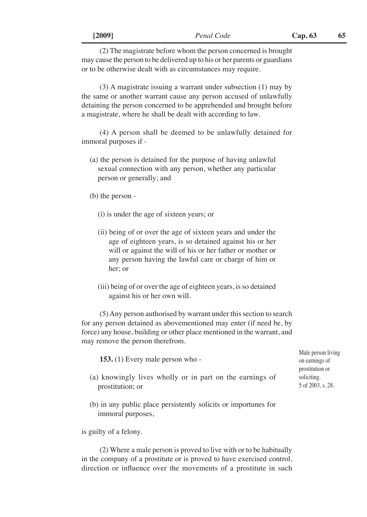(2) The magistrate before whom the person concerned is brought may cause the person to be delivered up to his or her parents or guardians or to be otherwise dealt with as circumstances may require.

(3) A magistrate issuing a warrant under subsection (1) may by the same or another warrant cause any person accused of unlawfully detaining the person concerned to be apprehended and brought before a magistrate, where he shall be dealt with according to law.

(4) A person shall be deemed to be unlawfully detained for immoral purposes if -

- (a) the person is detained for the purpose of having unlawful sexual connection with any person, whether any particular person or generally; and
- (b) the person
	- (i) is under the age of sixteen years; or
	- (ii) being of or over the age of sixteen years and under the age of eighteen years, is so detained against his or her will or against the will of his or her father or mother or any person having the lawful care or charge of him or her; or
	- (iii) being of or over the age of eighteen years, is so detained against his or her own will.

(5) Any person authorised by warrant under this section to search for any person detained as abovementioned may enter (if need be, by force) any house, building or other place mentioned in the warrant, and may remove the person therefrom.

**153.** (1) Every male person who -

- (a) knowingly lives wholly or in part on the earnings of prostitution; or
- (b) in any public place persistently solicits or importunes for immoral purposes,

is guilty of a felony.

(2) Where a male person is proved to live with or to be habitually in the company of a prostitute or is proved to have exercised control, direction or influence over the movements of a prostitute in such

Male person living on earnings of prostitution or soliciting. 5 of 2003, s. 28.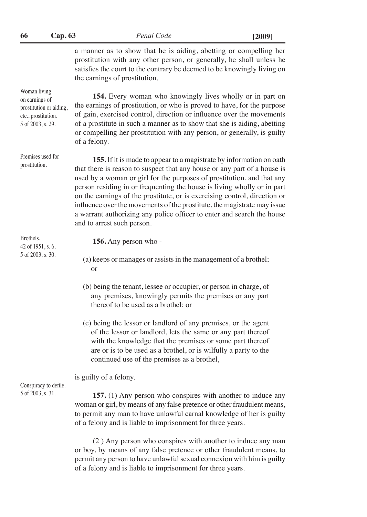**66 Cap. 63** *Penal Code* **[2009]** a manner as to show that he is aiding, abetting or compelling her prostitution with any other person, or generally, he shall unless he satisfies the court to the contrary be deemed to be knowingly living on the earnings of prostitution. **154.** Every woman who knowingly lives wholly or in part on the earnings of prostitution, or who is proved to have, for the purpose of gain, exercised control, direction or influence over the movements of a prostitute in such a manner as to show that she is aiding, abetting or compelling her prostitution with any person, or generally, is guilty of a felony. **155.** If it is made to appear to a magistrate by information on oath that there is reason to suspect that any house or any part of a house is used by a woman or girl for the purposes of prostitution, and that any person residing in or frequenting the house is living wholly or in part on the earnings of the prostitute, or is exercising control, direction or influence over the movements of the prostitute, the magistrate may issue a warrant authorizing any police officer to enter and search the house and to arrest such person. **156.** Any person who - (a) keeps or manages or assists in the management of a brothel; or Woman living on earnings of prostitution or aiding, etc., prostitution. 5 of 2003, s. 29. Premises used for prostitution. Brothels. 42 of 1951, s. 6, 5 of 2003, s. 30.

- (b) being the tenant, lessee or occupier, or person in charge, of any premises, knowingly permits the premises or any part thereof to be used as a brothel; or
- (c) being the lessor or landlord of any premises, or the agent of the lessor or landlord, lets the same or any part thereof with the knowledge that the premises or some part thereof are or is to be used as a brothel, or is wilfully a party to the continued use of the premises as a brothel,

is guilty of a felony.

Conspiracy to defile. 5 of 2003, s. 31.

**157.** (1) Any person who conspires with another to induce any woman or girl, by means of any false pretence or other fraudulent means, to permit any man to have unlawful carnal knowledge of her is guilty of a felony and is liable to imprisonment for three years.

(2 ) Any person who conspires with another to induce any man or boy, by means of any false pretence or other fraudulent means, to permit any person to have unlawful sexual connexion with him is guilty of a felony and is liable to imprisonment for three years.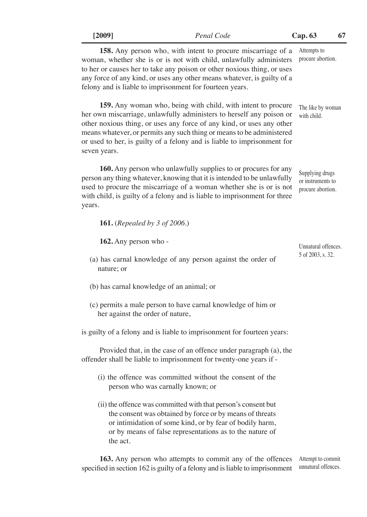| [2009]                                    | Penal Code                                                                                                                                                                                                                                                                                                                                                        | Cap. 63<br>67                                             |
|-------------------------------------------|-------------------------------------------------------------------------------------------------------------------------------------------------------------------------------------------------------------------------------------------------------------------------------------------------------------------------------------------------------------------|-----------------------------------------------------------|
|                                           | 158. Any person who, with intent to procure miscarriage of a<br>woman, whether she is or is not with child, unlawfully administers<br>to her or causes her to take any poison or other noxious thing, or uses<br>any force of any kind, or uses any other means whatever, is guilty of a<br>felony and is liable to imprisonment for fourteen years.              | Attempts to<br>procure abortion.                          |
| seven years.                              | 159. Any woman who, being with child, with intent to procure<br>her own miscarriage, unlawfully administers to herself any poison or<br>other noxious thing, or uses any force of any kind, or uses any other<br>means whatever, or permits any such thing or means to be administered<br>or used to her, is guilty of a felony and is liable to imprisonment for | The like by woman<br>with child.                          |
| years.                                    | 160. Any person who unlawfully supplies to or procures for any<br>person any thing whatever, knowing that it is intended to be unlawfully<br>used to procure the miscarriage of a woman whether she is or is not<br>with child, is guilty of a felony and is liable to imprisonment for three                                                                     | Supplying drugs<br>or instruments to<br>procure abortion. |
| <b>161.</b> (Repealed by 3 of 2006.)      |                                                                                                                                                                                                                                                                                                                                                                   |                                                           |
| 162. Any person who -                     |                                                                                                                                                                                                                                                                                                                                                                   | Unnatural offences.                                       |
| nature; or                                | (a) has carnal knowledge of any person against the order of                                                                                                                                                                                                                                                                                                       | 5 of 2003, s. 32.                                         |
| (b) has carnal knowledge of an animal; or |                                                                                                                                                                                                                                                                                                                                                                   |                                                           |
| her against the order of nature,          | (c) permits a male person to have carnal knowledge of him or                                                                                                                                                                                                                                                                                                      |                                                           |
|                                           | is guilty of a felony and is liable to imprisonment for fourteen years:                                                                                                                                                                                                                                                                                           |                                                           |
|                                           | Provided that, in the case of an offence under paragraph (a), the<br>offender shall be liable to imprisonment for twenty-one years if -                                                                                                                                                                                                                           |                                                           |
|                                           | (i) the offence was committed without the consent of the<br>person who was carnally known; or                                                                                                                                                                                                                                                                     |                                                           |
| the act.                                  | (ii) the offence was committed with that person's consent but<br>the consent was obtained by force or by means of threats<br>or intimidation of some kind, or by fear of bodily harm,<br>or by means of false representations as to the nature of                                                                                                                 |                                                           |

**163.** Any person who attempts to commit any of the offences specified in section 162 is guilty of a felony and is liable to imprisonment Attempt to commit unnatural offences.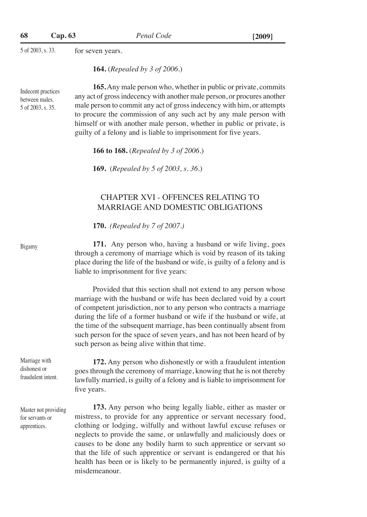for seven years. 5 of 2003, s. 33.

**164.** (*Repealed by 3 of 2006*.)

Indecent practices between males. 5 of 2003, s. 35.

**165.** Any male person who, whether in public or private, commits any act of gross indecency with another male person, or procures another male person to commit any act of gross indecency with him, or attempts to procure the commission of any such act by any male person with himself or with another male person, whether in public or private, is guilty of a felony and is liable to imprisonment for five years.

**166 to 168.** (*Repealed by 3 of 2006*.)

**169.** (*Repealed by 5 of 2003, s. 36*.)

# Chapter XVI - Offences Relating to Marriage And Domestic Obligations

**170.** *(Repealed by 7 of 2007.)*

**171.** Any person who, having a husband or wife living, goes through a ceremony of marriage which is void by reason of its taking place during the life of the husband or wife, is guilty of a felony and is liable to imprisonment for five years:

Provided that this section shall not extend to any person whose marriage with the husband or wife has been declared void by a court of competent jurisdiction, nor to any person who contracts a marriage during the life of a former husband or wife if the husband or wife, at the time of the subsequent marriage, has been continually absent from such person for the space of seven years, and has not been heard of by such person as being alive within that time.

Marriage with dishonest or fraudulent intent.

Master not providing for servants or apprentices.

**172.** Any person who dishonestly or with a fraudulent intention goes through the ceremony of marriage, knowing that he is not thereby lawfully married, is guilty of a felony and is liable to imprisonment for five years.

**173.** Any person who being legally liable, either as master or mistress, to provide for any apprentice or servant necessary food, clothing or lodging, wilfully and without lawful excuse refuses or neglects to provide the same, or unlawfully and maliciously does or causes to be done any bodily harm to such apprentice or servant so that the life of such apprentice or servant is endangered or that his health has been or is likely to be permanently injured, is guilty of a misdemeanour.

Bigamy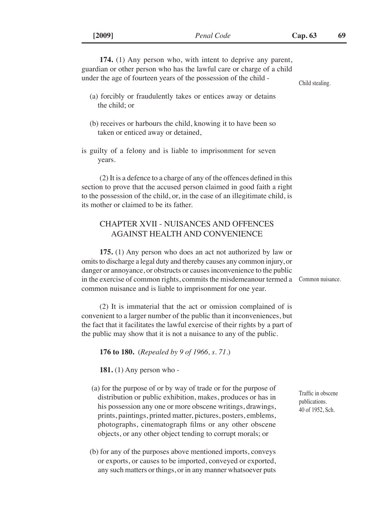**[2009]** *Penal Code* **Cap. 63 69**

**174.** (1) Any person who, with intent to deprive any parent, guardian or other person who has the lawful care or charge of a child under the age of fourteen years of the possession of the child -

Child stealing.

- (a) forcibly or fraudulently takes or entices away or detains the child; or
- (b) receives or harbours the child, knowing it to have been so taken or enticed away or detained,
- is guilty of a felony and is liable to imprisonment for seven years.

(2) It is a defence to a charge of any of the offences defined in this section to prove that the accused person claimed in good faith a right to the possession of the child, or, in the case of an illegitimate child, is its mother or claimed to be its father.

## Chapter XVII - Nuisances and Offences against Health and Convenience

**175.** (1) Any person who does an act not authorized by law or omits to discharge a legal duty and thereby causes any common injury, or danger or annoyance, or obstructs or causes inconvenience to the public in the exercise of common rights, commits the misdemeanour termed a Common nuisance. common nuisance and is liable to imprisonment for one year.

(2) It is immaterial that the act or omission complained of is convenient to a larger number of the public than it inconveniences, but the fact that it facilitates the lawful exercise of their rights by a part of the public may show that it is not a nuisance to any of the public.

**176 to 180.** (*Repealed by 9 of 1966, s. 71*.)

**181.** (1) Any person who -

- (a) for the purpose of or by way of trade or for the purpose of distribution or public exhibition, makes, produces or has in his possession any one or more obscene writings, drawings, prints, paintings, printed matter, pictures, posters, emblems, photographs, cinematograph films or any other obscene objects, or any other object tending to corrupt morals; or
- (b) for any of the purposes above mentioned imports, conveys or exports, or causes to be imported, conveyed or exported, any such matters or things, or in any manner whatsoever puts

Traffic in obscene publications.

40 of 1952, Sch.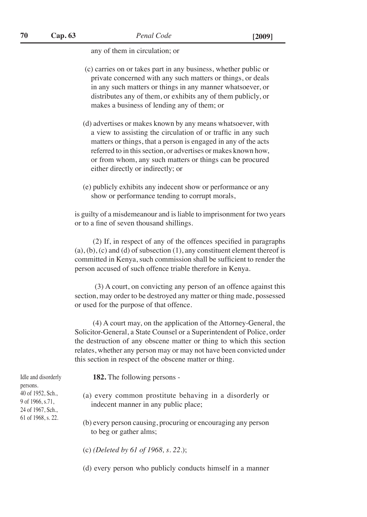any of them in circulation; or

- (c) carries on or takes part in any business, whether public or private concerned with any such matters or things, or deals in any such matters or things in any manner whatsoever, or distributes any of them, or exhibits any of them publicly, or makes a business of lending any of them; or
- (d) advertises or makes known by any means whatsoever, with a view to assisting the circulation of or traffic in any such matters or things, that a person is engaged in any of the acts referred to in this section, or advertises or makes known how, or from whom, any such matters or things can be procured either directly or indirectly; or
- (e) publicly exhibits any indecent show or performance or any show or performance tending to corrupt morals,

is guilty of a misdemeanour and is liable to imprisonment for two years or to a fine of seven thousand shillings.

(2) If, in respect of any of the offences specified in paragraphs  $(a)$ ,  $(b)$ ,  $(c)$  and  $(d)$  of subsection  $(1)$ , any constituent element thereof is committed in Kenya, such commission shall be sufficient to render the person accused of such offence triable therefore in Kenya.

 (3) A court, on convicting any person of an offence against this section, may order to be destroyed any matter or thing made, possessed or used for the purpose of that offence.

(4) A court may, on the application of the Attorney-General, the Solicitor-General, a State Counsel or a Superintendent of Police, order the destruction of any obscene matter or thing to which this section relates, whether any person may or may not have been convicted under this section in respect of the obscene matter or thing.

Idle and disorderly persons. 40 of 1952, Sch., 9 of 1966, s.71, 24 of 1967, Sch., 61 of 1968, s. 22.

**182.** The following persons -

- (a) every common prostitute behaving in a disorderly or indecent manner in any public place;
- (b) every person causing, procuring or encouraging any person to beg or gather alms;
- (c) *(Deleted by 61 of 1968, s. 22*.);
- (d) every person who publicly conducts himself in a manner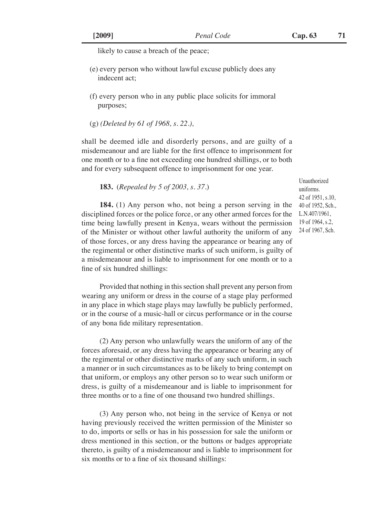likely to cause a breach of the peace;

- (e) every person who without lawful excuse publicly does any indecent act;
- (f) every person who in any public place solicits for immoral purposes;
- (g) *(Deleted by 61 of 1968, s. 22.),*

shall be deemed idle and disorderly persons, and are guilty of a misdemeanour and are liable for the first offence to imprisonment for one month or to a fine not exceeding one hundred shillings, or to both and for every subsequent offence to imprisonment for one year.

**183.** (*Repealed by 5 of 2003, s. 37*.)

**184.** (1) Any person who, not being a person serving in the disciplined forces or the police force, or any other armed forces for the time being lawfully present in Kenya, wears without the permission of the Minister or without other lawful authority the uniform of any of those forces, or any dress having the appearance or bearing any of the regimental or other distinctive marks of such uniform, is guilty of a misdemeanour and is liable to imprisonment for one month or to a fine of six hundred shillings:

Provided that nothing in this section shall prevent any person from wearing any uniform or dress in the course of a stage play performed in any place in which stage plays may lawfully be publicly performed, or in the course of a music-hall or circus performance or in the course of any bona fide military representation.

(2) Any person who unlawfully wears the uniform of any of the forces aforesaid, or any dress having the appearance or bearing any of the regimental or other distinctive marks of any such uniform, in such a manner or in such circumstances as to be likely to bring contempt on that uniform, or employs any other person so to wear such uniform or dress, is guilty of a misdemeanour and is liable to imprisonment for three months or to a fine of one thousand two hundred shillings.

(3) Any person who, not being in the service of Kenya or not having previously received the written permission of the Minister so to do, imports or sells or has in his possession for sale the uniform or dress mentioned in this section, or the buttons or badges appropriate thereto, is guilty of a misdemeanour and is liable to imprisonment for six months or to a fine of six thousand shillings:

Unauthorized uniforms. 42 of 1951, s.10, 40 of 1952, Sch., L.N.407/1961, 19 of 1964, s.2, 24 of 1967, Sch.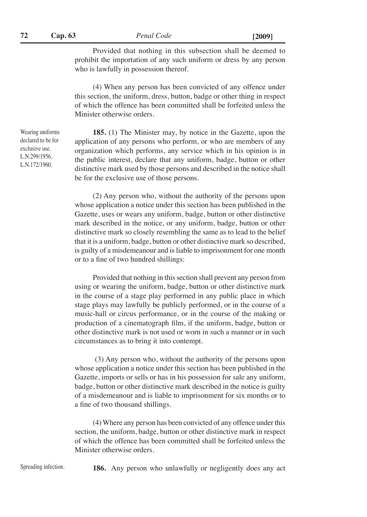Provided that nothing in this subsection shall be deemed to prohibit the importation of any such uniform or dress by any person who is lawfully in possession thereof.

(4) When any person has been convicted of any offence under this section, the uniform, dress, button, badge or other thing in respect of which the offence has been committed shall be forfeited unless the Minister otherwise orders.

**185.** (1) The Minister may, by notice in the Gazette, upon the application of any persons who perform, or who are members of any organization which performs, any service which in his opinion is in the public interest, declare that any uniform, badge, button or other distinctive mark used by those persons and described in the notice shall be for the exclusive use of those persons.

(2) Any person who, without the authority of the persons upon whose application a notice under this section has been published in the Gazette, uses or wears any uniform, badge, button or other distinctive mark described in the notice, or any uniform, badge, button or other distinctive mark so closely resembling the same as to lead to the belief that it is a uniform, badge, button or other distinctive mark so described, is guilty of a misdemeanour and is liable to imprisonment for one month or to a fine of two hundred shillings:

Provided that nothing in this section shall prevent any person from using or wearing the uniform, badge, button or other distinctive mark in the course of a stage play performed in any public place in which stage plays may lawfully be publicly performed, or in the course of a music-hall or circus performance, or in the course of the making or production of a cinematograph film, if the uniform, badge, button or other distinctive mark is not used or worn in such a manner or in such circumstances as to bring it into contempt.

 (3) Any person who, without the authority of the persons upon whose application a notice under this section has been published in the Gazette, imports or sells or has in his possession for sale any uniform, badge, button or other distinctive mark described in the notice is guilty of a misdemeanour and is liable to imprisonment for six months or to a fine of two thousand shillings.

(4) Where any person has been convicted of any offence under this section, the uniform, badge, button or other distinctive mark in respect of which the offence has been committed shall be forfeited unless the Minister otherwise orders.

**186.** Any person who unlawfully or negligently does any act

Wearing uniforms declared to be for exclusive use. L.N.299/1956, L.N.172/1960.

Spreading infection.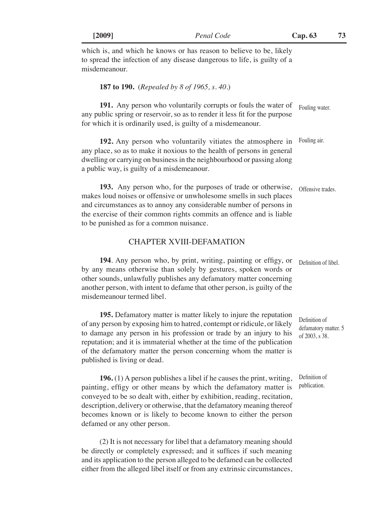|--|--|--|--|

which is, and which he knows or has reason to believe to be, likely to spread the infection of any disease dangerous to life, is guilty of a misdemeanour.

#### **187 to 190.** (*Repealed by 8 of 1965, s. 40.*)

**191.** Any person who voluntarily corrupts or fouls the water of any public spring or reservoir, so as to render it less fit for the purpose for which it is ordinarily used, is guilty of a misdemeanour. Fouling water.

**192.** Any person who voluntarily vitiates the atmosphere in any place, so as to make it noxious to the health of persons in general dwelling or carrying on business in the neighbourhood or passing along a public way, is guilty of a misdemeanour. Fouling air.

**193.** Any person who, for the purposes of trade or otherwise, makes loud noises or offensive or unwholesome smells in such places and circumstances as to annoy any considerable number of persons in the exercise of their common rights commits an offence and is liable to be punished as for a common nuisance. Offensive trades.

## Chapter XVIII-Defamation

**194**. Any person who, by print, writing, painting or effigy, or by any means otherwise than solely by gestures, spoken words or other sounds, unlawfully publishes any defamatory matter concerning another person, with intent to defame that other person, is guilty of the misdemeanour termed libel. Definition of libel.

**195.** Defamatory matter is matter likely to injure the reputation of any person by exposing him to hatred, contempt or ridicule, or likely to damage any person in his profession or trade by an injury to his reputation; and it is immaterial whether at the time of the publication of the defamatory matter the person concerning whom the matter is published is living or dead.

**196.** (1) A person publishes a libel if he causes the print, writing, painting, effigy or other means by which the defamatory matter is conveyed to be so dealt with, either by exhibition, reading, recitation, description, delivery or otherwise, that the defamatory meaning thereof becomes known or is likely to become known to either the person defamed or any other person.

(2) It is not necessary for libel that a defamatory meaning should be directly or completely expressed; and it suffices if such meaning and its application to the person alleged to be defamed can be collected either from the alleged libel itself or from any extrinsic circumstances,

Definition of defamatory matter. 5 of 2003, s 38.

Definition of publication.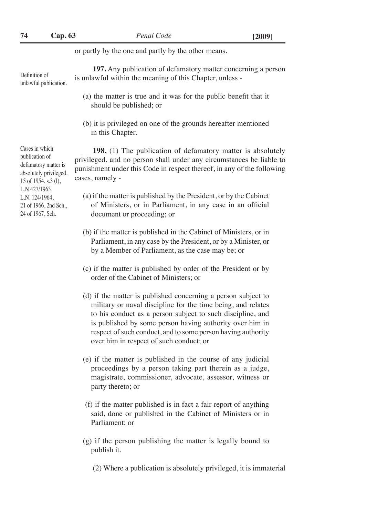or partly by the one and partly by the other means.

Definition of unlawful publication.

**197.** Any publication of defamatory matter concerning a person is unlawful within the meaning of this Chapter, unless -

- (a) the matter is true and it was for the public benefit that it should be published; or
- (b) it is privileged on one of the grounds hereafter mentioned in this Chapter.

**198.** (1) The publication of defamatory matter is absolutely privileged, and no person shall under any circumstances be liable to punishment under this Code in respect thereof, in any of the following cases, namely -

- (a) if the matter is published by the President, or by the Cabinet of Ministers, or in Parliament, in any case in an official document or proceeding; or
- (b) if the matter is published in the Cabinet of Ministers, or in Parliament, in any case by the President, or by a Minister, or by a Member of Parliament, as the case may be; or
- (c) if the matter is published by order of the President or by order of the Cabinet of Ministers; or
- (d) if the matter is published concerning a person subject to military or naval discipline for the time being, and relates to his conduct as a person subject to such discipline, and is published by some person having authority over him in respect of such conduct, and to some person having authority over him in respect of such conduct; or
- (e) if the matter is published in the course of any judicial proceedings by a person taking part therein as a judge, magistrate, commissioner, advocate, assessor, witness or party thereto; or
- (f) if the matter published is in fact a fair report of anything said, done or published in the Cabinet of Ministers or in Parliament; or
- (g) if the person publishing the matter is legally bound to publish it.
	- (2) Where a publication is absolutely privileged, it is immaterial

Cases in which publication of defamatory matter is absolutely privileged. 15 of 1954, s.3 (l), L.N.427/1963, L.N. 124/1964, 21 of 1966, 2nd Sch., 24 of 1967, Sch.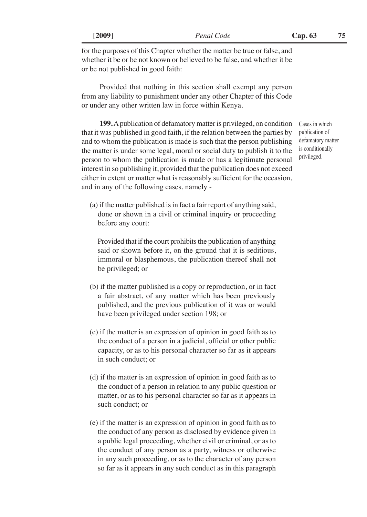for the purposes of this Chapter whether the matter be true or false, and whether it be or be not known or believed to be false, and whether it be or be not published in good faith:

Provided that nothing in this section shall exempt any person from any liability to punishment under any other Chapter of this Code or under any other written law in force within Kenya.

**199.** A publication of defamatory matter is privileged, on condition that it was published in good faith, if the relation between the parties by and to whom the publication is made is such that the person publishing the matter is under some legal, moral or social duty to publish it to the person to whom the publication is made or has a legitimate personal interest in so publishing it, provided that the publication does not exceed either in extent or matter what is reasonably sufficient for the occasion, and in any of the following cases, namely -

Cases in which publication of defamatory matter is conditionally privileged.

(a) if the matter published is in fact a fair report of anything said, done or shown in a civil or criminal inquiry or proceeding before any court:

 Provided that if the court prohibits the publication of anything said or shown before it, on the ground that it is seditious, immoral or blasphemous, the publication thereof shall not be privileged; or

- (b) if the matter published is a copy or reproduction, or in fact a fair abstract, of any matter which has been previously published, and the previous publication of it was or would have been privileged under section 198; or
- (c) if the matter is an expression of opinion in good faith as to the conduct of a person in a judicial, official or other public capacity, or as to his personal character so far as it appears in such conduct; or
- (d) if the matter is an expression of opinion in good faith as to the conduct of a person in relation to any public question or matter, or as to his personal character so far as it appears in such conduct; or
- (e) if the matter is an expression of opinion in good faith as to the conduct of any person as disclosed by evidence given in a public legal proceeding, whether civil or criminal, or as to the conduct of any person as a party, witness or otherwise in any such proceeding, or as to the character of any person so far as it appears in any such conduct as in this paragraph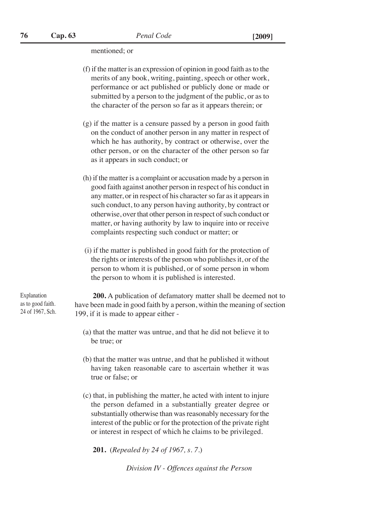mentioned; or

- (f) if the matter is an expression of opinion in good faith as to the merits of any book, writing, painting, speech or other work, performance or act published or publicly done or made or submitted by a person to the judgment of the public, or as to the character of the person so far as it appears therein; or
- (g) if the matter is a censure passed by a person in good faith on the conduct of another person in any matter in respect of which he has authority, by contract or otherwise, over the other person, or on the character of the other person so far as it appears in such conduct; or
- (h) if the matter is a complaint or accusation made by a person in good faith against another person in respect of his conduct in any matter, or in respect of his character so far as it appears in such conduct, to any person having authority, by contract or otherwise, over that other person in respect of such conduct or matter, or having authority by law to inquire into or receive complaints respecting such conduct or matter; or
- (i) if the matter is published in good faith for the protection of the rights or interests of the person who publishes it, or of the person to whom it is published, or of some person in whom the person to whom it is published is interested.

Explanation as to good faith. 24 of 1967, Sch.

**200.** A publication of defamatory matter shall be deemed not to have been made in good faith by a person, within the meaning of section 199, if it is made to appear either -

- (a) that the matter was untrue, and that he did not believe it to be true; or
- (b) that the matter was untrue, and that he published it without having taken reasonable care to ascertain whether it was true or false; or
- (c) that, in publishing the matter, he acted with intent to injure the person defamed in a substantially greater degree or substantially otherwise than was reasonably necessary for the interest of the public or for the protection of the private right or interest in respect of which he claims to be privileged.

**201.** (*Repealed by 24 of 1967, s. 7*.)

*Division IV - Offences against the Person*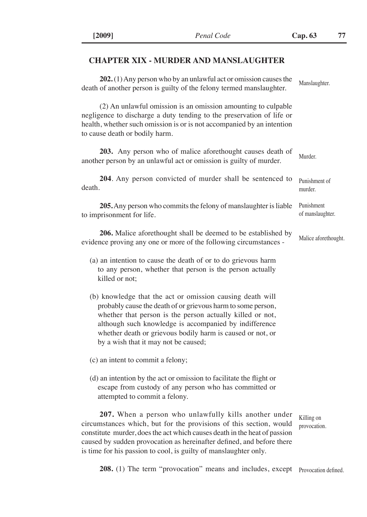#### **Chapter XIX - Murder and Manslaughter**

**202.** (1) Any person who by an unlawful act or omission causes the death of another person is guilty of the felony termed manslaughter. (2) An unlawful omission is an omission amounting to culpable Manslaughter.

negligence to discharge a duty tending to the preservation of life or health, whether such omission is or is not accompanied by an intention to cause death or bodily harm.

**203.** Any person who of malice aforethought causes death of another person by an unlawful act or omission is guilty of murder. Murder.

**204**. Any person convicted of murder shall be sentenced to death. Punishment of murder.

**205.** Any person who commits the felony of manslaughter is liable to imprisonment for life. Punishment of manslaughter.

**206.** Malice aforethought shall be deemed to be established by evidence proving any one or more of the following circumstances - Malice aforethought.

- (a) an intention to cause the death of or to do grievous harm to any person, whether that person is the person actually killed or not;
- (b) knowledge that the act or omission causing death will probably cause the death of or grievous harm to some person, whether that person is the person actually killed or not, although such knowledge is accompanied by indifference whether death or grievous bodily harm is caused or not, or by a wish that it may not be caused;

(c) an intent to commit a felony;

(d) an intention by the act or omission to facilitate the flight or escape from custody of any person who has committed or attempted to commit a felony.

**207.** When a person who unlawfully kills another under circumstances which, but for the provisions of this section, would constitute murder, does the act which causes death in the heat of passion caused by sudden provocation as hereinafter defined, and before there is time for his passion to cool, is guilty of manslaughter only.

Killing on provocation.

**208.** (1) The term "provocation" means and includes, except Provocation defined.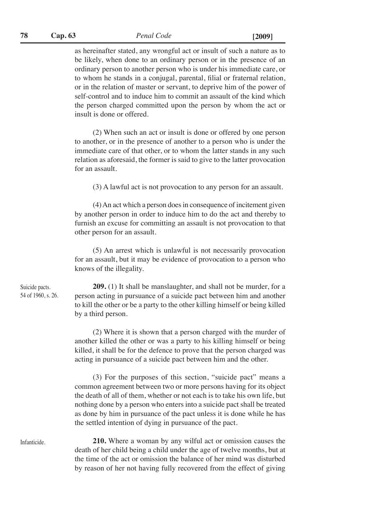as hereinafter stated, any wrongful act or insult of such a nature as to be likely, when done to an ordinary person or in the presence of an ordinary person to another person who is under his immediate care, or to whom he stands in a conjugal, parental, filial or fraternal relation, or in the relation of master or servant, to deprive him of the power of self-control and to induce him to commit an assault of the kind which the person charged committed upon the person by whom the act or insult is done or offered.

(2) When such an act or insult is done or offered by one person to another, or in the presence of another to a person who is under the immediate care of that other, or to whom the latter stands in any such relation as aforesaid, the former is said to give to the latter provocation for an assault.

(3) A lawful act is not provocation to any person for an assault.

(4) An act which a person does in consequence of incitement given by another person in order to induce him to do the act and thereby to furnish an excuse for committing an assault is not provocation to that other person for an assault.

(5) An arrest which is unlawful is not necessarily provocation for an assault, but it may be evidence of provocation to a person who knows of the illegality.

**209.** (1) It shall be manslaughter, and shall not be murder, for a person acting in pursuance of a suicide pact between him and another to kill the other or be a party to the other killing himself or being killed by a third person.

(2) Where it is shown that a person charged with the murder of another killed the other or was a party to his killing himself or being killed, it shall be for the defence to prove that the person charged was acting in pursuance of a suicide pact between him and the other.

(3) For the purposes of this section, "suicide pact" means a common agreement between two or more persons having for its object the death of all of them, whether or not each is to take his own life, but nothing done by a person who enters into a suicide pact shall be treated as done by him in pursuance of the pact unless it is done while he has the settled intention of dying in pursuance of the pact.

Infanticide.

**210.** Where a woman by any wilful act or omission causes the death of her child being a child under the age of twelve months, but at the time of the act or omission the balance of her mind was disturbed by reason of her not having fully recovered from the effect of giving

Suicide pacts. 54 of 1960, s. 26.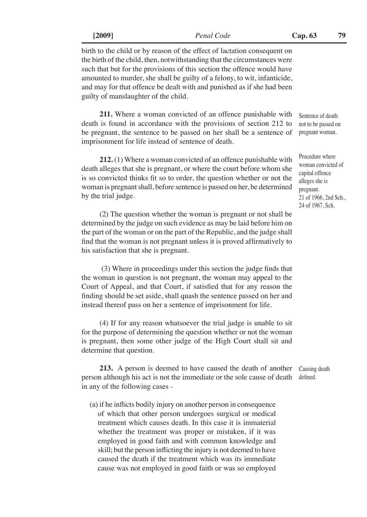birth to the child or by reason of the effect of lactation consequent on the birth of the child, then, notwithstanding that the circumstances were such that but for the provisions of this section the offence would have amounted to murder, she shall be guilty of a felony, to wit, infanticide, and may for that offence be dealt with and punished as if she had been guilty of manslaughter of the child.

**211.** Where a woman convicted of an offence punishable with death is found in accordance with the provisions of section 212 to be pregnant, the sentence to be passed on her shall be a sentence of imprisonment for life instead of sentence of death. Sentence of death

**212.** (1) Where a woman convicted of an offence punishable with death alleges that she is pregnant, or where the court before whom she is so convicted thinks fit so to order, the question whether or not the woman is pregnant shall, before sentence is passed on her, be determined by the trial judge.

(2) The question whether the woman is pregnant or not shall be determined by the judge on such evidence as may be laid before him on the part of the woman or on the part of the Republic, and the judge shall find that the woman is not pregnant unless it is proved affirmatively to his satisfaction that she is pregnant.

 (3) Where in proceedings under this section the judge finds that the woman in question is not pregnant, the woman may appeal to the Court of Appeal, and that Court, if satisfied that for any reason the finding should be set aside, shall quash the sentence passed on her and instead thereof pass on her a sentence of imprisonment for life.

(4) If for any reason whatsoever the trial judge is unable to sit for the purpose of determining the question whether or not the woman is pregnant, then some other judge of the High Court shall sit and determine that question.

**213.** A person is deemed to have caused the death of another person although his act is not the immediate or the sole cause of death in any of the following cases - Causing death defined.

(a) if he inflicts bodily injury on another person in consequence of which that other person undergoes surgical or medical treatment which causes death. In this case it is immaterial whether the treatment was proper or mistaken, if it was employed in good faith and with common knowledge and skill; but the person inflicting the injury is not deemed to have caused the death if the treatment which was its immediate cause was not employed in good faith or was so employed not to be passed on pregnant woman.

Procedure where woman convicted of capital offence alleges she is pregnant. 21 of 1966, 2nd Sch., 24 of 1967, Sch.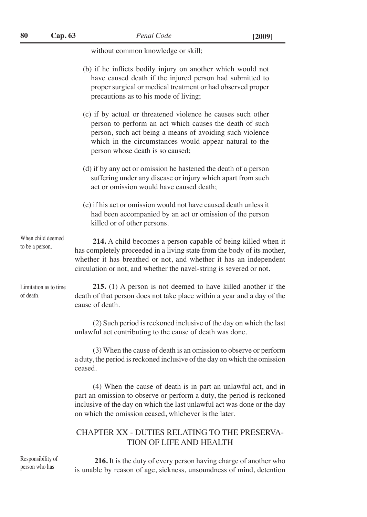without common knowledge or skill;

|                                      | (b) if he inflicts bodily injury on another which would not<br>have caused death if the injured person had submitted to<br>proper surgical or medical treatment or had observed proper<br>precautions as to his mode of living;                                                      |
|--------------------------------------|--------------------------------------------------------------------------------------------------------------------------------------------------------------------------------------------------------------------------------------------------------------------------------------|
|                                      | (c) if by actual or threatened violence he causes such other<br>person to perform an act which causes the death of such<br>person, such act being a means of avoiding such violence<br>which in the circumstances would appear natural to the<br>person whose death is so caused;    |
|                                      | (d) if by any act or omission he hastened the death of a person<br>suffering under any disease or injury which apart from such<br>act or omission would have caused death;                                                                                                           |
|                                      | (e) if his act or omission would not have caused death unless it<br>had been accompanied by an act or omission of the person<br>killed or of other persons.                                                                                                                          |
| When child deemed<br>to be a person. | 214. A child becomes a person capable of being killed when it<br>has completely proceeded in a living state from the body of its mother,<br>whether it has breathed or not, and whether it has an independent<br>circulation or not, and whether the navel-string is severed or not. |
| Limitation as to time<br>of death.   | <b>215.</b> (1) A person is not deemed to have killed another if the<br>death of that person does not take place within a year and a day of the<br>cause of death.                                                                                                                   |
|                                      | (2) Such period is reckoned inclusive of the day on which the last<br>unlawful act contributing to the cause of death was done.                                                                                                                                                      |
|                                      | (3) When the cause of death is an omission to observe or perform<br>a duty, the period is reckoned inclusive of the day on which the omission<br>ceased.                                                                                                                             |
|                                      | (4) When the cause of death is in part an unlawful act, and in<br>part an omission to observe or perform a duty, the period is reckoned<br>inclusive of the day on which the last unlawful act was done or the day<br>on which the omission ceased, whichever is the later.          |
|                                      | CHAPTER XX - DUTIES RELATING TO THE PRESERVA-                                                                                                                                                                                                                                        |

**216.** It is the duty of every person having charge of another who

tion of Life and Health

is unable by reason of age, sickness, unsoundness of mind, detention

Responsibility of person who has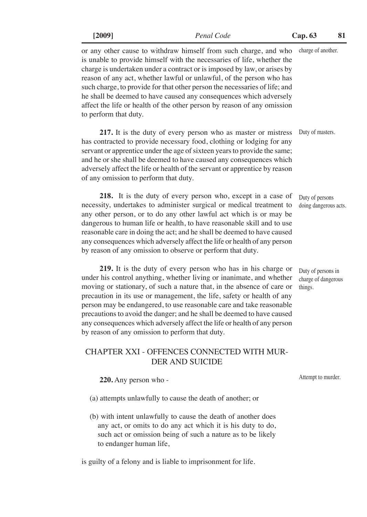| [2009] | Penal Code                                                                          | Cap.63 | 81 |
|--------|-------------------------------------------------------------------------------------|--------|----|
|        | or any other cause to withdraw himself from such charge, and who charge of another. |        |    |
|        | is unable to provide himself with the necessaries of life whether the               |        |    |

is unable to provide himself with the necessaries of life, whether the charge is undertaken under a contract or is imposed by law, or arises by reason of any act, whether lawful or unlawful, of the person who has such charge, to provide for that other person the necessaries of life; and he shall be deemed to have caused any consequences which adversely affect the life or health of the other person by reason of any omission to perform that duty.

**217.** It is the duty of every person who as master or mistress has contracted to provide necessary food, clothing or lodging for any servant or apprentice under the age of sixteen years to provide the same; and he or she shall be deemed to have caused any consequences which adversely affect the life or health of the servant or apprentice by reason of any omission to perform that duty. Duty of masters.

**218.** It is the duty of every person who, except in a case of necessity, undertakes to administer surgical or medical treatment to any other person, or to do any other lawful act which is or may be dangerous to human life or health, to have reasonable skill and to use reasonable care in doing the act; and he shall be deemed to have caused any consequences which adversely affect the life or health of any person by reason of any omission to observe or perform that duty. Duty of persons doing dangerous acts.

**219.** It is the duty of every person who has in his charge or under his control anything, whether living or inanimate, and whether moving or stationary, of such a nature that, in the absence of care or precaution in its use or management, the life, safety or health of any person may be endangered, to use reasonable care and take reasonable precautions to avoid the danger; and he shall be deemed to have caused any consequences which adversely affect the life or health of any person by reason of any omission to perform that duty.

# Chapter Xxi - Offences Connected with Murder and Suicide

**220.** Any person who -

Attempt to murder.

Duty of persons in charge of dangerous

things.

- (a) attempts unlawfully to cause the death of another; or
- (b) with intent unlawfully to cause the death of another does any act, or omits to do any act which it is his duty to do, such act or omission being of such a nature as to be likely to endanger human life,

is guilty of a felony and is liable to imprisonment for life.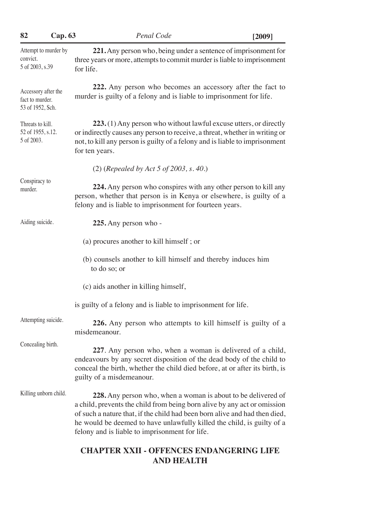| 82                                                  | Cap. 63               | Penal Code                                                                                                                                                                                                                                                                                                                                          | [2009] |
|-----------------------------------------------------|-----------------------|-----------------------------------------------------------------------------------------------------------------------------------------------------------------------------------------------------------------------------------------------------------------------------------------------------------------------------------------------------|--------|
| convict.<br>5 of 2003, s.39                         | Attempt to murder by  | 221. Any person who, being under a sentence of imprisonment for<br>three years or more, attempts to commit murder is liable to imprisonment<br>for life.                                                                                                                                                                                            |        |
| fact to murder.<br>53 of 1952, Sch.                 | Accessory after the   | 222. Any person who becomes an accessory after the fact to<br>murder is guilty of a felony and is liable to imprisonment for life.                                                                                                                                                                                                                  |        |
| Threats to kill.<br>52 of 1955, s.12.<br>5 of 2003. |                       | 223. (1) Any person who without lawful excuse utters, or directly<br>or indirectly causes any person to receive, a threat, whether in writing or<br>not, to kill any person is guilty of a felony and is liable to imprisonment<br>for ten years.                                                                                                   |        |
|                                                     |                       | $(2)$ (Repealed by Act 5 of 2003, s. 40.)                                                                                                                                                                                                                                                                                                           |        |
| Conspiracy to<br>murder.                            |                       | 224. Any person who conspires with any other person to kill any<br>person, whether that person is in Kenya or elsewhere, is guilty of a<br>felony and is liable to imprisonment for fourteen years.                                                                                                                                                 |        |
| Aiding suicide.                                     |                       | 225. Any person who -                                                                                                                                                                                                                                                                                                                               |        |
|                                                     |                       | (a) procures another to kill himself; or                                                                                                                                                                                                                                                                                                            |        |
|                                                     |                       | (b) counsels another to kill himself and thereby induces him<br>to do so; or                                                                                                                                                                                                                                                                        |        |
|                                                     |                       | (c) aids another in killing himself,                                                                                                                                                                                                                                                                                                                |        |
|                                                     |                       | is guilty of a felony and is liable to imprisonment for life.                                                                                                                                                                                                                                                                                       |        |
|                                                     | Attempting suicide.   | 226. Any person who attempts to kill himself is guilty of a<br>misdemeanour.                                                                                                                                                                                                                                                                        |        |
| Concealing birth.                                   |                       | 227. Any person who, when a woman is delivered of a child,<br>endeavours by any secret disposition of the dead body of the child to<br>conceal the birth, whether the child died before, at or after its birth, is<br>guilty of a misdemeanour.                                                                                                     |        |
|                                                     | Killing unborn child. | 228. Any person who, when a woman is about to be delivered of<br>a child, prevents the child from being born alive by any act or omission<br>of such a nature that, if the child had been born alive and had then died,<br>he would be deemed to have unlawfully killed the child, is guilty of a<br>felony and is liable to imprisonment for life. |        |
|                                                     |                       | CILL DTED VVIL - OEEEMCES EMD LMCEDIMC LIEE                                                                                                                                                                                                                                                                                                         |        |

## **Chapter XXII - Offences Endangering Life and Health**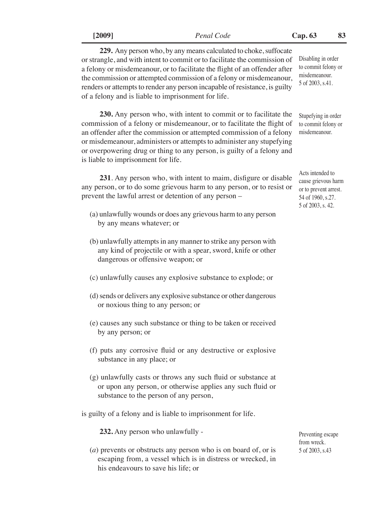**229.** Any person who, by any means calculated to choke, suffocate or strangle, and with intent to commit or to facilitate the commission of a felony or misdemeanour, or to facilitate the flight of an offender after the commission or attempted commission of a felony or misdemeanour, renders or attempts to render any person incapable of resistance, is guilty of a felony and is liable to imprisonment for life.

**230.** Any person who, with intent to commit or to facilitate the commission of a felony or misdemeanour, or to facilitate the flight of an offender after the commission or attempted commission of a felony or misdemeanour, administers or attempts to administer any stupefying or overpowering drug or thing to any person, is guilty of a felony and is liable to imprisonment for life.

**231**. Any person who, with intent to maim, disfigure or disable any person, or to do some grievous harm to any person, or to resist or prevent the lawful arrest or detention of any person –

- (a) unlawfully wounds or does any grievous harm to any person by any means whatever; or
- (b) unlawfully attempts in any manner to strike any person with any kind of projectile or with a spear, sword, knife or other dangerous or offensive weapon; or
- (c) unlawfully causes any explosive substance to explode; or
- (d) sends or delivers any explosive substance or other dangerous or noxious thing to any person; or
- (e) causes any such substance or thing to be taken or received by any person; or
- (f) puts any corrosive fluid or any destructive or explosive substance in any place; or
- (g) unlawfully casts or throws any such fluid or substance at or upon any person, or otherwise applies any such fluid or substance to the person of any person,

is guilty of a felony and is liable to imprisonment for life.

**232.** Any person who unlawfully -

(*a*) prevents or obstructs any person who is on board of, or is escaping from, a vessel which is in distress or wrecked, in his endeavours to save his life; or

Disabling in order to commit felony or misdemeanour. 5 of 2003, s.41.

Stupefying in order to commit felony or misdemeanour.

Acts intended to cause grievous harm or to prevent arrest. 54 of 1960, s.27. 5 of 2003, s. 42.

Preventing escape from wreck. 5 of 2003, s.43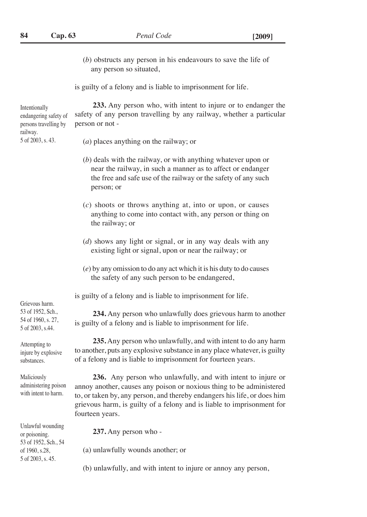railway. 5 of 2003, s. 43. (*b*) obstructs any person in his endeavours to save the life of any person so situated,

is guilty of a felony and is liable to imprisonment for life.

**233.** Any person who, with intent to injure or to endanger the safety of any person travelling by any railway, whether a particular person or not - Intentionally endangering safety of persons travelling by

(*a*) places anything on the railway; or

- (*b*) deals with the railway, or with anything whatever upon or near the railway, in such a manner as to affect or endanger the free and safe use of the railway or the safety of any such person; or
- (*c*) shoots or throws anything at, into or upon, or causes anything to come into contact with, any person or thing on the railway; or
- (*d*) shows any light or signal, or in any way deals with any existing light or signal, upon or near the railway; or
- (*e*) by any omission to do any act which it is his duty to do causes the safety of any such person to be endangered,

is guilty of a felony and is liable to imprisonment for life.

**234.** Any person who unlawfully does grievous harm to another is guilty of a felony and is liable to imprisonment for life.

**235.** Any person who unlawfully, and with intent to do any harm to another, puts any explosive substance in any place whatever, is guilty of a felony and is liable to imprisonment for fourteen years.

**236.** Any person who unlawfully, and with intent to injure or annoy another, causes any poison or noxious thing to be administered to, or taken by, any person, and thereby endangers his life, or does him grievous harm, is guilty of a felony and is liable to imprisonment for fourteen years.

**237.** Any person who -

(a) unlawfully wounds another; or

(b) unlawfully, and with intent to injure or annoy any person,

Grievous harm. 53 of 1952, Sch., 54 of 1960, s. 27, 5 of 2003, s.44.

Attempting to injure by explosive substances.

Maliciously administering poison with intent to harm.

Unlawful wounding or poisoning. 53 of 1952, Sch., 54 of 1960, s.28, 5 of 2003, s. 45.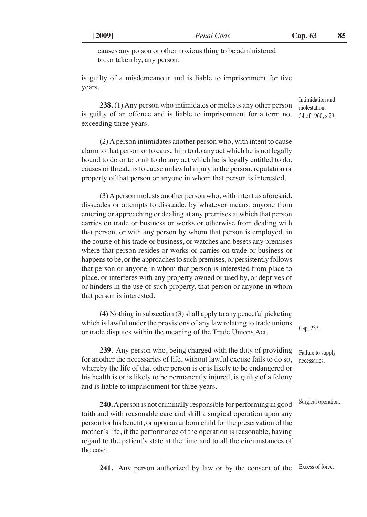causes any poison or other noxious thing to be administered to, or taken by, any person,

is guilty of a misdemeanour and is liable to imprisonment for five years.

**238.** (1) Any person who intimidates or molests any other person is guilty of an offence and is liable to imprisonment for a term not exceeding three years.

(2) A person intimidates another person who, with intent to cause alarm to that person or to cause him to do any act which he is not legally bound to do or to omit to do any act which he is legally entitled to do, causes or threatens to cause unlawful injury to the person, reputation or property of that person or anyone in whom that person is interested.

(3) A person molests another person who, with intent as aforesaid, dissuades or attempts to dissuade, by whatever means, anyone from entering or approaching or dealing at any premises at which that person carries on trade or business or works or otherwise from dealing with that person, or with any person by whom that person is employed, in the course of his trade or business, or watches and besets any premises where that person resides or works or carries on trade or business or happens to be, or the approaches to such premises, or persistently follows that person or anyone in whom that person is interested from place to place, or interferes with any property owned or used by, or deprives of or hinders in the use of such property, that person or anyone in whom that person is interested.

(4) Nothing in subsection (3) shall apply to any peaceful picketing which is lawful under the provisions of any law relating to trade unions or trade disputes within the meaning of the Trade Unions Act.

**239**. Any person who, being charged with the duty of providing for another the necessaries of life, without lawful excuse fails to do so, whereby the life of that other person is or is likely to be endangered or his health is or is likely to be permanently injured, is guilty of a felony and is liable to imprisonment for three years.

**240.** A person is not criminally responsible for performing in good faith and with reasonable care and skill a surgical operation upon any person for his benefit, or upon an unborn child for the preservation of the mother's life, if the performance of the operation is reasonable, having regard to the patient's state at the time and to all the circumstances of the case.

**241.** Any person authorized by law or by the consent of the Excess of force.

Intimidation and molestation. 54 of 1960, s.29.

Cap. 233.

Failure to supply necessaries.

Surgical operation.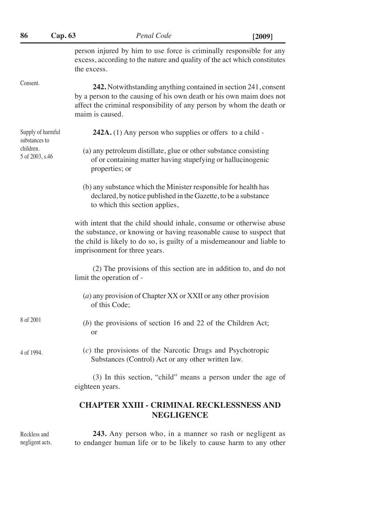| 86                                 | Cap. 63 | Penal Code                                                                                                                                                                                                                                               | [2009] |
|------------------------------------|---------|----------------------------------------------------------------------------------------------------------------------------------------------------------------------------------------------------------------------------------------------------------|--------|
|                                    |         | person injured by him to use force is criminally responsible for any<br>excess, according to the nature and quality of the act which constitutes<br>the excess.                                                                                          |        |
| Consent.                           |         | 242. Notwithstanding anything contained in section 241, consent<br>by a person to the causing of his own death or his own maim does not<br>affect the criminal responsibility of any person by whom the death or<br>maim is caused.                      |        |
| Supply of harmful<br>substances to |         | <b>242A.</b> (1) Any person who supplies or offers to a child -                                                                                                                                                                                          |        |
| children.<br>5 of 2003, s.46       |         | (a) any petroleum distillate, glue or other substance consisting<br>of or containing matter having stupefying or hallucinogenic<br>properties; or                                                                                                        |        |
|                                    |         | (b) any substance which the Minister responsible for health has<br>declared, by notice published in the Gazette, to be a substance<br>to which this section applies,                                                                                     |        |
|                                    |         | with intent that the child should inhale, consume or otherwise abuse<br>the substance, or knowing or having reasonable cause to suspect that<br>the child is likely to do so, is guilty of a misdemeanour and liable to<br>imprisonment for three years. |        |
|                                    |         | (2) The provisions of this section are in addition to, and do not<br>limit the operation of -                                                                                                                                                            |        |
|                                    |         | $(a)$ any provision of Chapter XX or XXII or any other provision<br>of this Code;                                                                                                                                                                        |        |
| 8 of 2001                          |         | $(b)$ the provisions of section 16 and 22 of the Children Act;<br>or                                                                                                                                                                                     |        |
| 4 of 1994.                         |         | $(c)$ the provisions of the Narcotic Drugs and Psychotropic<br>Substances (Control) Act or any other written law.                                                                                                                                        |        |
|                                    |         | (3) In this section, "child" means a person under the age of<br>eighteen years.                                                                                                                                                                          |        |
|                                    |         | <b>CHAPTER XXIII - CRIMINAL RECKLESSNESS AND</b><br><b>NEGLIGENCE</b>                                                                                                                                                                                    |        |
| Reckless and<br>negligent acts.    |         | 243. Any person who, in a manner so rash or negligent as<br>to endanger human life or to be likely to cause harm to any other                                                                                                                            |        |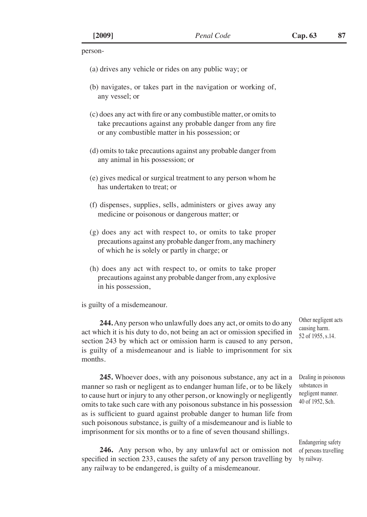person-

- (a) drives any vehicle or rides on any public way; or
- (b) navigates, or takes part in the navigation or working of, any vessel; or
- (c) does any act with fire or any combustible matter, or omits to take precautions against any probable danger from any fire or any combustible matter in his possession; or
- (d) omits to take precautions against any probable danger from any animal in his possession; or
- (e) gives medical or surgical treatment to any person whom he has undertaken to treat; or
- (f) dispenses, supplies, sells, administers or gives away any medicine or poisonous or dangerous matter; or
- (g) does any act with respect to, or omits to take proper precautions against any probable danger from, any machinery of which he is solely or partly in charge; or
- (h) does any act with respect to, or omits to take proper precautions against any probable danger from, any explosive in his possession,

is guilty of a misdemeanour.

**244.** Any person who unlawfully does any act, or omits to do any act which it is his duty to do, not being an act or omission specified in section 243 by which act or omission harm is caused to any person, is guilty of a misdemeanour and is liable to imprisonment for six months.

**245.** Whoever does, with any poisonous substance, any act in a manner so rash or negligent as to endanger human life, or to be likely to cause hurt or injury to any other person, or knowingly or negligently omits to take such care with any poisonous substance in his possession as is sufficient to guard against probable danger to human life from such poisonous substance, is guilty of a misdemeanour and is liable to imprisonment for six months or to a fine of seven thousand shillings.

**246.** Any person who, by any unlawful act or omission not specified in section 233, causes the safety of any person travelling by any railway to be endangered, is guilty of a misdemeanour.

Other negligent acts causing harm. 52 of 1955, s.14.

Dealing in poisonous substances in negligent manner. 40 of 1952, Sch.

Endangering safety of persons travelling by railway.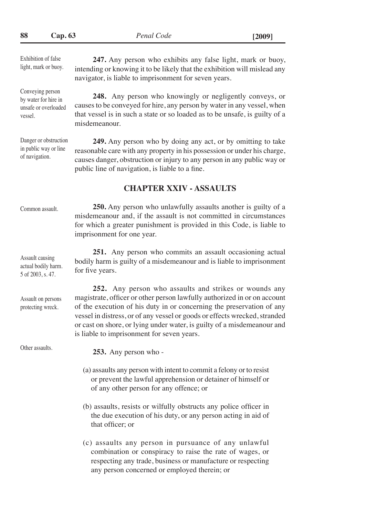**247.** Any person who exhibits any false light, mark or buoy, intending or knowing it to be likely that the exhibition will mislead any navigator, is liable to imprisonment for seven years.

**248.** Any person who knowingly or negligently conveys, or causes to be conveyed for hire, any person by water in any vessel, when that vessel is in such a state or so loaded as to be unsafe, is guilty of a misdemeanour.

**249.** Any person who by doing any act, or by omitting to take reasonable care with any property in his possession or under his charge, causes danger, obstruction or injury to any person in any public way or public line of navigation, is liable to a fine.

## **Chapter XXIV - Assaults**

**250.** Any person who unlawfully assaults another is guilty of a misdemeanour and, if the assault is not committed in circumstances for which a greater punishment is provided in this Code, is liable to imprisonment for one year. Common assault.

**251.** Any person who commits an assault occasioning actual bodily harm is guilty of a misdemeanour and is liable to imprisonment for five years. Assault causing actual bodily harm. 5 of 2003, s. 47.

> **252.** Any person who assaults and strikes or wounds any magistrate, officer or other person lawfully authorized in or on account of the execution of his duty in or concerning the preservation of any vessel in distress, or of any vessel or goods or effects wrecked, stranded or cast on shore, or lying under water, is guilty of a misdemeanour and is liable to imprisonment for seven years.

Other assaults.

Assault on persons protecting wreck.

**253.** Any person who -

- (a) assaults any person with intent to commit a felony or to resist or prevent the lawful apprehension or detainer of himself or of any other person for any offence; or
- (b) assaults, resists or wilfully obstructs any police officer in the due execution of his duty, or any person acting in aid of that officer; or
- (c) assaults any person in pursuance of any unlawful combination or conspiracy to raise the rate of wages, or respecting any trade, business or manufacture or respecting any person concerned or employed therein; or

Exhibition of false light, mark or buoy.

Conveying person by water for hire in unsafe or overloaded vessel.

Danger or obstruction in public way or line of navigation.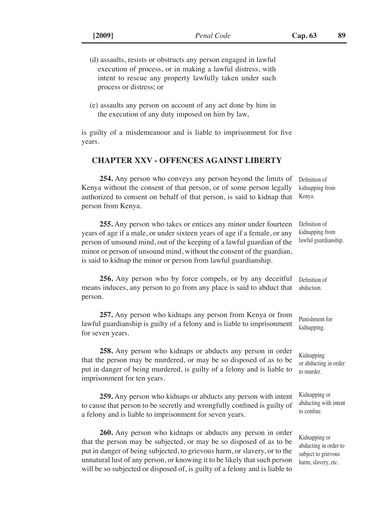- **[2009]** *Penal Code* **Cap. 63 89**
- (d) assaults, resists or obstructs any person engaged in lawful execution of process, or in making a lawful distress, with intent to rescue any property lawfully taken under such process or distress; or
- (e) assaults any person on account of any act done by him in the execution of any duty imposed on him by law,

is guilty of a misdemeanour and is liable to imprisonment for five years.

#### **Chapter XXV - Offences Against Liberty**

**254.** Any person who conveys any person beyond the limits of Kenya without the consent of that person, or of some person legally authorized to consent on behalf of that person, is said to kidnap that person from Kenya. Definition of Kenya.

**255.** Any person who takes or entices any minor under fourteen years of age if a male, or under sixteen years of age if a female, or any person of unsound mind, out of the keeping of a lawful guardian of the minor or person of unsound mind, without the consent of the guardian, is said to kidnap the minor or person from lawful guardianship.

**256.** Any person who by force compels, or by any deceitful means induces, any person to go from any place is said to abduct that person.

**257.** Any person who kidnaps any person from Kenya or from lawful guardianship is guilty of a felony and is liable to imprisonment for seven years.

**258.** Any person who kidnaps or abducts any person in order that the person may be murdered, or may be so disposed of as to be put in danger of being murdered, is guilty of a felony and is liable to imprisonment for ten years.

**259.** Any person who kidnaps or abducts any person with intent to cause that person to be secretly and wrongfully confined is guilty of a felony and is liable to imprisonment for seven years.

**260.** Any person who kidnaps or abducts any person in order that the person may be subjected, or may be so disposed of as to be put in danger of being subjected, to grievous harm, or slavery, or to the unnatural lust of any person, or knowing it to be likely that such person will be so subjected or disposed of, is guilty of a felony and is liable to

kidnapping from

Definition of kidnapping from lawful guardianship.

Definition of abduction.

Punishment for kidnapping.

Kidnapping or abducting in order to murder.

Kidnapping or abducting with intent to confine.

Kidnapping or abducting in order to subject to grievous harm, slavery, etc.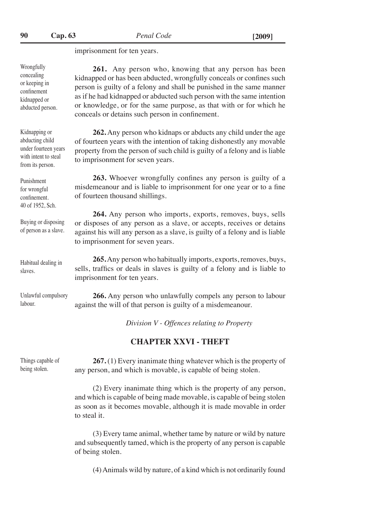**90 Cap. 63** *Penal Code* **[2009]**

imprisonment for ten years.

**261.** Any person who, knowing that any person has been kidnapped or has been abducted, wrongfully conceals or confines such person is guilty of a felony and shall be punished in the same manner as if he had kidnapped or abducted such person with the same intention or knowledge, or for the same purpose, as that with or for which he conceals or detains such person in confinement. **262.** Any person who kidnaps or abducts any child under the age of fourteen years with the intention of taking dishonestly any movable property from the person of such child is guilty of a felony and is liable to imprisonment for seven years. **263.** Whoever wrongfully confines any person is guilty of a misdemeanour and is liable to imprisonment for one year or to a fine of fourteen thousand shillings. **264.** Any person who imports, exports, removes, buys, sells or disposes of any person as a slave, or accepts, receives or detains against his will any person as a slave, is guilty of a felony and is liable to imprisonment for seven years. **265.** Any person who habitually imports, exports, removes, buys, sells, traffics or deals in slaves is guilty of a felony and is liable to imprisonment for ten years. **266.** Any person who unlawfully compels any person to labour against the will of that person is guilty of a misdemeanour. *Division V - Offences relating to Property*  Wrongfully concealing or keeping in confinement kidnapped or abducted person. Kidnapping or abducting child under fourteen years with intent to steal from its person. Punishment for wrongful confinement. 40 of 1952, Sch. Buying or disposing of person as a slave. Habitual dealing in slaves. Unlawful compulsory labour.

## **Chapter XXVI - Theft**

Things capable of being stolen.

**267.** (1) Every inanimate thing whatever which is the property of any person, and which is movable, is capable of being stolen.

(2) Every inanimate thing which is the property of any person, and which is capable of being made movable, is capable of being stolen as soon as it becomes movable, although it is made movable in order to steal it.

(3) Every tame animal, whether tame by nature or wild by nature and subsequently tamed, which is the property of any person is capable of being stolen.

(4) Animals wild by nature, of a kind which is not ordinarily found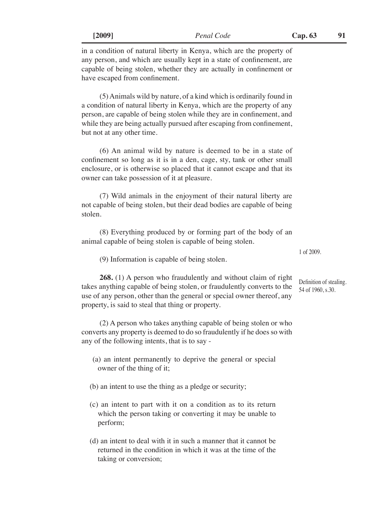in a condition of natural liberty in Kenya, which are the property of any person, and which are usually kept in a state of confinement, are capable of being stolen, whether they are actually in confinement or have escaped from confinement.

(5) Animals wild by nature, of a kind which is ordinarily found in a condition of natural liberty in Kenya, which are the property of any person, are capable of being stolen while they are in confinement, and while they are being actually pursued after escaping from confinement, but not at any other time.

(6) An animal wild by nature is deemed to be in a state of confinement so long as it is in a den, cage, sty, tank or other small enclosure, or is otherwise so placed that it cannot escape and that its owner can take possession of it at pleasure.

(7) Wild animals in the enjoyment of their natural liberty are not capable of being stolen, but their dead bodies are capable of being stolen.

(8) Everything produced by or forming part of the body of an animal capable of being stolen is capable of being stolen.

(9) Information is capable of being stolen.

**268.** (1) A person who fraudulently and without claim of right takes anything capable of being stolen, or fraudulently converts to the use of any person, other than the general or special owner thereof, any property, is said to steal that thing or property.

(2) A person who takes anything capable of being stolen or who converts any property is deemed to do so fraudulently if he does so with any of the following intents, that is to say -

- (a) an intent permanently to deprive the general or special owner of the thing of it;
- (b) an intent to use the thing as a pledge or security;
- (c) an intent to part with it on a condition as to its return which the person taking or converting it may be unable to perform;
- (d) an intent to deal with it in such a manner that it cannot be returned in the condition in which it was at the time of the taking or conversion;

**[2009]** *Penal Code* **Cap. 63 91**

1 of 2009.

Definition of stealing. 54 of 1960, s.30.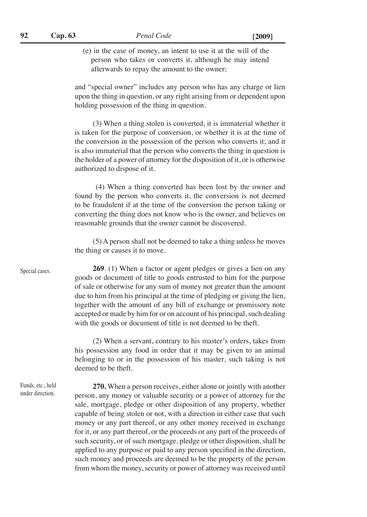(e) in the case of money, an intent to use it at the will of the person who takes or converts it, although he may intend afterwards to repay the amount to the owner;

and "special owner" includes any person who has any charge or lien upon the thing in question, or any right arising from or dependent upon holding possession of the thing in question.

(3) When a thing stolen is converted, it is immaterial whether it is taken for the purpose of conversion, or whether it is at the time of the conversion in the possession of the person who converts it; and it is also immaterial that the person who converts the thing in question is the holder of a power of attorney for the disposition of it, or is otherwise authorized to dispose of it.

 (4) When a thing converted has been lost by the owner and found by the person who converts it, the conversion is not deemed to be fraudulent if at the time of the conversion the person taking or converting the thing does not know who is the owner, and believes on reasonable grounds that the owner cannot be discovered.

(5) A person shall not be deemed to take a thing unless he moves the thing or causes it to move.

**269**. (1) When a factor or agent pledges or gives a lien on any goods or document of title to goods entrusted to him for the purpose of sale or otherwise for any sum of money not greater than the amount due to him from his principal at the time of pledging or giving the lien, together with the amount of any bill of exchange or promissory note accepted or made by him for or on account of his principal, such dealing with the goods or document of title is not deemed to be theft.

(2) When a servant, contrary to his master's orders, takes from his possession any food in order that it may be given to an animal belonging to or in the possession of his master, such taking is not deemed to be theft.

**270.** When a person receives, either alone or jointly with another person, any money or valuable security or a power of attorney for the sale, mortgage, pledge or other disposition of any property, whether capable of being stolen or not, with a direction in either case that such money or any part thereof, or any other money received in exchange for it, or any part thereof, or the proceeds or any part of the proceeds of such security, or of such mortgage, pledge or other disposition, shall be applied to any purpose or paid to any person specified in the direction, such money and proceeds are deemed to be the property of the person from whom the money, security or power of attorney was received until

Special cases.

Funds, etc., held under direction.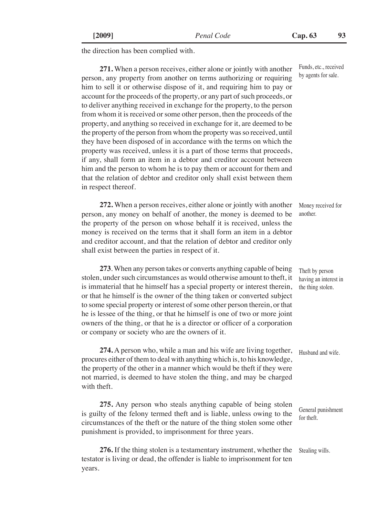the direction has been complied with.

**271.** When a person receives, either alone or jointly with another person, any property from another on terms authorizing or requiring him to sell it or otherwise dispose of it, and requiring him to pay or account for the proceeds of the property, or any part of such proceeds, or to deliver anything received in exchange for the property, to the person from whom it is received or some other person, then the proceeds of the property, and anything so received in exchange for it, are deemed to be the property of the person from whom the property was so received, until they have been disposed of in accordance with the terms on which the property was received, unless it is a part of those terms that proceeds, if any, shall form an item in a debtor and creditor account between him and the person to whom he is to pay them or account for them and that the relation of debtor and creditor only shall exist between them in respect thereof.

**272.** When a person receives, either alone or jointly with another person, any money on behalf of another, the money is deemed to be the property of the person on whose behalf it is received, unless the money is received on the terms that it shall form an item in a debtor and creditor account, and that the relation of debtor and creditor only shall exist between the parties in respect of it.

**273**. When any person takes or converts anything capable of being stolen, under such circumstances as would otherwise amount to theft, it is immaterial that he himself has a special property or interest therein, or that he himself is the owner of the thing taken or converted subject to some special property or interest of some other person therein, or that he is lessee of the thing, or that he himself is one of two or more joint owners of the thing, or that he is a director or officer of a corporation or company or society who are the owners of it.

**274.** A person who, while a man and his wife are living together, procures either of them to deal with anything which is, to his knowledge, the property of the other in a manner which would be theft if they were not married, is deemed to have stolen the thing, and may be charged with theft.

**275.** Any person who steals anything capable of being stolen is guilty of the felony termed theft and is liable, unless owing to the circumstances of the theft or the nature of the thing stolen some other punishment is provided, to imprisonment for three years.

**276.** If the thing stolen is a testamentary instrument, whether the testator is living or dead, the offender is liable to imprisonment for ten years.

Funds, etc., received by agents for sale.

Money received for another.

Theft by person having an interest in the thing stolen.

Husband and wife.

General punishment for theft.

Stealing wills.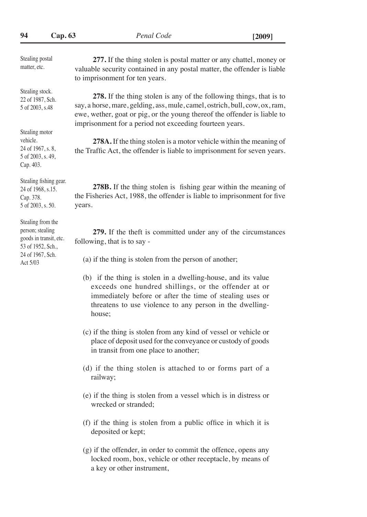| Stealing postal<br>matter, etc.                                                                                      | 277. If the thing stolen is postal matter or any chattel, money or<br>valuable security contained in any postal matter, the offender is liable<br>to imprisonment for ten years.                                                                                                          |
|----------------------------------------------------------------------------------------------------------------------|-------------------------------------------------------------------------------------------------------------------------------------------------------------------------------------------------------------------------------------------------------------------------------------------|
| Stealing stock.<br>22 of 1987, Sch.<br>5 of 2003, s.48                                                               | 278. If the thing stolen is any of the following things, that is to<br>say, a horse, mare, gelding, ass, mule, camel, ostrich, bull, cow, ox, ram,<br>ewe, wether, goat or pig, or the young thereof the offender is liable to<br>imprisonment for a period not exceeding fourteen years. |
| Stealing motor<br>vehicle.<br>24 of 1967, s. 8,<br>5 of 2003, s. 49,<br>Cap. 403.                                    | 278A. If the thing stolen is a motor vehicle within the meaning of<br>the Traffic Act, the offender is liable to imprisonment for seven years.                                                                                                                                            |
| Stealing fishing gear.<br>24 of 1968, s.15.<br>Cap. 378.<br>5 of 2003, s. 50.                                        | 278B. If the thing stolen is fishing gear within the meaning of<br>the Fisheries Act, 1988, the offender is liable to imprisonment for five<br>years.                                                                                                                                     |
| Stealing from the<br>person; stealing<br>goods in transit, etc.<br>53 of 1952, Sch.,<br>24 of 1967, Sch.<br>Act 5/03 | 279. If the theft is committed under any of the circumstances<br>following, that is to say -<br>(a) if the thing is stolen from the person of another;                                                                                                                                    |
|                                                                                                                      | (b) if the thing is stolen in a dwelling-house, and its value<br>exceeds one hundred shillings, or the offender at or<br>immediately before or after the time of stealing uses or<br>threatens to use violence to any person in the dwelling-<br>house;                                   |
|                                                                                                                      | (c) if the thing is stolen from any kind of vessel or vehicle or<br>place of deposit used for the conveyance or custody of goods<br>in transit from one place to another;                                                                                                                 |
|                                                                                                                      | (d) if the thing stolen is attached to or forms part of a<br>railway;                                                                                                                                                                                                                     |
|                                                                                                                      | (e) if the thing is stolen from a vessel which is in distress or<br>wrecked or stranded;                                                                                                                                                                                                  |

- (f) if the thing is stolen from a public office in which it is deposited or kept;
- (g) if the offender, in order to commit the offence, opens any locked room, box, vehicle or other receptacle, by means of a key or other instrument,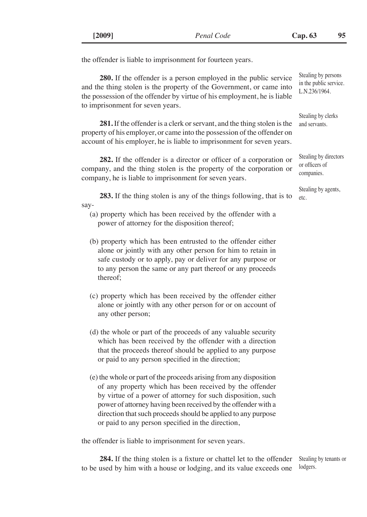the offender is liable to imprisonment for fourteen years.

**280.** If the offender is a person employed in the public service and the thing stolen is the property of the Government, or came into the possession of the offender by virtue of his employment, he is liable to imprisonment for seven years.

**281.** If the offender is a clerk or servant, and the thing stolen is the property of his employer, or came into the possession of the offender on account of his employer, he is liable to imprisonment for seven years.

**282.** If the offender is a director or officer of a corporation or company, and the thing stolen is the property of the corporation or company, he is liable to imprisonment for seven years.

**283.** If the thing stolen is any of the things following, that is to say-

- (a) property which has been received by the offender with a power of attorney for the disposition thereof;
- (b) property which has been entrusted to the offender either alone or jointly with any other person for him to retain in safe custody or to apply, pay or deliver for any purpose or to any person the same or any part thereof or any proceeds thereof;
- (c) property which has been received by the offender either alone or jointly with any other person for or on account of any other person;
- (d) the whole or part of the proceeds of any valuable security which has been received by the offender with a direction that the proceeds thereof should be applied to any purpose or paid to any person specified in the direction;
- (e) the whole or part of the proceeds arising from any disposition of any property which has been received by the offender by virtue of a power of attorney for such disposition, such power of attorney having been received by the offender with a direction that such proceeds should be applied to any purpose or paid to any person specified in the direction,

the offender is liable to imprisonment for seven years.

**284.** If the thing stolen is a fixture or chattel let to the offender to be used by him with a house or lodging, and its value exceeds one Stealing by tenants or lodgers.

Stealing by persons in the public service. L.N.236/1964.

Stealing by clerks and servants.

Stealing by directors or officers of companies.

Stealing by agents, etc.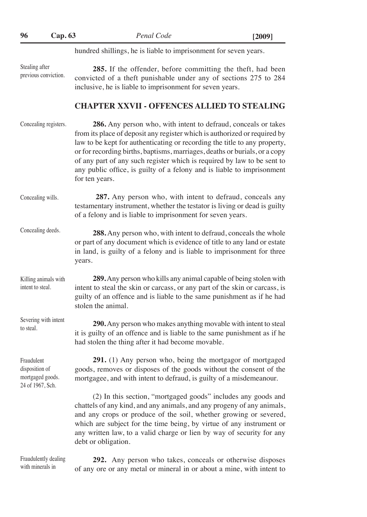hundred shillings, he is liable to imprisonment for seven years.

Stealing after previous conviction.

Severing with intent

to steal.

Fraudulent disposition of

24 of 1967, Sch.

**285.** If the offender, before committing the theft, had been convicted of a theft punishable under any of sections 275 to 284 inclusive, he is liable to imprisonment for seven years.

### **CHAPTER XXVII - OFFENCES ALLIED TO STEALING**

- **286.** Any person who, with intent to defraud, conceals or takes from its place of deposit any register which is authorized or required by law to be kept for authenticating or recording the title to any property, or for recording births, baptisms, marriages, deaths or burials, or a copy of any part of any such register which is required by law to be sent to any public office, is guilty of a felony and is liable to imprisonment for ten years. Concealing registers.
- **287.** Any person who, with intent to defraud, conceals any testamentary instrument, whether the testator is living or dead is guilty of a felony and is liable to imprisonment for seven years. Concealing wills.
- **288.** Any person who, with intent to defraud, conceals the whole or part of any document which is evidence of title to any land or estate in land, is guilty of a felony and is liable to imprisonment for three years. Concealing deeds.
- **289.** Any person who kills any animal capable of being stolen with intent to steal the skin or carcass, or any part of the skin or carcass, is guilty of an offence and is liable to the same punishment as if he had stolen the animal. Killing animals with intent to steal.

**290.** Any person who makes anything movable with intent to steal it is guilty of an offence and is liable to the same punishment as if he had stolen the thing after it had become movable.

**291.** (1) Any person who, being the mortgagor of mortgaged goods, removes or disposes of the goods without the consent of the mortgagee, and with intent to defraud, is guilty of a misdemeanour. mortgaged goods.

> (2) In this section, "mortgaged goods" includes any goods and chattels of any kind, and any animals, and any progeny of any animals, and any crops or produce of the soil, whether growing or severed, which are subject for the time being, by virtue of any instrument or any written law, to a valid charge or lien by way of security for any debt or obligation.

**292.** Any person who takes, conceals or otherwise disposes of any ore or any metal or mineral in or about a mine, with intent to Fraudulently dealing with minerals in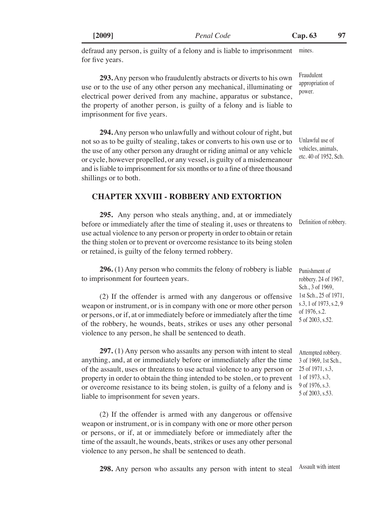defraud any person, is guilty of a felony and is liable to imprisonment for five years. mines.

**293.** Any person who fraudulently abstracts or diverts to his own use or to the use of any other person any mechanical, illuminating or electrical power derived from any machine, apparatus or substance, the property of another person, is guilty of a felony and is liable to imprisonment for five years.

**294.** Any person who unlawfully and without colour of right, but not so as to be guilty of stealing, takes or converts to his own use or to the use of any other person any draught or riding animal or any vehicle or cycle, however propelled, or any vessel, is guilty of a misdemeanour and is liable to imprisonment for six months or to a fine of three thousand shillings or to both.

Fraudulent appropriation of power.

Unlawful use of vehicles, animals, etc. 40 of 1952, Sch.

#### **Chapter XXVIII - Robbery and Extortion**

**295.** Any person who steals anything, and, at or immediately before or immediately after the time of stealing it, uses or threatens to use actual violence to any person or property in order to obtain or retain the thing stolen or to prevent or overcome resistance to its being stolen or retained, is guilty of the felony termed robbery. Definition of robbery.

**296.** (1) Any person who commits the felony of robbery is liable to imprisonment for fourteen years.

(2) If the offender is armed with any dangerous or offensive weapon or instrument, or is in company with one or more other person or persons, or if, at or immediately before or immediately after the time of the robbery, he wounds, beats, strikes or uses any other personal violence to any person, he shall be sentenced to death.

**297.** (1) Any person who assaults any person with intent to steal anything, and, at or immediately before or immediately after the time of the assault, uses or threatens to use actual violence to any person or property in order to obtain the thing intended to be stolen, or to prevent or overcome resistance to its being stolen, is guilty of a felony and is liable to imprisonment for seven years.

(2) If the offender is armed with any dangerous or offensive weapon or instrument, or is in company with one or more other person or persons, or if, at or immediately before or immediately after the time of the assault, he wounds, beats, strikes or uses any other personal violence to any person, he shall be sentenced to death.

**298.** Any person who assaults any person with intent to steal Assault with intent

Punishment of robbery. 24 of 1967, Sch., 3 of 1969, 1st Sch., 25 of 1971, s.3, 1 of 1973, s.2, 9 of 1976, s.2. 5 of 2003, s.52.

Attempted robbery. 3 of 1969, 1st Sch., 25 of 1971, s.3, 1 of 1973, s.3, 9 of 1976, s.3. 5 of 2003, s.53.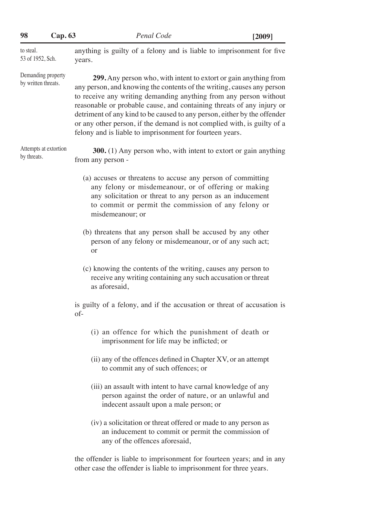| 98                            | Cap. 63               | Penal Code                                                                                                                                                                                                                                                                                                                                                                                                                                                                                                  | [2009] |
|-------------------------------|-----------------------|-------------------------------------------------------------------------------------------------------------------------------------------------------------------------------------------------------------------------------------------------------------------------------------------------------------------------------------------------------------------------------------------------------------------------------------------------------------------------------------------------------------|--------|
| to steal.<br>53 of 1952, Sch. |                       | anything is guilty of a felony and is liable to imprisonment for five<br>years.                                                                                                                                                                                                                                                                                                                                                                                                                             |        |
| by written threats.           | Demanding property    | 299. Any person who, with intent to extort or gain anything from<br>any person, and knowing the contents of the writing, causes any person<br>to receive any writing demanding anything from any person without<br>reasonable or probable cause, and containing threats of any injury or<br>detriment of any kind to be caused to any person, either by the offender<br>or any other person, if the demand is not complied with, is guilty of a<br>felony and is liable to imprisonment for fourteen years. |        |
| by threats.                   | Attempts at extortion | <b>300.</b> (1) Any person who, with intent to extort or gain anything<br>from any person -                                                                                                                                                                                                                                                                                                                                                                                                                 |        |
|                               |                       | (a) accuses or threatens to accuse any person of committing<br>any felony or misdemeanour, or of offering or making<br>any solicitation or threat to any person as an inducement<br>to commit or permit the commission of any felony or<br>misdemeanour; or                                                                                                                                                                                                                                                 |        |
|                               |                       | (b) threatens that any person shall be accused by any other<br>person of any felony or misdemeanour, or of any such act;<br>or                                                                                                                                                                                                                                                                                                                                                                              |        |
|                               |                       | (c) knowing the contents of the writing, causes any person to<br>receive any writing containing any such accusation or threat<br>as aforesaid,                                                                                                                                                                                                                                                                                                                                                              |        |
|                               |                       | is guilty of a felony, and if the accusation or threat of accusation is<br>of-                                                                                                                                                                                                                                                                                                                                                                                                                              |        |
|                               |                       | (i) an offence for which the punishment of death or<br>imprisonment for life may be inflicted; or                                                                                                                                                                                                                                                                                                                                                                                                           |        |
|                               |                       | (ii) any of the offences defined in Chapter XV, or an attempt<br>to commit any of such offences: or                                                                                                                                                                                                                                                                                                                                                                                                         |        |
|                               |                       | (iii) an assault with intent to have carnal knowledge of any<br>person against the order of nature, or an unlawful and<br>indecent assault upon a male person; or                                                                                                                                                                                                                                                                                                                                           |        |
|                               |                       | (iv) a solicitation or threat offered or made to any person as<br>an inducement to commit or permit the commission of<br>any of the offences aforesaid,                                                                                                                                                                                                                                                                                                                                                     |        |
|                               |                       | the offender is lighte to imprisonment for fourteen year                                                                                                                                                                                                                                                                                                                                                                                                                                                    |        |

the offender is liable to imprisonment for fourteen years; and in any other case the offender is liable to imprisonment for three years.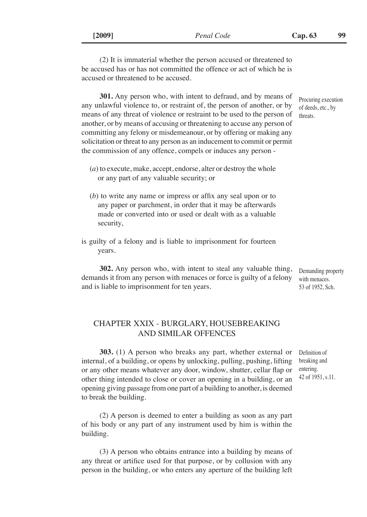(2) It is immaterial whether the person accused or threatened to be accused has or has not committed the offence or act of which he is accused or threatened to be accused.

**301.** Any person who, with intent to defraud, and by means of any unlawful violence to, or restraint of, the person of another, or by means of any threat of violence or restraint to be used to the person of another, or by means of accusing or threatening to accuse any person of committing any felony or misdemeanour, or by offering or making any solicitation or threat to any person as an inducement to commit or permit the commission of any offence, compels or induces any person -

- (*b*) to write any name or impress or affix any seal upon or to any paper or parchment, in order that it may be afterwards made or converted into or used or dealt with as a valuable security,
- is guilty of a felony and is liable to imprisonment for fourteen years.

**302.** Any person who, with intent to steal any valuable thing, demands it from any person with menaces or force is guilty of a felony and is liable to imprisonment for ten years. Demanding property with menaces. 53 of 1952, Sch.

#### Chapter XXIX - burglary, Housebreaking And Similar Offences

**303.** (1) A person who breaks any part, whether external or internal, of a building, or opens by unlocking, pulling, pushing, lifting or any other means whatever any door, window, shutter, cellar flap or other thing intended to close or cover an opening in a building, or an opening giving passage from one part of a building to another, is deemed to break the building.

(2) A person is deemed to enter a building as soon as any part of his body or any part of any instrument used by him is within the building.

(3) A person who obtains entrance into a building by means of any threat or artifice used for that purpose, or by collusion with any person in the building, or who enters any aperture of the building left

Definition of breaking and entering. 42 of 1951, s.11.

Procuring execution of deeds, etc., by threats.

<sup>(</sup>*a*) to execute, make, accept, endorse, alter or destroy the whole or any part of any valuable security; or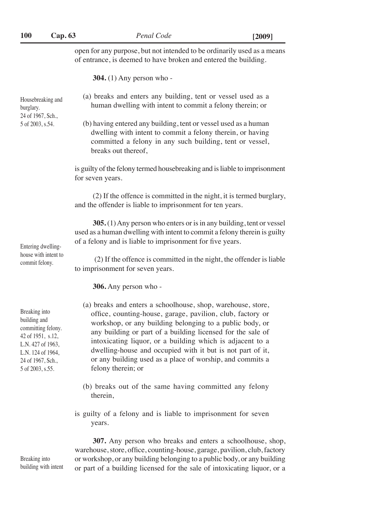open for any purpose, but not intended to be ordinarily used as a means of entrance, is deemed to have broken and entered the building.

**304.** (1) Any person who -

Housebreaking and burglary. 24 of 1967, Sch., 5 of 2003, s.54.

(a) breaks and enters any building, tent or vessel used as a human dwelling with intent to commit a felony therein; or

(b) having entered any building, tent or vessel used as a human dwelling with intent to commit a felony therein, or having committed a felony in any such building, tent or vessel, breaks out thereof,

is guilty of the felony termed housebreaking and is liable to imprisonment for seven years.

(2) If the offence is committed in the night, it is termed burglary, and the offender is liable to imprisonment for ten years.

**305.** (1) Any person who enters or is in any building, tent or vessel used as a human dwelling with intent to commit a felony therein is guilty of a felony and is liable to imprisonment for five years.

Entering dwellinghouse with intent to commit felony.

Breaking into building and committing felony. 42 of 1951, s.12, L.N. 427 of 1963, L.N. 124 of 1964, 24 of 1967, Sch., 5 of 2003, s.55.

 (2) If the offence is committed in the night, the offender is liable to imprisonment for seven years.

**306.** Any person who -

(a) breaks and enters a schoolhouse, shop, warehouse, store, office, counting-house, garage, pavilion, club, factory or workshop, or any building belonging to a public body, or any building or part of a building licensed for the sale of intoxicating liquor, or a building which is adjacent to a dwelling-house and occupied with it but is not part of it, or any building used as a place of worship, and commits a felony therein; or

- (b) breaks out of the same having committed any felony therein,
- is guilty of a felony and is liable to imprisonment for seven years.

**307.** Any person who breaks and enters a schoolhouse, shop, warehouse, store, office, counting-house, garage, pavilion, club, factory or workshop, or any building belonging to a public body, or any building or part of a building licensed for the sale of intoxicating liquor, or a

Breaking into building with intent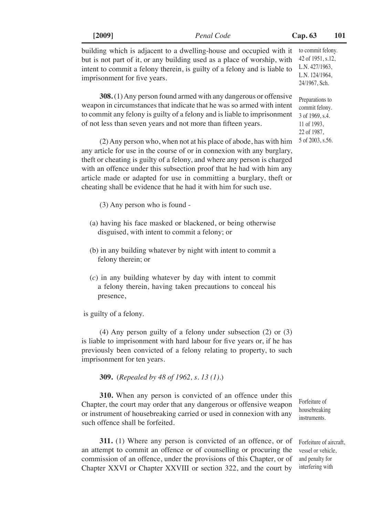|--|

building which is adjacent to a dwelling-house and occupied with it but is not part of it, or any building used as a place of worship, with intent to commit a felony therein, is guilty of a felony and is liable to imprisonment for five years. to commit felony. 42 of 1951, s.12, L.N. 427/1963, L.N. 124/1964, 24/1967, Sch.

**308.** (1) Any person found armed with any dangerous or offensive weapon in circumstances that indicate that he was so armed with intent to commit any felony is guilty of a felony and is liable to imprisonment of not less than seven years and not more than fifteen years.

(2) Any person who, when not at his place of abode, has with him any article for use in the course of or in connexion with any burglary, theft or cheating is guilty of a felony, and where any person is charged with an offence under this subsection proof that he had with him any article made or adapted for use in committing a burglary, theft or cheating shall be evidence that he had it with him for such use.

(3) Any person who is found -

- (a) having his face masked or blackened, or being otherwise disguised, with intent to commit a felony; or
- (b) in any building whatever by night with intent to commit a felony therein; or
- (*c*) in any building whatever by day with intent to commit a felony therein, having taken precautions to conceal his presence,

is guilty of a felony.

(4) Any person guilty of a felony under subsection (2) or (3) is liable to imprisonment with hard labour for five years or, if he has previously been convicted of a felony relating to property, to such imprisonment for ten years.

**309.** (*Repealed by 48 of 1962, s. 13 (1)*.)

**310.** When any person is convicted of an offence under this Chapter, the court may order that any dangerous or offensive weapon or instrument of housebreaking carried or used in connexion with any such offence shall be forfeited.

Forfeiture of housebreaking instruments.

**311.** (1) Where any person is convicted of an offence, or of an attempt to commit an offence or of counselling or procuring the commission of an offence, under the provisions of this Chapter, or of Chapter XXVI or Chapter XXVIII or section 322, and the court by

Forfeiture of aircraft, vessel or vehicle, and penalty for interfering with

Preparations to commit felony. 3 of 1969, s.4. 11 of 1993, 22 of 1987, 5 of 2003, s.56.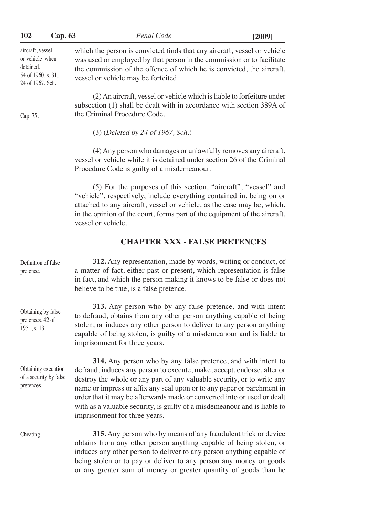| 102                                                                                        | Cap. 63 | Penal Code                                                                                                                                                                                                                                                                                                                                                                                                                                                                             | [2009] |
|--------------------------------------------------------------------------------------------|---------|----------------------------------------------------------------------------------------------------------------------------------------------------------------------------------------------------------------------------------------------------------------------------------------------------------------------------------------------------------------------------------------------------------------------------------------------------------------------------------------|--------|
| aircraft, vessel<br>or vehicle when<br>detained.<br>54 of 1960, s. 31,<br>24 of 1967, Sch. |         | which the person is convicted finds that any aircraft, vessel or vehicle<br>was used or employed by that person in the commission or to facilitate<br>the commission of the offence of which he is convicted, the aircraft,<br>vessel or vehicle may be forfeited.                                                                                                                                                                                                                     |        |
| Cap. 75.                                                                                   |         | (2) An aircraft, vessel or vehicle which is liable to forfeiture under<br>subsection (1) shall be dealt with in accordance with section 389A of<br>the Criminal Procedure Code.                                                                                                                                                                                                                                                                                                        |        |
|                                                                                            |         | (3) (Deleted by 24 of 1967, Sch.)                                                                                                                                                                                                                                                                                                                                                                                                                                                      |        |
|                                                                                            |         | (4) Any person who damages or unlawfully removes any aircraft,<br>vessel or vehicle while it is detained under section 26 of the Criminal<br>Procedure Code is guilty of a misdemeanour.                                                                                                                                                                                                                                                                                               |        |
|                                                                                            |         | (5) For the purposes of this section, "aircraft", "vessel" and<br>"vehicle", respectively, include everything contained in, being on or<br>attached to any aircraft, vessel or vehicle, as the case may be, which,<br>in the opinion of the court, forms part of the equipment of the aircraft,<br>vessel or vehicle.                                                                                                                                                                  |        |
|                                                                                            |         | <b>CHAPTER XXX - FALSE PRETENCES</b>                                                                                                                                                                                                                                                                                                                                                                                                                                                   |        |
| Definition of false<br>pretence.                                                           |         | 312. Any representation, made by words, writing or conduct, of<br>a matter of fact, either past or present, which representation is false<br>in fact, and which the person making it knows to be false or does not<br>believe to be true, is a false pretence.                                                                                                                                                                                                                         |        |
| Obtaining by false<br>pretences. 42 of<br>1951, s. 13.                                     |         | 313. Any person who by any false pretence, and with intent<br>to defraud, obtains from any other person anything capable of being<br>stolen, or induces any other person to deliver to any person anything<br>capable of being stolen, is guilty of a misdemeanour and is liable to<br>imprisonment for three years.                                                                                                                                                                   |        |
| Obtaining execution<br>of a security by false<br>pretences.                                |         | 314. Any person who by any false pretence, and with intent to<br>defraud, induces any person to execute, make, accept, endorse, alter or<br>destroy the whole or any part of any valuable security, or to write any<br>name or impress or affix any seal upon or to any paper or parchment in<br>order that it may be afterwards made or converted into or used or dealt<br>with as a valuable security, is guilty of a misdemeanour and is liable to<br>imprisonment for three years. |        |
| Cheating.                                                                                  |         | 315. Any person who by means of any fraudulent trick or device<br>obtains from any other person anything capable of being stolen, or<br>induces any other person to deliver to any person anything capable of<br>being stolen or to pay or deliver to any person any money or goods                                                                                                                                                                                                    |        |

or any greater sum of money or greater quantity of goods than he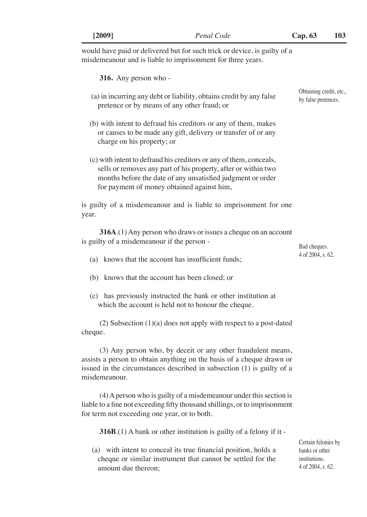| [2009]                                         | Penal Code                                                                                                                                                                                                                                        | Cap. 63                                        | 103 |
|------------------------------------------------|---------------------------------------------------------------------------------------------------------------------------------------------------------------------------------------------------------------------------------------------------|------------------------------------------------|-----|
|                                                | would have paid or delivered but for such trick or device, is guilty of a<br>misdemeanour and is liable to imprisonment for three years.                                                                                                          |                                                |     |
| 316. Any person who -                          |                                                                                                                                                                                                                                                   |                                                |     |
|                                                | (a) in incurring any debt or liability, obtains credit by any false<br>pretence or by means of any other fraud; or                                                                                                                                | Obtaining credit, etc.,<br>by false pretences. |     |
| charge on his property; or                     | (b) with intent to defraud his creditors or any of them, makes<br>or causes to be made any gift, delivery or transfer of or any                                                                                                                   |                                                |     |
|                                                | (c) with intent to defraud his creditors or any of them, conceals,<br>sells or removes any part of his property, after or within two<br>months before the date of any unsatisfied judgment or order<br>for payment of money obtained against him, |                                                |     |
| year.                                          | is guilty of a misdemeanour and is liable to imprisonment for one                                                                                                                                                                                 |                                                |     |
| is guilty of a misdemeanour if the person -    | <b>316A.</b> (1) Any person who draws or issues a cheque on an account                                                                                                                                                                            | Bad cheques.                                   |     |
|                                                | (a) knows that the account has insufficient funds;                                                                                                                                                                                                | 4 of 2004, s. 62.                              |     |
| (b) knows that the account has been closed; or |                                                                                                                                                                                                                                                   |                                                |     |
|                                                | (c) has previously instructed the bank or other institution at<br>which the account is held not to honour the cheque.                                                                                                                             |                                                |     |
| cheque.                                        | $(2)$ Subsection $(1)(a)$ does not apply with respect to a post-dated                                                                                                                                                                             |                                                |     |
| misdemeanour.                                  | (3) Any person who, by deceit or any other fraudulent means,<br>assists a person to obtain anything on the basis of a cheque drawn or<br>issued in the circumstances described in subsection (1) is guilty of a                                   |                                                |     |
| for term not exceeding one year, or to both.   | (4) A person who is guilty of a misdemeanour under this section is<br>liable to a fine not exceeding fifty thousand shillings, or to imprisonment                                                                                                 |                                                |     |
|                                                | 316B.(1) A bank or other institution is guilty of a felony if it -                                                                                                                                                                                |                                                |     |
| (a)                                            | with intent to conceal its true financial position, holds a                                                                                                                                                                                       | Certain felonies by<br>banks or other          |     |

cheque or similar instrument that cannot be settled for the

institutions. 4 of 2004, s. 62.

amount due thereon;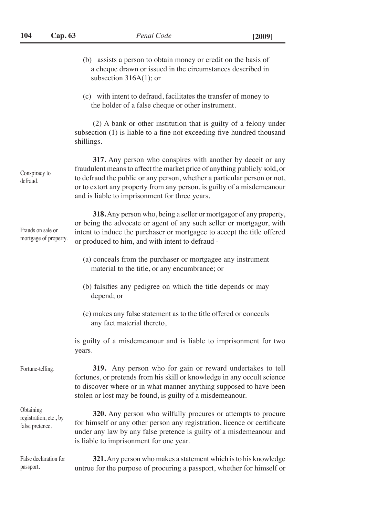|                                                        | (b) assists a person to obtain money or credit on the basis of<br>a cheque drawn or issued in the circumstances described in<br>subsection $316A(1)$ ; or                                                                                                                                                                                        |
|--------------------------------------------------------|--------------------------------------------------------------------------------------------------------------------------------------------------------------------------------------------------------------------------------------------------------------------------------------------------------------------------------------------------|
|                                                        | (c) with intent to defraud, facilitates the transfer of money to<br>the holder of a false cheque or other instrument.                                                                                                                                                                                                                            |
|                                                        | (2) A bank or other institution that is guilty of a felony under<br>subsection $(1)$ is liable to a fine not exceeding five hundred thousand<br>shillings.                                                                                                                                                                                       |
| Conspiracy to<br>defraud.                              | 317. Any person who conspires with another by deceit or any<br>fraudulent means to affect the market price of anything publicly sold, or<br>to defraud the public or any person, whether a particular person or not,<br>or to extort any property from any person, is guilty of a misdemeanour<br>and is liable to imprisonment for three years. |
| Frauds on sale or<br>mortgage of property.             | 318. Any person who, being a seller or mortgagor of any property,<br>or being the advocate or agent of any such seller or mortgagor, with<br>intent to induce the purchaser or mortgagee to accept the title offered<br>or produced to him, and with intent to defraud -                                                                         |
|                                                        | (a) conceals from the purchaser or mortgagee any instrument<br>material to the title, or any encumbrance; or                                                                                                                                                                                                                                     |
|                                                        | (b) falsifies any pedigree on which the title depends or may<br>depend; or                                                                                                                                                                                                                                                                       |
|                                                        | (c) makes any false statement as to the title offered or conceals<br>any fact material thereto,                                                                                                                                                                                                                                                  |
|                                                        | is guilty of a misdemeanour and is liable to imprisonment for two<br>years.                                                                                                                                                                                                                                                                      |
| Fortune-telling.                                       | 319. Any person who for gain or reward undertakes to tell<br>fortunes, or pretends from his skill or knowledge in any occult science<br>to discover where or in what manner anything supposed to have been<br>stolen or lost may be found, is guilty of a misdemeanour.                                                                          |
| Obtaining<br>registration, etc., by<br>false pretence. | 320. Any person who wilfully procures or attempts to procure<br>for himself or any other person any registration, licence or certificate<br>under any law by any false pretence is guilty of a misdemeanour and<br>is liable to imprisonment for one year.                                                                                       |
| False declaration for<br>passport.                     | 321. Any person who makes a statement which is to his knowledge<br>untrue for the purpose of procuring a passport, whether for himself or                                                                                                                                                                                                        |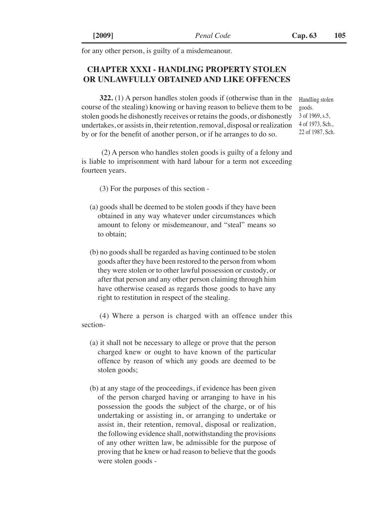for any other person, is guilty of a misdemeanour.

## **Chapter XXXI - Handling Property Stolen or Unlawfully Obtained and Like Offences**

**322.** (1) A person handles stolen goods if (otherwise than in the course of the stealing) knowing or having reason to believe them to be stolen goods he dishonestly receives or retains the goods, or dishonestly undertakes, or assists in, their retention, removal, disposal or realization by or for the benefit of another person, or if he arranges to do so.

 (2) A person who handles stolen goods is guilty of a felony and is liable to imprisonment with hard labour for a term not exceeding fourteen years.

- (3) For the purposes of this section -
- (a) goods shall be deemed to be stolen goods if they have been obtained in any way whatever under circumstances which amount to felony or misdemeanour, and "steal" means so to obtain;
- (b) no goods shall be regarded as having continued to be stolen goods after they have been restored to the person from whom they were stolen or to other lawful possession or custody, or after that person and any other person claiming through him have otherwise ceased as regards those goods to have any right to restitution in respect of the stealing.

(4) Where a person is charged with an offence under this section-

- (a) it shall not be necessary to allege or prove that the person charged knew or ought to have known of the particular offence by reason of which any goods are deemed to be stolen goods;
- (b) at any stage of the proceedings, if evidence has been given of the person charged having or arranging to have in his possession the goods the subject of the charge, or of his undertaking or assisting in, or arranging to undertake or assist in, their retention, removal, disposal or realization, the following evidence shall, notwithstanding the provisions of any other written law, be admissible for the purpose of proving that he knew or had reason to believe that the goods were stolen goods -

Handling stolen goods. 3 of 1969, s.5, 4 of 1973, Sch., 22 of 1987, Sch.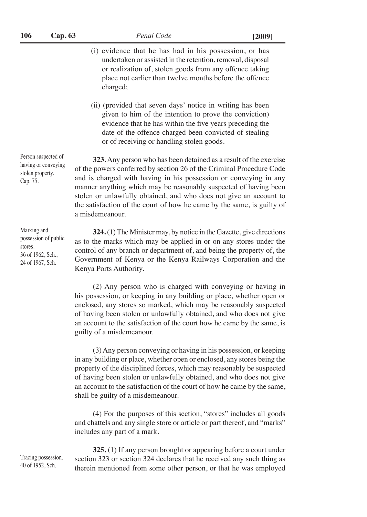- (i) evidence that he has had in his possession, or has undertaken or assisted in the retention, removal, disposal or realization of, stolen goods from any offence taking place not earlier than twelve months before the offence charged;
- (ii) (provided that seven days' notice in writing has been given to him of the intention to prove the conviction) evidence that he has within the five years preceding the date of the offence charged been convicted of stealing or of receiving or handling stolen goods.

**323.** Any person who has been detained as a result of the exercise of the powers conferred by section 26 of the Criminal Procedure Code and is charged with having in his possession or conveying in any manner anything which may be reasonably suspected of having been stolen or unlawfully obtained, and who does not give an account to the satisfaction of the court of how he came by the same, is guilty of a misdemeanour.

**324.** (1) The Minister may, by notice in the Gazette, give directions as to the marks which may be applied in or on any stores under the control of any branch or department of, and being the property of, the Government of Kenya or the Kenya Railways Corporation and the Kenya Ports Authority.

(2) Any person who is charged with conveying or having in his possession, or keeping in any building or place, whether open or enclosed, any stores so marked, which may be reasonably suspected of having been stolen or unlawfully obtained, and who does not give an account to the satisfaction of the court how he came by the same, is guilty of a misdemeanour.

(3) Any person conveying or having in his possession, or keeping in any building or place, whether open or enclosed, any stores being the property of the disciplined forces, which may reasonably be suspected of having been stolen or unlawfully obtained, and who does not give an account to the satisfaction of the court of how he came by the same, shall be guilty of a misdemeanour.

(4) For the purposes of this section, "stores" includes all goods and chattels and any single store or article or part thereof, and "marks" includes any part of a mark.

**325.** (1) If any person brought or appearing before a court under section 323 or section 324 declares that he received any such thing as therein mentioned from some other person, or that he was employed

Person suspected of having or conveying stolen property. Cap. 75.

Marking and possession of public stores. 36 of 1962, Sch., 24 of 1967, Sch.

Tracing possession. 40 of 1952, Sch.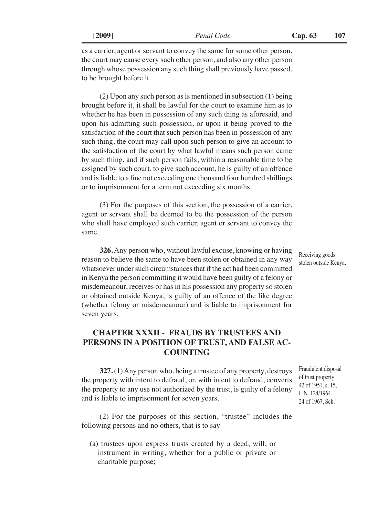as a carrier, agent or servant to convey the same for some other person, the court may cause every such other person, and also any other person through whose possession any such thing shall previously have passed, to be brought before it.

(2) Upon any such person as is mentioned in subsection (1) being brought before it, it shall be lawful for the court to examine him as to whether he has been in possession of any such thing as aforesaid, and upon his admitting such possession, or upon it being proved to the satisfaction of the court that such person has been in possession of any such thing, the court may call upon such person to give an account to the satisfaction of the court by what lawful means such person came by such thing, and if such person fails, within a reasonable time to be assigned by such court, to give such account, he is guilty of an offence and is liable to a fine not exceeding one thousand four hundred shillings or to imprisonment for a term not exceeding six months.

(3) For the purposes of this section, the possession of a carrier, agent or servant shall be deemed to be the possession of the person who shall have employed such carrier, agent or servant to convey the same.

**326.** Any person who, without lawful excuse, knowing or having reason to believe the same to have been stolen or obtained in any way whatsoever under such circumstances that if the act had been committed in Kenya the person committing it would have been guilty of a felony or misdemeanour, receives or has in his possession any property so stolen or obtained outside Kenya, is guilty of an offence of the like degree (whether felony or misdemeanour) and is liable to imprisonment for seven years.

## **Chapter XXXII - Frauds by Trustees and Persons in a Position of Trust, and False Accounting**

**327.** (1) Any person who, being a trustee of any property, destroys the property with intent to defraud, or, with intent to defraud, converts the property to any use not authorized by the trust, is guilty of a felony and is liable to imprisonment for seven years.

(2) For the purposes of this section, "trustee" includes the following persons and no others, that is to say -

(a) trustees upon express trusts created by a deed, will, or instrument in writing, whether for a public or private or charitable purpose;

Receiving goods stolen outside Kenya.

Fraudulent disposal of trust property. 42 of 1951, s. 15, L.N. 124/1964, 24 of 1967, Sch.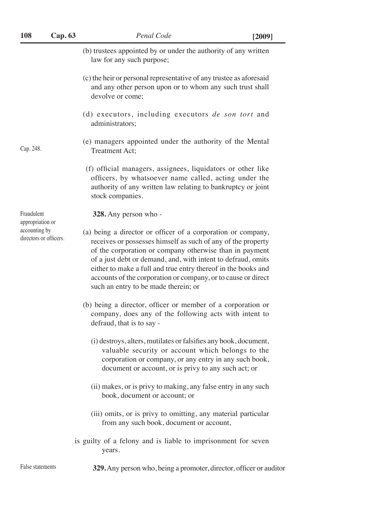| <b>108</b>                              | Cap. 63 | Penal Code                                                                                                                                                                                                                                                                                                                                                                                                                        | $[2009]$ |
|-----------------------------------------|---------|-----------------------------------------------------------------------------------------------------------------------------------------------------------------------------------------------------------------------------------------------------------------------------------------------------------------------------------------------------------------------------------------------------------------------------------|----------|
|                                         |         | (b) trustees appointed by or under the authority of any written<br>law for any such purpose;                                                                                                                                                                                                                                                                                                                                      |          |
|                                         |         | (c) the heir or personal representative of any trustee as aforesaid<br>and any other person upon or to whom any such trust shall<br>devolve or come;                                                                                                                                                                                                                                                                              |          |
|                                         |         | (d) executors, including executors de son tort and<br>administrators;                                                                                                                                                                                                                                                                                                                                                             |          |
| Cap. 248.                               |         | (e) managers appointed under the authority of the Mental<br>Treatment Act;                                                                                                                                                                                                                                                                                                                                                        |          |
|                                         |         | (f) official managers, assignees, liquidators or other like<br>officers, by whatsoever name called, acting under the<br>authority of any written law relating to bankruptcy or joint<br>stock companies.                                                                                                                                                                                                                          |          |
| Fraudulent<br>appropriation or          |         | 328. Any person who -                                                                                                                                                                                                                                                                                                                                                                                                             |          |
| accounting by<br>directors or officers. |         | (a) being a director or officer of a corporation or company,<br>receives or possesses himself as such of any of the property<br>of the corporation or company otherwise than in payment<br>of a just debt or demand, and, with intent to defraud, omits<br>either to make a full and true entry thereof in the books and<br>accounts of the corporation or company, or to cause or direct<br>such an entry to be made therein; or |          |
|                                         |         | (b) being a director, officer or member of a corporation or<br>company, does any of the following acts with intent to<br>defraud, that is to say -                                                                                                                                                                                                                                                                                |          |
|                                         |         | (i) destroys, alters, mutilates or falsifies any book, document,<br>valuable security or account which belongs to the<br>corporation or company, or any entry in any such book,<br>document or account, or is privy to any such act; or                                                                                                                                                                                           |          |
|                                         |         | (ii) makes, or is privy to making, any false entry in any such<br>book, document or account; or                                                                                                                                                                                                                                                                                                                                   |          |
|                                         |         | (iii) omits, or is privy to omitting, any material particular<br>from any such book, document or account,                                                                                                                                                                                                                                                                                                                         |          |
|                                         |         | is guilty of a felony and is liable to imprisonment for seven<br>years.                                                                                                                                                                                                                                                                                                                                                           |          |
| False statements                        |         | 329. Any person who, being a promoter, director, officer or auditor                                                                                                                                                                                                                                                                                                                                                               |          |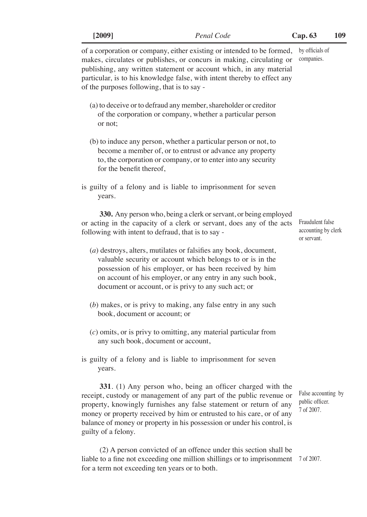| [2009]                                             | Penal Code                                                                                                                                                                                                                                                                                                                                                  | Cap. 63                                                | 109 |
|----------------------------------------------------|-------------------------------------------------------------------------------------------------------------------------------------------------------------------------------------------------------------------------------------------------------------------------------------------------------------------------------------------------------------|--------------------------------------------------------|-----|
| of the purposes following, that is to say -        | of a corporation or company, either existing or intended to be formed,<br>makes, circulates or publishes, or concurs in making, circulating or<br>publishing, any written statement or account which, in any material<br>particular, is to his knowledge false, with intent thereby to effect any                                                           | by officials of<br>companies.                          |     |
| or not;                                            | (a) to deceive or to defraud any member, shareholder or creditor<br>of the corporation or company, whether a particular person                                                                                                                                                                                                                              |                                                        |     |
| for the benefit thereof,                           | (b) to induce any person, whether a particular person or not, to<br>become a member of, or to entrust or advance any property<br>to, the corporation or company, or to enter into any security                                                                                                                                                              |                                                        |     |
| years.                                             | is guilty of a felony and is liable to imprisonment for seven                                                                                                                                                                                                                                                                                               |                                                        |     |
| following with intent to defraud, that is to say - | 330. Any person who, being a clerk or servant, or being employed<br>or acting in the capacity of a clerk or servant, does any of the acts                                                                                                                                                                                                                   | Fraudulent false<br>accounting by clerk<br>or servant. |     |
|                                                    | $(a)$ destroys, alters, mutilates or falsifies any book, document,<br>valuable security or account which belongs to or is in the<br>possession of his employer, or has been received by him<br>on account of his employer, or any entry in any such book,<br>document or account, or is privy to any such act; or                                           |                                                        |     |
| book, document or account; or                      | $(b)$ makes, or is privy to making, any false entry in any such                                                                                                                                                                                                                                                                                             |                                                        |     |
| any such book, document or account,                | $(c)$ omits, or is privy to omitting, any material particular from                                                                                                                                                                                                                                                                                          |                                                        |     |
| years.                                             | is guilty of a felony and is liable to imprisonment for seven                                                                                                                                                                                                                                                                                               |                                                        |     |
| guilty of a felony.                                | 331. (1) Any person who, being an officer charged with the<br>receipt, custody or management of any part of the public revenue or<br>property, knowingly furnishes any false statement or return of any<br>money or property received by him or entrusted to his care, or of any<br>balance of money or property in his possession or under his control, is | False accounting by<br>public officer.<br>7 of 2007.   |     |
|                                                    | (2) A person convicted of an offence under this section shall be<br>liable to a fine not exceeding one million shillings or to imprisonment                                                                                                                                                                                                                 | 7 of 2007.                                             |     |

for a term not exceeding ten years or to both.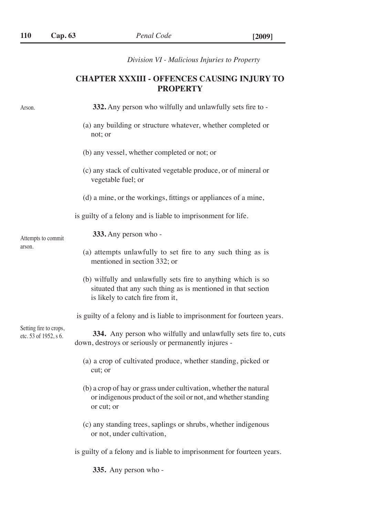*Division VI - Malicious Injuries to Property* 

## **Chapter XXXIII - Offences Causing Injury to Property**

| Arson.                                          | 332. Any person who wilfully and unlawfully sets fire to -                                                                                                        |
|-------------------------------------------------|-------------------------------------------------------------------------------------------------------------------------------------------------------------------|
|                                                 | (a) any building or structure whatever, whether completed or<br>not; or                                                                                           |
|                                                 | (b) any vessel, whether completed or not; or                                                                                                                      |
|                                                 | (c) any stack of cultivated vegetable produce, or of mineral or<br>vegetable fuel; or                                                                             |
|                                                 | (d) a mine, or the workings, fittings or appliances of a mine,                                                                                                    |
|                                                 | is guilty of a felony and is liable to imprisonment for life.                                                                                                     |
| Attempts to commit                              | 333. Any person who -                                                                                                                                             |
| arson.                                          | (a) attempts unlawfully to set fire to any such thing as is<br>mentioned in section 332; or                                                                       |
|                                                 | (b) wilfully and unlawfully sets fire to anything which is so<br>situated that any such thing as is mentioned in that section<br>is likely to catch fire from it, |
|                                                 | is guilty of a felony and is liable to imprisonment for fourteen years.                                                                                           |
| Setting fire to crops,<br>etc. 53 of 1952, s 6. | 334. Any person who wilfully and unlawfully sets fire to, cuts<br>down, destroys or seriously or permanently injures -                                            |
|                                                 | (a) a crop of cultivated produce, whether standing, picked or<br>cut; or                                                                                          |
|                                                 | (b) a crop of hay or grass under cultivation, whether the natural<br>or indigenous product of the soil or not, and whether standing<br>or cut; or                 |
|                                                 | (c) any standing trees, saplings or shrubs, whether indigenous<br>or not, under cultivation,                                                                      |
|                                                 | is guilty of a felony and is liable to imprisonment for fourteen years.                                                                                           |
|                                                 | 335. Any person who -                                                                                                                                             |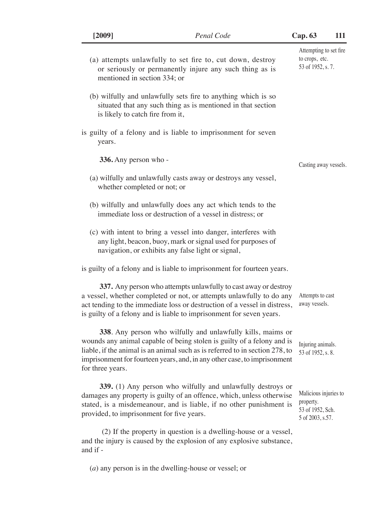| [2009]                                    | Penal Code                                                                                                                                                                                                                                                                                        | Cap. 63                                                                    | 111 |
|-------------------------------------------|---------------------------------------------------------------------------------------------------------------------------------------------------------------------------------------------------------------------------------------------------------------------------------------------------|----------------------------------------------------------------------------|-----|
| mentioned in section 334; or              | (a) attempts unlawfully to set fire to, cut down, destroy<br>or seriously or permanently injure any such thing as is                                                                                                                                                                              | Attempting to set fire<br>to crops, etc.<br>53 of 1952, s. 7.              |     |
| is likely to catch fire from it,          | (b) wilfully and unlawfully sets fire to anything which is so<br>situated that any such thing as is mentioned in that section                                                                                                                                                                     |                                                                            |     |
| years.                                    | is guilty of a felony and is liable to imprisonment for seven                                                                                                                                                                                                                                     |                                                                            |     |
| 336. Any person who -                     |                                                                                                                                                                                                                                                                                                   | Casting away vessels.                                                      |     |
| whether completed or not; or              | (a) wilfully and unlawfully casts away or destroys any vessel,                                                                                                                                                                                                                                    |                                                                            |     |
|                                           | (b) wilfully and unlawfully does any act which tends to the<br>immediate loss or destruction of a vessel in distress; or                                                                                                                                                                          |                                                                            |     |
|                                           | (c) with intent to bring a vessel into danger, interferes with<br>any light, beacon, buoy, mark or signal used for purposes of<br>navigation, or exhibits any false light or signal,                                                                                                              |                                                                            |     |
|                                           | is guilty of a felony and is liable to imprisonment for fourteen years.                                                                                                                                                                                                                           |                                                                            |     |
|                                           | 337. Any person who attempts unlawfully to cast away or destroy<br>a vessel, whether completed or not, or attempts unlawfully to do any<br>act tending to the immediate loss or destruction of a vessel in distress,<br>is guilty of a felony and is liable to imprisonment for seven years.      | Attempts to cast<br>away vessels.                                          |     |
| for three years.                          | 338. Any person who wilfully and unlawfully kills, maims or<br>wounds any animal capable of being stolen is guilty of a felony and is<br>liable, if the animal is an animal such as is referred to in section 278, to<br>imprisonment for fourteen years, and, in any other case, to imprisonment | Injuring animals.<br>53 of 1952, s. 8.                                     |     |
| provided, to imprisonment for five years. | 339. (1) Any person who wilfully and unlawfully destroys or<br>damages any property is guilty of an offence, which, unless otherwise<br>stated, is a misdemeanour, and is liable, if no other punishment is                                                                                       | Malicious injuries to<br>property.<br>53 of 1952, Sch.<br>5 of 2003, s.57. |     |
| and if -                                  | (2) If the property in question is a dwelling-house or a vessel,<br>and the injury is caused by the explosion of any explosive substance,                                                                                                                                                         |                                                                            |     |

(*a*) any person is in the dwelling-house or vessel; or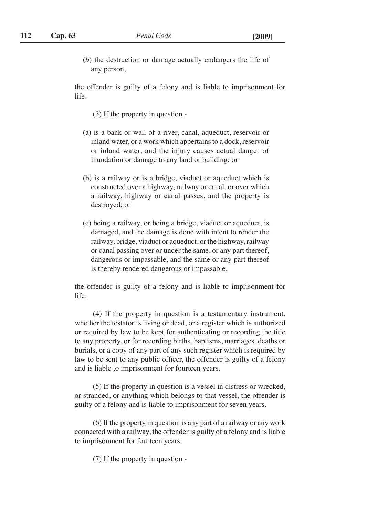(*b*) the destruction or damage actually endangers the life of any person,

the offender is guilty of a felony and is liable to imprisonment for life.

- (3) If the property in question -
- (a) is a bank or wall of a river, canal, aqueduct, reservoir or inland water, or a work which appertains to a dock, reservoir or inland water, and the injury causes actual danger of inundation or damage to any land or building; or
- (b) is a railway or is a bridge, viaduct or aqueduct which is constructed over a highway, railway or canal, or over which a railway, highway or canal passes, and the property is destroyed; or
- (c) being a railway, or being a bridge, viaduct or aqueduct, is damaged, and the damage is done with intent to render the railway, bridge, viaduct or aqueduct, or the highway, railway or canal passing over or under the same, or any part thereof, dangerous or impassable, and the same or any part thereof is thereby rendered dangerous or impassable,

the offender is guilty of a felony and is liable to imprisonment for life.

(4) If the property in question is a testamentary instrument, whether the testator is living or dead, or a register which is authorized or required by law to be kept for authenticating or recording the title to any property, or for recording births, baptisms, marriages, deaths or burials, or a copy of any part of any such register which is required by law to be sent to any public officer, the offender is guilty of a felony and is liable to imprisonment for fourteen years.

(5) If the property in question is a vessel in distress or wrecked, or stranded, or anything which belongs to that vessel, the offender is guilty of a felony and is liable to imprisonment for seven years.

(6) If the property in question is any part of a railway or any work connected with a railway, the offender is guilty of a felony and is liable to imprisonment for fourteen years.

(7) If the property in question -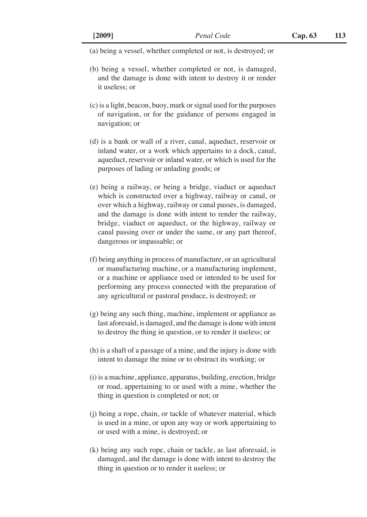- (a) being a vessel, whether completed or not, is destroyed; or
- (b) being a vessel, whether completed or not, is damaged, and the damage is done with intent to destroy it or render it useless; or
- (c) is a light, beacon, buoy, mark or signal used for the purposes of navigation, or for the guidance of persons engaged in navigation; or
- (d) is a bank or wall of a river, canal, aqueduct, reservoir or inland water, or a work which appertains to a dock, canal, aqueduct, reservoir or inland water, or which is used for the purposes of lading or unlading goods; or
- (e) being a railway, or being a bridge, viaduct or aqueduct which is constructed over a highway, railway or canal, or over which a highway, railway or canal passes, is damaged, and the damage is done with intent to render the railway, bridge, viaduct or aqueduct, or the highway, railway or canal passing over or under the same, or any part thereof, dangerous or impassable; or
- (f) being anything in process of manufacture, or an agricultural or manufacturing machine, or a manufacturing implement, or a machine or appliance used or intended to be used for performing any process connected with the preparation of any agricultural or pastoral produce, is destroyed; or
- (g) being any such thing, machine, implement or appliance as last aforesaid, is damaged, and the damage is done with intent to destroy the thing in question, or to render it useless; or
- (h) is a shaft of a passage of a mine, and the injury is done with intent to damage the mine or to obstruct its working; or
- (i) is a machine, appliance, apparatus, building, erection, bridge or road, appertaining to or used with a mine, whether the thing in question is completed or not; or
- (j) being a rope, chain, or tackle of whatever material, which is used in a mine, or upon any way or work appertaining to or used with a mine, is destroyed; or
- (k) being any such rope, chain or tackle, as last aforesaid, is damaged, and the damage is done with intent to destroy the thing in question or to render it useless; or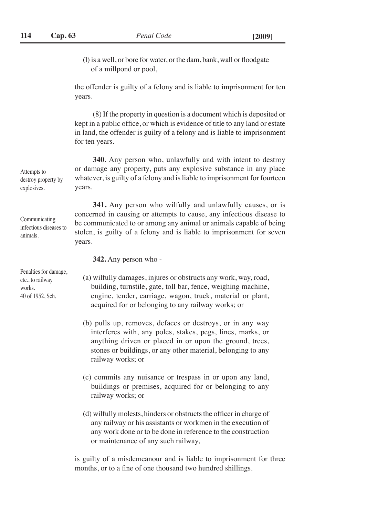(l) is a well, or bore for water, or the dam, bank, wall or floodgate of a millpond or pool,

the offender is guilty of a felony and is liable to imprisonment for ten years.

(8) If the property in question is a document which is deposited or kept in a public office, or which is evidence of title to any land or estate in land, the offender is guilty of a felony and is liable to imprisonment for ten years.

**340**. Any person who, unlawfully and with intent to destroy or damage any property, puts any explosive substance in any place whatever, is guilty of a felony and is liable to imprisonment for fourteen years.

**341.** Any person who wilfully and unlawfully causes, or is concerned in causing or attempts to cause, any infectious disease to be communicated to or among any animal or animals capable of being stolen, is guilty of a felony and is liable to imprisonment for seven years.

**342.** Any person who -

- (a) wilfully damages, injures or obstructs any work, way, road, building, turnstile, gate, toll bar, fence, weighing machine, engine, tender, carriage, wagon, truck, material or plant, acquired for or belonging to any railway works; or
	- (b) pulls up, removes, defaces or destroys, or in any way interferes with, any poles, stakes, pegs, lines, marks, or anything driven or placed in or upon the ground, trees, stones or buildings, or any other material, belonging to any railway works; or
	- (c) commits any nuisance or trespass in or upon any land, buildings or premises, acquired for or belonging to any railway works; or
	- (d) wilfully molests, hinders or obstructs the officer in charge of any railway or his assistants or workmen in the execution of any work done or to be done in reference to the construction or maintenance of any such railway,

is guilty of a misdemeanour and is liable to imprisonment for three months, or to a fine of one thousand two hundred shillings.

Attempts to destroy property by explosives.

Communicating infectious diseases to animals.

Penalties for damage, etc., to railway works. 40 of 1952, Sch.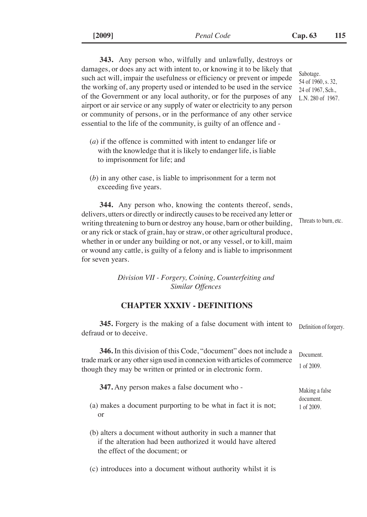Sabotage. 54 of 1960, s. 32, 24 of 1967, Sch., L.N. 280 of 1967.

**343.** Any person who, wilfully and unlawfully, destroys or damages, or does any act with intent to, or knowing it to be likely that such act will, impair the usefulness or efficiency or prevent or impede the working of, any property used or intended to be used in the service of the Government or any local authority, or for the purposes of any airport or air service or any supply of water or electricity to any person or community of persons, or in the performance of any other service essential to the life of the community, is guilty of an offence and -

- (*a*) if the offence is committed with intent to endanger life or with the knowledge that it is likely to endanger life, is liable to imprisonment for life; and
- (*b*) in any other case, is liable to imprisonment for a term not exceeding five years.

**344.** Any person who, knowing the contents thereof, sends, delivers, utters or directly or indirectly causes to be received any letter or writing threatening to burn or destroy any house, barn or other building, or any rick or stack of grain, hay or straw, or other agricultural produce, whether in or under any building or not, or any vessel, or to kill, maim or wound any cattle, is guilty of a felony and is liable to imprisonment for seven years.

Threats to burn, etc.

Making a false document. 1 of 2009.

*Division VII - Forgery, Coining, Counterfeiting and Similar Offences*

#### **Chapter XXXIV - Definitions**

**345.** Forgery is the making of a false document with intent to defraud or to deceive. Definition of forgery.

**346.** In this division of this Code, "document" does not include a trade mark or any other sign used in connexion with articles of commerce though they may be written or printed or in electronic form. Document. 1 of 2009.

**347.** Any person makes a false document who -

- (a) makes a document purporting to be what in fact it is not; or
- (b) alters a document without authority in such a manner that if the alteration had been authorized it would have altered the effect of the document; or

(c) introduces into a document without authority whilst it is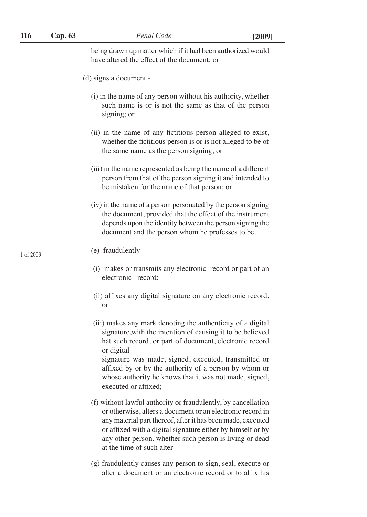being drawn up matter which if it had been authorized would have altered the effect of the document; or

- (d) signs a document
	- (i) in the name of any person without his authority, whether such name is or is not the same as that of the person signing; or
	- (ii) in the name of any fictitious person alleged to exist, whether the fictitious person is or is not alleged to be of the same name as the person signing; or
	- (iii) in the name represented as being the name of a different person from that of the person signing it and intended to be mistaken for the name of that person; or
	- (iv) in the name of a person personated by the person signing the document, provided that the effect of the instrument depends upon the identity between the person signing the document and the person whom he professes to be.

1 of 2009.

- (e) fraudulently-
- (i) makes or transmits any electronic record or part of an electronic record;
- (ii) affixes any digital signature on any electronic record, or
- (iii) makes any mark denoting the authenticity of a digital signature,with the intention of causing it to be believed hat such record, or part of document, electronic record or digital signature was made, signed, executed, transmitted or affixed by or by the authority of a person by whom or whose authority he knows that it was not made, signed, executed or affixed;
- (f) without lawful authority or fraudulently, by cancellation or otherwise, alters a document or an electronic record in any material part thereof, after it has been made, executed or affixed with a digital signature either by himself or by any other person, whether such person is living or dead at the time of such alter
- (g) fraudulently causes any person to sign, seal, execute or alter a document or an electronic record or to affix his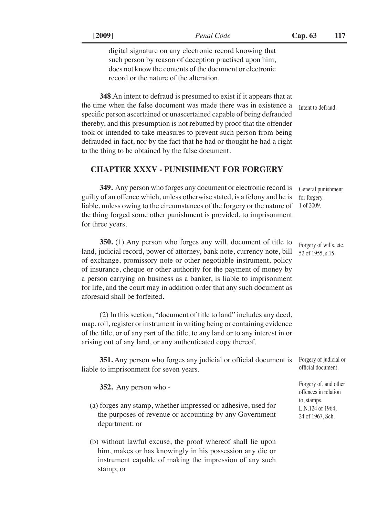**[2009]** *Penal Code* **Cap. 63 117**

digital signature on any electronic record knowing that such person by reason of deception practised upon him, does not know the contents of the document or electronic record or the nature of the alteration.

**348**.An intent to defraud is presumed to exist if it appears that at the time when the false document was made there was in existence a specific person ascertained or unascertained capable of being defrauded thereby, and this presumption is not rebutted by proof that the offender took or intended to take measures to prevent such person from being defrauded in fact, nor by the fact that he had or thought he had a right to the thing to be obtained by the false document.

#### **Chapter XXXV - Punishment for Forgery**

**349.** Any person who forges any document or electronic record is guilty of an offence which, unless otherwise stated, is a felony and he is liable, unless owing to the circumstances of the forgery or the nature of the thing forged some other punishment is provided, to imprisonment for three years.

**350.** (1) Any person who forges any will, document of title to land, judicial record, power of attorney, bank note, currency note, bill of exchange, promissory note or other negotiable instrument, policy of insurance, cheque or other authority for the payment of money by a person carrying on business as a banker, is liable to imprisonment for life, and the court may in addition order that any such document as aforesaid shall be forfeited.

(2) In this section, "document of title to land" includes any deed, map, roll, register or instrument in writing being or containing evidence of the title, or of any part of the title, to any land or to any interest in or arising out of any land, or any authenticated copy thereof.

**351.** Any person who forges any judicial or official document is liable to imprisonment for seven years.

**352.** Any person who -

- (a) forges any stamp, whether impressed or adhesive, used for the purposes of revenue or accounting by any Government department; or
- (b) without lawful excuse, the proof whereof shall lie upon him, makes or has knowingly in his possession any die or instrument capable of making the impression of any such stamp; or

Intent to defraud.

General punishment for forgery. 1 of 2009.

Forgery of wills, etc. 52 of 1955, s.15.

Forgery of judicial or official document.

Forgery of, and other offences in relation to, stamps. L.N.124 of 1964, 24 of 1967, Sch.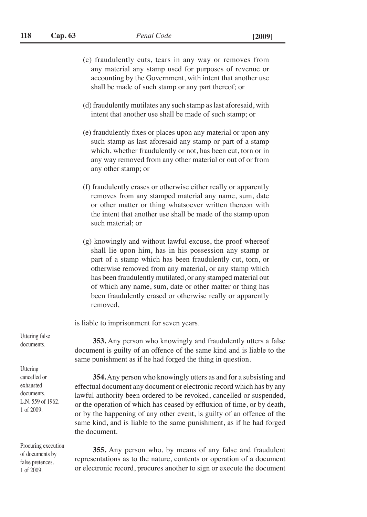- (c) fraudulently cuts, tears in any way or removes from any material any stamp used for purposes of revenue or accounting by the Government, with intent that another use shall be made of such stamp or any part thereof; or
- (d) fraudulently mutilates any such stamp as last aforesaid, with intent that another use shall be made of such stamp; or
- (e) fraudulently fixes or places upon any material or upon any such stamp as last aforesaid any stamp or part of a stamp which, whether fraudulently or not, has been cut, torn or in any way removed from any other material or out of or from any other stamp; or
- (f) fraudulently erases or otherwise either really or apparently removes from any stamped material any name, sum, date or other matter or thing whatsoever written thereon with the intent that another use shall be made of the stamp upon such material; or
- (g) knowingly and without lawful excuse, the proof whereof shall lie upon him, has in his possession any stamp or part of a stamp which has been fraudulently cut, torn, or otherwise removed from any material, or any stamp which has been fraudulently mutilated, or any stamped material out of which any name, sum, date or other matter or thing has been fraudulently erased or otherwise really or apparently removed,

is liable to imprisonment for seven years.

**353.** Any person who knowingly and fraudulently utters a false document is guilty of an offence of the same kind and is liable to the same punishment as if he had forged the thing in question.

**354.** Any person who knowingly utters as and for a subsisting and effectual document any document or electronic record which has by any lawful authority been ordered to be revoked, cancelled or suspended, or the operation of which has ceased by effluxion of time, or by death, or by the happening of any other event, is guilty of an offence of the same kind, and is liable to the same punishment, as if he had forged the document.

**355.** Any person who, by means of any false and fraudulent representations as to the nature, contents or operation of a document or electronic record, procures another to sign or execute the document

Uttering false documents.

Uttering cancelled or exhausted documents. L.N. 559 of 1962. 1 of 2009.

Procuring execution of documents by false pretences. 1 of 2009.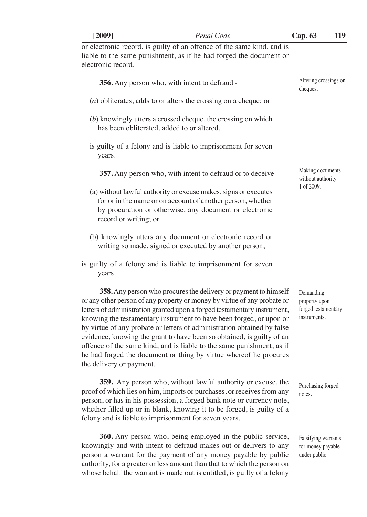**[2009]** *Penal Code* **Cap. 63 119**

or electronic record, is guilty of an offence of the same kind, and is liable to the same punishment, as if he had forged the document or electronic record.

| 356. Any person who, with intent to defraud -                                                                                                                                                                                                                                                                                                                                                                                                                                                                               | Altering crossings on<br>cheques.                                 |
|-----------------------------------------------------------------------------------------------------------------------------------------------------------------------------------------------------------------------------------------------------------------------------------------------------------------------------------------------------------------------------------------------------------------------------------------------------------------------------------------------------------------------------|-------------------------------------------------------------------|
| $(a)$ obliterates, adds to or alters the crossing on a cheque; or                                                                                                                                                                                                                                                                                                                                                                                                                                                           |                                                                   |
| $(b)$ knowingly utters a crossed cheque, the crossing on which<br>has been obliterated, added to or altered,                                                                                                                                                                                                                                                                                                                                                                                                                |                                                                   |
| is guilty of a felony and is liable to imprisonment for seven<br>years.                                                                                                                                                                                                                                                                                                                                                                                                                                                     |                                                                   |
| 357. Any person who, with intent to defraud or to deceive -                                                                                                                                                                                                                                                                                                                                                                                                                                                                 | Making documents<br>without authority.                            |
| (a) without lawful authority or excuse makes, signs or executes<br>for or in the name or on account of another person, whether<br>by procuration or otherwise, any document or electronic<br>record or writing; or                                                                                                                                                                                                                                                                                                          | 1 of 2009.                                                        |
| (b) knowingly utters any document or electronic record or<br>writing so made, signed or executed by another person,                                                                                                                                                                                                                                                                                                                                                                                                         |                                                                   |
| is guilty of a felony and is liable to imprisonment for seven<br>years.                                                                                                                                                                                                                                                                                                                                                                                                                                                     |                                                                   |
| 358. Any person who procures the delivery or payment to himself<br>or any other person of any property or money by virtue of any probate or<br>letters of administration granted upon a forged testamentary instrument,<br>knowing the testamentary instrument to have been forged, or upon or<br>by virtue of any probate or letters of administration obtained by false<br>evidence, knowing the grant to have been so obtained, is guilty of an<br>offence of the same kind, and is liable to the same punishment, as if | Demanding<br>property upon<br>forged testamentary<br>instruments. |

**359.** Any person who, without lawful authority or excuse, the proof of which lies on him, imports or purchases, or receives from any person, or has in his possession, a forged bank note or currency note, whether filled up or in blank, knowing it to be forged, is guilty of a felony and is liable to imprisonment for seven years.

he had forged the document or thing by virtue whereof he procures

the delivery or payment.

**360.** Any person who, being employed in the public service, knowingly and with intent to defraud makes out or delivers to any person a warrant for the payment of any money payable by public authority, for a greater or less amount than that to which the person on whose behalf the warrant is made out is entitled, is guilty of a felony

Purchasing forged notes.

Falsifying warrants for money payable under public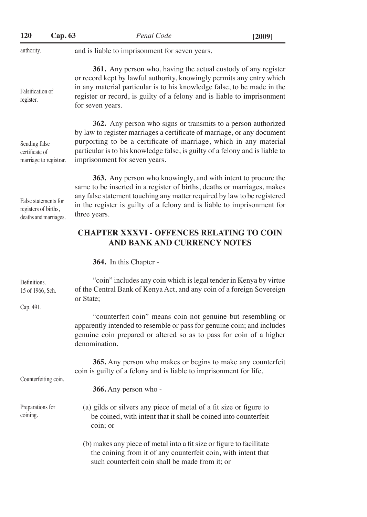| 120                                                                   | Cap. 63 | Penal Code                                                                                                                                                                                                                                                                                                                     | [2009] |
|-----------------------------------------------------------------------|---------|--------------------------------------------------------------------------------------------------------------------------------------------------------------------------------------------------------------------------------------------------------------------------------------------------------------------------------|--------|
| authority.                                                            |         | and is liable to imprisonment for seven years.                                                                                                                                                                                                                                                                                 |        |
| Falsification of<br>register.                                         |         | <b>361.</b> Any person who, having the actual custody of any register<br>or record kept by lawful authority, knowingly permits any entry which<br>in any material particular is to his knowledge false, to be made in the<br>register or record, is guilty of a felony and is liable to imprisonment<br>for seven years.       |        |
| Sending false<br>certificate of<br>marriage to registrar.             |         | 362. Any person who signs or transmits to a person authorized<br>by law to register marriages a certificate of marriage, or any document<br>purporting to be a certificate of marriage, which in any material<br>particular is to his knowledge false, is guilty of a felony and is liable to<br>imprisonment for seven years. |        |
| False statements for<br>registers of births,<br>deaths and marriages. |         | 363. Any person who knowingly, and with intent to procure the<br>same to be inserted in a register of births, deaths or marriages, makes<br>any false statement touching any matter required by law to be registered<br>in the register is guilty of a felony and is liable to imprisonment for<br>three years.                |        |
|                                                                       |         | <b>CHAPTER XXXVI - OFFENCES RELATING TO COIN</b><br>AND BANK AND CURRENCY NOTES                                                                                                                                                                                                                                                |        |
|                                                                       |         | 364. In this Chapter -                                                                                                                                                                                                                                                                                                         |        |
| Definitions.<br>15 of 1966, Sch.                                      |         | "coin" includes any coin which is legal tender in Kenya by virtue<br>of the Central Bank of Kenya Act, and any coin of a foreign Sovereign<br>or State;                                                                                                                                                                        |        |
| Cap. 491.                                                             |         | "counterfeit coin" means coin not genuine but resembling or<br>apparently intended to resemble or pass for genuine coin; and includes<br>genuine coin prepared or altered so as to pass for coin of a higher<br>denomination.                                                                                                  |        |
| Counterfeiting coin.                                                  |         | 365. Any person who makes or begins to make any counterfeit<br>coin is guilty of a felony and is liable to imprisonment for life.                                                                                                                                                                                              |        |
|                                                                       |         | 366. Any person who -                                                                                                                                                                                                                                                                                                          |        |
| Preparations for<br>coining.                                          |         | (a) gilds or silvers any piece of metal of a fit size or figure to<br>be coined, with intent that it shall be coined into counterfeit<br>coin; or                                                                                                                                                                              |        |
|                                                                       |         | (b) makes any piece of metal into a fit size or figure to facilitate<br>the coining from it of any counterfeit coin, with intent that<br>such counterfeit coin shall be made from it; or                                                                                                                                       |        |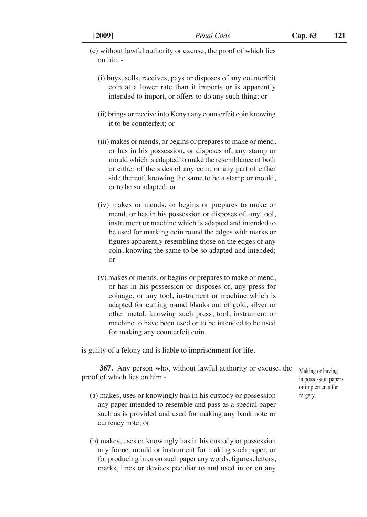- (c) without lawful authority or excuse, the proof of which lies on him -
	- (i) buys, sells, receives, pays or disposes of any counterfeit coin at a lower rate than it imports or is apparently intended to import, or offers to do any such thing; or
	- (ii) brings or receive into Kenya any counterfeit coin knowing it to be counterfeit; or
	- (iii) makes or mends, or begins or prepares to make or mend, or has in his possession, or disposes of, any stamp or mould which is adapted to make the resemblance of both or either of the sides of any coin, or any part of either side thereof, knowing the same to be a stamp or mould, or to be so adapted; or
	- (iv) makes or mends, or begins or prepares to make or mend, or has in his possession or disposes of, any tool, instrument or machine which is adapted and intended to be used for marking coin round the edges with marks or figures apparently resembling those on the edges of any coin, knowing the same to be so adapted and intended; or
	- (v) makes or mends, or begins or prepares to make or mend, or has in his possession or disposes of, any press for coinage, or any tool, instrument or machine which is adapted for cutting round blanks out of gold, silver or other metal, knowing such press, tool, instrument or machine to have been used or to be intended to be used for making any counterfeit coin,

is guilty of a felony and is liable to imprisonment for life.

**367.** Any person who, without lawful authority or excuse, the proof of which lies on him -

- (a) makes, uses or knowingly has in his custody or possession any paper intended to resemble and pass as a special paper such as is provided and used for making any bank note or currency note; or
- (b) makes, uses or knowingly has in his custody or possession any frame, mould or instrument for making such paper, or for producing in or on such paper any words, figures, letters, marks, lines or devices peculiar to and used in or on any

Making or having in possession papers or implements for forgery.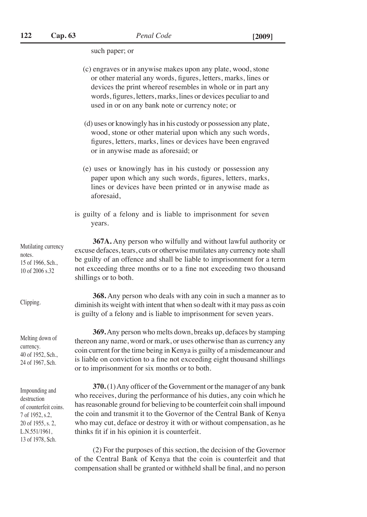such paper; or

|                                                                                                                                     | (c) engraves or in anywise makes upon any plate, wood, stone<br>or other material any words, figures, letters, marks, lines or<br>devices the print whereof resembles in whole or in part any<br>words, figures, letters, marks, lines or devices peculiar to and<br>used in or on any bank note or currency note; or                                                                                                       |
|-------------------------------------------------------------------------------------------------------------------------------------|-----------------------------------------------------------------------------------------------------------------------------------------------------------------------------------------------------------------------------------------------------------------------------------------------------------------------------------------------------------------------------------------------------------------------------|
|                                                                                                                                     | (d) uses or knowingly has in his custody or possession any plate,<br>wood, stone or other material upon which any such words,<br>figures, letters, marks, lines or devices have been engraved<br>or in anywise made as aforesaid; or                                                                                                                                                                                        |
|                                                                                                                                     | (e) uses or knowingly has in his custody or possession any<br>paper upon which any such words, figures, letters, marks,<br>lines or devices have been printed or in anywise made as<br>aforesaid,                                                                                                                                                                                                                           |
|                                                                                                                                     | is guilty of a felony and is liable to imprisonment for seven<br>years.                                                                                                                                                                                                                                                                                                                                                     |
| Mutilating currency<br>notes.<br>15 of 1966, Sch.,<br>10 of 2006 s.32                                                               | 367A. Any person who wilfully and without lawful authority or<br>excuse defaces, tears, cuts or otherwise mutilates any currency note shall<br>be guilty of an offence and shall be liable to imprisonment for a term<br>not exceeding three months or to a fine not exceeding two thousand<br>shillings or to both.                                                                                                        |
| Clipping.                                                                                                                           | 368. Any person who deals with any coin in such a manner as to<br>diminish its weight with intent that when so dealt with it may pass as coin<br>is guilty of a felony and is liable to imprisonment for seven years.                                                                                                                                                                                                       |
| Melting down of<br>currency.<br>40 of 1952, Sch.,<br>24 of 1967, Sch.                                                               | 369. Any person who melts down, breaks up, defaces by stamping<br>thereon any name, word or mark, or uses otherwise than as currency any<br>coin current for the time being in Kenya is guilty of a misdemeanour and<br>is liable on conviction to a fine not exceeding eight thousand shillings<br>or to imprisonment for six months or to both.                                                                           |
| Impounding and<br>destruction<br>of counterfeit coins.<br>7 of 1952, s.2,<br>20 of 1955, s. 2,<br>L.N.551/1961,<br>13 of 1978, Sch. | 370. (1) Any officer of the Government or the manager of any bank<br>who receives, during the performance of his duties, any coin which he<br>has reasonable ground for believing to be counterfeit coin shall impound<br>the coin and transmit it to the Governor of the Central Bank of Kenya<br>who may cut, deface or destroy it with or without compensation, as he<br>thinks fit if in his opinion it is counterfeit. |
|                                                                                                                                     | (2) For the purposes of this section, the decision of the Governor                                                                                                                                                                                                                                                                                                                                                          |

of the Central Bank of Kenya that the coin is counterfeit and that compensation shall be granted or withheld shall be final, and no person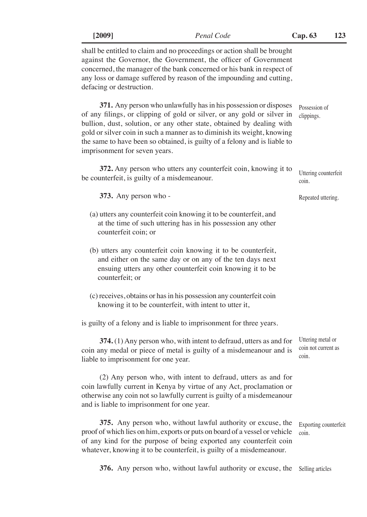| $[2009]$                                     | Penal Code                                                                                                                                                                                                                                                                                                                                                                   | Cap. 63                                           | 123 |
|----------------------------------------------|------------------------------------------------------------------------------------------------------------------------------------------------------------------------------------------------------------------------------------------------------------------------------------------------------------------------------------------------------------------------------|---------------------------------------------------|-----|
| defacing or destruction.                     | shall be entitled to claim and no proceedings or action shall be brought<br>against the Governor, the Government, the officer of Government<br>concerned, the manager of the bank concerned or his bank in respect of<br>any loss or damage suffered by reason of the impounding and cutting,                                                                                |                                                   |     |
| imprisonment for seven years.                | 371. Any person who unlawfully has in his possession or disposes<br>of any filings, or clipping of gold or silver, or any gold or silver in<br>bullion, dust, solution, or any other state, obtained by dealing with<br>gold or silver coin in such a manner as to diminish its weight, knowing<br>the same to have been so obtained, is guilty of a felony and is liable to | Possession of<br>clippings.                       |     |
| be counterfeit, is guilty of a misdemeanour. | 372. Any person who utters any counterfeit coin, knowing it to                                                                                                                                                                                                                                                                                                               | Uttering counterfeit<br>coin.                     |     |
| 373. Any person who -                        |                                                                                                                                                                                                                                                                                                                                                                              | Repeated uttering.                                |     |
| counterfeit coin; or                         | (a) utters any counterfeit coin knowing it to be counterfeit, and<br>at the time of such uttering has in his possession any other                                                                                                                                                                                                                                            |                                                   |     |
| counterfeit; or                              | (b) utters any counterfeit coin knowing it to be counterfeit,<br>and either on the same day or on any of the ten days next<br>ensuing utters any other counterfeit coin knowing it to be                                                                                                                                                                                     |                                                   |     |
|                                              | (c) receives, obtains or has in his possession any counterfeit coin<br>knowing it to be counterfeit, with intent to utter it,                                                                                                                                                                                                                                                |                                                   |     |
|                                              | is guilty of a felony and is liable to imprisonment for three years.                                                                                                                                                                                                                                                                                                         |                                                   |     |
| liable to imprisonment for one year.         | 374. (1) Any person who, with intent to defraud, utters as and for<br>coin any medal or piece of metal is guilty of a misdemeanour and is                                                                                                                                                                                                                                    | Uttering metal or<br>coin not current as<br>coin. |     |
| and is liable to imprisonment for one year.  | (2) Any person who, with intent to defraud, utters as and for<br>coin lawfully current in Kenya by virtue of any Act, proclamation or<br>otherwise any coin not so lawfully current is guilty of a misdemeanour                                                                                                                                                              |                                                   |     |
|                                              | 375. Any person who, without lawful authority or excuse, the<br>proof of which lies on him, exports or puts on board of a vessel or vehicle<br>of any kind for the purpose of being exported any counterfeit coin<br>whatever, knowing it to be counterfeit, is guilty of a misdemeanour.                                                                                    | Exporting counterfeit<br>coin.                    |     |

**376.** Any person who, without lawful authority or excuse, the Selling articles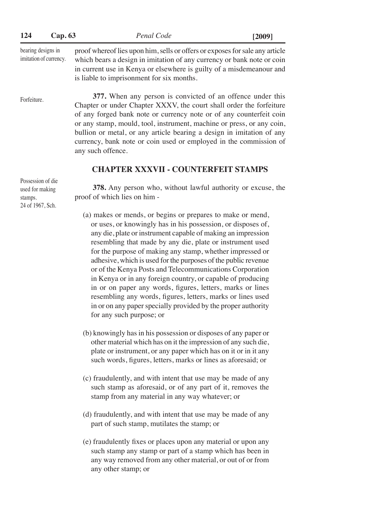| 124                | Cap. 63                | Penal Code                                                                                                                                                                                                                                                                                                                                                                                                                                           | [2009] |
|--------------------|------------------------|------------------------------------------------------------------------------------------------------------------------------------------------------------------------------------------------------------------------------------------------------------------------------------------------------------------------------------------------------------------------------------------------------------------------------------------------------|--------|
| bearing designs in | imitation of currency. | proof whereof lies upon him, sells or offers or exposes for sale any article<br>which bears a design in imitation of any currency or bank note or coin<br>in current use in Kenya or elsewhere is guilty of a misdemeanour and<br>is liable to imprisonment for six months.                                                                                                                                                                          |        |
| Forfeiture.        |                        | 377. When any person is convicted of an offence under this<br>Chapter or under Chapter XXXV, the court shall order the forfeiture<br>of any forged bank note or currency note or of any counterfeit coin<br>or any stamp, mould, tool, instrument, machine or press, or any coin,<br>bullion or metal, or any article bearing a design in imitation of any<br>currency, bank note or coin used or employed in the commission of<br>any such offence. |        |
|                    |                        | <b>CHAPTER XXXVII - COUNTERFEIT STAMPS</b>                                                                                                                                                                                                                                                                                                                                                                                                           |        |
| Possession of die  |                        |                                                                                                                                                                                                                                                                                                                                                                                                                                                      |        |

used for making stamps. 24 of 1967, Sch.

**378.** Any person who, without lawful authority or excuse, the proof of which lies on him -

- (a) makes or mends, or begins or prepares to make or mend, or uses, or knowingly has in his possession, or disposes of, any die, plate or instrument capable of making an impression resembling that made by any die, plate or instrument used for the purpose of making any stamp, whether impressed or adhesive, which is used for the purposes of the public revenue or of the Kenya Posts and Telecommunications Corporation in Kenya or in any foreign country, or capable of producing in or on paper any words, figures, letters, marks or lines resembling any words, figures, letters, marks or lines used in or on any paper specially provided by the proper authority for any such purpose; or
- (b) knowingly has in his possession or disposes of any paper or other material which has on it the impression of any such die, plate or instrument, or any paper which has on it or in it any such words, figures, letters, marks or lines as aforesaid; or
- (c) fraudulently, and with intent that use may be made of any such stamp as aforesaid, or of any part of it, removes the stamp from any material in any way whatever; or
- (d) fraudulently, and with intent that use may be made of any part of such stamp, mutilates the stamp; or
- (e) fraudulently fixes or places upon any material or upon any such stamp any stamp or part of a stamp which has been in any way removed from any other material, or out of or from any other stamp; or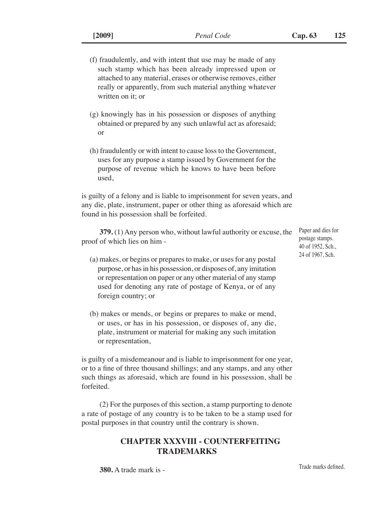- (f) fraudulently, and with intent that use may be made of any such stamp which has been already impressed upon or attached to any material, erases or otherwise removes, either really or apparently, from such material anything whatever written on it; or
- (g) knowingly has in his possession or disposes of anything obtained or prepared by any such unlawful act as aforesaid; or
- (h) fraudulently or with intent to cause loss to the Government, uses for any purpose a stamp issued by Government for the purpose of revenue which he knows to have been before used,

is guilty of a felony and is liable to imprisonment for seven years, and any die, plate, instrument, paper or other thing as aforesaid which are found in his possession shall be forfeited.

**379.** (1) Any person who, without lawful authority or excuse, the proof of which lies on him -

- (a) makes, or begins or prepares to make, or uses for any postal purpose, or has in his possession, or disposes of, any imitation or representation on paper or any other material of any stamp used for denoting any rate of postage of Kenya, or of any foreign country; or
- (b) makes or mends, or begins or prepares to make or mend, or uses, or has in his possession, or disposes of, any die, plate, instrument or material for making any such imitation or representation,

is guilty of a misdemeanour and is liable to imprisonment for one year, or to a fine of three thousand shillings; and any stamps, and any other such things as aforesaid, which are found in his possession, shall be forfeited.

(2) For the purposes of this section, a stamp purporting to denote a rate of postage of any country is to be taken to be a stamp used for postal purposes in that country until the contrary is shown.

#### **Chapter XXXVIII - Counterfeiting Trademarks**

**380.** A trade mark is -

Paper and dies for postage stamps. 40 of 1952, Sch., 24 of 1967, Sch.

Trade marks defined.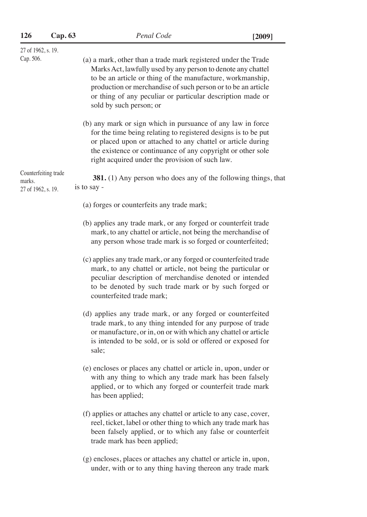| 126                          | Cap. 63              | Penal Code                                                                                                                                                                                                                                                                                                                                            | [2009] |
|------------------------------|----------------------|-------------------------------------------------------------------------------------------------------------------------------------------------------------------------------------------------------------------------------------------------------------------------------------------------------------------------------------------------------|--------|
| 27 of 1962, s. 19.           |                      |                                                                                                                                                                                                                                                                                                                                                       |        |
| Cap. 506.                    |                      | (a) a mark, other than a trade mark registered under the Trade<br>Marks Act, lawfully used by any person to denote any chattel<br>to be an article or thing of the manufacture, workmanship,<br>production or merchandise of such person or to be an article<br>or thing of any peculiar or particular description made or<br>sold by such person; or |        |
|                              |                      | (b) any mark or sign which in pursuance of any law in force<br>for the time being relating to registered designs is to be put<br>or placed upon or attached to any chattel or article during<br>the existence or continuance of any copyright or other sole<br>right acquired under the provision of such law.                                        |        |
| marks.<br>27 of 1962, s. 19. | Counterfeiting trade | <b>381.</b> (1) Any person who does any of the following things, that<br>is to say -                                                                                                                                                                                                                                                                  |        |
|                              |                      | (a) forges or counterfeits any trade mark;                                                                                                                                                                                                                                                                                                            |        |
|                              |                      | (b) applies any trade mark, or any forged or counterfeit trade<br>mark, to any chattel or article, not being the merchandise of<br>any person whose trade mark is so forged or counterfeited;                                                                                                                                                         |        |
|                              |                      | (c) applies any trade mark, or any forged or counterfeited trade<br>mark, to any chattel or article, not being the particular or<br>peculiar description of merchandise denoted or intended<br>to be denoted by such trade mark or by such forged or<br>counterfeited trade mark;                                                                     |        |
|                              |                      | (d) applies any trade mark, or any forged or counterfeited<br>trade mark, to any thing intended for any purpose of trade<br>or manufacture, or in, on or with which any chattel or article<br>is intended to be sold, or is sold or offered or exposed for<br>sale;                                                                                   |        |
|                              |                      | (e) encloses or places any chattel or article in, upon, under or<br>with any thing to which any trade mark has been falsely<br>applied, or to which any forged or counterfeit trade mark<br>has been applied;                                                                                                                                         |        |
|                              |                      | (f) applies or attaches any chattel or article to any case, cover,<br>reel, ticket, label or other thing to which any trade mark has<br>been falsely applied, or to which any false or counterfeit<br>trade mark has been applied;                                                                                                                    |        |
|                              |                      | (g) encloses, places or attaches any chattel or article in, upon,                                                                                                                                                                                                                                                                                     |        |

under, with or to any thing having thereon any trade mark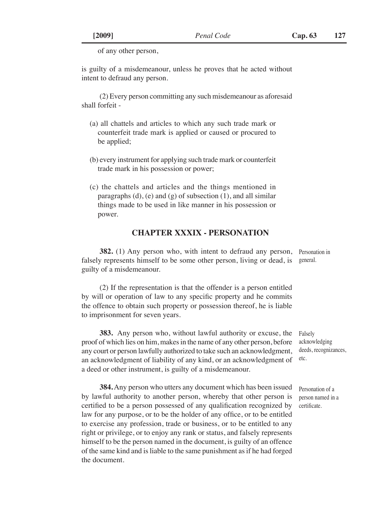of any other person,

is guilty of a misdemeanour, unless he proves that he acted without intent to defraud any person.

(2) Every person committing any such misdemeanour as aforesaid shall forfeit -

- (a) all chattels and articles to which any such trade mark or counterfeit trade mark is applied or caused or procured to be applied;
- (b) every instrument for applying such trade mark or counterfeit trade mark in his possession or power;
- (c) the chattels and articles and the things mentioned in paragraphs  $(d)$ ,  $(e)$  and  $(g)$  of subsection  $(1)$ , and all similar things made to be used in like manner in his possession or power.

#### **Chapter XXXIX - Personation**

**382.** (1) Any person who, with intent to defraud any person, Personation in falsely represents himself to be some other person, living or dead, is guilty of a misdemeanour. general.

(2) If the representation is that the offender is a person entitled by will or operation of law to any specific property and he commits the offence to obtain such property or possession thereof, he is liable to imprisonment for seven years.

**383.** Any person who, without lawful authority or excuse, the proof of which lies on him, makes in the name of any other person, before any court or person lawfully authorized to take such an acknowledgment, an acknowledgment of liability of any kind, or an acknowledgment of a deed or other instrument, is guilty of a misdemeanour.

**384.** Any person who utters any document which has been issued by lawful authority to another person, whereby that other person is certified to be a person possessed of any qualification recognized by law for any purpose, or to be the holder of any office, or to be entitled to exercise any profession, trade or business, or to be entitled to any right or privilege, or to enjoy any rank or status, and falsely represents himself to be the person named in the document, is guilty of an offence of the same kind and is liable to the same punishment as if he had forged the document.

Falsely acknowledging deeds, recognizances, etc.

Personation of a person named in a certificate.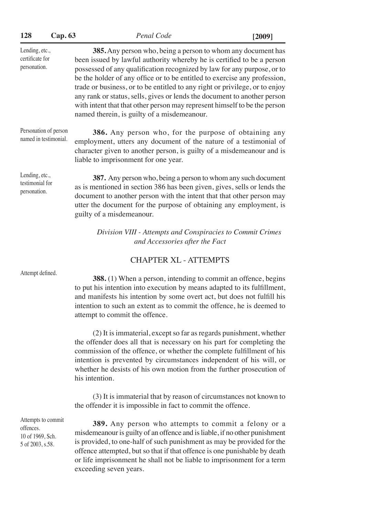| 128                                                                     | Cap. 63 | Penal Code                                                                                                                                                                                                                                                                                                                                                                                                                                                                                                                                                                            | [2009] |
|-------------------------------------------------------------------------|---------|---------------------------------------------------------------------------------------------------------------------------------------------------------------------------------------------------------------------------------------------------------------------------------------------------------------------------------------------------------------------------------------------------------------------------------------------------------------------------------------------------------------------------------------------------------------------------------------|--------|
| Lending, etc.,<br>certificate for<br>personation.                       |         | 385. Any person who, being a person to whom any document has<br>been issued by lawful authority whereby he is certified to be a person<br>possessed of any qualification recognized by law for any purpose, or to<br>be the holder of any office or to be entitled to exercise any profession,<br>trade or business, or to be entitled to any right or privilege, or to enjoy<br>any rank or status, sells, gives or lends the document to another person<br>with intent that that other person may represent himself to be the person<br>named therein, is guilty of a misdemeanour. |        |
| Personation of person<br>named in testimonial.                          |         | 386. Any person who, for the purpose of obtaining any<br>employment, utters any document of the nature of a testimonial of<br>character given to another person, is guilty of a misdemeanour and is<br>liable to imprisonment for one year.                                                                                                                                                                                                                                                                                                                                           |        |
| Lending, etc.,<br>testimonial for<br>personation.                       |         | 387. Any person who, being a person to whom any such document<br>as is mentioned in section 386 has been given, gives, sells or lends the<br>document to another person with the intent that that other person may<br>utter the document for the purpose of obtaining any employment, is<br>guilty of a misdemeanour.                                                                                                                                                                                                                                                                 |        |
|                                                                         |         | Division VIII - Attempts and Conspiracies to Commit Crimes<br>and Accessories after the Fact                                                                                                                                                                                                                                                                                                                                                                                                                                                                                          |        |
|                                                                         |         | <b>CHAPTER XL - ATTEMPTS</b>                                                                                                                                                                                                                                                                                                                                                                                                                                                                                                                                                          |        |
| Attempt defined.                                                        |         | <b>388.</b> (1) When a person, intending to commit an offence, begins<br>to put his intention into execution by means adapted to its fulfillment,<br>and manifests his intention by some overt act, but does not fulfill his<br>intention to such an extent as to commit the offence, he is deemed to<br>attempt to commit the offence.                                                                                                                                                                                                                                               |        |
|                                                                         |         | (2) It is immaterial, except so far as regards punishment, whether<br>the offender does all that is necessary on his part for completing the<br>commission of the offence, or whether the complete fulfillment of his<br>intention is prevented by circumstances independent of his will, or<br>whether he desists of his own motion from the further prosecution of<br>his intention.                                                                                                                                                                                                |        |
|                                                                         |         | (3) It is immaterial that by reason of circumstances not known to<br>the offender it is impossible in fact to commit the offence.                                                                                                                                                                                                                                                                                                                                                                                                                                                     |        |
| Attempts to commit<br>offences.<br>10 of 1969, Sch.<br>5 of 2003, s.58. |         | 389. Any person who attempts to commit a felony or a<br>misdemeanour is guilty of an offence and is liable, if no other punishment<br>is provided, to one-half of such punishment as may be provided for the<br>offence attempted, but so that if that offence is one punishable by death<br>or life imprisonment he shall not be liable to imprisonment for a term<br>exceeding seven years.                                                                                                                                                                                         |        |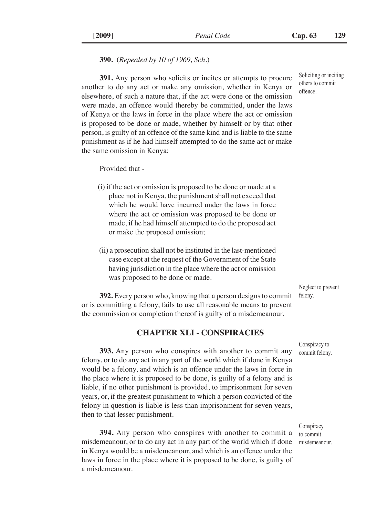**390.** (*Repealed by 10 of 1969, Sch*.)

**391.** Any person who solicits or incites or attempts to procure another to do any act or make any omission, whether in Kenya or elsewhere, of such a nature that, if the act were done or the omission were made, an offence would thereby be committed, under the laws of Kenya or the laws in force in the place where the act or omission is proposed to be done or made, whether by himself or by that other person, is guilty of an offence of the same kind and is liable to the same punishment as if he had himself attempted to do the same act or make the same omission in Kenya:

Provided that -

- (i) if the act or omission is proposed to be done or made at a place not in Kenya, the punishment shall not exceed that which he would have incurred under the laws in force where the act or omission was proposed to be done or made, if he had himself attempted to do the proposed act or make the proposed omission;
- (ii) a prosecution shall not be instituted in the last-mentioned case except at the request of the Government of the State having jurisdiction in the place where the act or omission was proposed to be done or made.

**392.** Every person who, knowing that a person designs to commit or is committing a felony, fails to use all reasonable means to prevent the commission or completion thereof is guilty of a misdemeanour.

#### **Chapter XLI - Conspiracies**

**393.** Any person who conspires with another to commit any felony, or to do any act in any part of the world which if done in Kenya would be a felony, and which is an offence under the laws in force in the place where it is proposed to be done, is guilty of a felony and is liable, if no other punishment is provided, to imprisonment for seven years, or, if the greatest punishment to which a person convicted of the felony in question is liable is less than imprisonment for seven years, then to that lesser punishment.

**394.** Any person who conspires with another to commit a misdemeanour, or to do any act in any part of the world which if done in Kenya would be a misdemeanour, and which is an offence under the laws in force in the place where it is proposed to be done, is guilty of a misdemeanour.

Soliciting or inciting others to commit offence.

Neglect to prevent felony.

Conspiracy to commit felony.

**Conspiracy** to commit misdemeanour.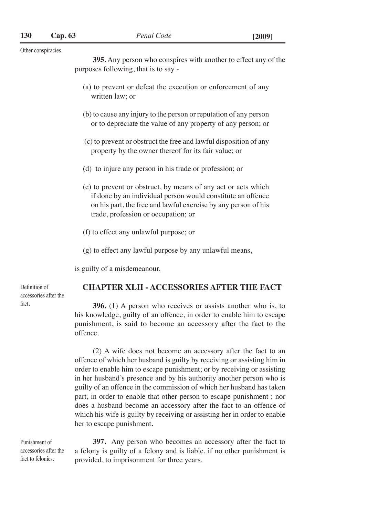Other conspiracies.

**395.** Any person who conspires with another to effect any of the purposes following, that is to say -

- (a) to prevent or defeat the execution or enforcement of any written law; or
- (b) to cause any injury to the person or reputation of any person or to depreciate the value of any property of any person; or
- (c) to prevent or obstruct the free and lawful disposition of any property by the owner thereof for its fair value; or
- (d) to injure any person in his trade or profession; or
- (e) to prevent or obstruct, by means of any act or acts which if done by an individual person would constitute an offence on his part, the free and lawful exercise by any person of his trade, profession or occupation; or
- (f) to effect any unlawful purpose; or
- (g) to effect any lawful purpose by any unlawful means,

is guilty of a misdemeanour.

Definition of accessories after the fact.

# **Chapter XLII - Accessories after the Fact**

**396.** (1) A person who receives or assists another who is, to his knowledge, guilty of an offence, in order to enable him to escape punishment, is said to become an accessory after the fact to the offence.

(2) A wife does not become an accessory after the fact to an offence of which her husband is guilty by receiving or assisting him in order to enable him to escape punishment; or by receiving or assisting in her husband's presence and by his authority another person who is guilty of an offence in the commission of which her husband has taken part, in order to enable that other person to escape punishment ; nor does a husband become an accessory after the fact to an offence of which his wife is guilty by receiving or assisting her in order to enable her to escape punishment.

Punishment of accessories after the fact to felonies.

**397.** Any person who becomes an accessory after the fact to a felony is guilty of a felony and is liable, if no other punishment is provided, to imprisonment for three years.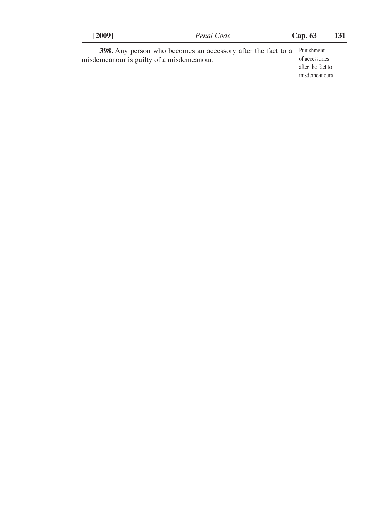| [2009] | Penal Code                                                                     | Cap. 63 | 131 |
|--------|--------------------------------------------------------------------------------|---------|-----|
|        | <b>398.</b> Any person who becomes an accessory after the fact to a Punishment |         |     |

misdemeanour is guilty of a misdemeanour.

of accessories after the fact to misdemeanours.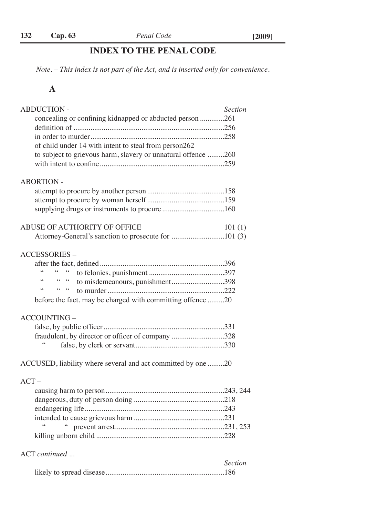## **INDEX TO THE PENAL CODE**

*Note. – This index is not part of the Act, and is inserted only for convenience.*

**A**

| <b>ABDUCTION -</b><br>concealing or confining kidnapped or abducted person 261<br>of child under 14 with intent to steal from person262<br>to subject to grievous harm, slavery or unnatural offence 260 | <b>Section</b> |
|----------------------------------------------------------------------------------------------------------------------------------------------------------------------------------------------------------|----------------|
| <b>ABORTION -</b>                                                                                                                                                                                        |                |
|                                                                                                                                                                                                          |                |
|                                                                                                                                                                                                          |                |
|                                                                                                                                                                                                          |                |
|                                                                                                                                                                                                          |                |
| ABUSE OF AUTHORITY OF OFFICE                                                                                                                                                                             | 101(1)         |
|                                                                                                                                                                                                          |                |
| <b>ACCESSORIES –</b>                                                                                                                                                                                     |                |
|                                                                                                                                                                                                          |                |
|                                                                                                                                                                                                          |                |
| $\epsilon$<br>$\epsilon$<br>to misdemeanours, punishment398                                                                                                                                              |                |
| $\zeta$ $\zeta$<br>$\zeta$ $\zeta$                                                                                                                                                                       |                |
| before the fact, may be charged with committing offence 20                                                                                                                                               |                |
|                                                                                                                                                                                                          |                |
| <b>ACCOUNTING -</b>                                                                                                                                                                                      |                |
|                                                                                                                                                                                                          |                |
| fraudulent, by director or officer of company 328                                                                                                                                                        |                |
|                                                                                                                                                                                                          |                |
|                                                                                                                                                                                                          |                |
| ACCUSED, liability where several and act committed by one 20                                                                                                                                             |                |
| $ACT -$                                                                                                                                                                                                  |                |
|                                                                                                                                                                                                          |                |
|                                                                                                                                                                                                          |                |
|                                                                                                                                                                                                          |                |
|                                                                                                                                                                                                          |                |
|                                                                                                                                                                                                          |                |
|                                                                                                                                                                                                          |                |
|                                                                                                                                                                                                          |                |
| ACT continued                                                                                                                                                                                            |                |
|                                                                                                                                                                                                          | <b>Section</b> |
|                                                                                                                                                                                                          |                |

|--|--|--|--|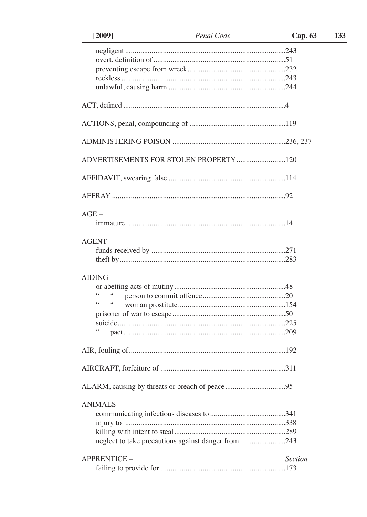| [2009]              | Penal Code                                          | Cap. 63        | 133 |
|---------------------|-----------------------------------------------------|----------------|-----|
|                     |                                                     |                |     |
|                     |                                                     |                |     |
|                     |                                                     |                |     |
|                     |                                                     |                |     |
|                     |                                                     |                |     |
|                     |                                                     |                |     |
|                     |                                                     |                |     |
|                     |                                                     |                |     |
|                     | ADVERTISEMENTS FOR STOLEN PROPERTY 120              |                |     |
|                     |                                                     |                |     |
|                     |                                                     |                |     |
| $AGE -$             |                                                     |                |     |
|                     |                                                     |                |     |
| $AGENT-$            |                                                     |                |     |
|                     |                                                     |                |     |
|                     |                                                     |                |     |
| $AIDING -$          |                                                     |                |     |
|                     |                                                     |                |     |
|                     |                                                     |                |     |
| $\epsilon$          |                                                     |                |     |
|                     |                                                     |                |     |
|                     |                                                     |                |     |
| 66                  |                                                     |                |     |
|                     |                                                     |                |     |
|                     |                                                     | 311            |     |
|                     |                                                     |                |     |
| $ANIMALS -$         |                                                     |                |     |
|                     |                                                     |                |     |
|                     |                                                     |                |     |
|                     |                                                     |                |     |
|                     | neglect to take precautions against danger from 243 |                |     |
| <b>APPRENTICE -</b> |                                                     | <b>Section</b> |     |
|                     |                                                     |                |     |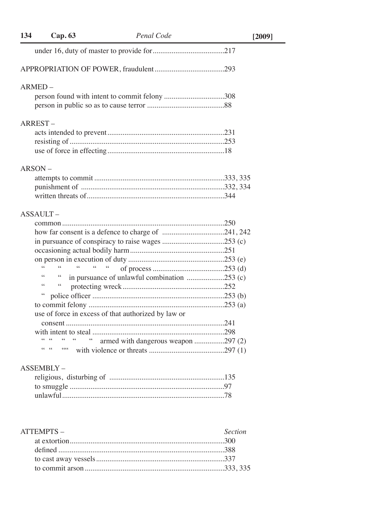| 134 | Cap. 63                                                  | Penal Code                                          | [2009]         |
|-----|----------------------------------------------------------|-----------------------------------------------------|----------------|
|     |                                                          |                                                     |                |
|     |                                                          |                                                     |                |
|     | ARMED-                                                   |                                                     |                |
|     |                                                          | person found with intent to commit felony 308       |                |
|     |                                                          |                                                     |                |
|     | ARREST-                                                  |                                                     |                |
|     |                                                          |                                                     |                |
|     |                                                          |                                                     |                |
|     |                                                          |                                                     |                |
|     | ARSON-                                                   |                                                     |                |
|     |                                                          |                                                     |                |
|     |                                                          |                                                     |                |
|     |                                                          |                                                     |                |
|     | ASSAULT-                                                 |                                                     |                |
|     |                                                          |                                                     |                |
|     |                                                          |                                                     |                |
|     |                                                          |                                                     |                |
|     |                                                          |                                                     |                |
|     |                                                          |                                                     |                |
|     | $\epsilon$ $\epsilon$                                    |                                                     |                |
|     | $\zeta$ $\zeta$                                          | in pursuance of unlawful combination 253 (c)        |                |
|     | $\zeta$ $\zeta$                                          |                                                     |                |
|     |                                                          |                                                     |                |
|     |                                                          |                                                     |                |
|     |                                                          | use of force in excess of that authorized by law or |                |
|     |                                                          |                                                     |                |
|     | $\epsilon \epsilon = \epsilon \epsilon$<br>$\leq$ $\leq$ |                                                     |                |
|     | $66 - 66$                                                | armed with dangerous weapon 297 (2)                 |                |
|     | $6666$                                                   |                                                     |                |
|     | ASSEMBLY-                                                |                                                     |                |
|     |                                                          |                                                     |                |
|     |                                                          |                                                     |                |
|     |                                                          |                                                     |                |
|     |                                                          |                                                     |                |
|     | ATTEMPTS-                                                |                                                     | <b>Section</b> |

| $1$ LENIP I $5 -$ | $S$ <i>PCHON</i> |
|-------------------|------------------|
|                   |                  |
|                   |                  |
|                   |                  |
|                   |                  |
|                   |                  |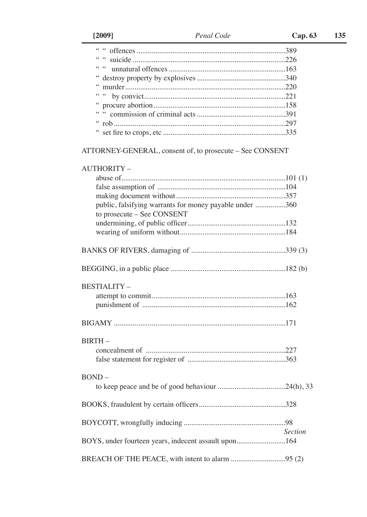### ATTORNEY-GENERAL, consent of, to prosecute - See CONSENT

#### AUTHORITY-

| public, falsifying warrants for money payable under 360 |
|---------------------------------------------------------|
|                                                         |
|                                                         |
|                                                         |
|                                                         |
|                                                         |
|                                                         |
|                                                         |
|                                                         |
|                                                         |
|                                                         |
|                                                         |
|                                                         |
|                                                         |
|                                                         |
|                                                         |
|                                                         |
|                                                         |
|                                                         |
|                                                         |
|                                                         |
|                                                         |
|                                                         |
|                                                         |
| <b>Section</b>                                          |
| BOYS, under fourteen years, indecent assault upon164    |
|                                                         |
|                                                         |
|                                                         |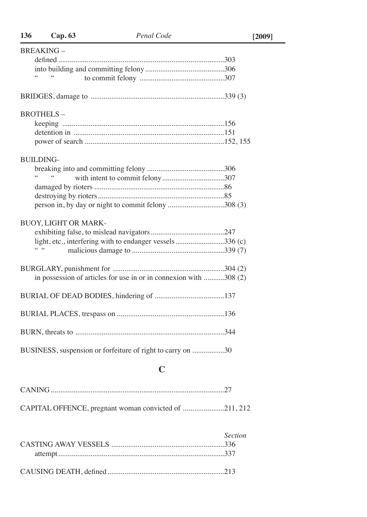| <b>BREAKING-</b>                                                  |  |
|-------------------------------------------------------------------|--|
|                                                                   |  |
|                                                                   |  |
| 66<br>$\zeta$ $\zeta$                                             |  |
|                                                                   |  |
| <b>BROTHELS-</b>                                                  |  |
|                                                                   |  |
|                                                                   |  |
|                                                                   |  |
| <b>BUILDING-</b>                                                  |  |
|                                                                   |  |
|                                                                   |  |
|                                                                   |  |
| person in, by day or night to commit felony 308 (3)               |  |
| BUOY, LIGHT OR MARK-                                              |  |
| light, etc., interfering with to endanger vessels336 (c)          |  |
| $66 - 66$                                                         |  |
|                                                                   |  |
|                                                                   |  |
| in possession of articles for use in or in connexion with 308 (2) |  |
|                                                                   |  |
|                                                                   |  |
|                                                                   |  |
| BUSINESS, suspension or forfeiture of right to carry on 30        |  |
|                                                                   |  |

## $\mathbf C$

| CAPITAL OFFENCE, pregnant woman convicted of 211, 212 |  |
|-------------------------------------------------------|--|

| <b>Section</b> |
|----------------|
|                |
|                |
|                |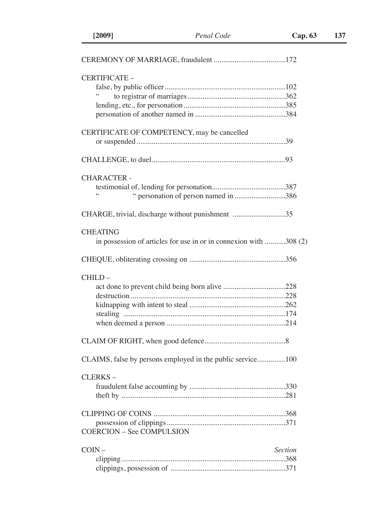| <b>CERTIFICATE –</b>                                                                 |
|--------------------------------------------------------------------------------------|
|                                                                                      |
|                                                                                      |
|                                                                                      |
|                                                                                      |
| CERTIFICATE OF COMPETENCY, may be cancelled                                          |
|                                                                                      |
|                                                                                      |
| <b>CHARACTER -</b>                                                                   |
|                                                                                      |
| " personation of person named in 386                                                 |
| CHARGE, trivial, discharge without punishment 35                                     |
| <b>CHEATING</b><br>in possession of articles for use in or in connexion with 308 (2) |
|                                                                                      |
| CHILD-                                                                               |
|                                                                                      |
|                                                                                      |
|                                                                                      |
|                                                                                      |
| CLAIMS, false by persons employed in the public service100                           |
| CLERKS-                                                                              |
|                                                                                      |
|                                                                                      |
|                                                                                      |
|                                                                                      |
| <b>COERCION - See COMPULSION</b>                                                     |
| $COIN -$<br><b>Section</b>                                                           |
|                                                                                      |
|                                                                                      |

**[2009]** *Penal Code* **Cap. 63 137**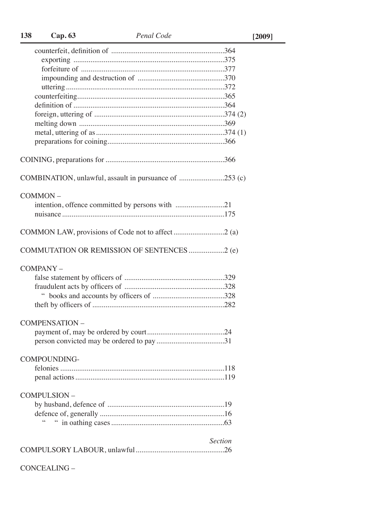| COMBINATION, unlawful, assault in pursuance of 253 (c) |
|--------------------------------------------------------|
|                                                        |
| COMMON-                                                |
| intention, offence committed by persons with 21        |
|                                                        |
|                                                        |
|                                                        |
| COMMUTATION OR REMISSION OF SENTENCES 2 (e)            |
| COMPANY-                                               |
|                                                        |
|                                                        |
|                                                        |
|                                                        |
|                                                        |
| COMPENSATION-                                          |
|                                                        |
|                                                        |
|                                                        |
| COMPOUNDING-                                           |
|                                                        |
|                                                        |
|                                                        |
| COMPULSION -                                           |
|                                                        |
|                                                        |
|                                                        |
|                                                        |
| <b>Section</b>                                         |
|                                                        |
|                                                        |

CONCEALING –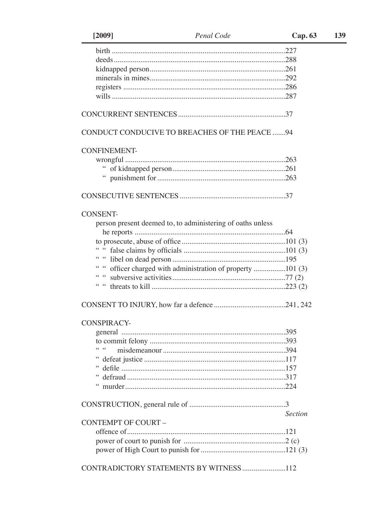| [2009]                      | Penal Code                                                  | Cap. 63        | 139 |
|-----------------------------|-------------------------------------------------------------|----------------|-----|
|                             |                                                             |                |     |
|                             |                                                             |                |     |
|                             |                                                             |                |     |
|                             |                                                             |                |     |
|                             |                                                             |                |     |
|                             |                                                             |                |     |
|                             |                                                             |                |     |
|                             | CONDUCT CONDUCIVE TO BREACHES OF THE PEACE 94               |                |     |
| <b>CONFINEMENT-</b>         |                                                             |                |     |
|                             |                                                             |                |     |
|                             |                                                             |                |     |
|                             |                                                             |                |     |
|                             |                                                             |                |     |
| <b>CONSENT-</b>             |                                                             |                |     |
|                             | person present deemed to, to administering of oaths unless  |                |     |
|                             |                                                             |                |     |
|                             |                                                             |                |     |
| $\mathsf{cc}=\mathsf{cc}$   |                                                             |                |     |
| $\mathsf{GC}=\mathsf{GC}$   |                                                             |                |     |
|                             | " " officer charged with administration of property 101 (3) |                |     |
|                             |                                                             |                |     |
| $\mathsf{GC} = \mathsf{GC}$ |                                                             |                |     |
|                             |                                                             |                |     |
| <b>CONSPIRACY-</b>          |                                                             |                |     |
|                             |                                                             |                |     |
|                             |                                                             |                |     |
| $\zeta\,\zeta=\zeta\,\zeta$ |                                                             |                |     |
|                             |                                                             |                |     |
|                             |                                                             |                |     |
|                             |                                                             |                |     |
|                             |                                                             |                |     |
|                             |                                                             |                |     |
|                             |                                                             | <b>Section</b> |     |
| <b>CONTEMPT OF COURT -</b>  |                                                             |                |     |
|                             |                                                             |                |     |
|                             |                                                             |                |     |
|                             |                                                             |                |     |
|                             | CONTRADICTORY STATEMENTS BY WITNESS 112                     |                |     |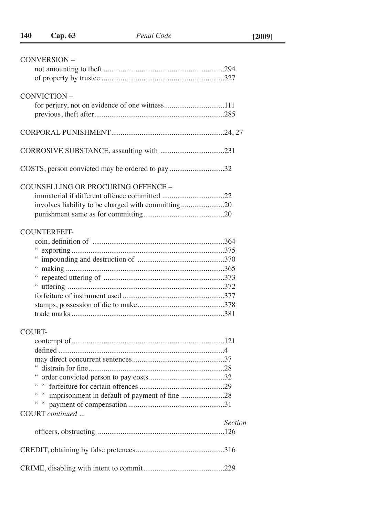| CONVERSION -                                       |         |
|----------------------------------------------------|---------|
|                                                    |         |
|                                                    |         |
|                                                    |         |
| CONVICTION -                                       |         |
| for perjury, not on evidence of one witness111     |         |
|                                                    |         |
|                                                    |         |
|                                                    |         |
|                                                    |         |
|                                                    |         |
| COSTS, person convicted may be ordered to pay 32   |         |
| COUNSELLING OR PROCURING OFFENCE -                 |         |
|                                                    |         |
| involves liability to be charged with committing20 |         |
|                                                    |         |
|                                                    |         |
| <b>COUNTERFEIT-</b>                                |         |
|                                                    |         |
|                                                    |         |
|                                                    |         |
|                                                    |         |
| $\epsilon$                                         |         |
| $\epsilon$                                         |         |
|                                                    |         |
|                                                    |         |
|                                                    |         |
|                                                    |         |
| <b>COURT-</b>                                      |         |
|                                                    |         |
|                                                    |         |
|                                                    |         |
|                                                    |         |
|                                                    |         |
|                                                    |         |
| imprisonment in default of payment of fine 28      |         |
| $\mathsf{GC}=\mathsf{GC}$                          |         |
| COURT continued                                    |         |
|                                                    | Section |
|                                                    |         |
|                                                    |         |
|                                                    |         |
|                                                    |         |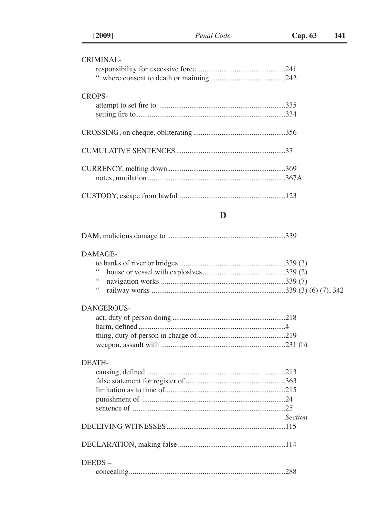| <b>CRIMINAL-</b> |  |
|------------------|--|
| <b>CROPS-</b>    |  |
|                  |  |
|                  |  |
|                  |  |
|                  |  |
|                  |  |
|                  |  |
|                  |  |

## $\mathbf D$

#### DAMAGE-

### DANGEROUS-

#### DEATH-

|           | <b>Section</b> |
|-----------|----------------|
|           |                |
|           |                |
| $DEEDS -$ |                |
|           |                |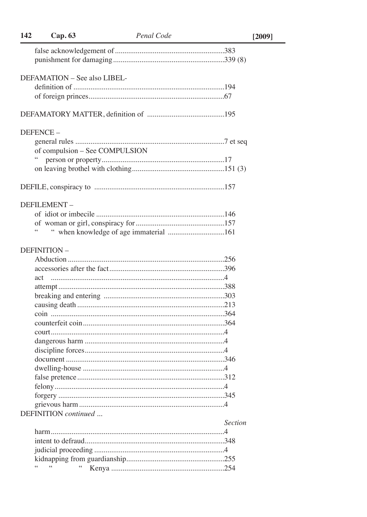| DEFAMATION - See also LIBEL-<br>DEFENCE-<br>of compulsion - See COMPULSION<br>DEFILEMENT-<br>when knowledge of age immaterial 161<br><b>DEFINITION -</b><br>act<br>DEFINITION continued<br><b>Section</b> | 142 | Cap. 63 | Penal Code | [2009] |
|-----------------------------------------------------------------------------------------------------------------------------------------------------------------------------------------------------------|-----|---------|------------|--------|
|                                                                                                                                                                                                           |     |         |            |        |
|                                                                                                                                                                                                           |     |         |            |        |
|                                                                                                                                                                                                           |     |         |            |        |
|                                                                                                                                                                                                           |     |         |            |        |
|                                                                                                                                                                                                           |     |         |            |        |
|                                                                                                                                                                                                           |     |         |            |        |
|                                                                                                                                                                                                           |     |         |            |        |
|                                                                                                                                                                                                           |     |         |            |        |
|                                                                                                                                                                                                           |     |         |            |        |
|                                                                                                                                                                                                           |     |         |            |        |
|                                                                                                                                                                                                           |     |         |            |        |
|                                                                                                                                                                                                           |     |         |            |        |
|                                                                                                                                                                                                           |     |         |            |        |
|                                                                                                                                                                                                           |     |         |            |        |
|                                                                                                                                                                                                           |     |         |            |        |
|                                                                                                                                                                                                           |     |         |            |        |
|                                                                                                                                                                                                           |     |         |            |        |
|                                                                                                                                                                                                           |     |         |            |        |
|                                                                                                                                                                                                           |     |         |            |        |
|                                                                                                                                                                                                           |     |         |            |        |
|                                                                                                                                                                                                           |     |         |            |        |
|                                                                                                                                                                                                           |     |         |            |        |
|                                                                                                                                                                                                           |     |         |            |        |
|                                                                                                                                                                                                           |     |         |            |        |
|                                                                                                                                                                                                           |     |         |            |        |
|                                                                                                                                                                                                           |     |         |            |        |
|                                                                                                                                                                                                           |     |         |            |        |
|                                                                                                                                                                                                           |     |         |            |        |
|                                                                                                                                                                                                           |     |         |            |        |
|                                                                                                                                                                                                           |     |         |            |        |
|                                                                                                                                                                                                           |     |         |            |        |
|                                                                                                                                                                                                           |     |         |            |        |
|                                                                                                                                                                                                           |     |         |            |        |
|                                                                                                                                                                                                           |     |         |            |        |
|                                                                                                                                                                                                           |     |         |            |        |
|                                                                                                                                                                                                           |     |         |            |        |
|                                                                                                                                                                                                           |     |         |            |        |
|                                                                                                                                                                                                           |     |         |            |        |
|                                                                                                                                                                                                           |     |         |            |        |
|                                                                                                                                                                                                           |     |         |            |        |
|                                                                                                                                                                                                           |     |         |            |        |
|                                                                                                                                                                                                           |     |         |            |        |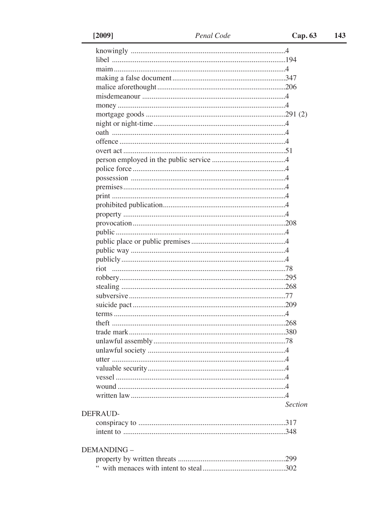| $main$     |                |
|------------|----------------|
|            |                |
|            |                |
|            |                |
|            |                |
|            |                |
|            |                |
|            |                |
|            |                |
|            |                |
|            |                |
|            |                |
|            |                |
|            |                |
|            |                |
|            |                |
|            |                |
|            |                |
|            |                |
|            |                |
|            |                |
|            |                |
|            |                |
|            |                |
|            |                |
|            |                |
|            |                |
|            |                |
|            |                |
|            |                |
|            |                |
|            |                |
|            |                |
|            |                |
|            |                |
|            |                |
|            |                |
|            |                |
|            | <b>Section</b> |
| DEFRAUD-   |                |
|            |                |
|            |                |
| DEMANDING- |                |
|            |                |
|            |                |
|            |                |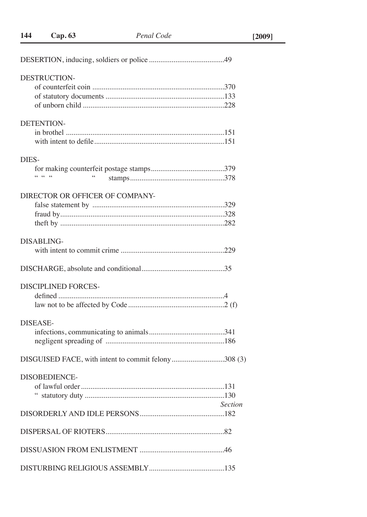| <b>DESTRUCTION-</b>                                                                                                                                                                                                                                                                                                                                                                  |
|--------------------------------------------------------------------------------------------------------------------------------------------------------------------------------------------------------------------------------------------------------------------------------------------------------------------------------------------------------------------------------------|
|                                                                                                                                                                                                                                                                                                                                                                                      |
|                                                                                                                                                                                                                                                                                                                                                                                      |
|                                                                                                                                                                                                                                                                                                                                                                                      |
| <b>DETENTION-</b>                                                                                                                                                                                                                                                                                                                                                                    |
|                                                                                                                                                                                                                                                                                                                                                                                      |
|                                                                                                                                                                                                                                                                                                                                                                                      |
| DIES-                                                                                                                                                                                                                                                                                                                                                                                |
|                                                                                                                                                                                                                                                                                                                                                                                      |
| $\overline{a}$ $\overline{a}$ $\overline{a}$ $\overline{a}$ $\overline{a}$ $\overline{a}$ $\overline{a}$ $\overline{a}$ $\overline{a}$ $\overline{a}$ $\overline{a}$ $\overline{a}$ $\overline{a}$ $\overline{a}$ $\overline{a}$ $\overline{a}$ $\overline{a}$ $\overline{a}$ $\overline{a}$ $\overline{a}$ $\overline{a}$ $\overline{a}$ $\overline{a}$ $\overline{a}$ $\overline{$ |
|                                                                                                                                                                                                                                                                                                                                                                                      |
| DIRECTOR OR OFFICER OF COMPANY-                                                                                                                                                                                                                                                                                                                                                      |
|                                                                                                                                                                                                                                                                                                                                                                                      |
|                                                                                                                                                                                                                                                                                                                                                                                      |
|                                                                                                                                                                                                                                                                                                                                                                                      |
|                                                                                                                                                                                                                                                                                                                                                                                      |
| DISABLING-                                                                                                                                                                                                                                                                                                                                                                           |
|                                                                                                                                                                                                                                                                                                                                                                                      |
|                                                                                                                                                                                                                                                                                                                                                                                      |
| <b>DISCIPLINED FORCES-</b>                                                                                                                                                                                                                                                                                                                                                           |
|                                                                                                                                                                                                                                                                                                                                                                                      |
|                                                                                                                                                                                                                                                                                                                                                                                      |
|                                                                                                                                                                                                                                                                                                                                                                                      |
| DISEASE-                                                                                                                                                                                                                                                                                                                                                                             |
|                                                                                                                                                                                                                                                                                                                                                                                      |
|                                                                                                                                                                                                                                                                                                                                                                                      |
| DISGUISED FACE, with intent to commit felony308 (3)                                                                                                                                                                                                                                                                                                                                  |
| DISOBEDIENCE-                                                                                                                                                                                                                                                                                                                                                                        |
|                                                                                                                                                                                                                                                                                                                                                                                      |
|                                                                                                                                                                                                                                                                                                                                                                                      |
| <b>Section</b>                                                                                                                                                                                                                                                                                                                                                                       |
|                                                                                                                                                                                                                                                                                                                                                                                      |
|                                                                                                                                                                                                                                                                                                                                                                                      |
|                                                                                                                                                                                                                                                                                                                                                                                      |
|                                                                                                                                                                                                                                                                                                                                                                                      |
|                                                                                                                                                                                                                                                                                                                                                                                      |
|                                                                                                                                                                                                                                                                                                                                                                                      |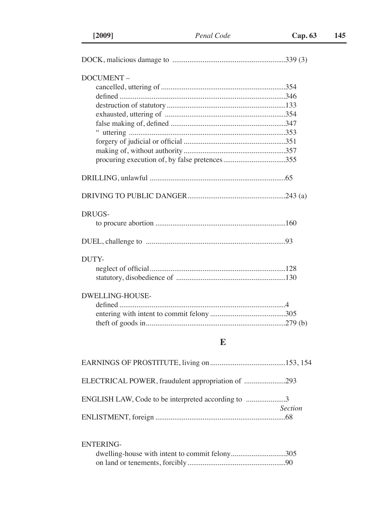| [2009]                 | Penal Code                                         | Cap.63 | 145 |
|------------------------|----------------------------------------------------|--------|-----|
|                        |                                                    |        |     |
| DOCUMENT-              |                                                    |        |     |
|                        |                                                    |        |     |
|                        |                                                    |        |     |
|                        |                                                    |        |     |
|                        |                                                    |        |     |
|                        |                                                    |        |     |
|                        |                                                    |        |     |
|                        |                                                    |        |     |
|                        |                                                    |        |     |
|                        |                                                    |        |     |
|                        |                                                    |        |     |
|                        |                                                    |        |     |
| DRUGS-                 |                                                    |        |     |
|                        |                                                    |        |     |
|                        |                                                    |        |     |
| DUTY-                  |                                                    |        |     |
|                        |                                                    |        |     |
| <b>DWELLING-HOUSE-</b> |                                                    |        |     |
|                        |                                                    |        |     |
|                        |                                                    |        |     |
|                        |                                                    |        |     |
|                        | E                                                  |        |     |
|                        |                                                    |        |     |
|                        | ELECTRICAL POWER, fraudulent appropriation of 293  |        |     |
|                        | ENGLISH LAW, Code to be interpreted according to 3 |        |     |

|  | <b>Section</b> |
|--|----------------|
|  |                |

| ENTERING-                                      |  |
|------------------------------------------------|--|
| dwelling-house with intent to commit felony305 |  |
|                                                |  |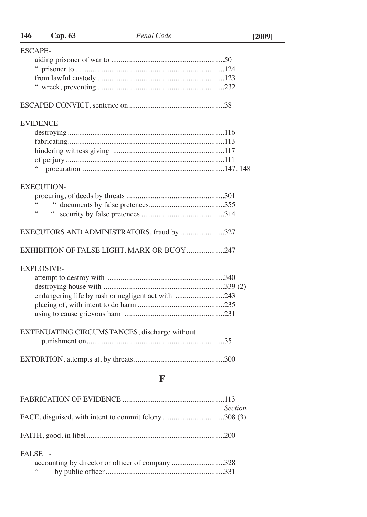| <b>ESCAPE-</b>                                       |                |
|------------------------------------------------------|----------------|
|                                                      |                |
|                                                      |                |
|                                                      |                |
|                                                      |                |
|                                                      |                |
| EVIDENCE-                                            |                |
|                                                      |                |
|                                                      |                |
|                                                      |                |
|                                                      |                |
|                                                      |                |
| <b>EXECUTION-</b>                                    |                |
|                                                      |                |
|                                                      |                |
| $\epsilon$                                           |                |
| EXECUTORS AND ADMINISTRATORS, fraud by327            |                |
| EXHIBITION OF FALSE LIGHT, MARK OR BUOY 247          |                |
| <b>EXPLOSIVE-</b>                                    |                |
|                                                      |                |
|                                                      |                |
| endangering life by rash or negligent act with 243   |                |
|                                                      |                |
|                                                      |                |
| EXTENUATING CIRCUMSTANCES, discharge without         |                |
|                                                      |                |
|                                                      |                |
|                                                      |                |
| F                                                    |                |
|                                                      |                |
|                                                      | <b>Section</b> |
| FACE, disguised, with intent to commit felony308 (3) |                |
|                                                      |                |
| $FAISE =$                                            |                |

| ╌                                                |  |
|--------------------------------------------------|--|
| accounting by director or officer of company 328 |  |
| 66                                               |  |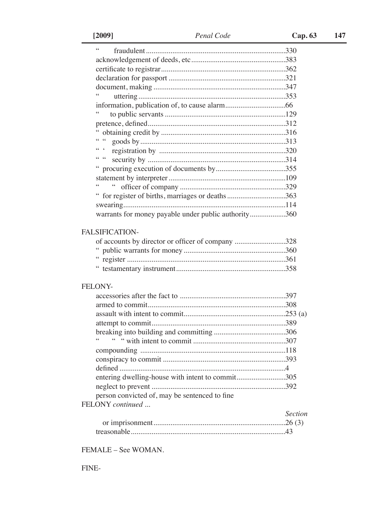| $\zeta$ $\zeta$                                         |         |
|---------------------------------------------------------|---------|
|                                                         |         |
|                                                         |         |
|                                                         |         |
|                                                         |         |
| $\zeta$ $\zeta$                                         |         |
|                                                         |         |
|                                                         |         |
|                                                         |         |
|                                                         |         |
| $\zeta$ $\zeta$<br>$\,$ 6 6 $\,$                        |         |
|                                                         |         |
| $\begin{array}{ccc} 6 & 6 & 6 \\ 6 & 6 & 6 \end{array}$ |         |
| $\epsilon$                                              |         |
|                                                         |         |
| $\epsilon$                                              |         |
| for register of births, marriages or deaths363          |         |
|                                                         |         |
| warrants for money payable under public authority360    |         |
|                                                         |         |
| <b>FALSIFICATION-</b>                                   |         |
| of accounts by director or officer of company 328       |         |
|                                                         |         |
|                                                         |         |
|                                                         |         |
| FELONY-                                                 |         |
|                                                         |         |
|                                                         |         |
|                                                         |         |
|                                                         |         |
|                                                         |         |
|                                                         |         |
|                                                         |         |
|                                                         |         |
|                                                         |         |
| entering dwelling-house with intent to commit305        |         |
|                                                         |         |
| person convicted of, may be sentenced to fine           |         |
| FELONY continued                                        |         |
|                                                         | Section |

| $\mathcal{L}$ . |
|-----------------|
|                 |
|                 |

FEMALE - See WOMAN.

FINE-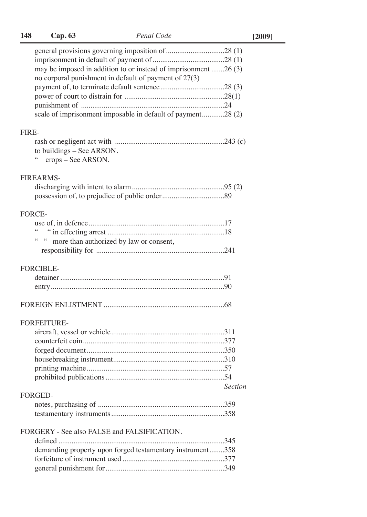| 148   | Cap. 63                                                                                | Penal Code                                                      |                | [2009] |
|-------|----------------------------------------------------------------------------------------|-----------------------------------------------------------------|----------------|--------|
|       |                                                                                        | may be imposed in addition to or instead of imprisonment 26 (3) |                |        |
|       |                                                                                        | no corporal punishment in default of payment of $27(3)$         |                |        |
|       |                                                                                        | scale of imprisonment imposable in default of payment28 (2)     |                |        |
| FIRE- |                                                                                        |                                                                 |                |        |
|       | to buildings - See ARSON.<br>$\!\!\!\zeta\!\!\!\zeta\!\!\!\zeta$<br>crops - See ARSON. |                                                                 |                |        |
|       | <b>FIREARMS-</b>                                                                       |                                                                 |                |        |
|       |                                                                                        |                                                                 |                |        |
|       | FORCE-                                                                                 |                                                                 |                |        |
|       | $\!\!\!\zeta\!\!\!\zeta\!\!\!\zeta\!$                                                  |                                                                 |                |        |
|       |                                                                                        | " more than authorized by law or consent,                       |                |        |
|       |                                                                                        |                                                                 |                |        |
|       | <b>FORCIBLE-</b>                                                                       |                                                                 |                |        |
|       |                                                                                        |                                                                 |                |        |
|       |                                                                                        |                                                                 |                |        |
|       |                                                                                        |                                                                 |                |        |
|       | <b>FORFEITURE-</b>                                                                     |                                                                 |                |        |
|       |                                                                                        |                                                                 |                |        |
|       |                                                                                        |                                                                 |                |        |
|       |                                                                                        |                                                                 |                |        |
|       |                                                                                        |                                                                 | 57             |        |
|       |                                                                                        |                                                                 |                |        |
|       |                                                                                        |                                                                 | <b>Section</b> |        |
|       | FORGED-                                                                                |                                                                 |                |        |
|       |                                                                                        |                                                                 |                |        |
|       |                                                                                        | FORGERY - See also FALSE and FALSIFICATION.                     |                |        |
|       |                                                                                        |                                                                 |                |        |
|       |                                                                                        | demanding property upon forged testamentary instrument358       |                |        |
|       |                                                                                        |                                                                 |                |        |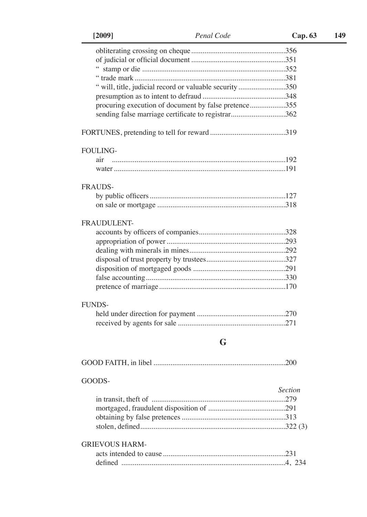| [2009]                | Penal Code                                              | Cap. 63        | 149 |
|-----------------------|---------------------------------------------------------|----------------|-----|
|                       |                                                         |                |     |
|                       |                                                         |                |     |
| $\epsilon$            |                                                         |                |     |
|                       |                                                         |                |     |
|                       | " will, title, judicial record or valuable security 350 |                |     |
|                       |                                                         |                |     |
|                       | procuring execution of document by false pretence355    |                |     |
|                       | sending false marriage certificate to registrar362      |                |     |
|                       |                                                         |                |     |
| FOULING-              |                                                         |                |     |
| air                   |                                                         |                |     |
|                       |                                                         |                |     |
| <b>FRAUDS-</b>        |                                                         |                |     |
|                       |                                                         |                |     |
|                       |                                                         |                |     |
| FRAUDULENT-           |                                                         |                |     |
|                       |                                                         |                |     |
|                       |                                                         |                |     |
|                       |                                                         |                |     |
|                       |                                                         |                |     |
|                       |                                                         |                |     |
|                       |                                                         |                |     |
|                       |                                                         |                |     |
| FUNDS-                |                                                         |                |     |
|                       |                                                         |                |     |
|                       |                                                         |                |     |
|                       | G                                                       |                |     |
|                       |                                                         |                |     |
| GOODS-                |                                                         |                |     |
|                       |                                                         | <b>Section</b> |     |
|                       |                                                         |                |     |
|                       |                                                         |                |     |
|                       |                                                         |                |     |
|                       |                                                         |                |     |
| <b>GRIEVOUS HARM-</b> |                                                         |                |     |
|                       |                                                         |                |     |
|                       |                                                         |                |     |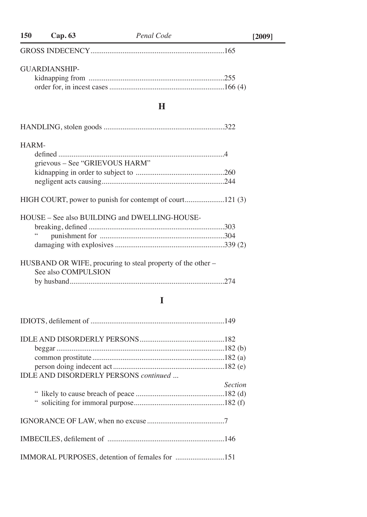| <b>150</b> | Cap. 63                        | Penal Code                                                 | $[2009]$       |
|------------|--------------------------------|------------------------------------------------------------|----------------|
|            |                                |                                                            |                |
|            | <b>GUARDIANSHIP-</b>           |                                                            |                |
|            |                                |                                                            |                |
|            |                                |                                                            |                |
|            |                                | H                                                          |                |
|            |                                |                                                            |                |
| HARM-      |                                |                                                            |                |
|            |                                |                                                            |                |
|            | grievous - See "GRIEVOUS HARM" |                                                            |                |
|            |                                |                                                            |                |
|            |                                |                                                            |                |
|            |                                | HIGH COURT, power to punish for contempt of court121 (3)   |                |
|            |                                | HOUSE - See also BUILDING and DWELLING-HOUSE-              |                |
|            |                                |                                                            |                |
|            |                                |                                                            |                |
|            |                                |                                                            |                |
|            | See also COMPULSION            | HUSBAND OR WIFE, procuring to steal property of the other- |                |
|            |                                |                                                            |                |
|            |                                | I                                                          |                |
|            |                                |                                                            |                |
|            |                                |                                                            |                |
|            |                                |                                                            |                |
|            |                                |                                                            |                |
|            |                                |                                                            |                |
|            |                                |                                                            |                |
|            |                                | IDLE AND DISORDERLY PERSONS continued                      |                |
|            |                                |                                                            | <b>Section</b> |
|            |                                |                                                            |                |
|            |                                |                                                            |                |
|            |                                |                                                            |                |

| IMMORAL PURPOSES, detention of females for 151 |  |  |
|------------------------------------------------|--|--|
|------------------------------------------------|--|--|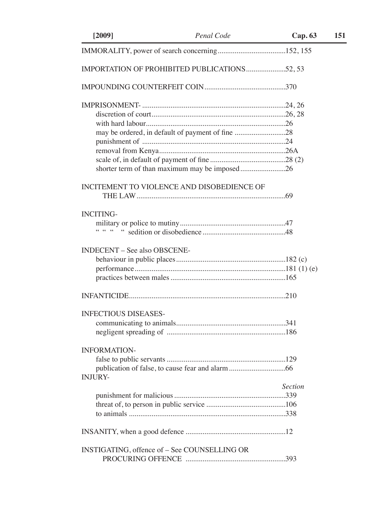| [2009]                              | Penal Code                                       | Cap. 63        | 151 |
|-------------------------------------|--------------------------------------------------|----------------|-----|
|                                     |                                                  |                |     |
|                                     | IMPORTATION OF PROHIBITED PUBLICATIONS52, 53     |                |     |
|                                     |                                                  |                |     |
|                                     |                                                  |                |     |
|                                     |                                                  |                |     |
|                                     |                                                  |                |     |
|                                     | may be ordered, in default of payment of fine 28 |                |     |
|                                     |                                                  |                |     |
|                                     |                                                  |                |     |
|                                     | shorter term of than maximum may be imposed26    |                |     |
|                                     |                                                  |                |     |
|                                     | INCITEMENT TO VIOLENCE AND DISOBEDIENCE OF       |                |     |
|                                     |                                                  |                |     |
|                                     |                                                  |                |     |
| <b>INCITING-</b>                    |                                                  |                |     |
|                                     |                                                  |                |     |
|                                     |                                                  |                |     |
|                                     |                                                  |                |     |
| <b>INDECENT - See also OBSCENE-</b> |                                                  |                |     |
|                                     |                                                  |                |     |
|                                     |                                                  |                |     |
|                                     |                                                  |                |     |
|                                     |                                                  |                |     |
|                                     |                                                  |                |     |
| <b>INFECTIOUS DISEASES-</b>         |                                                  |                |     |
|                                     |                                                  |                |     |
|                                     |                                                  |                |     |
|                                     |                                                  |                |     |
| <b>INFORMATION-</b>                 |                                                  |                |     |
|                                     |                                                  |                |     |
|                                     |                                                  |                |     |
| <b>INJURY-</b>                      |                                                  | <b>Section</b> |     |
|                                     |                                                  |                |     |
|                                     |                                                  |                |     |
|                                     |                                                  |                |     |
|                                     |                                                  |                |     |
|                                     |                                                  |                |     |
|                                     | INSTIGATING, offence of - See COUNSELLING OR     |                |     |
|                                     |                                                  |                |     |
|                                     |                                                  |                |     |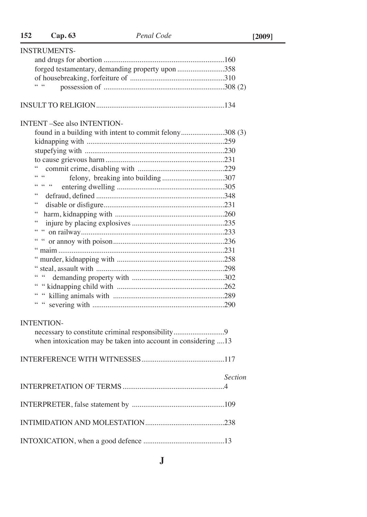**152 Cap. 63** *Penal Code* **[2009]**

| <b>INSTRUMENTS-</b>                                                   |                |
|-----------------------------------------------------------------------|----------------|
|                                                                       |                |
| forged testamentary, demanding property upon 358                      |                |
|                                                                       |                |
|                                                                       |                |
|                                                                       |                |
| <b>INTENT-See also INTENTION-</b>                                     |                |
| found in a building with intent to commit felony308 (3)               |                |
|                                                                       |                |
|                                                                       |                |
|                                                                       |                |
|                                                                       |                |
| $66 - 66$<br>felony, breaking into building 307                       |                |
| $\overline{c}c = \overline{c}c = \overline{c}c$                       |                |
| $\zeta$ $\zeta$                                                       |                |
| $\zeta$ $\zeta$                                                       |                |
|                                                                       |                |
| $\zeta$ $\zeta$                                                       |                |
|                                                                       |                |
| $\mathsf{GC} = \mathsf{GC}$                                           |                |
| $\!\!\!\zeta\!\!\!\zeta\!\!\!\zeta\!$                                 |                |
|                                                                       |                |
|                                                                       |                |
| $\zeta$ $\zeta$                                                       |                |
|                                                                       |                |
|                                                                       |                |
|                                                                       |                |
| <b>INTENTION-</b><br>necessary to constitute criminal responsibility9 |                |
| when intoxication may be taken into account in considering 13         |                |
|                                                                       |                |
|                                                                       | <b>Section</b> |
|                                                                       |                |
|                                                                       |                |
|                                                                       |                |
|                                                                       |                |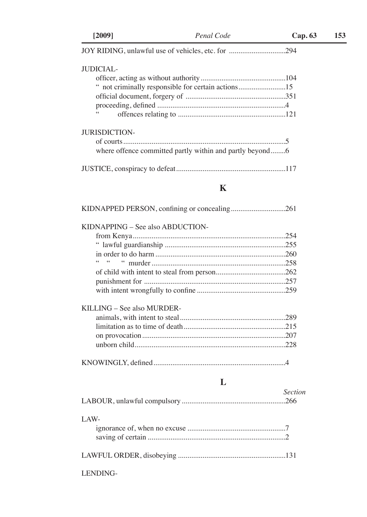| $[2009]$                         | Penal Code                                               | Cap. 63        | 153 |
|----------------------------------|----------------------------------------------------------|----------------|-----|
|                                  | JOY RIDING, unlawful use of vehicles, etc. for 294       |                |     |
| <b>JUDICIAL-</b>                 | not criminally responsible for certain actions15         |                |     |
| <b>JURISDICTION-</b>             | where offence committed partly within and partly beyond6 |                |     |
|                                  |                                                          |                |     |
|                                  | K                                                        |                |     |
|                                  |                                                          |                |     |
| KIDNAPPING - See also ABDUCTION- |                                                          |                |     |
| KILLING – See also MURDER-       |                                                          |                |     |
|                                  |                                                          |                |     |
|                                  | L                                                        |                |     |
|                                  |                                                          | <b>Section</b> |     |
| LAW-                             |                                                          |                |     |
|                                  |                                                          |                |     |

LENDING-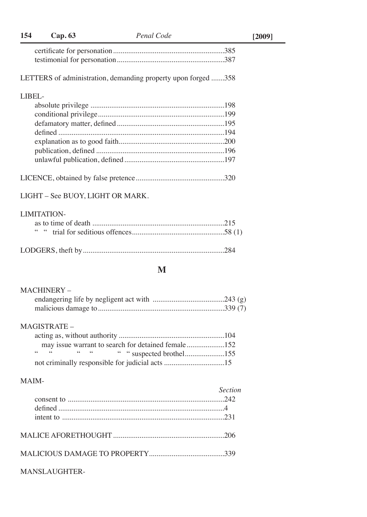| 154 | Cap. 63 | Penal Code | [2009] |
|-----|---------|------------|--------|
|     |         |            |        |
|     |         |            |        |

LETTERS of administration, demanding property upon forged .......358

#### LIBEL-

# LICENCE, obtained by false pretence...............................................320

## LIGHT – See BUOY, LIGHT OR MARK.

#### LIMITATION-

|--|--|

## **M**

#### MACHINERY –

#### MAGISTRATE –

|  |                                                                                                                                                                                                                                                                                                                                                                                      | may issue warrant to search for detained female152 |  |
|--|--------------------------------------------------------------------------------------------------------------------------------------------------------------------------------------------------------------------------------------------------------------------------------------------------------------------------------------------------------------------------------------|----------------------------------------------------|--|
|  | $\overline{a}$ $\overline{a}$ $\overline{a}$ $\overline{a}$ $\overline{a}$ $\overline{a}$ $\overline{a}$ $\overline{a}$ $\overline{a}$ $\overline{a}$ $\overline{a}$ $\overline{a}$ $\overline{a}$ $\overline{a}$ $\overline{a}$ $\overline{a}$ $\overline{a}$ $\overline{a}$ $\overline{a}$ $\overline{a}$ $\overline{a}$ $\overline{a}$ $\overline{a}$ $\overline{a}$ $\overline{$ |                                                    |  |
|  |                                                                                                                                                                                                                                                                                                                                                                                      |                                                    |  |

#### MAIM-

|               | Section |
|---------------|---------|
|               |         |
|               |         |
|               |         |
|               |         |
|               |         |
| MANSLAUGHTER- |         |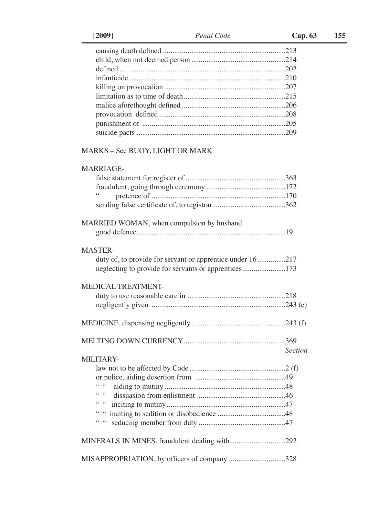#### MARKS – See BUOY, LIGHT OR MARK

#### MARRIAGE-

| MARRIED WOMAN, when compulsion by husband                                                                         |                |
|-------------------------------------------------------------------------------------------------------------------|----------------|
| <b>MASTER-</b>                                                                                                    |                |
| duty of, to provide for servant or apprentice under 16217<br>neglecting to provide for servants or apprentices173 |                |
| <b>MEDICAL TREATMENT-</b>                                                                                         |                |
|                                                                                                                   |                |
|                                                                                                                   |                |
|                                                                                                                   |                |
|                                                                                                                   |                |
|                                                                                                                   | <b>Section</b> |
| MILITARY-                                                                                                         |                |
|                                                                                                                   |                |
|                                                                                                                   |                |
| $\mathbf{c}\,\mathbf{c}=\mathbf{c}\,\mathbf{c}$                                                                   |                |
| $\begin{array}{ccc} 6 & 6 & 6 \end{array}$                                                                        |                |
| $\begin{array}{ccc} 6 & 6 & 6 \\ 6 & 6 & 6 \end{array}$                                                           |                |
|                                                                                                                   |                |
| $\mathsf{cc} = \mathsf{cc}$                                                                                       |                |
| MINERALS IN MINES, fraudulent dealing with 292                                                                    |                |
| MISAPPROPRIATION, by officers of company 328                                                                      |                |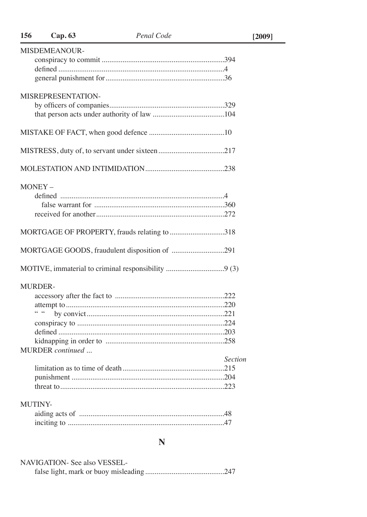| N                                                   |                |
|-----------------------------------------------------|----------------|
| <b>MUTINY-</b>                                      |                |
| threat to                                           |                |
| MURDER continued                                    | <b>Section</b> |
|                                                     |                |
|                                                     |                |
|                                                     |                |
| $\zeta(\zeta)=\zeta(\zeta$                          |                |
|                                                     |                |
| <b>MURDER-</b>                                      |                |
| MOTIVE, immaterial to criminal responsibility 9 (3) |                |
| MORTGAGE GOODS, fraudulent disposition of 291       |                |
| MORTGAGE OF PROPERTY, frauds relating to 318        |                |
|                                                     |                |
|                                                     |                |
| $MONEY -$                                           |                |
|                                                     |                |
|                                                     |                |
|                                                     |                |
|                                                     |                |
| MISREPRESENTATION-                                  |                |
|                                                     |                |
|                                                     |                |
|                                                     |                |
| MISDEMEANOUR-                                       |                |

| <b>NAVIGATION-</b> See also VESSEL- |  |
|-------------------------------------|--|
|                                     |  |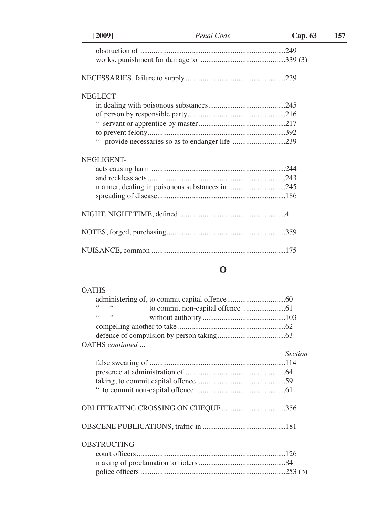| [2009]     | Penal Code                                       | Cap. 63 | 157 |
|------------|--------------------------------------------------|---------|-----|
|            |                                                  |         |     |
|            |                                                  |         |     |
|            |                                                  |         |     |
| NEGLECT-   |                                                  |         |     |
|            |                                                  |         |     |
|            |                                                  |         |     |
|            |                                                  |         |     |
|            |                                                  |         |     |
|            | " provide necessaries so as to endanger life 239 |         |     |
| NEGLIGENT- |                                                  |         |     |
|            |                                                  |         |     |
|            |                                                  |         |     |
|            |                                                  |         |     |
|            |                                                  |         |     |
|            |                                                  |         |     |
|            |                                                  |         |     |
|            |                                                  |         |     |
|            |                                                  |         |     |

# $\mathbf 0$

#### OATHS-

| $\zeta$ $\zeta$<br>$\zeta$ $\zeta$ |                |
|------------------------------------|----------------|
| 66<br>66                           |                |
|                                    |                |
|                                    |                |
| OATHS continued                    |                |
|                                    | <b>Section</b> |
|                                    |                |
|                                    |                |
|                                    |                |
|                                    |                |
|                                    |                |
|                                    |                |
| <b>OBSTRUCTING-</b>                |                |
|                                    |                |
|                                    |                |
|                                    |                |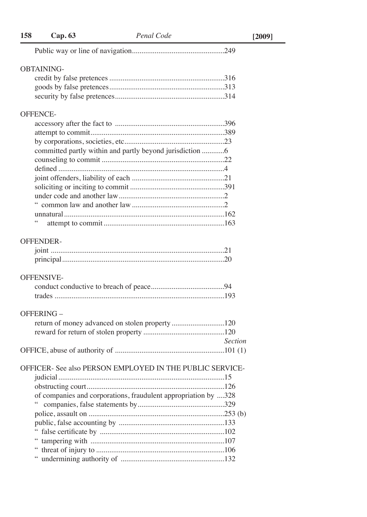| 158 | Cap. 63           | Penal Code                                                     | [2009]  |
|-----|-------------------|----------------------------------------------------------------|---------|
|     |                   |                                                                |         |
|     | <b>OBTAINING-</b> |                                                                |         |
|     |                   |                                                                |         |
|     |                   |                                                                |         |
|     |                   |                                                                |         |
|     | <b>OFFENCE-</b>   |                                                                |         |
|     |                   |                                                                |         |
|     |                   |                                                                |         |
|     |                   |                                                                |         |
|     |                   | committed partly within and partly beyond jurisdiction 6       |         |
|     |                   |                                                                |         |
|     |                   |                                                                |         |
|     |                   |                                                                |         |
|     |                   |                                                                |         |
|     |                   |                                                                |         |
|     |                   |                                                                |         |
|     |                   |                                                                |         |
|     | $\zeta$ $\zeta$   |                                                                |         |
|     | <b>OFFENDER-</b>  |                                                                |         |
|     |                   |                                                                |         |
|     |                   |                                                                |         |
|     | OFFENSIVE-        |                                                                |         |
|     |                   |                                                                |         |
|     |                   |                                                                |         |
|     | OFFERING-         |                                                                |         |
|     |                   | return of money advanced on stolen property 120                |         |
|     |                   |                                                                |         |
|     |                   |                                                                | Section |
|     |                   |                                                                |         |
|     |                   | OFFICER- See also PERSON EMPLOYED IN THE PUBLIC SERVICE-       |         |
|     |                   |                                                                |         |
|     |                   |                                                                |         |
|     |                   | of companies and corporations, fraudulent appropriation by 328 |         |
|     |                   |                                                                |         |
|     |                   |                                                                |         |
|     |                   |                                                                |         |
|     |                   |                                                                |         |
|     |                   |                                                                |         |
|     |                   |                                                                |         |
|     |                   |                                                                |         |
|     |                   |                                                                |         |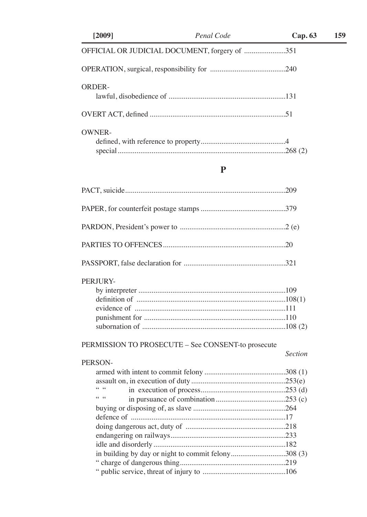| $[2009]$      | Penal Code                                          | Cap. 63        | 159 |
|---------------|-----------------------------------------------------|----------------|-----|
|               | OFFICIAL OR JUDICIAL DOCUMENT, forgery of 351       |                |     |
|               |                                                     |                |     |
| <b>ORDER-</b> |                                                     |                |     |
|               |                                                     |                |     |
| <b>OWNER-</b> |                                                     |                |     |
|               | ${\bf P}$                                           |                |     |
|               |                                                     |                |     |
|               |                                                     |                |     |
|               |                                                     |                |     |
|               |                                                     |                |     |
|               |                                                     |                |     |
| PERJURY-      |                                                     |                |     |
|               | PERMISSION TO PROSECUTE - See CONSENT-to prosecute  |                |     |
|               |                                                     | <b>Section</b> |     |
| PERSON-       |                                                     |                |     |
| $66 - 66$     |                                                     |                |     |
| $66 - 66$     |                                                     |                |     |
|               |                                                     |                |     |
|               |                                                     |                |     |
|               |                                                     |                |     |
|               |                                                     |                |     |
|               |                                                     |                |     |
|               | in building by day or night to commit felony308 (3) |                |     |
|               |                                                     |                |     |
|               |                                                     |                |     |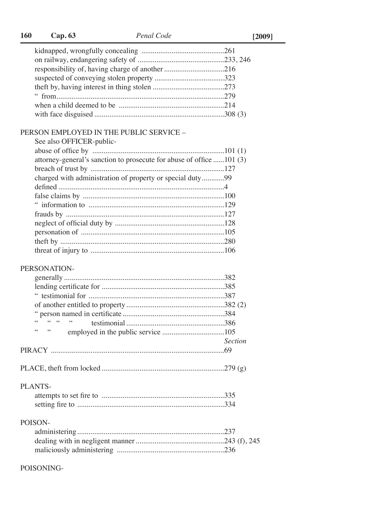| PERSON EMPLOYED IN THE PUBLIC SERVICE –                              |                |
|----------------------------------------------------------------------|----------------|
| See also OFFICER-public-                                             |                |
|                                                                      |                |
| attorney-general's sanction to prosecute for abuse of office 101 (3) |                |
|                                                                      |                |
| charged with administration of property or special duty99            |                |
|                                                                      |                |
|                                                                      |                |
|                                                                      |                |
|                                                                      |                |
|                                                                      |                |
|                                                                      |                |
|                                                                      |                |
|                                                                      |                |
|                                                                      |                |
| PERSONATION-                                                         |                |
|                                                                      |                |
|                                                                      |                |
|                                                                      |                |
|                                                                      |                |
|                                                                      |                |
| $\sim$ 44                                                            |                |
| $\epsilon$                                                           |                |
|                                                                      | <b>Section</b> |
|                                                                      |                |
|                                                                      |                |
|                                                                      |                |
|                                                                      |                |
| PLANTS-                                                              |                |
|                                                                      |                |
|                                                                      |                |
|                                                                      |                |
| POISON-                                                              |                |
|                                                                      |                |
|                                                                      |                |
|                                                                      |                |
|                                                                      |                |

#### POISONING-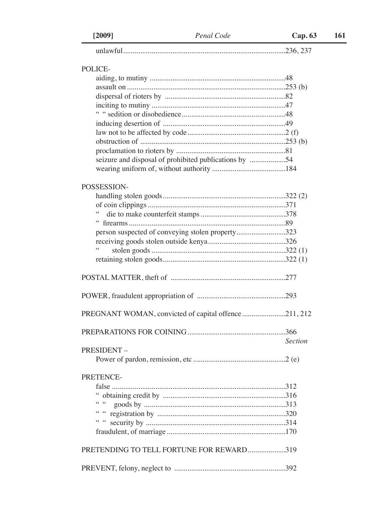| [2009]                                  | Penal Code                                            | Cap. 63        | 161 |
|-----------------------------------------|-------------------------------------------------------|----------------|-----|
|                                         |                                                       |                |     |
| POLICE-                                 |                                                       |                |     |
|                                         |                                                       |                |     |
|                                         |                                                       |                |     |
|                                         |                                                       |                |     |
|                                         |                                                       |                |     |
|                                         |                                                       |                |     |
|                                         |                                                       |                |     |
|                                         |                                                       |                |     |
|                                         |                                                       |                |     |
|                                         |                                                       |                |     |
|                                         | seizure and disposal of prohibited publications by 54 |                |     |
|                                         |                                                       |                |     |
| POSSESSION-                             |                                                       |                |     |
|                                         |                                                       |                |     |
|                                         |                                                       |                |     |
|                                         |                                                       |                |     |
|                                         |                                                       |                |     |
|                                         | person suspected of conveying stolen property323      |                |     |
|                                         |                                                       |                |     |
| $\zeta$ $\zeta$                         |                                                       |                |     |
|                                         |                                                       |                |     |
|                                         |                                                       |                |     |
|                                         |                                                       |                |     |
|                                         | PREGNANT WOMAN, convicted of capital offence211, 212  |                |     |
|                                         |                                                       |                |     |
|                                         |                                                       | <b>Section</b> |     |
| PRESIDENT-                              |                                                       |                |     |
|                                         |                                                       |                |     |
| PRETENCE-                               |                                                       |                |     |
|                                         |                                                       |                |     |
|                                         |                                                       |                |     |
| $\epsilon\,\epsilon=\epsilon\,\epsilon$ |                                                       |                |     |
| $\mathsf{cc}=\mathsf{cc}$               |                                                       |                |     |
| $\mathsf{cc}=\mathsf{cc}$               |                                                       |                |     |
|                                         |                                                       |                |     |
|                                         | PRETENDING TO TELL FORTUNE FOR REWARD319              |                |     |
|                                         |                                                       |                |     |
|                                         |                                                       |                |     |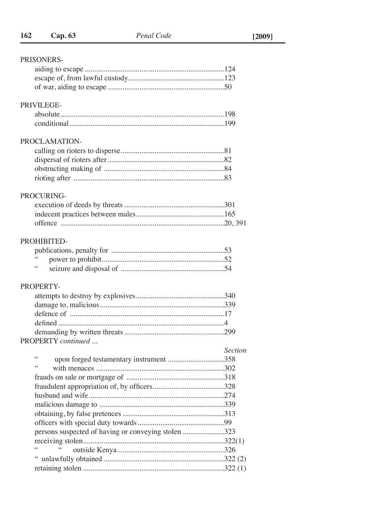| PRISONERS-                                                 |                |
|------------------------------------------------------------|----------------|
|                                                            |                |
|                                                            |                |
|                                                            |                |
| PRIVILEGE-                                                 |                |
|                                                            |                |
|                                                            |                |
| PROCLAMATION-                                              |                |
|                                                            |                |
|                                                            |                |
|                                                            |                |
|                                                            |                |
| PROCURING-                                                 |                |
|                                                            |                |
|                                                            |                |
|                                                            |                |
| PROHIBITED-                                                |                |
|                                                            |                |
|                                                            |                |
| $\zeta$ $\zeta$                                            |                |
| PROPERTY-                                                  |                |
|                                                            |                |
|                                                            |                |
|                                                            |                |
|                                                            |                |
|                                                            |                |
| PROPERTY continued                                         |                |
|                                                            | <b>Section</b> |
| $\zeta$ $\zeta$<br>upon forged testamentary instrument 358 |                |
| $\epsilon$                                                 |                |
|                                                            |                |
|                                                            |                |
|                                                            |                |
|                                                            |                |
|                                                            |                |
|                                                            |                |
| persons suspected of having or conveying stolen 323        |                |
|                                                            |                |
| 66<br>$\zeta$ $\zeta$                                      |                |
|                                                            |                |
|                                                            |                |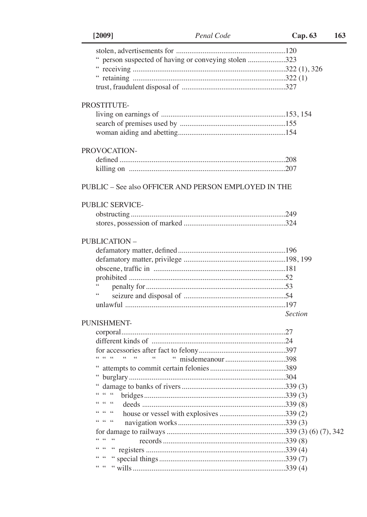| [2009]                                    | Penal Code                                           | Cap. 63<br>163 |
|-------------------------------------------|------------------------------------------------------|----------------|
|                                           |                                                      |                |
|                                           | person suspected of having or conveying stolen 323   |                |
| $\epsilon$ $\epsilon$                     |                                                      |                |
|                                           |                                                      |                |
|                                           |                                                      |                |
| PROSTITUTE-                               |                                                      |                |
|                                           |                                                      |                |
|                                           |                                                      |                |
|                                           |                                                      |                |
| PROVOCATION-                              |                                                      |                |
|                                           |                                                      |                |
|                                           |                                                      |                |
|                                           |                                                      |                |
|                                           | PUBLIC - See also OFFICER AND PERSON EMPLOYED IN THE |                |
| <b>PUBLIC SERVICE-</b>                    |                                                      |                |
|                                           |                                                      |                |
|                                           |                                                      |                |
| <b>PUBLICATION -</b>                      |                                                      |                |
|                                           |                                                      |                |
|                                           |                                                      |                |
|                                           |                                                      |                |
|                                           |                                                      |                |
| $\zeta$ $\zeta$                           |                                                      |                |
| 66                                        |                                                      |                |
|                                           |                                                      |                |
|                                           |                                                      | <b>Section</b> |
| <b>PUNISHMENT-</b>                        |                                                      |                |
|                                           |                                                      |                |
|                                           |                                                      |                |
| 66<br>aa aa aa -<br>$\epsilon$ $\epsilon$ |                                                      |                |
|                                           | " misdemeanour398                                    |                |
|                                           |                                                      |                |
|                                           |                                                      |                |
|                                           |                                                      |                |
| $66 \quad 66 \quad 66$                    |                                                      |                |
| $66 \quad 66 \quad 66$                    |                                                      |                |
| $66 \quad 66 \quad 66$                    |                                                      |                |
|                                           |                                                      |                |
| $66 - 66$                                 |                                                      |                |
| $66 - 66$                                 |                                                      |                |
|                                           |                                                      |                |
| $66-66$                                   |                                                      |                |
|                                           |                                                      |                |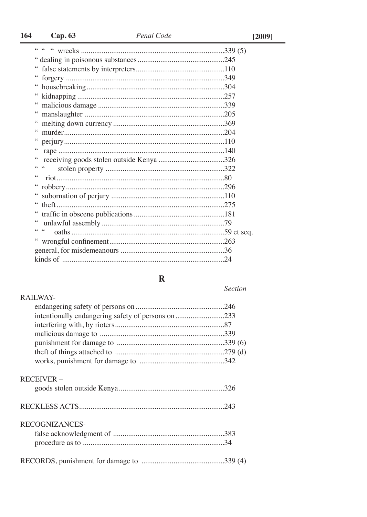| $\,$ 6 $\,$                             |  |
|-----------------------------------------|--|
|                                         |  |
| $\zeta$ $\zeta$                         |  |
| $\zeta$ $\zeta$                         |  |
| $\epsilon\,\epsilon=\epsilon\,\epsilon$ |  |
| $\epsilon$                              |  |
|                                         |  |
|                                         |  |
|                                         |  |
|                                         |  |
| $\zeta$ $\zeta$                         |  |
| $\mathsf{GC}=\mathsf{GC}$               |  |
|                                         |  |
|                                         |  |
|                                         |  |
|                                         |  |

# $\mathbf R$

Section

| RAILWAY-                                           |  |
|----------------------------------------------------|--|
|                                                    |  |
| intentionally endangering safety of persons on 233 |  |
|                                                    |  |
|                                                    |  |
|                                                    |  |
|                                                    |  |
|                                                    |  |
| <b>RECEIVER –</b>                                  |  |
|                                                    |  |
| RECOGNIZANCES-                                     |  |
|                                                    |  |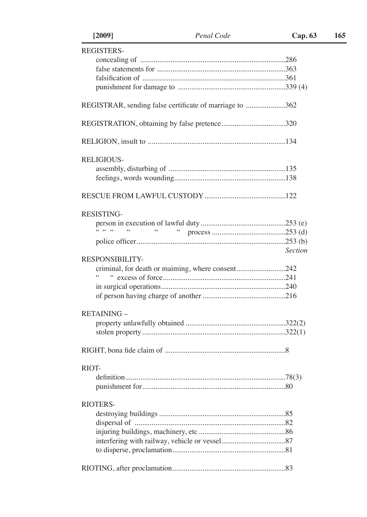| REGISTERS-                                              |         |
|---------------------------------------------------------|---------|
|                                                         |         |
|                                                         |         |
|                                                         |         |
|                                                         |         |
|                                                         |         |
| REGISTRAR, sending false certificate of marriage to 362 |         |
|                                                         |         |
|                                                         |         |
| <b>RELIGIOUS-</b>                                       |         |
|                                                         |         |
|                                                         |         |
|                                                         |         |
|                                                         |         |
| <b>RESISTING-</b>                                       |         |
|                                                         |         |
|                                                         |         |
|                                                         |         |
|                                                         | Section |
| <b>RESPONSIBILITY-</b>                                  |         |
| criminal, for death or maiming, where consent242        |         |
|                                                         |         |
|                                                         |         |
|                                                         |         |
|                                                         |         |
| RETAINING-                                              |         |
|                                                         |         |
|                                                         |         |
|                                                         |         |
|                                                         |         |
| RIOT-                                                   |         |
|                                                         |         |
|                                                         |         |
|                                                         |         |
| <b>RIOTERS-</b>                                         |         |
|                                                         |         |
|                                                         |         |
|                                                         |         |
|                                                         |         |
|                                                         |         |
|                                                         |         |
|                                                         |         |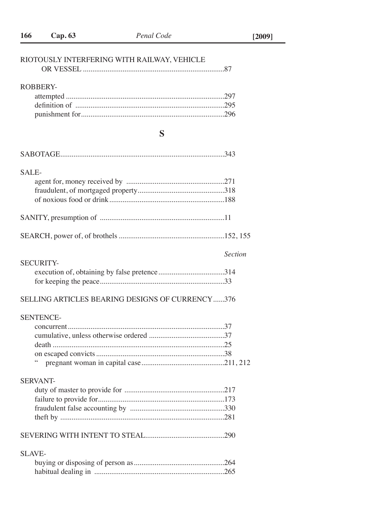# RIOTOUSLY INTERFERING WITH RAILWAY, VEHICLE OR VESSEL ...........................................................................87 ROBBERYattempted ....................................................................................297

## **S**

| SALE-                                                  |
|--------------------------------------------------------|
|                                                        |
|                                                        |
|                                                        |
|                                                        |
|                                                        |
|                                                        |
| <b>Section</b>                                         |
| <b>SECURITY-</b>                                       |
|                                                        |
|                                                        |
|                                                        |
| <b>SELLING ARTICLES BEARING DESIGNS OF CURRENCY376</b> |
| <b>SENTENCE-</b>                                       |
|                                                        |
|                                                        |
|                                                        |
|                                                        |
|                                                        |
|                                                        |
| <b>SERVANT-</b>                                        |
|                                                        |
|                                                        |
|                                                        |
|                                                        |
|                                                        |
|                                                        |
| SLAVE-                                                 |
|                                                        |
|                                                        |
|                                                        |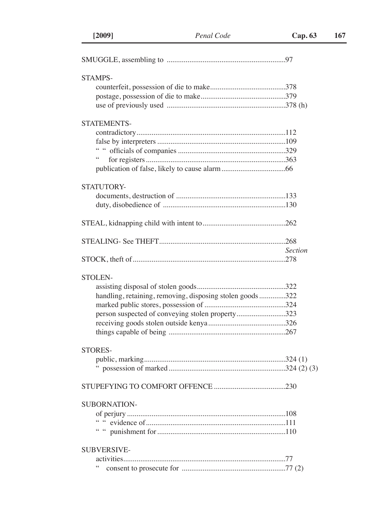| <b>STAMPS-</b>                                            |                |
|-----------------------------------------------------------|----------------|
|                                                           |                |
|                                                           |                |
|                                                           |                |
|                                                           |                |
| <b>STATEMENTS-</b>                                        |                |
|                                                           |                |
|                                                           |                |
|                                                           |                |
| $\epsilon$                                                |                |
|                                                           |                |
| STATUTORY-                                                |                |
|                                                           |                |
|                                                           |                |
|                                                           |                |
|                                                           |                |
|                                                           |                |
|                                                           | <b>Section</b> |
|                                                           |                |
|                                                           |                |
| STOLEN-                                                   |                |
|                                                           |                |
| handling, retaining, removing, disposing stolen goods 322 |                |
|                                                           |                |
| person suspected of conveying stolen property323          |                |
|                                                           |                |
|                                                           |                |
| <b>STORES-</b>                                            |                |
|                                                           |                |
|                                                           |                |
|                                                           | .230           |
|                                                           |                |
| <b>SUBORNATION-</b>                                       |                |
|                                                           |                |
|                                                           |                |
|                                                           |                |
| SUBVERSIVE-                                               |                |
|                                                           |                |
|                                                           |                |
|                                                           |                |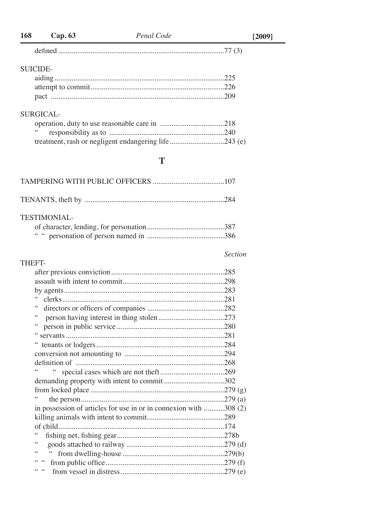#### 168 Cap. 63

Penal Code

#### SUICIDE-

## SURGICAL-

| treatment, rash or negligent endangering life243 (e) |  |
|------------------------------------------------------|--|

# $\mathbf T$

| <b>TESTIMONIAL-</b>                                               |                |
|-------------------------------------------------------------------|----------------|
|                                                                   |                |
|                                                                   |                |
|                                                                   | <b>Section</b> |
| THEFT-                                                            |                |
|                                                                   |                |
|                                                                   |                |
|                                                                   |                |
|                                                                   |                |
|                                                                   |                |
| $\zeta$ $\zeta$                                                   |                |
| $\zeta$ $\zeta$                                                   |                |
|                                                                   |                |
|                                                                   |                |
|                                                                   |                |
|                                                                   |                |
|                                                                   |                |
| demanding property with intent to commit 302                      |                |
|                                                                   |                |
|                                                                   |                |
| in possession of articles for use in or in connexion with 308 (2) |                |
|                                                                   |                |
|                                                                   |                |
| 66                                                                |                |
| 66                                                                |                |
| $\subseteq$ $\subseteq$                                           |                |
| $66-66$                                                           |                |
| $66 - 66$                                                         |                |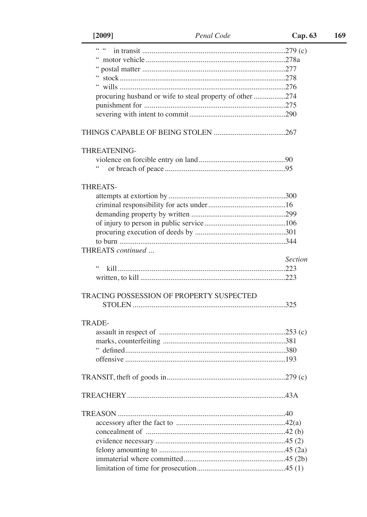| [2009]               | Penal Code                                               | Cap. 63        | 169 |
|----------------------|----------------------------------------------------------|----------------|-----|
| $66 - 66$            |                                                          |                |     |
|                      |                                                          |                |     |
| $\ddot{\phantom{0}}$ |                                                          |                |     |
|                      |                                                          |                |     |
|                      |                                                          |                |     |
|                      | procuring husband or wife to steal property of other 274 |                |     |
|                      |                                                          |                |     |
|                      |                                                          |                |     |
|                      |                                                          |                |     |
|                      |                                                          |                |     |
| <b>THREATENING-</b>  |                                                          |                |     |
|                      |                                                          |                |     |
| $\epsilon$           |                                                          |                |     |
| <b>THREATS-</b>      |                                                          |                |     |
|                      |                                                          |                |     |
|                      |                                                          |                |     |
|                      |                                                          |                |     |
|                      |                                                          |                |     |
|                      |                                                          |                |     |
|                      |                                                          |                |     |
| THREATS continued    |                                                          |                |     |
|                      |                                                          | <b>Section</b> |     |
|                      |                                                          |                |     |
|                      |                                                          |                |     |
|                      | TRACING POSSESSION OF PROPERTY SUSPECTED                 |                |     |
|                      |                                                          |                |     |
|                      |                                                          |                |     |
| <b>TRADE-</b>        |                                                          |                |     |
|                      |                                                          |                |     |
|                      |                                                          |                |     |
|                      |                                                          |                |     |
|                      |                                                          |                |     |
|                      |                                                          |                |     |
|                      |                                                          |                |     |
|                      |                                                          |                |     |
|                      |                                                          |                |     |
|                      |                                                          |                |     |
|                      |                                                          |                |     |
|                      |                                                          |                |     |
|                      |                                                          |                |     |
|                      |                                                          |                |     |
|                      |                                                          |                |     |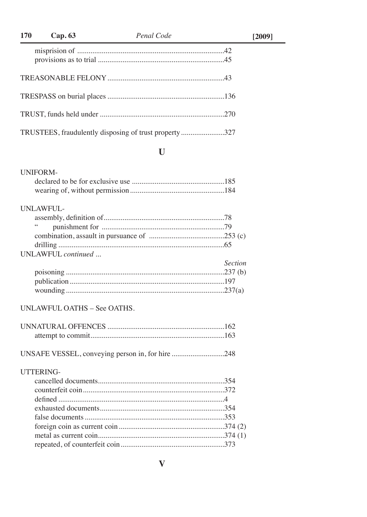| 170 | Cap. 63 | Penal Code                                            | 2009 |
|-----|---------|-------------------------------------------------------|------|
|     |         |                                                       |      |
|     |         |                                                       |      |
|     |         |                                                       |      |
|     |         |                                                       |      |
|     |         | TRUSTEES, fraudulently disposing of trust property327 |      |

# $\mathbf U$

#### UNIFORM-

### UNLAWFUL-

| UNLAWFUL continued |  |
|--------------------|--|

| <b>Section</b> |
|----------------|
|                |
|                |
|                |

#### UNLAWFUL OATHS - See OATHS.

| UNSAFE VESSEL, conveying person in, for hire 248 |  |
|--------------------------------------------------|--|
| <b>UTTERING-</b>                                 |  |
|                                                  |  |
|                                                  |  |
|                                                  |  |
|                                                  |  |
|                                                  |  |
|                                                  |  |
|                                                  |  |
|                                                  |  |
|                                                  |  |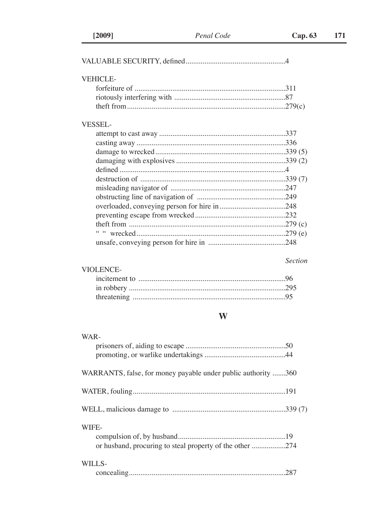| <b>VEHICLE-</b> |  |
|-----------------|--|
|                 |  |
|                 |  |
|                 |  |
| VESSEL-         |  |

| <b>VESSEL-</b> |  |
|----------------|--|
|                |  |
|                |  |
|                |  |
|                |  |
|                |  |
|                |  |
|                |  |
|                |  |
|                |  |
|                |  |
|                |  |
|                |  |

Section

| VIOLENCE- |  |
|-----------|--|
|           |  |
|           |  |
|           |  |

#### W

| WAR-                                                          |  |
|---------------------------------------------------------------|--|
|                                                               |  |
|                                                               |  |
| WARRANTS, false, for money payable under public authority 360 |  |
|                                                               |  |
|                                                               |  |
| WIFE-                                                         |  |
|                                                               |  |
| or husband, procuring to steal property of the other 274      |  |
| WILLS-                                                        |  |
|                                                               |  |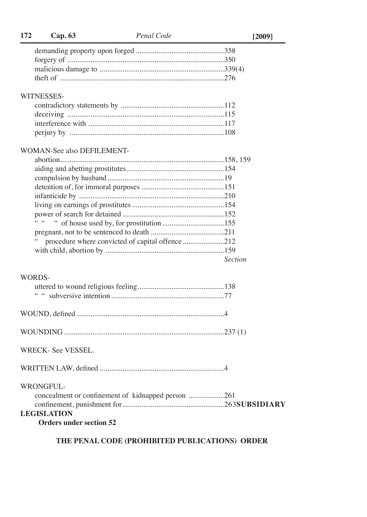| 172 | Cap.63 |  |
|-----|--------|--|
|-----|--------|--|

| WITNESSES-                                         |
|----------------------------------------------------|
|                                                    |
|                                                    |
|                                                    |
|                                                    |
| WOMAN-See also DEFILEMENT-                         |
|                                                    |
|                                                    |
|                                                    |
|                                                    |
|                                                    |
|                                                    |
|                                                    |
|                                                    |
|                                                    |
|                                                    |
| procedure where convicted of capital offence 212   |
|                                                    |
| <b>Section</b>                                     |
| WORDS-                                             |
|                                                    |
|                                                    |
|                                                    |
|                                                    |
|                                                    |
|                                                    |
| WRECK-See VESSEL.                                  |
|                                                    |
| WRONGFUL-                                          |
| concealment or confinement of kidnapped person 261 |
|                                                    |
| <b>LEGISLATION</b>                                 |
| <b>Orders under section 52</b>                     |
|                                                    |

#### **THE PENAL CODE (PROHIBITED PUBLICATIONS) ORDER**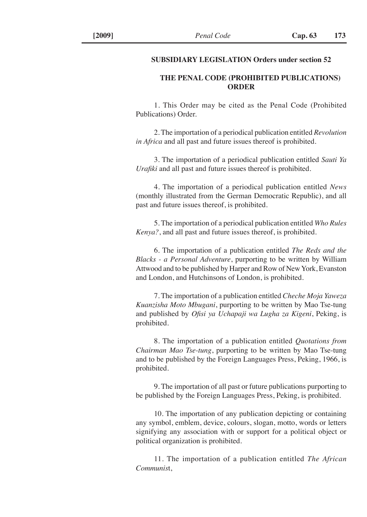#### **SUBSIDIARY LEGISLATION Orders under section 52**

#### **THE PENAL CODE (PROHIBITED PUBLICATIONS) ORDER**

1. This Order may be cited as the Penal Code (Prohibited Publications) Order.

2. The importation of a periodical publication entitled *Revolution in Africa* and all past and future issues thereof is prohibited.

3. The importation of a periodical publication entitled *Sauti Ya Urafiki* and all past and future issues thereof is prohibited.

4. The importation of a periodical publication entitled *News*  (monthly illustrated from the German Democratic Republic), and all past and future issues thereof, is prohibited.

5. The importation of a periodical publication entitled *Who Rules Kenya?*, and all past and future issues thereof, is prohibited.

6. The importation of a publication entitled *The Reds and the Blacks - a Personal Adventure*, purporting to be written by William Attwood and to be published by Harper and Row of New York, Evanston and London, and Hutchinsons of London, is prohibited.

7. The importation of a publication entitled *Cheche Moja Yaweza Kuanzisha Moto Mbugani*, purporting to be written by Mao Tse-tung and published by *Ofisi ya Uchapaji wa Lugha za Kigeni*, Peking, is prohibited.

8. The importation of a publication entitled *Quotations from Chairman Mao Tse-tung*, purporting to be written by Mao Tse-tung and to be published by the Foreign Languages Press, Peking, 1966, is prohibited.

9. The importation of all past or future publications purporting to be published by the Foreign Languages Press, Peking, is prohibited.

10. The importation of any publication depicting or containing any symbol, emblem, device, colours, slogan, motto, words or letters signifying any association with or support for a political object or political organization is prohibited.

11. The importation of a publication entitled *The African Communis*t,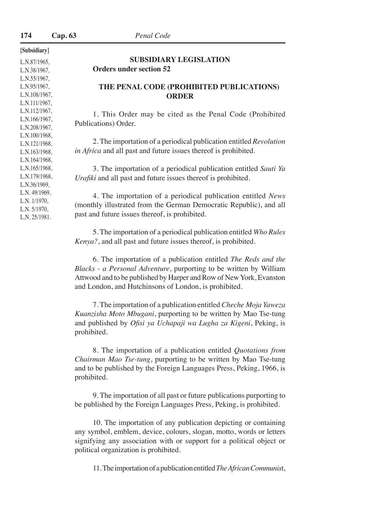#### **[Subsidiary]**

L.N.87/1965, L.N.38/1967, L.N.55/1967, L.N.95/1967, L.N.108/1967, L.N.111/1967, L.N.112/1967, L.N.166/1967, L.N.208/1967, L.N.100/1968, L.N.121/1968, L.N.163/1968, L.N.164/1968, L.N.165/1968, L.N.179/1968, L.N.36/1969, L.N. 49/1969, L.N. 1/1970, L.N. 5/1970, L.N. 25/1981.

#### **SUBSIDIARY LEGISLATION Orders under section 52**

#### **THE PENAL CODE (PROHIBITED PUBLICATIONS) ORDER**

1. This Order may be cited as the Penal Code (Prohibited Publications) Order.

2. The importation of a periodical publication entitled *Revolution in Africa* and all past and future issues thereof is prohibited.

3. The importation of a periodical publication entitled *Sauti Ya Urafiki* and all past and future issues thereof is prohibited.

4. The importation of a periodical publication entitled *News*  (monthly illustrated from the German Democratic Republic), and all past and future issues thereof, is prohibited.

5. The importation of a periodical publication entitled *Who Rules Kenya?*, and all past and future issues thereof, is prohibited.

6. The importation of a publication entitled *The Reds and the Blacks - a Personal Adventure*, purporting to be written by William Attwood and to be published by Harper and Row of New York, Evanston and London, and Hutchinsons of London, is prohibited.

7. The importation of a publication entitled *Cheche Moja Yaweza Kuanzisha Moto Mbugani*, purporting to be written by Mao Tse-tung and published by *Ofisi ya Uchapaji wa Lugha za Kigeni*, Peking, is prohibited.

8. The importation of a publication entitled *Quotations from Chairman Mao Tse-tung*, purporting to be written by Mao Tse-tung and to be published by the Foreign Languages Press, Peking, 1966, is prohibited.

9. The importation of all past or future publications purporting to be published by the Foreign Languages Press, Peking, is prohibited.

10. The importation of any publication depicting or containing any symbol, emblem, device, colours, slogan, motto, words or letters signifying any association with or support for a political object or political organization is prohibited.

11. The importation of a publication entitled *The AfricanCommunis*t,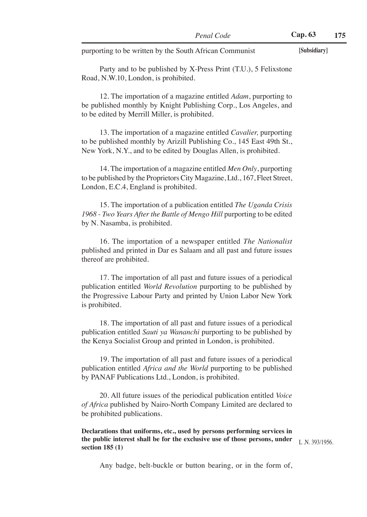| Penal Code                                                      | Cap. 63      | 175 |
|-----------------------------------------------------------------|--------------|-----|
| purporting to be written by the South African Communist         | [Subsidiary] |     |
| Party and to be published by X-Press Print (T.U.), 5 Felixstone |              |     |

12. The importation of a magazine entitled *Adam*, purporting to be published monthly by Knight Publishing Corp., Los Angeles, and to be edited by Merrill Miller, is prohibited.

Road, N.W.10, London, is prohibited.

13. The importation of a magazine entitled *Cavalier,* purporting to be published monthly by Arizill Publishing Co., 145 East 49th St., New York, N.Y., and to be edited by Douglas Allen, is prohibited.

14. The importation of a magazine entitled *Men Only*, purporting to be published by the Proprietors City Magazine, Ltd., 167, Fleet Street, London, E.C.4, England is prohibited.

15. The importation of a publication entitled *The Uganda Crisis*  1968 - Two Years After the Battle of Mengo Hill purporting to be edited by N. Nasamba, is prohibited.

16. The importation of a newspaper entitled *The Nationalist*  published and printed in Dar es Salaam and all past and future issues thereof are prohibited.

17. The importation of all past and future issues of a periodical publication entitled *World Revolution* purporting to be published by the Progressive Labour Party and printed by Union Labor New York is prohibited.

18. The importation of all past and future issues of a periodical publication entitled *Sauti ya Wananchi* purporting to be published by the Kenya Socialist Group and printed in London, is prohibited.

19. The importation of all past and future issues of a periodical publication entitled *Africa and the World* purporting to be published by PANAF Publications Ltd., London, is prohibited.

20. All future issues of the periodical publication entitled *Voice of Africa* published by Nairo-North Company Limited are declared to be prohibited publications.

**Declarations that uniforms, etc., used by persons performing services in the public interest shall be for the exclusive use of those persons, under section 185 (1)**

L .N. 393/1956.

Any badge, belt-buckle or button bearing, or in the form of,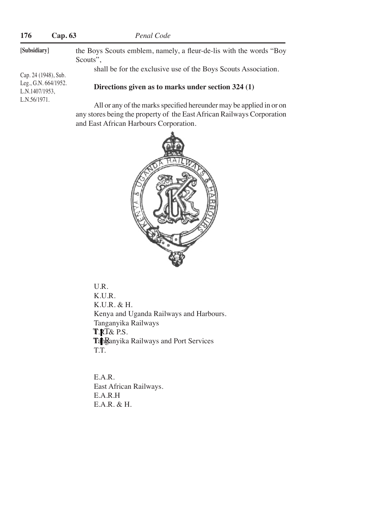| 176                                    | Cap.63 | Penal Code                                                                     |
|----------------------------------------|--------|--------------------------------------------------------------------------------|
| [Subsidiary]                           |        | the Boys Scouts emblem, namely, a fleur-de-lis with the words "Boy<br>Scouts". |
| Cap. 24 (1948), Sub.                   |        | shall be for the exclusive use of the Boys Scouts Association.                 |
| Leg., G.N. 664/1952.<br>L.N.1407/1953, |        | Directions given as to marks under section 324 (1)                             |
| L.N.56/1971.                           |        | All or any of the marks specified hereunder may be applied in or on            |

any stores being the property of the East African Railways Corporation and East African Harbours Corporation.



U.R. K.U.R. K.U.R. & H. Kenya and Uganda Railways and Harbours. Tanganyika Railways **T.RT& P.S.** Tanganyika Railways and Port Services T.T.

E.A.R. East African Railways. E.A.R.H E.A.R. & H.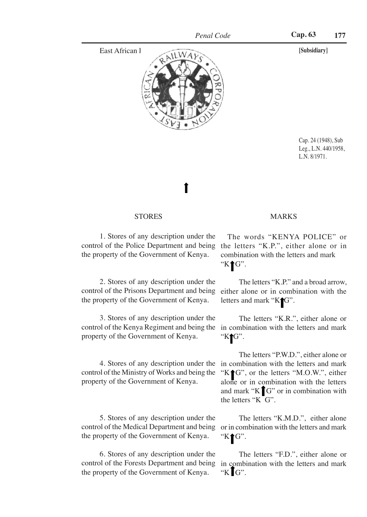East African I



#### *Penal Code* **177 Cap. 63**

**[Subsidiary]**

Cap. 24 (1948), Sub Leg., L.N. 440/1958, L.N. 8/1971.

#### STORES MARKS

control of the Police Department and being the letters "K.P.", either alone or in 1. Stores of any description under the the property of the Government of Kenya.

2. Stores of any description under the control of the Prisons Department and being the property of the Government of Kenya.

3. Stores of any description under the control of the Kenya Regiment and being the property of the Government of Kenya.

4. Stores of any description under the control of the Ministry of Works and being the property of the Government of Kenya.

5. Stores of any description under the control of the Medical Department and being the property of the Government of Kenya.

6. Stores of any description under the control of the Forests Department and being the property of the Government of Kenya.

 The words "KENYA POLICE" or combination with the letters and mark  $K \uparrow G$ ".

The letters "K.P." and a broad arrow, either alone or in combination with the letters and mark "K<sup>4</sup>G".

The letters "K.R.", either alone or in combination with the letters and mark "K<sup>O</sup>".

The letters "P.W.D.", either alone or in combination with the letters and mark "K<sup>1</sup>G", or the letters "M.O.W.", either alone or in combination with the letters and mark " $K^{\bullet}$ " or in combination with the letters "K G".

The letters "K.M.D.", either alone or in combination with the letters and mark "K<sup>O</sup>".

The letters "F.D.", either alone or in combination with the letters and mark " $K$ <sup>T</sup> $G$ ".